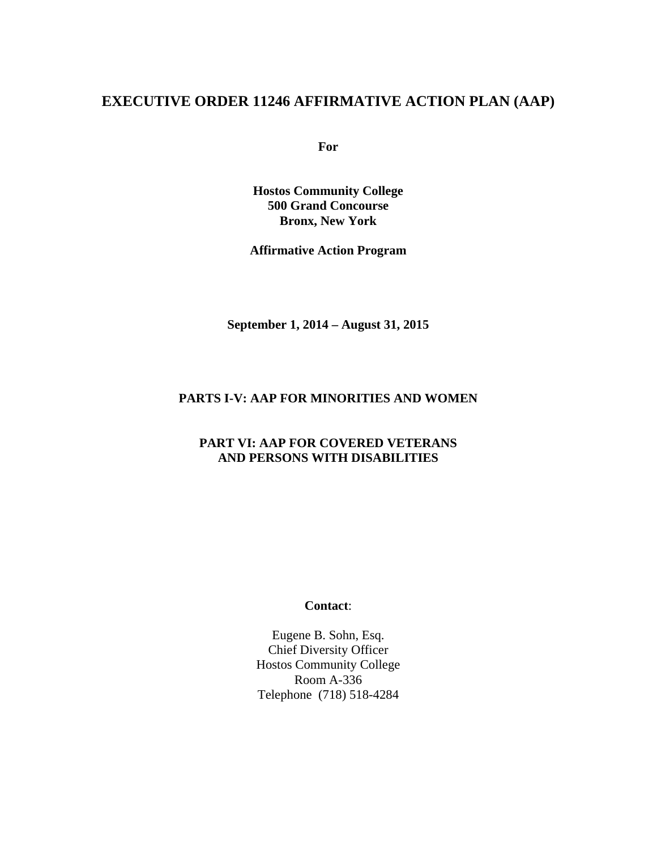# **EXECUTIVE ORDER 11246 AFFIRMATIVE ACTION PLAN (AAP)**

**For** 

**Hostos Community College 500 Grand Concourse Bronx, New York** 

**Affirmative Action Program** 

**September 1, 2014 – August 31, 2015** 

#### **PARTS I-V: AAP FOR MINORITIES AND WOMEN**

#### **PART VI: AAP FOR COVERED VETERANS AND PERSONS WITH DISABILITIES**

#### **Contact**:

Eugene B. Sohn, Esq. Chief Diversity Officer Hostos Community College Room A-336 Telephone (718) 518-4284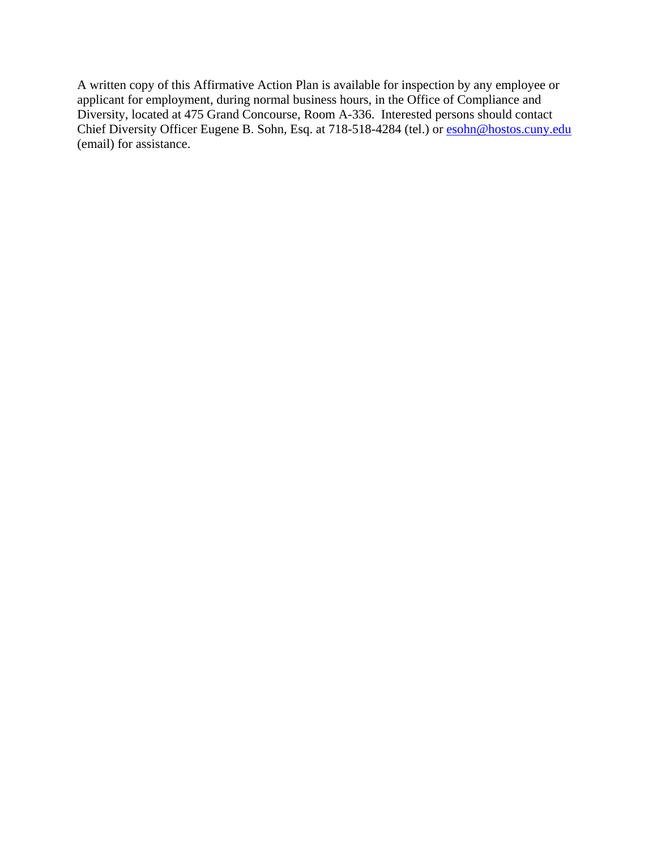A written copy of this Affirmative Action Plan is available for inspection by any employee or applicant for employment, during normal business hours, in the Office of Compliance and Diversity, located at 475 Grand Concourse, Room A-336. Interested persons should contact Chief Diversity Officer Eugene B. Sohn, Esq. at 718-518-4284 (tel.) or **esohn@hostos.cuny.edu** (email) for assistance.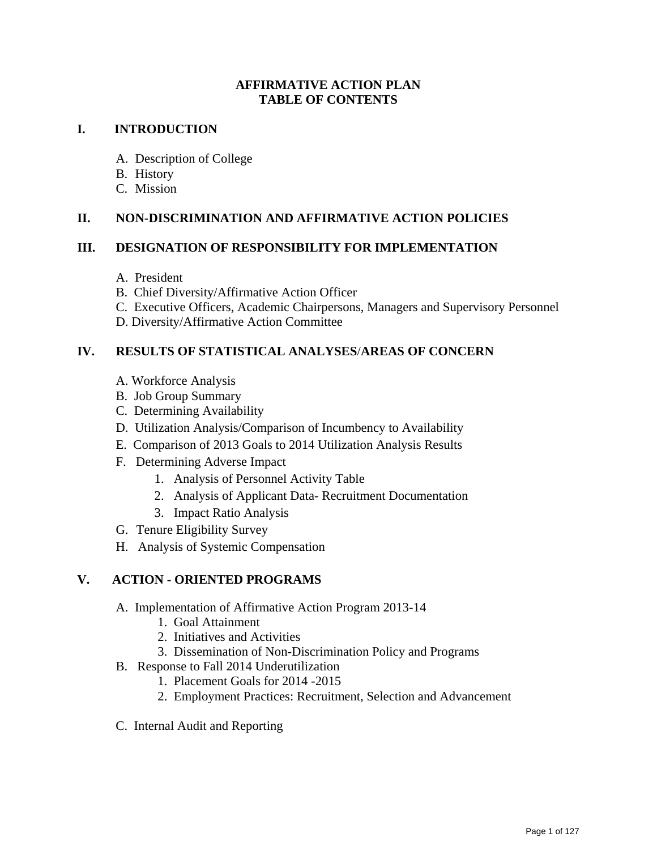#### **AFFIRMATIVE ACTION PLAN TABLE OF CONTENTS**

#### **I. INTRODUCTION**

- A. Description of College
- B. History
- C. Mission

#### **II. NON-DISCRIMINATION AND AFFIRMATIVE ACTION POLICIES**

#### **III. DESIGNATION OF RESPONSIBILITY FOR IMPLEMENTATION**

- A. President
- B. Chief Diversity/Affirmative Action Officer
- C. Executive Officers, Academic Chairpersons, Managers and Supervisory Personnel
- D. Diversity/Affirmative Action Committee

#### **IV. RESULTS OF STATISTICAL ANALYSES**/**AREAS OF CONCERN**

- A. Workforce Analysis
- B. Job Group Summary
- C. Determining Availability
- D. Utilization Analysis/Comparison of Incumbency to Availability
- E. Comparison of 2013 Goals to 2014 Utilization Analysis Results
- F. Determining Adverse Impact
	- 1. Analysis of Personnel Activity Table
	- 2. Analysis of Applicant Data- Recruitment Documentation
	- 3. Impact Ratio Analysis
- G. Tenure Eligibility Survey
- H. Analysis of Systemic Compensation

#### **V. ACTION - ORIENTED PROGRAMS**

- A. Implementation of Affirmative Action Program 2013-14
	- 1. Goal Attainment
	- 2. Initiatives and Activities
	- 3. Dissemination of Non-Discrimination Policy and Programs
- B. Response to Fall 2014 Underutilization
	- 1. Placement Goals for 2014 -2015
	- 2. Employment Practices: Recruitment, Selection and Advancement
- C. Internal Audit and Reporting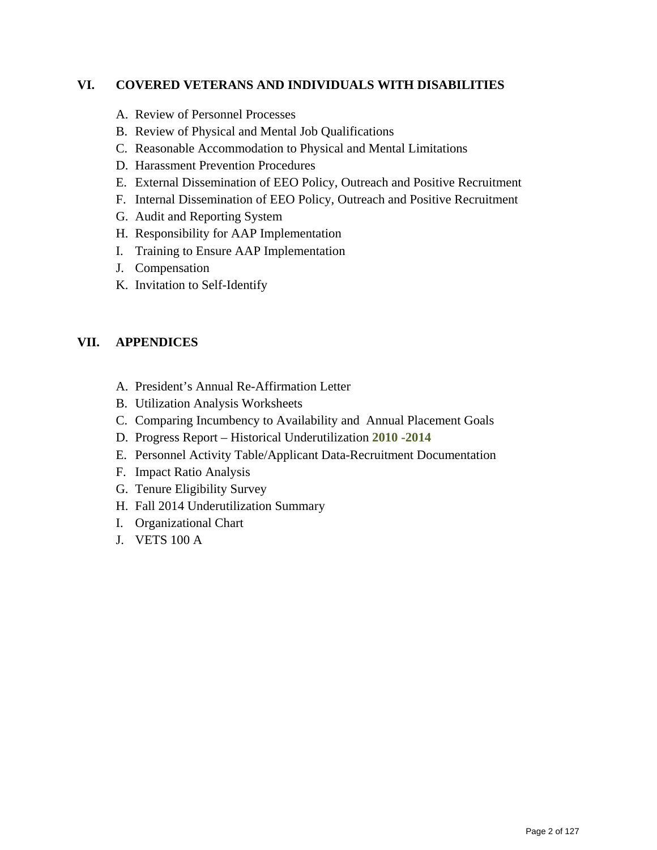#### **VI. COVERED VETERANS AND INDIVIDUALS WITH DISABILITIES**

- A. Review of Personnel Processes
- B. Review of Physical and Mental Job Qualifications
- C. Reasonable Accommodation to Physical and Mental Limitations
- D. Harassment Prevention Procedures
- E. External Dissemination of EEO Policy, Outreach and Positive Recruitment
- F. Internal Dissemination of EEO Policy, Outreach and Positive Recruitment
- G. Audit and Reporting System
- H. Responsibility for AAP Implementation
- I. Training to Ensure AAP Implementation
- J. Compensation
- K. Invitation to Self-Identify

#### **VII. APPENDICES**

- A. President's Annual Re-Affirmation Letter
- B. Utilization Analysis Worksheets
- C. Comparing Incumbency to Availability and Annual Placement Goals
- D. Progress Report Historical Underutilization **2010 -2014**
- E. Personnel Activity Table/Applicant Data-Recruitment Documentation
- F. Impact Ratio Analysis
- G. Tenure Eligibility Survey
- H. Fall 2014 Underutilization Summary
- I. Organizational Chart
- J. VETS 100 A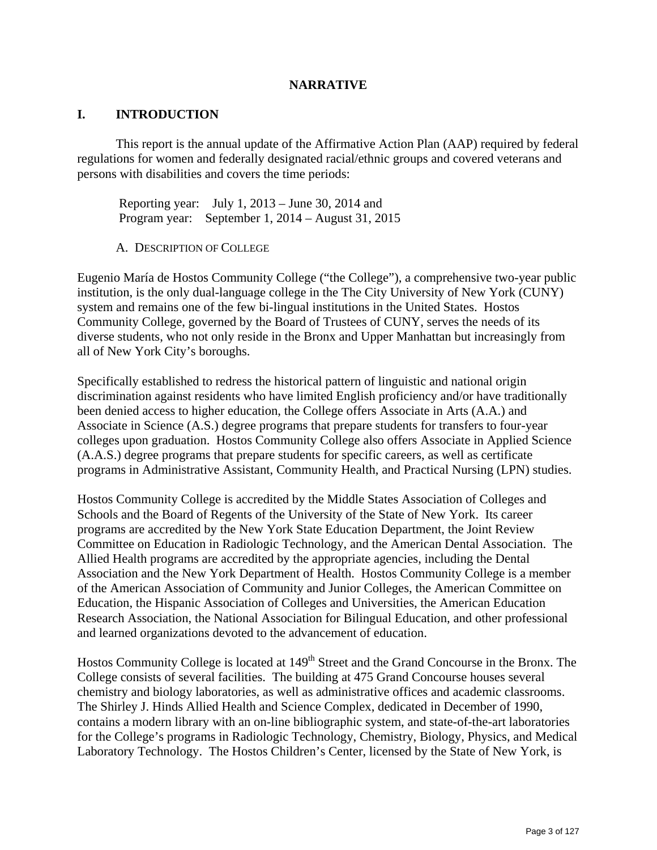#### **NARRATIVE**

#### **I. INTRODUCTION**

This report is the annual update of the Affirmative Action Plan (AAP) required by federal regulations for women and federally designated racial/ethnic groups and covered veterans and persons with disabilities and covers the time periods:

 Reporting year: July 1, 2013 – June 30, 2014 and Program year: September 1, 2014 – August 31, 2015

A. DESCRIPTION OF COLLEGE

Eugenio María de Hostos Community College ("the College"), a comprehensive two-year public institution, is the only dual-language college in the The City University of New York (CUNY) system and remains one of the few bi-lingual institutions in the United States. Hostos Community College, governed by the Board of Trustees of CUNY, serves the needs of its diverse students, who not only reside in the Bronx and Upper Manhattan but increasingly from all of New York City's boroughs.

Specifically established to redress the historical pattern of linguistic and national origin discrimination against residents who have limited English proficiency and/or have traditionally been denied access to higher education, the College offers Associate in Arts (A.A.) and Associate in Science (A.S.) degree programs that prepare students for transfers to four-year colleges upon graduation. Hostos Community College also offers Associate in Applied Science (A.A.S.) degree programs that prepare students for specific careers, as well as certificate programs in Administrative Assistant, Community Health, and Practical Nursing (LPN) studies.

Hostos Community College is accredited by the Middle States Association of Colleges and Schools and the Board of Regents of the University of the State of New York. Its career programs are accredited by the New York State Education Department, the Joint Review Committee on Education in Radiologic Technology, and the American Dental Association. The Allied Health programs are accredited by the appropriate agencies, including the Dental Association and the New York Department of Health. Hostos Community College is a member of the American Association of Community and Junior Colleges, the American Committee on Education, the Hispanic Association of Colleges and Universities, the American Education Research Association, the National Association for Bilingual Education, and other professional and learned organizations devoted to the advancement of education.

Hostos Community College is located at 149<sup>th</sup> Street and the Grand Concourse in the Bronx. The College consists of several facilities. The building at 475 Grand Concourse houses several chemistry and biology laboratories, as well as administrative offices and academic classrooms. The Shirley J. Hinds Allied Health and Science Complex, dedicated in December of 1990, contains a modern library with an on-line bibliographic system, and state-of-the-art laboratories for the College's programs in Radiologic Technology, Chemistry, Biology, Physics, and Medical Laboratory Technology. The Hostos Children's Center, licensed by the State of New York, is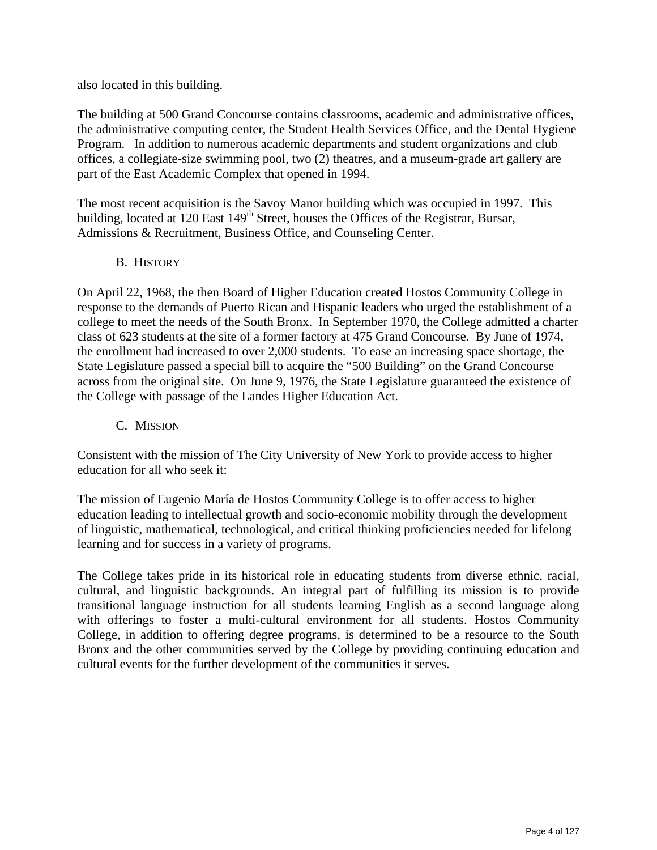also located in this building.

The building at 500 Grand Concourse contains classrooms, academic and administrative offices, the administrative computing center, the Student Health Services Office, and the Dental Hygiene Program. In addition to numerous academic departments and student organizations and club offices, a collegiate-size swimming pool, two (2) theatres, and a museum-grade art gallery are part of the East Academic Complex that opened in 1994.

The most recent acquisition is the Savoy Manor building which was occupied in 1997. This building, located at 120 East 149<sup>th</sup> Street, houses the Offices of the Registrar, Bursar, Admissions & Recruitment, Business Office, and Counseling Center.

#### B. HISTORY

On April 22, 1968, the then Board of Higher Education created Hostos Community College in response to the demands of Puerto Rican and Hispanic leaders who urged the establishment of a college to meet the needs of the South Bronx. In September 1970, the College admitted a charter class of 623 students at the site of a former factory at 475 Grand Concourse. By June of 1974, the enrollment had increased to over 2,000 students. To ease an increasing space shortage, the State Legislature passed a special bill to acquire the "500 Building" on the Grand Concourse across from the original site. On June 9, 1976, the State Legislature guaranteed the existence of the College with passage of the Landes Higher Education Act.

C. MISSION

Consistent with the mission of The City University of New York to provide access to higher education for all who seek it:

The mission of Eugenio María de Hostos Community College is to offer access to higher education leading to intellectual growth and socio-economic mobility through the development of linguistic, mathematical, technological, and critical thinking proficiencies needed for lifelong learning and for success in a variety of programs.

The College takes pride in its historical role in educating students from diverse ethnic, racial, cultural, and linguistic backgrounds. An integral part of fulfilling its mission is to provide transitional language instruction for all students learning English as a second language along with offerings to foster a multi-cultural environment for all students. Hostos Community College, in addition to offering degree programs, is determined to be a resource to the South Bronx and the other communities served by the College by providing continuing education and cultural events for the further development of the communities it serves.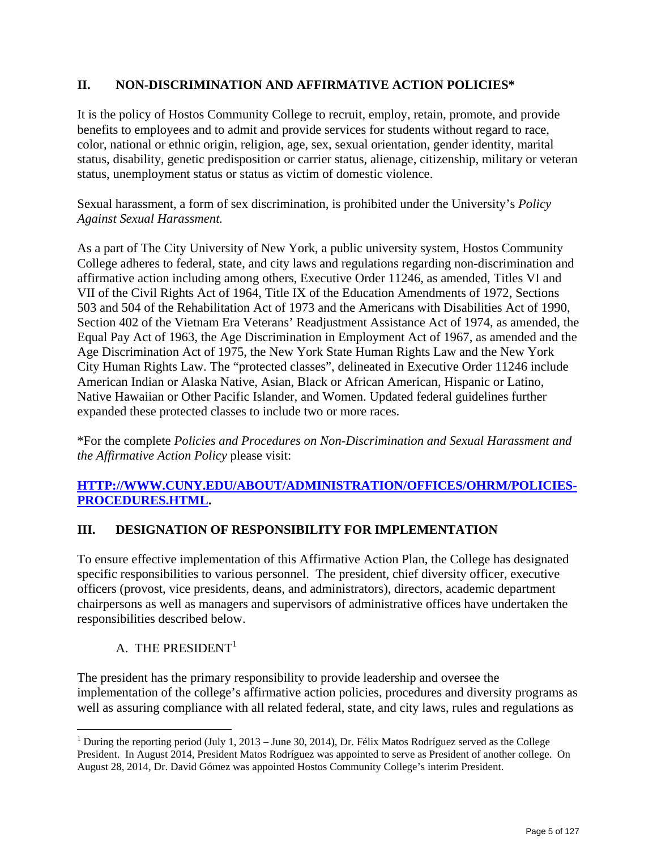# **II. NON-DISCRIMINATION AND AFFIRMATIVE ACTION POLICIES\***

It is the policy of Hostos Community College to recruit, employ, retain, promote, and provide benefits to employees and to admit and provide services for students without regard to race, color, national or ethnic origin, religion, age, sex, sexual orientation, gender identity, marital status, disability, genetic predisposition or carrier status, alienage, citizenship, military or veteran status, unemployment status or status as victim of domestic violence.

Sexual harassment, a form of sex discrimination, is prohibited under the University's *Policy Against Sexual Harassment.* 

As a part of The City University of New York, a public university system, Hostos Community College adheres to federal, state, and city laws and regulations regarding non-discrimination and affirmative action including among others, Executive Order 11246, as amended, Titles VI and VII of the Civil Rights Act of 1964, Title IX of the Education Amendments of 1972, Sections 503 and 504 of the Rehabilitation Act of 1973 and the Americans with Disabilities Act of 1990, Section 402 of the Vietnam Era Veterans' Readjustment Assistance Act of 1974, as amended, the Equal Pay Act of 1963, the Age Discrimination in Employment Act of 1967, as amended and the Age Discrimination Act of 1975, the New York State Human Rights Law and the New York City Human Rights Law. The "protected classes", delineated in Executive Order 11246 include American Indian or Alaska Native, Asian, Black or African American, Hispanic or Latino, Native Hawaiian or Other Pacific Islander, and Women. Updated federal guidelines further expanded these protected classes to include two or more races.

\*For the complete *Policies and Procedures on Non-Discrimination and Sexual Harassment and the Affirmative Action Policy* please visit:

# **HTTP://WWW.CUNY.EDU/ABOUT/ADMINISTRATION/OFFICES/OHRM/POLICIES-PROCEDURES.HTML.**

# **III. DESIGNATION OF RESPONSIBILITY FOR IMPLEMENTATION**

To ensure effective implementation of this Affirmative Action Plan, the College has designated specific responsibilities to various personnel. The president, chief diversity officer, executive officers (provost, vice presidents, deans, and administrators), directors, academic department chairpersons as well as managers and supervisors of administrative offices have undertaken the responsibilities described below.

# A. THE PRESIDENT<sup>1</sup>

The president has the primary responsibility to provide leadership and oversee the implementation of the college's affirmative action policies, procedures and diversity programs as well as assuring compliance with all related federal, state, and city laws, rules and regulations as

 $\overline{a}$ <sup>1</sup> During the reporting period (July 1, 2013 – June 30, 2014), Dr. Félix Matos Rodríguez served as the College President. In August 2014, President Matos Rodríguez was appointed to serve as President of another college. On August 28, 2014, Dr. David Gómez was appointed Hostos Community College's interim President.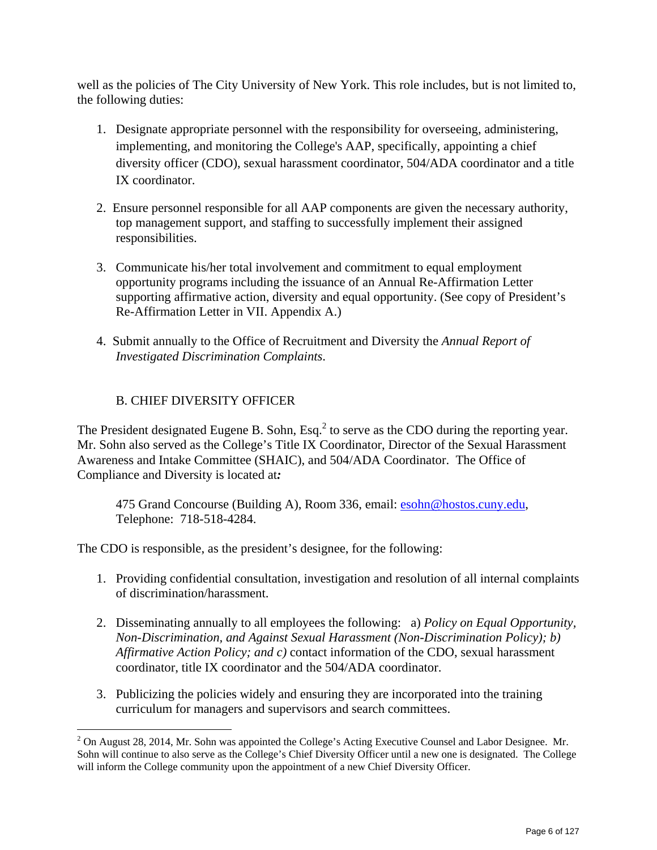well as the policies of The City University of New York. This role includes, but is not limited to, the following duties:

- 1. Designate appropriate personnel with the responsibility for overseeing, administering, implementing, and monitoring the College's AAP, specifically, appointing a chief diversity officer (CDO), sexual harassment coordinator, 504/ADA coordinator and a title IX coordinator.
- 2. Ensure personnel responsible for all AAP components are given the necessary authority, top management support, and staffing to successfully implement their assigned responsibilities.
- 3. Communicate his/her total involvement and commitment to equal employment opportunity programs including the issuance of an Annual Re-Affirmation Letter supporting affirmative action, diversity and equal opportunity. (See copy of President's Re-Affirmation Letter in VII. Appendix A.)
- 4. Submit annually to the Office of Recruitment and Diversity the *Annual Report of Investigated Discrimination Complaints*.

# B. CHIEF DIVERSITY OFFICER

The President designated Eugene B. Sohn, Esq. $<sup>2</sup>$  to serve as the CDO during the reporting year.</sup> Mr. Sohn also served as the College's Title IX Coordinator, Director of the Sexual Harassment Awareness and Intake Committee (SHAIC), and 504/ADA Coordinator. The Office of Compliance and Diversity is located at*:*

475 Grand Concourse (Building A), Room 336, email: esohn@hostos.cuny.edu, Telephone: 718-518-4284.

The CDO is responsible, as the president's designee, for the following:

- 1. Providing confidential consultation, investigation and resolution of all internal complaints of discrimination/harassment.
- 2. Disseminating annually to all employees the following: a) *Policy on Equal Opportunity, Non-Discrimination, and Against Sexual Harassment (Non-Discrimination Policy); b) Affirmative Action Policy; and c)* contact information of the CDO, sexual harassment coordinator, title IX coordinator and the 504/ADA coordinator.
- 3. Publicizing the policies widely and ensuring they are incorporated into the training curriculum for managers and supervisors and search committees.

 $\overline{a}$  $2$  On August 28, 2014, Mr. Sohn was appointed the College's Acting Executive Counsel and Labor Designee. Mr. Sohn will continue to also serve as the College's Chief Diversity Officer until a new one is designated. The College will inform the College community upon the appointment of a new Chief Diversity Officer.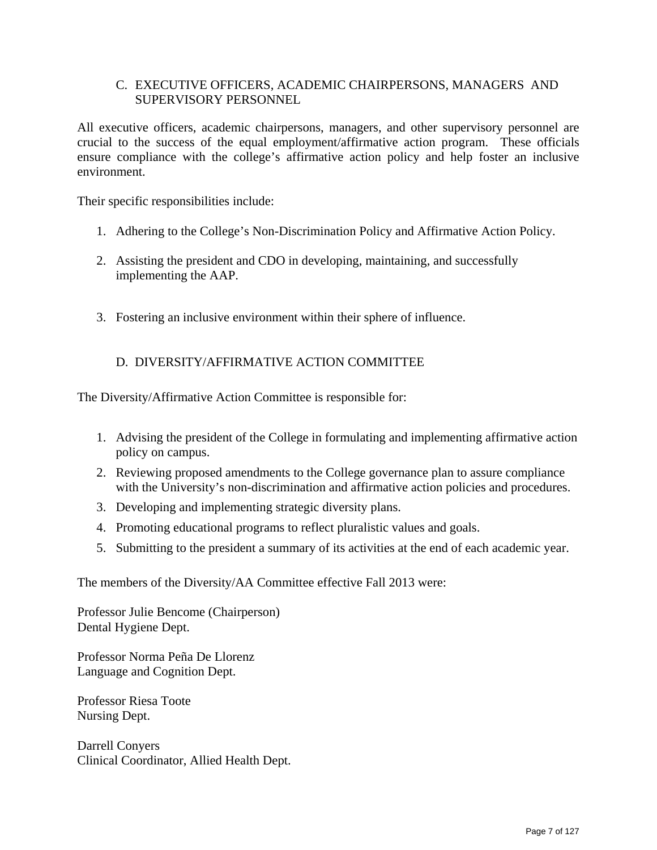#### C. EXECUTIVE OFFICERS, ACADEMIC CHAIRPERSONS, MANAGERS AND SUPERVISORY PERSONNEL

All executive officers, academic chairpersons, managers, and other supervisory personnel are crucial to the success of the equal employment/affirmative action program. These officials ensure compliance with the college's affirmative action policy and help foster an inclusive environment.

Their specific responsibilities include:

- 1. Adhering to the College's Non-Discrimination Policy and Affirmative Action Policy.
- 2. Assisting the president and CDO in developing, maintaining, and successfully implementing the AAP.
- 3. Fostering an inclusive environment within their sphere of influence.

#### D. DIVERSITY/AFFIRMATIVE ACTION COMMITTEE

The Diversity/Affirmative Action Committee is responsible for:

- 1. Advising the president of the College in formulating and implementing affirmative action policy on campus.
- 2. Reviewing proposed amendments to the College governance plan to assure compliance with the University's non-discrimination and affirmative action policies and procedures.
- 3. Developing and implementing strategic diversity plans.
- 4. Promoting educational programs to reflect pluralistic values and goals.
- 5. Submitting to the president a summary of its activities at the end of each academic year.

The members of the Diversity/AA Committee effective Fall 2013 were:

Professor Julie Bencome (Chairperson) Dental Hygiene Dept.

Professor Norma Peña De Llorenz Language and Cognition Dept.

Professor Riesa Toote Nursing Dept.

Darrell Conyers Clinical Coordinator, Allied Health Dept.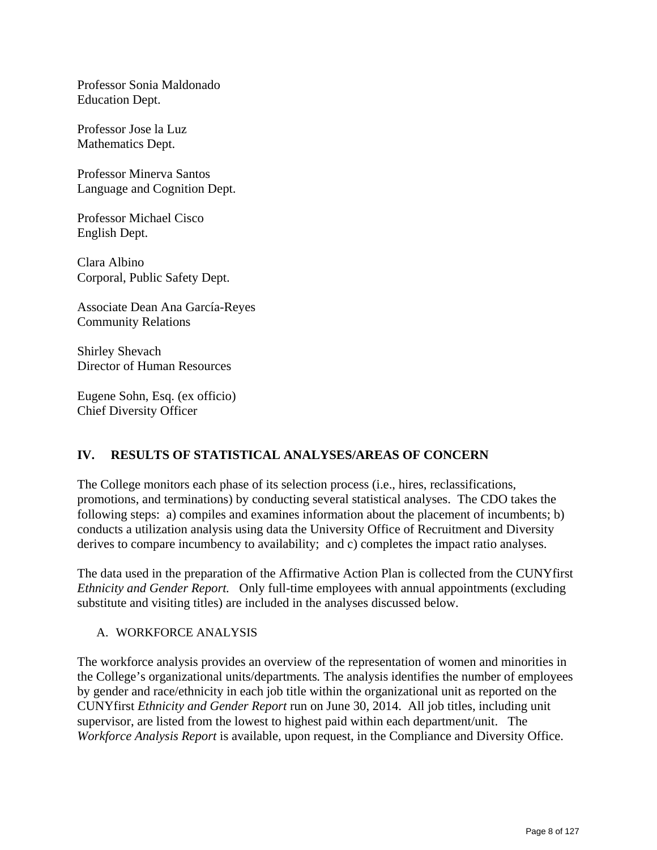Professor Sonia Maldonado Education Dept.

Professor Jose la Luz Mathematics Dept.

Professor Minerva Santos Language and Cognition Dept.

Professor Michael Cisco English Dept.

Clara Albino Corporal, Public Safety Dept.

Associate Dean Ana García-Reyes Community Relations

Shirley Shevach Director of Human Resources

Eugene Sohn, Esq. (ex officio) Chief Diversity Officer

# **IV. RESULTS OF STATISTICAL ANALYSES/AREAS OF CONCERN**

The College monitors each phase of its selection process (i.e., hires, reclassifications, promotions, and terminations) by conducting several statistical analyses. The CDO takes the following steps: a) compiles and examines information about the placement of incumbents; b) conducts a utilization analysis using data the University Office of Recruitment and Diversity derives to compare incumbency to availability; and c) completes the impact ratio analyses.

The data used in the preparation of the Affirmative Action Plan is collected from the CUNYfirst *Ethnicity and Gender Report.* Only full-time employees with annual appointments (excluding substitute and visiting titles) are included in the analyses discussed below.

A. WORKFORCE ANALYSIS

The workforce analysis provides an overview of the representation of women and minorities in the College's organizational units/departments*.* The analysis identifies the number of employees by gender and race/ethnicity in each job title within the organizational unit as reported on the CUNYfirst *Ethnicity and Gender Report* run on June 30, 2014. All job titles, including unit supervisor, are listed from the lowest to highest paid within each department/unit. The *Workforce Analysis Report* is available, upon request, in the Compliance and Diversity Office.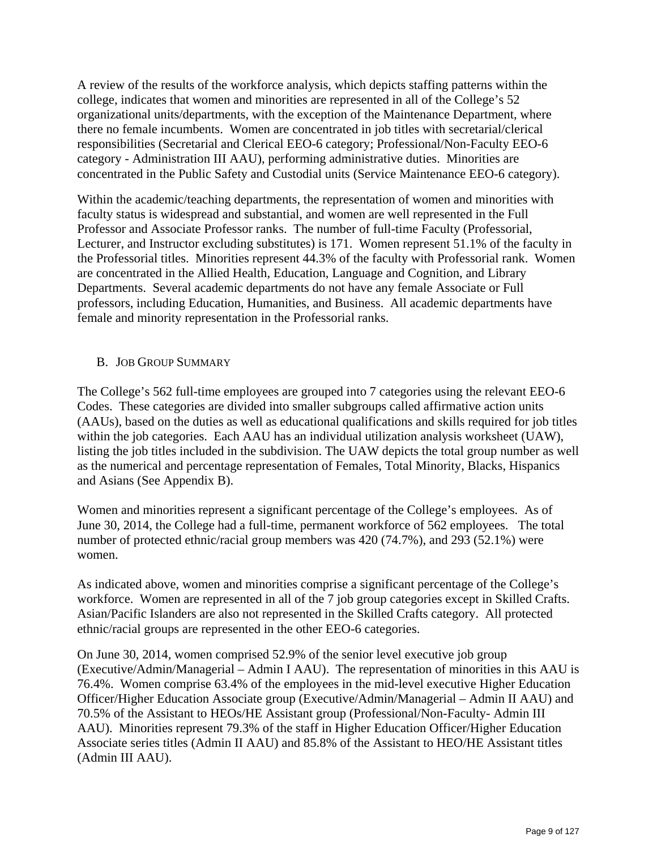A review of the results of the workforce analysis, which depicts staffing patterns within the college, indicates that women and minorities are represented in all of the College's 52 organizational units/departments, with the exception of the Maintenance Department, where there no female incumbents. Women are concentrated in job titles with secretarial/clerical responsibilities (Secretarial and Clerical EEO-6 category; Professional/Non-Faculty EEO-6 category - Administration III AAU), performing administrative duties. Minorities are concentrated in the Public Safety and Custodial units (Service Maintenance EEO-6 category).

Within the academic/teaching departments, the representation of women and minorities with faculty status is widespread and substantial, and women are well represented in the Full Professor and Associate Professor ranks. The number of full-time Faculty (Professorial, Lecturer, and Instructor excluding substitutes) is 171. Women represent 51.1% of the faculty in the Professorial titles. Minorities represent 44.3% of the faculty with Professorial rank. Women are concentrated in the Allied Health, Education, Language and Cognition, and Library Departments. Several academic departments do not have any female Associate or Full professors, including Education, Humanities, and Business. All academic departments have female and minority representation in the Professorial ranks.

#### B. JOB GROUP SUMMARY

The College's 562 full-time employees are grouped into 7 categories using the relevant EEO-6 Codes. These categories are divided into smaller subgroups called affirmative action units (AAUs), based on the duties as well as educational qualifications and skills required for job titles within the job categories. Each AAU has an individual utilization analysis worksheet (UAW), listing the job titles included in the subdivision. The UAW depicts the total group number as well as the numerical and percentage representation of Females, Total Minority, Blacks, Hispanics and Asians (See Appendix B).

Women and minorities represent a significant percentage of the College's employees. As of June 30, 2014, the College had a full-time, permanent workforce of 562 employees. The total number of protected ethnic/racial group members was 420 (74.7%), and 293 (52.1%) were women.

As indicated above, women and minorities comprise a significant percentage of the College's workforce. Women are represented in all of the 7 job group categories except in Skilled Crafts. Asian/Pacific Islanders are also not represented in the Skilled Crafts category. All protected ethnic/racial groups are represented in the other EEO-6 categories.

On June 30, 2014, women comprised 52.9% of the senior level executive job group (Executive/Admin/Managerial – Admin I AAU). The representation of minorities in this AAU is 76.4%. Women comprise 63.4% of the employees in the mid-level executive Higher Education Officer/Higher Education Associate group (Executive/Admin/Managerial – Admin II AAU) and 70.5% of the Assistant to HEOs/HE Assistant group (Professional/Non-Faculty- Admin III AAU). Minorities represent 79.3% of the staff in Higher Education Officer/Higher Education Associate series titles (Admin II AAU) and 85.8% of the Assistant to HEO/HE Assistant titles (Admin III AAU).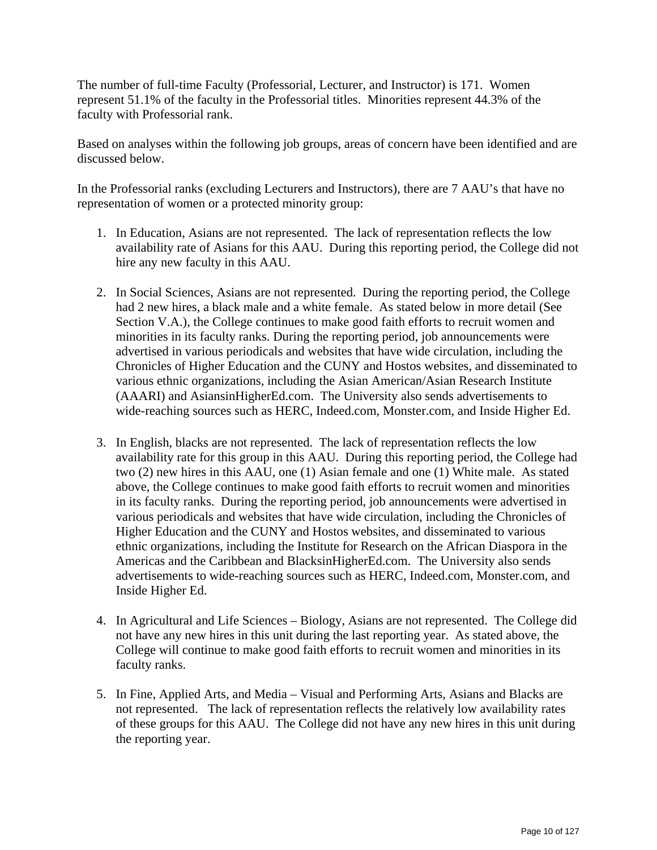The number of full-time Faculty (Professorial, Lecturer, and Instructor) is 171. Women represent 51.1% of the faculty in the Professorial titles. Minorities represent 44.3% of the faculty with Professorial rank.

Based on analyses within the following job groups, areas of concern have been identified and are discussed below.

In the Professorial ranks (excluding Lecturers and Instructors), there are 7 AAU's that have no representation of women or a protected minority group:

- 1. In Education, Asians are not represented. The lack of representation reflects the low availability rate of Asians for this AAU. During this reporting period, the College did not hire any new faculty in this AAU.
- 2. In Social Sciences, Asians are not represented. During the reporting period, the College had 2 new hires, a black male and a white female. As stated below in more detail (See Section V.A.), the College continues to make good faith efforts to recruit women and minorities in its faculty ranks. During the reporting period, job announcements were advertised in various periodicals and websites that have wide circulation, including the Chronicles of Higher Education and the CUNY and Hostos websites, and disseminated to various ethnic organizations, including the Asian American/Asian Research Institute (AAARI) and AsiansinHigherEd.com. The University also sends advertisements to wide-reaching sources such as HERC, Indeed.com, Monster.com, and Inside Higher Ed.
- 3. In English, blacks are not represented. The lack of representation reflects the low availability rate for this group in this AAU. During this reporting period, the College had two (2) new hires in this AAU, one (1) Asian female and one (1) White male. As stated above, the College continues to make good faith efforts to recruit women and minorities in its faculty ranks. During the reporting period, job announcements were advertised in various periodicals and websites that have wide circulation, including the Chronicles of Higher Education and the CUNY and Hostos websites, and disseminated to various ethnic organizations, including the Institute for Research on the African Diaspora in the Americas and the Caribbean and BlacksinHigherEd.com. The University also sends advertisements to wide-reaching sources such as HERC, Indeed.com, Monster.com, and Inside Higher Ed.
- 4. In Agricultural and Life Sciences Biology, Asians are not represented. The College did not have any new hires in this unit during the last reporting year. As stated above, the College will continue to make good faith efforts to recruit women and minorities in its faculty ranks.
- 5. In Fine, Applied Arts, and Media Visual and Performing Arts, Asians and Blacks are not represented. The lack of representation reflects the relatively low availability rates of these groups for this AAU. The College did not have any new hires in this unit during the reporting year.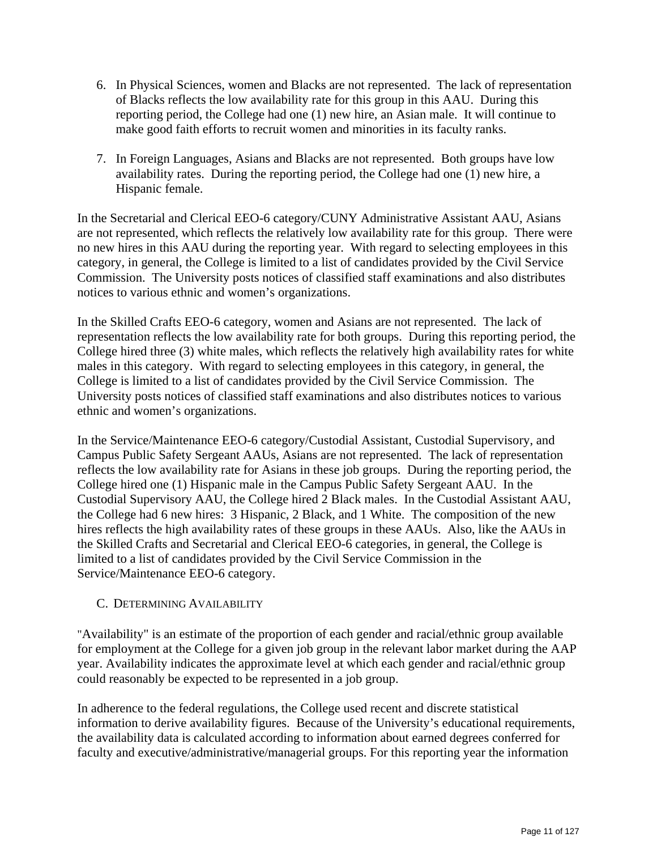- 6. In Physical Sciences, women and Blacks are not represented. The lack of representation of Blacks reflects the low availability rate for this group in this AAU. During this reporting period, the College had one (1) new hire, an Asian male. It will continue to make good faith efforts to recruit women and minorities in its faculty ranks.
- 7. In Foreign Languages, Asians and Blacks are not represented. Both groups have low availability rates. During the reporting period, the College had one (1) new hire, a Hispanic female.

In the Secretarial and Clerical EEO-6 category/CUNY Administrative Assistant AAU, Asians are not represented, which reflects the relatively low availability rate for this group. There were no new hires in this AAU during the reporting year. With regard to selecting employees in this category, in general, the College is limited to a list of candidates provided by the Civil Service Commission. The University posts notices of classified staff examinations and also distributes notices to various ethnic and women's organizations.

In the Skilled Crafts EEO-6 category, women and Asians are not represented. The lack of representation reflects the low availability rate for both groups. During this reporting period, the College hired three (3) white males, which reflects the relatively high availability rates for white males in this category. With regard to selecting employees in this category, in general, the College is limited to a list of candidates provided by the Civil Service Commission. The University posts notices of classified staff examinations and also distributes notices to various ethnic and women's organizations.

In the Service/Maintenance EEO-6 category/Custodial Assistant, Custodial Supervisory, and Campus Public Safety Sergeant AAUs, Asians are not represented. The lack of representation reflects the low availability rate for Asians in these job groups. During the reporting period, the College hired one (1) Hispanic male in the Campus Public Safety Sergeant AAU. In the Custodial Supervisory AAU, the College hired 2 Black males. In the Custodial Assistant AAU, the College had 6 new hires: 3 Hispanic, 2 Black, and 1 White. The composition of the new hires reflects the high availability rates of these groups in these AAUs. Also, like the AAUs in the Skilled Crafts and Secretarial and Clerical EEO-6 categories, in general, the College is limited to a list of candidates provided by the Civil Service Commission in the Service/Maintenance EEO-6 category.

#### C. DETERMINING AVAILABILITY

"Availability" is an estimate of the proportion of each gender and racial/ethnic group available for employment at the College for a given job group in the relevant labor market during the AAP year. Availability indicates the approximate level at which each gender and racial/ethnic group could reasonably be expected to be represented in a job group.

In adherence to the federal regulations, the College used recent and discrete statistical information to derive availability figures. Because of the University's educational requirements, the availability data is calculated according to information about earned degrees conferred for faculty and executive/administrative/managerial groups. For this reporting year the information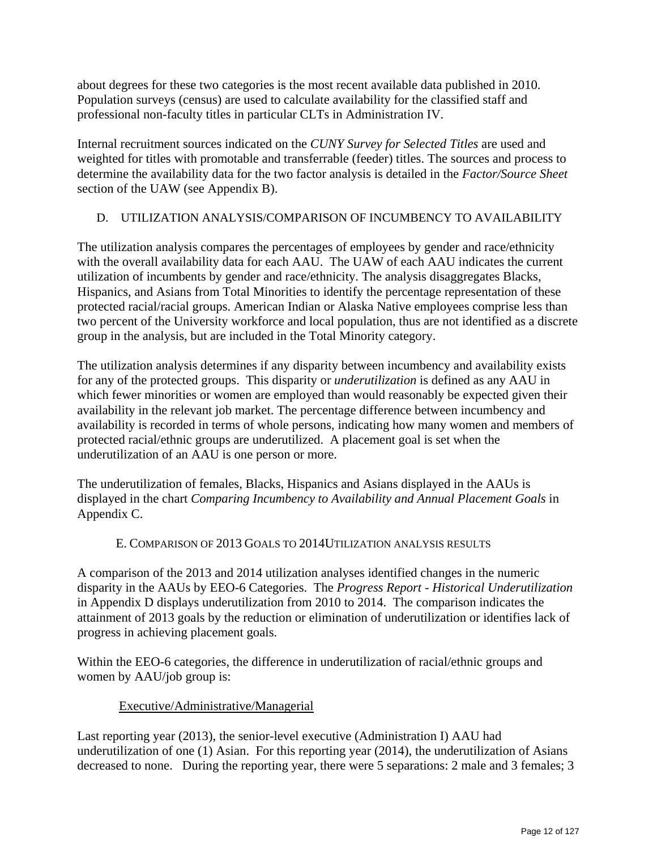about degrees for these two categories is the most recent available data published in 2010. Population surveys (census) are used to calculate availability for the classified staff and professional non-faculty titles in particular CLTs in Administration IV.

Internal recruitment sources indicated on the *CUNY Survey for Selected Titles* are used and weighted for titles with promotable and transferrable (feeder) titles. The sources and process to determine the availability data for the two factor analysis is detailed in the *Factor/Source Sheet* section of the UAW (see Appendix B).

# D. UTILIZATION ANALYSIS/COMPARISON OF INCUMBENCY TO AVAILABILITY

The utilization analysis compares the percentages of employees by gender and race/ethnicity with the overall availability data for each AAU. The UAW of each AAU indicates the current utilization of incumbents by gender and race/ethnicity. The analysis disaggregates Blacks, Hispanics, and Asians from Total Minorities to identify the percentage representation of these protected racial/racial groups. American Indian or Alaska Native employees comprise less than two percent of the University workforce and local population, thus are not identified as a discrete group in the analysis, but are included in the Total Minority category.

The utilization analysis determines if any disparity between incumbency and availability exists for any of the protected groups. This disparity or *underutilization* is defined as any AAU in which fewer minorities or women are employed than would reasonably be expected given their availability in the relevant job market. The percentage difference between incumbency and availability is recorded in terms of whole persons, indicating how many women and members of protected racial/ethnic groups are underutilized. A placement goal is set when the underutilization of an AAU is one person or more.

The underutilization of females, Blacks, Hispanics and Asians displayed in the AAUs is displayed in the chart *Comparing Incumbency to Availability and Annual Placement Goals* in Appendix C.

#### E. COMPARISON OF 2013 GOALS TO 2014UTILIZATION ANALYSIS RESULTS

A comparison of the 2013 and 2014 utilization analyses identified changes in the numeric disparity in the AAUs by EEO-6 Categories. The *Progress Report* - *Historical Underutilization* in Appendix D displays underutilization from 2010 to 2014. The comparison indicates the attainment of 2013 goals by the reduction or elimination of underutilization or identifies lack of progress in achieving placement goals.

Within the EEO-6 categories, the difference in underutilization of racial/ethnic groups and women by AAU/job group is:

#### Executive/Administrative/Managerial

Last reporting year (2013), the senior-level executive (Administration I) AAU had underutilization of one (1) Asian. For this reporting year (2014), the underutilization of Asians decreased to none. During the reporting year, there were 5 separations: 2 male and 3 females; 3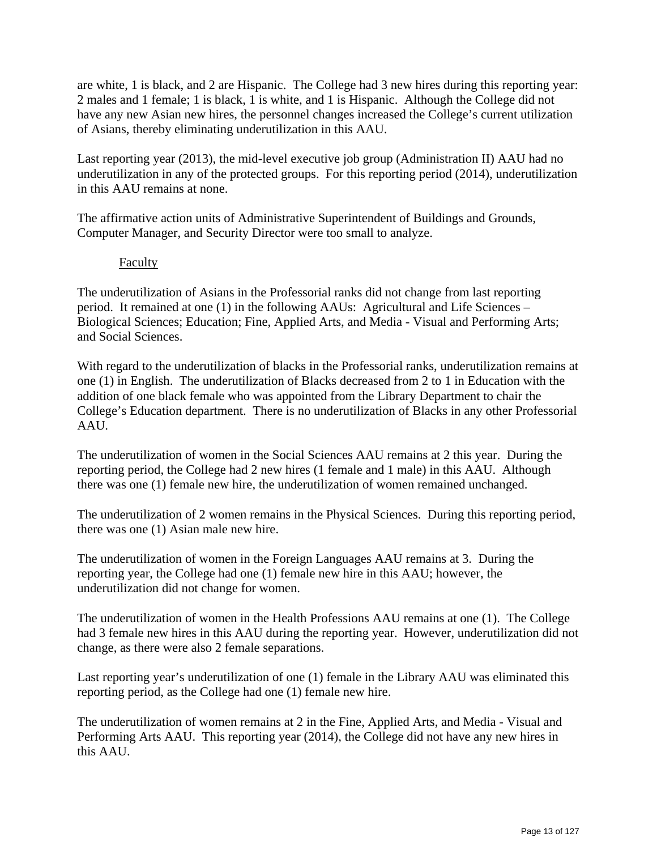are white, 1 is black, and 2 are Hispanic. The College had 3 new hires during this reporting year: 2 males and 1 female; 1 is black, 1 is white, and 1 is Hispanic. Although the College did not have any new Asian new hires, the personnel changes increased the College's current utilization of Asians, thereby eliminating underutilization in this AAU.

Last reporting year (2013), the mid-level executive job group (Administration II) AAU had no underutilization in any of the protected groups. For this reporting period (2014), underutilization in this AAU remains at none.

The affirmative action units of Administrative Superintendent of Buildings and Grounds, Computer Manager, and Security Director were too small to analyze.

#### Faculty

The underutilization of Asians in the Professorial ranks did not change from last reporting period. It remained at one (1) in the following AAUs: Agricultural and Life Sciences – Biological Sciences; Education; Fine, Applied Arts, and Media - Visual and Performing Arts; and Social Sciences.

With regard to the underutilization of blacks in the Professorial ranks, underutilization remains at one (1) in English. The underutilization of Blacks decreased from 2 to 1 in Education with the addition of one black female who was appointed from the Library Department to chair the College's Education department. There is no underutilization of Blacks in any other Professorial AAU.

The underutilization of women in the Social Sciences AAU remains at 2 this year. During the reporting period, the College had 2 new hires (1 female and 1 male) in this AAU. Although there was one (1) female new hire, the underutilization of women remained unchanged.

The underutilization of 2 women remains in the Physical Sciences. During this reporting period, there was one (1) Asian male new hire.

The underutilization of women in the Foreign Languages AAU remains at 3. During the reporting year, the College had one (1) female new hire in this AAU; however, the underutilization did not change for women.

The underutilization of women in the Health Professions AAU remains at one (1). The College had 3 female new hires in this AAU during the reporting year. However, underutilization did not change, as there were also 2 female separations.

Last reporting year's underutilization of one (1) female in the Library AAU was eliminated this reporting period, as the College had one (1) female new hire.

The underutilization of women remains at 2 in the Fine, Applied Arts, and Media - Visual and Performing Arts AAU. This reporting year (2014), the College did not have any new hires in this AAU.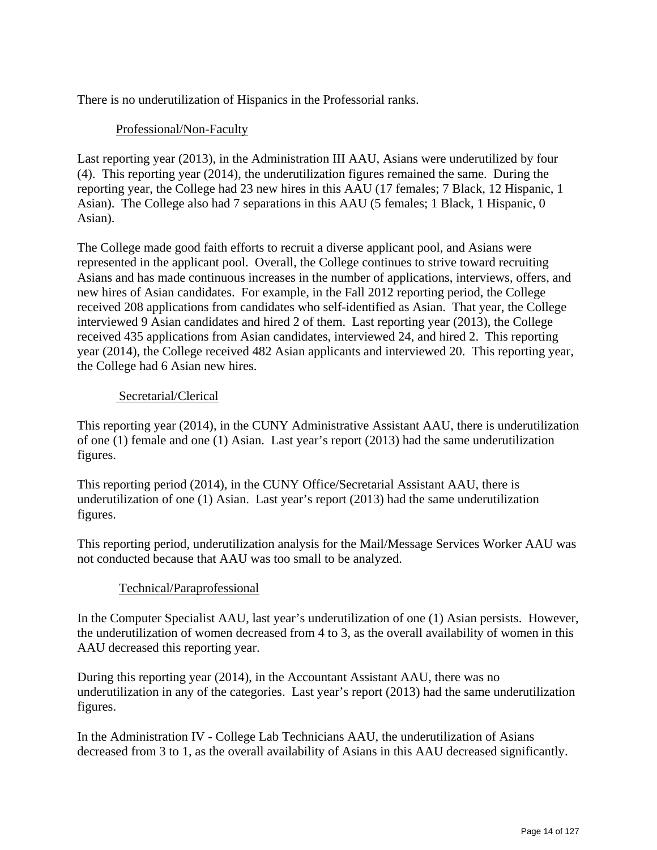There is no underutilization of Hispanics in the Professorial ranks.

#### Professional/Non-Faculty

Last reporting year (2013), in the Administration III AAU, Asians were underutilized by four (4). This reporting year (2014), the underutilization figures remained the same. During the reporting year, the College had 23 new hires in this AAU (17 females; 7 Black, 12 Hispanic, 1 Asian). The College also had 7 separations in this AAU (5 females; 1 Black, 1 Hispanic, 0 Asian).

The College made good faith efforts to recruit a diverse applicant pool, and Asians were represented in the applicant pool. Overall, the College continues to strive toward recruiting Asians and has made continuous increases in the number of applications, interviews, offers, and new hires of Asian candidates. For example, in the Fall 2012 reporting period, the College received 208 applications from candidates who self-identified as Asian. That year, the College interviewed 9 Asian candidates and hired 2 of them. Last reporting year (2013), the College received 435 applications from Asian candidates, interviewed 24, and hired 2. This reporting year (2014), the College received 482 Asian applicants and interviewed 20. This reporting year, the College had 6 Asian new hires.

#### Secretarial/Clerical

This reporting year (2014), in the CUNY Administrative Assistant AAU, there is underutilization of one (1) female and one (1) Asian. Last year's report (2013) had the same underutilization figures.

This reporting period (2014), in the CUNY Office/Secretarial Assistant AAU, there is underutilization of one (1) Asian. Last year's report (2013) had the same underutilization figures.

This reporting period, underutilization analysis for the Mail/Message Services Worker AAU was not conducted because that AAU was too small to be analyzed.

# Technical/Paraprofessional

In the Computer Specialist AAU, last year's underutilization of one (1) Asian persists. However, the underutilization of women decreased from 4 to 3, as the overall availability of women in this AAU decreased this reporting year.

During this reporting year (2014), in the Accountant Assistant AAU, there was no underutilization in any of the categories. Last year's report (2013) had the same underutilization figures.

In the Administration IV - College Lab Technicians AAU, the underutilization of Asians decreased from 3 to 1, as the overall availability of Asians in this AAU decreased significantly.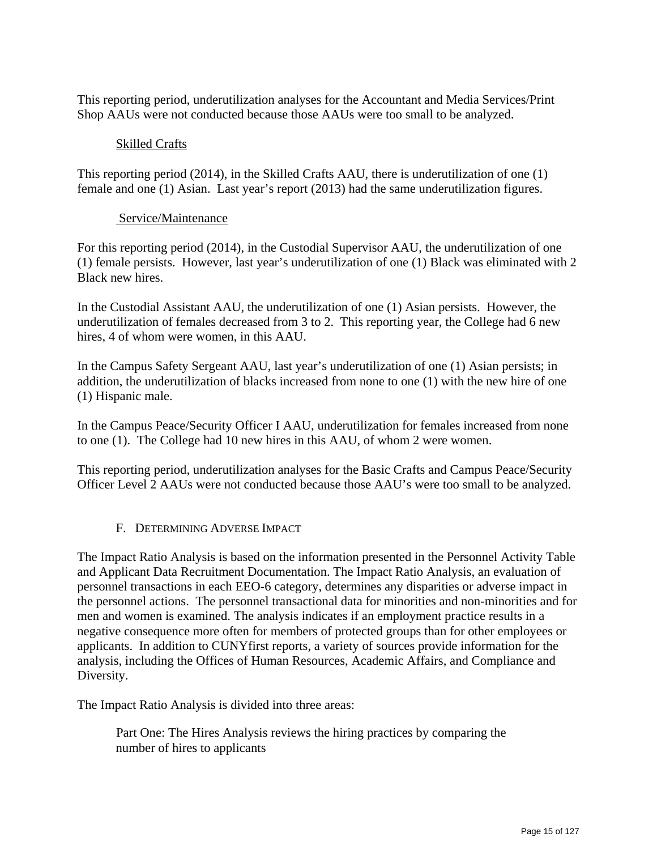This reporting period, underutilization analyses for the Accountant and Media Services/Print Shop AAUs were not conducted because those AAUs were too small to be analyzed.

#### Skilled Crafts

This reporting period (2014), in the Skilled Crafts AAU, there is underutilization of one (1) female and one (1) Asian. Last year's report (2013) had the same underutilization figures.

#### Service/Maintenance

For this reporting period (2014), in the Custodial Supervisor AAU, the underutilization of one (1) female persists. However, last year's underutilization of one (1) Black was eliminated with 2 Black new hires.

In the Custodial Assistant AAU, the underutilization of one (1) Asian persists. However, the underutilization of females decreased from 3 to 2. This reporting year, the College had 6 new hires, 4 of whom were women, in this AAU.

In the Campus Safety Sergeant AAU, last year's underutilization of one (1) Asian persists; in addition, the underutilization of blacks increased from none to one (1) with the new hire of one (1) Hispanic male.

In the Campus Peace/Security Officer I AAU, underutilization for females increased from none to one (1). The College had 10 new hires in this AAU, of whom 2 were women.

This reporting period, underutilization analyses for the Basic Crafts and Campus Peace/Security Officer Level 2 AAUs were not conducted because those AAU's were too small to be analyzed.

#### F. DETERMINING ADVERSE IMPACT

The Impact Ratio Analysis is based on the information presented in the Personnel Activity Table and Applicant Data Recruitment Documentation. The Impact Ratio Analysis, an evaluation of personnel transactions in each EEO-6 category, determines any disparities or adverse impact in the personnel actions. The personnel transactional data for minorities and non-minorities and for men and women is examined. The analysis indicates if an employment practice results in a negative consequence more often for members of protected groups than for other employees or applicants. In addition to CUNYfirst reports, a variety of sources provide information for the analysis, including the Offices of Human Resources, Academic Affairs, and Compliance and Diversity.

The Impact Ratio Analysis is divided into three areas:

 Part One: The Hires Analysis reviews the hiring practices by comparing the number of hires to applicants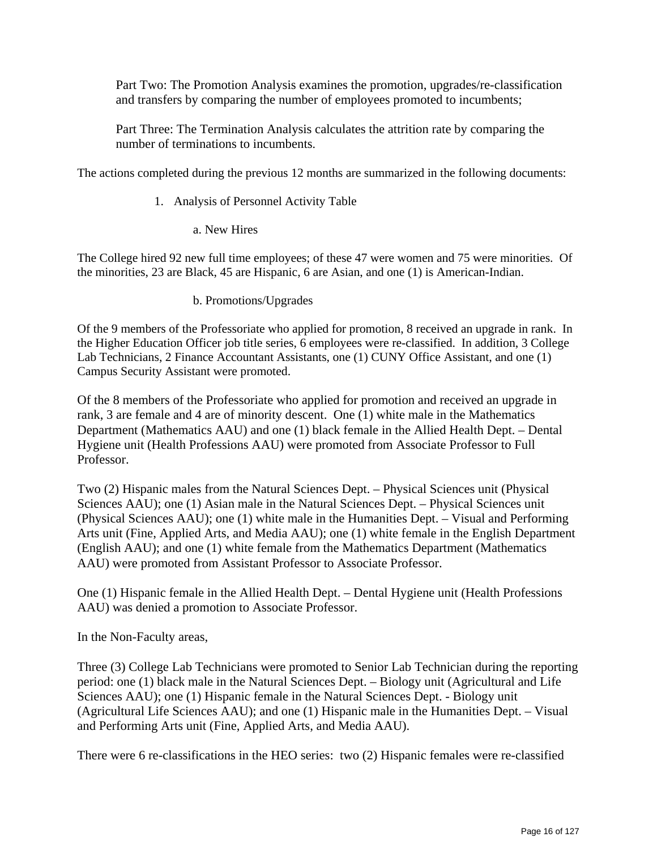Part Two: The Promotion Analysis examines the promotion, upgrades/re-classification and transfers by comparing the number of employees promoted to incumbents;

Part Three: The Termination Analysis calculates the attrition rate by comparing the number of terminations to incumbents.

The actions completed during the previous 12 months are summarized in the following documents:

- 1. Analysis of Personnel Activity Table
	- a. New Hires

The College hired 92 new full time employees; of these 47 were women and 75 were minorities. Of the minorities, 23 are Black, 45 are Hispanic, 6 are Asian, and one (1) is American-Indian.

b. Promotions/Upgrades

Of the 9 members of the Professoriate who applied for promotion, 8 received an upgrade in rank. In the Higher Education Officer job title series, 6 employees were re-classified. In addition, 3 College Lab Technicians, 2 Finance Accountant Assistants, one (1) CUNY Office Assistant, and one (1) Campus Security Assistant were promoted.

Of the 8 members of the Professoriate who applied for promotion and received an upgrade in rank, 3 are female and 4 are of minority descent. One (1) white male in the Mathematics Department (Mathematics AAU) and one (1) black female in the Allied Health Dept. – Dental Hygiene unit (Health Professions AAU) were promoted from Associate Professor to Full Professor.

Two (2) Hispanic males from the Natural Sciences Dept. – Physical Sciences unit (Physical Sciences AAU); one (1) Asian male in the Natural Sciences Dept. – Physical Sciences unit (Physical Sciences AAU); one (1) white male in the Humanities Dept. – Visual and Performing Arts unit (Fine, Applied Arts, and Media AAU); one (1) white female in the English Department (English AAU); and one (1) white female from the Mathematics Department (Mathematics AAU) were promoted from Assistant Professor to Associate Professor.

One (1) Hispanic female in the Allied Health Dept. – Dental Hygiene unit (Health Professions AAU) was denied a promotion to Associate Professor.

In the Non-Faculty areas,

Three (3) College Lab Technicians were promoted to Senior Lab Technician during the reporting period: one (1) black male in the Natural Sciences Dept. – Biology unit (Agricultural and Life Sciences AAU); one (1) Hispanic female in the Natural Sciences Dept. - Biology unit (Agricultural Life Sciences AAU); and one (1) Hispanic male in the Humanities Dept. – Visual and Performing Arts unit (Fine, Applied Arts, and Media AAU).

There were 6 re-classifications in the HEO series: two (2) Hispanic females were re-classified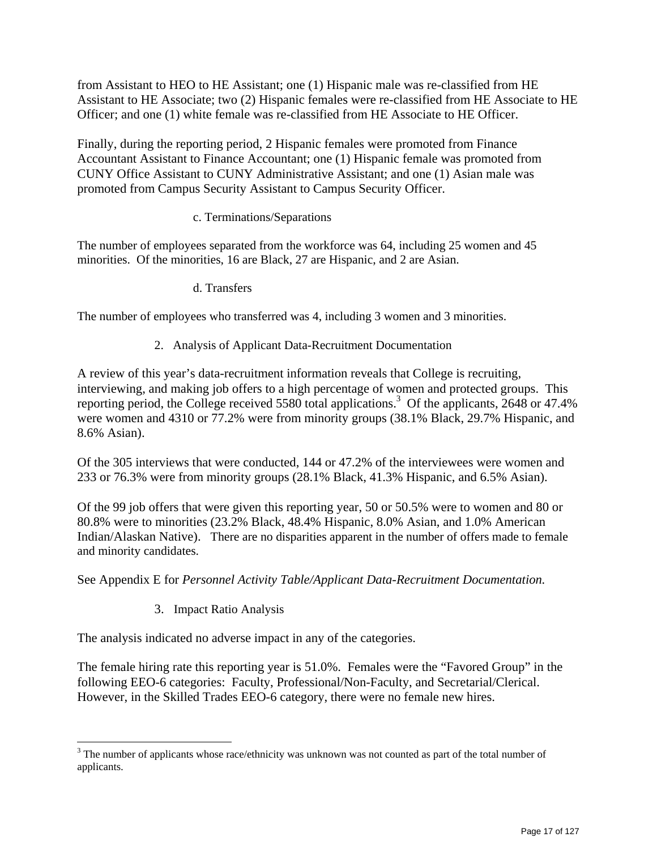from Assistant to HEO to HE Assistant; one (1) Hispanic male was re-classified from HE Assistant to HE Associate; two (2) Hispanic females were re-classified from HE Associate to HE Officer; and one (1) white female was re-classified from HE Associate to HE Officer.

Finally, during the reporting period, 2 Hispanic females were promoted from Finance Accountant Assistant to Finance Accountant; one (1) Hispanic female was promoted from CUNY Office Assistant to CUNY Administrative Assistant; and one (1) Asian male was promoted from Campus Security Assistant to Campus Security Officer.

#### c. Terminations/Separations

The number of employees separated from the workforce was 64, including 25 women and 45 minorities. Of the minorities, 16 are Black, 27 are Hispanic, and 2 are Asian.

d. Transfers

The number of employees who transferred was 4, including 3 women and 3 minorities.

2. Analysis of Applicant Data-Recruitment Documentation

A review of this year's data-recruitment information reveals that College is recruiting, interviewing, and making job offers to a high percentage of women and protected groups. This reporting period, the College received 5580 total applications.<sup>3</sup> Of the applicants, 2648 or 47.4% were women and 4310 or 77.2% were from minority groups (38.1% Black, 29.7% Hispanic, and 8.6% Asian).

Of the 305 interviews that were conducted, 144 or 47.2% of the interviewees were women and 233 or 76.3% were from minority groups (28.1% Black, 41.3% Hispanic, and 6.5% Asian).

Of the 99 job offers that were given this reporting year, 50 or 50.5% were to women and 80 or 80.8% were to minorities (23.2% Black, 48.4% Hispanic, 8.0% Asian, and 1.0% American Indian/Alaskan Native). There are no disparities apparent in the number of offers made to female and minority candidates.

See Appendix E for *Personnel Activity Table/Applicant Data-Recruitment Documentation.*

3. Impact Ratio Analysis

The analysis indicated no adverse impact in any of the categories.

The female hiring rate this reporting year is 51.0%. Females were the "Favored Group" in the following EEO-6 categories: Faculty, Professional/Non-Faculty, and Secretarial/Clerical. However, in the Skilled Trades EEO-6 category, there were no female new hires.

<sup>&</sup>lt;sup>3</sup> The number of applicants whose race/ethnicity was unknown was not counted as part of the total number of applicants.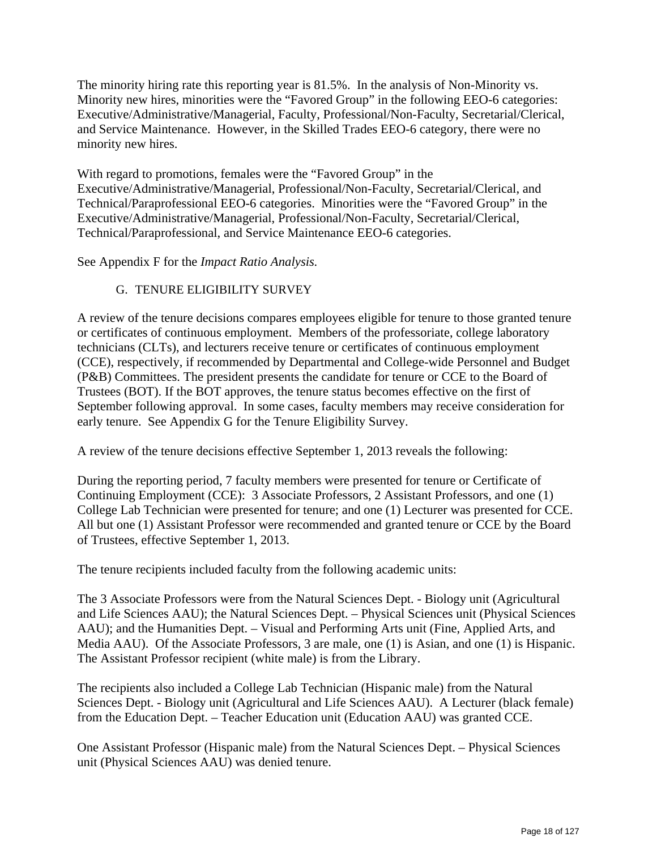The minority hiring rate this reporting year is 81.5%. In the analysis of Non-Minority vs. Minority new hires, minorities were the "Favored Group" in the following EEO-6 categories: Executive/Administrative/Managerial, Faculty, Professional/Non-Faculty, Secretarial/Clerical, and Service Maintenance. However, in the Skilled Trades EEO-6 category, there were no minority new hires.

With regard to promotions, females were the "Favored Group" in the Executive/Administrative/Managerial, Professional/Non-Faculty, Secretarial/Clerical, and Technical/Paraprofessional EEO-6 categories. Minorities were the "Favored Group" in the Executive/Administrative/Managerial, Professional/Non-Faculty, Secretarial/Clerical, Technical/Paraprofessional, and Service Maintenance EEO-6 categories.

See Appendix F for the *Impact Ratio Analysis.* 

# G. TENURE ELIGIBILITY SURVEY

A review of the tenure decisions compares employees eligible for tenure to those granted tenure or certificates of continuous employment. Members of the professoriate, college laboratory technicians (CLTs), and lecturers receive tenure or certificates of continuous employment (CCE), respectively, if recommended by Departmental and College-wide Personnel and Budget (P&B) Committees. The president presents the candidate for tenure or CCE to the Board of Trustees (BOT). If the BOT approves, the tenure status becomes effective on the first of September following approval. In some cases, faculty members may receive consideration for early tenure. See Appendix G for the Tenure Eligibility Survey.

A review of the tenure decisions effective September 1, 2013 reveals the following:

During the reporting period, 7 faculty members were presented for tenure or Certificate of Continuing Employment (CCE): 3 Associate Professors, 2 Assistant Professors, and one (1) College Lab Technician were presented for tenure; and one (1) Lecturer was presented for CCE. All but one (1) Assistant Professor were recommended and granted tenure or CCE by the Board of Trustees, effective September 1, 2013.

The tenure recipients included faculty from the following academic units:

The 3 Associate Professors were from the Natural Sciences Dept. - Biology unit (Agricultural and Life Sciences AAU); the Natural Sciences Dept. – Physical Sciences unit (Physical Sciences AAU); and the Humanities Dept. – Visual and Performing Arts unit (Fine, Applied Arts, and Media AAU). Of the Associate Professors, 3 are male, one (1) is Asian, and one (1) is Hispanic. The Assistant Professor recipient (white male) is from the Library.

The recipients also included a College Lab Technician (Hispanic male) from the Natural Sciences Dept. - Biology unit (Agricultural and Life Sciences AAU). A Lecturer (black female) from the Education Dept. – Teacher Education unit (Education AAU) was granted CCE.

One Assistant Professor (Hispanic male) from the Natural Sciences Dept. – Physical Sciences unit (Physical Sciences AAU) was denied tenure.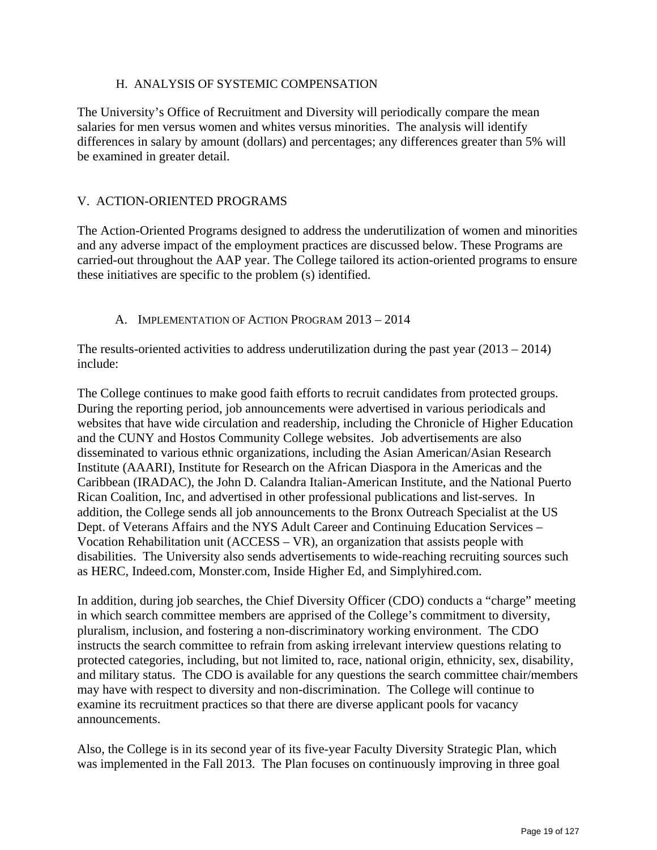#### H. ANALYSIS OF SYSTEMIC COMPENSATION

The University's Office of Recruitment and Diversity will periodically compare the mean salaries for men versus women and whites versus minorities. The analysis will identify differences in salary by amount (dollars) and percentages; any differences greater than 5% will be examined in greater detail.

#### V. ACTION-ORIENTED PROGRAMS

The Action-Oriented Programs designed to address the underutilization of women and minorities and any adverse impact of the employment practices are discussed below. These Programs are carried-out throughout the AAP year. The College tailored its action-oriented programs to ensure these initiatives are specific to the problem (s) identified.

#### A. IMPLEMENTATION OF ACTION PROGRAM 2013 – 2014

The results-oriented activities to address underutilization during the past year  $(2013 – 2014)$ include:

The College continues to make good faith efforts to recruit candidates from protected groups. During the reporting period, job announcements were advertised in various periodicals and websites that have wide circulation and readership, including the Chronicle of Higher Education and the CUNY and Hostos Community College websites. Job advertisements are also disseminated to various ethnic organizations, including the Asian American/Asian Research Institute (AAARI), Institute for Research on the African Diaspora in the Americas and the Caribbean (IRADAC), the John D. Calandra Italian-American Institute, and the National Puerto Rican Coalition, Inc, and advertised in other professional publications and list-serves. In addition, the College sends all job announcements to the Bronx Outreach Specialist at the US Dept. of Veterans Affairs and the NYS Adult Career and Continuing Education Services – Vocation Rehabilitation unit (ACCESS – VR), an organization that assists people with disabilities. The University also sends advertisements to wide-reaching recruiting sources such as HERC, Indeed.com, Monster.com, Inside Higher Ed, and Simplyhired.com.

In addition, during job searches, the Chief Diversity Officer (CDO) conducts a "charge" meeting in which search committee members are apprised of the College's commitment to diversity, pluralism, inclusion, and fostering a non-discriminatory working environment. The CDO instructs the search committee to refrain from asking irrelevant interview questions relating to protected categories, including, but not limited to, race, national origin, ethnicity, sex, disability, and military status. The CDO is available for any questions the search committee chair/members may have with respect to diversity and non-discrimination. The College will continue to examine its recruitment practices so that there are diverse applicant pools for vacancy announcements.

Also, the College is in its second year of its five-year Faculty Diversity Strategic Plan, which was implemented in the Fall 2013. The Plan focuses on continuously improving in three goal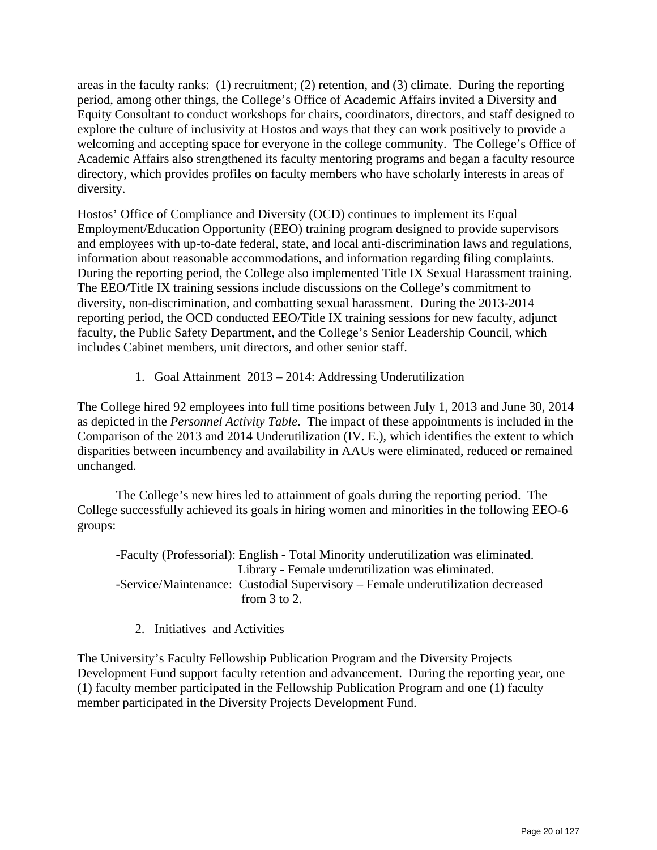areas in the faculty ranks: (1) recruitment; (2) retention, and (3) climate. During the reporting period, among other things, the College's Office of Academic Affairs invited a Diversity and Equity Consultant to conduct workshops for chairs, coordinators, directors, and staff designed to explore the culture of inclusivity at Hostos and ways that they can work positively to provide a welcoming and accepting space for everyone in the college community. The College's Office of Academic Affairs also strengthened its faculty mentoring programs and began a faculty resource directory, which provides profiles on faculty members who have scholarly interests in areas of diversity.

Hostos' Office of Compliance and Diversity (OCD) continues to implement its Equal Employment/Education Opportunity (EEO) training program designed to provide supervisors and employees with up-to-date federal, state, and local anti-discrimination laws and regulations, information about reasonable accommodations, and information regarding filing complaints. During the reporting period, the College also implemented Title IX Sexual Harassment training. The EEO/Title IX training sessions include discussions on the College's commitment to diversity, non-discrimination, and combatting sexual harassment. During the 2013-2014 reporting period, the OCD conducted EEO/Title IX training sessions for new faculty, adjunct faculty, the Public Safety Department, and the College's Senior Leadership Council, which includes Cabinet members, unit directors, and other senior staff.

1. Goal Attainment 2013 – 2014: Addressing Underutilization

The College hired 92 employees into full time positions between July 1, 2013 and June 30, 2014 as depicted in the *Personnel Activity Table*. The impact of these appointments is included in the Comparison of the 2013 and 2014 Underutilization (IV. E.), which identifies the extent to which disparities between incumbency and availability in AAUs were eliminated, reduced or remained unchanged.

The College's new hires led to attainment of goals during the reporting period. The College successfully achieved its goals in hiring women and minorities in the following EEO-6 groups:

 -Faculty (Professorial): English - Total Minority underutilization was eliminated. Library - Female underutilization was eliminated. -Service/Maintenance: Custodial Supervisory – Female underutilization decreased from 3 to 2.

2. Initiatives and Activities

The University's Faculty Fellowship Publication Program and the Diversity Projects Development Fund support faculty retention and advancement. During the reporting year, one (1) faculty member participated in the Fellowship Publication Program and one (1) faculty member participated in the Diversity Projects Development Fund.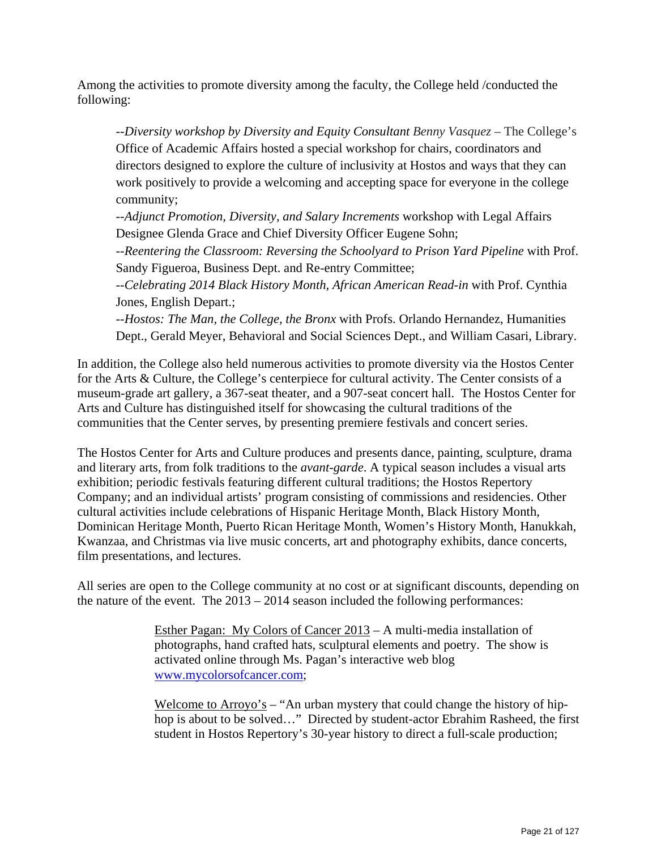Among the activities to promote diversity among the faculty, the College held /conducted the following:

--*Diversity workshop by Diversity and Equity Consultant Benny Vasquez* – The College's Office of Academic Affairs hosted a special workshop for chairs, coordinators and directors designed to explore the culture of inclusivity at Hostos and ways that they can work positively to provide a welcoming and accepting space for everyone in the college community;

--*Adjunct Promotion, Diversity, and Salary Increments* workshop with Legal Affairs Designee Glenda Grace and Chief Diversity Officer Eugene Sohn;

--*Reentering the Classroom: Reversing the Schoolyard to Prison Yard Pipeline* with Prof. Sandy Figueroa, Business Dept. and Re-entry Committee;

--*Celebrating 2014 Black History Month, African American Read-in* with Prof. Cynthia Jones, English Depart.;

--*Hostos: The Man, the College, the Bronx* with Profs. Orlando Hernandez, Humanities Dept., Gerald Meyer, Behavioral and Social Sciences Dept., and William Casari, Library.

In addition, the College also held numerous activities to promote diversity via the Hostos Center for the Arts & Culture, the College's centerpiece for cultural activity. The Center consists of a museum-grade art gallery, a 367-seat theater, and a 907-seat concert hall. The Hostos Center for Arts and Culture has distinguished itself for showcasing the cultural traditions of the communities that the Center serves, by presenting premiere festivals and concert series.

The Hostos Center for Arts and Culture produces and presents dance, painting, sculpture, drama and literary arts, from folk traditions to the *avant-garde*. A typical season includes a visual arts exhibition; periodic festivals featuring different cultural traditions; the Hostos Repertory Company; and an individual artists' program consisting of commissions and residencies. Other cultural activities include celebrations of Hispanic Heritage Month, Black History Month, Dominican Heritage Month, Puerto Rican Heritage Month, Women's History Month, Hanukkah, Kwanzaa, and Christmas via live music concerts, art and photography exhibits, dance concerts, film presentations, and lectures.

All series are open to the College community at no cost or at significant discounts, depending on the nature of the event. The 2013 – 2014 season included the following performances:

> Esther Pagan: My Colors of Cancer 2013 – A multi-media installation of photographs, hand crafted hats, sculptural elements and poetry. The show is activated online through Ms. Pagan's interactive web blog www.mycolorsofcancer.com;

Welcome to Arroyo's  $-$  "An urban mystery that could change the history of hiphop is about to be solved…" Directed by student-actor Ebrahim Rasheed, the first student in Hostos Repertory's 30-year history to direct a full-scale production;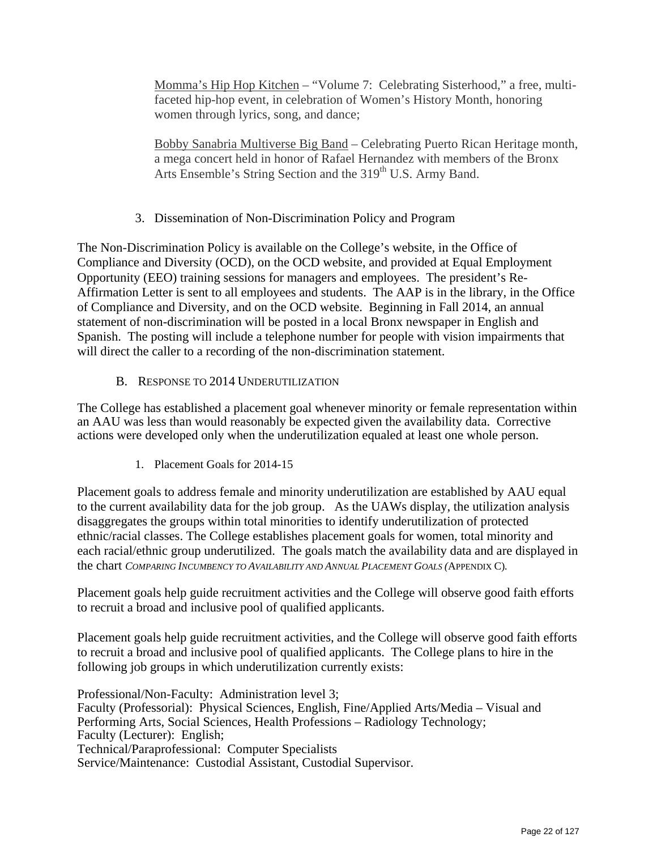Momma's Hip Hop Kitchen – "Volume 7: Celebrating Sisterhood," a free, multifaceted hip-hop event, in celebration of Women's History Month, honoring women through lyrics, song, and dance;

Bobby Sanabria Multiverse Big Band – Celebrating Puerto Rican Heritage month, a mega concert held in honor of Rafael Hernandez with members of the Bronx Arts Ensemble's String Section and the 319<sup>th</sup> U.S. Army Band.

# 3. Dissemination of Non-Discrimination Policy and Program

The Non-Discrimination Policy is available on the College's website, in the Office of Compliance and Diversity (OCD), on the OCD website, and provided at Equal Employment Opportunity (EEO) training sessions for managers and employees. The president's Re-Affirmation Letter is sent to all employees and students. The AAP is in the library, in the Office of Compliance and Diversity, and on the OCD website. Beginning in Fall 2014, an annual statement of non-discrimination will be posted in a local Bronx newspaper in English and Spanish. The posting will include a telephone number for people with vision impairments that will direct the caller to a recording of the non-discrimination statement.

# B. RESPONSE TO 2014 UNDERUTILIZATION

The College has established a placement goal whenever minority or female representation within an AAU was less than would reasonably be expected given the availability data. Corrective actions were developed only when the underutilization equaled at least one whole person.

1. Placement Goals for 2014-15

Placement goals to address female and minority underutilization are established by AAU equal to the current availability data for the job group. As the UAWs display, the utilization analysis disaggregates the groups within total minorities to identify underutilization of protected ethnic/racial classes. The College establishes placement goals for women, total minority and each racial/ethnic group underutilized. The goals match the availability data and are displayed in the chart *COMPARING INCUMBENCY TO AVAILABILITY AND ANNUAL PLACEMENT GOALS (*APPENDIX C)*.* 

Placement goals help guide recruitment activities and the College will observe good faith efforts to recruit a broad and inclusive pool of qualified applicants.

Placement goals help guide recruitment activities, and the College will observe good faith efforts to recruit a broad and inclusive pool of qualified applicants. The College plans to hire in the following job groups in which underutilization currently exists:

Professional/Non-Faculty: Administration level 3; Faculty (Professorial): Physical Sciences, English, Fine/Applied Arts/Media – Visual and Performing Arts, Social Sciences, Health Professions – Radiology Technology; Faculty (Lecturer): English; Technical/Paraprofessional: Computer Specialists Service/Maintenance: Custodial Assistant, Custodial Supervisor.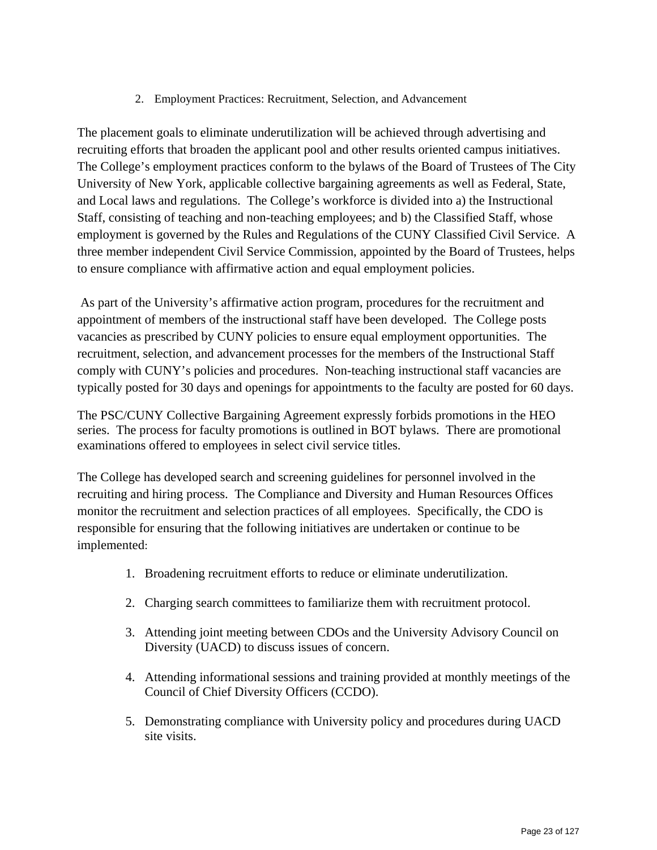2. Employment Practices: Recruitment, Selection, and Advancement

The placement goals to eliminate underutilization will be achieved through advertising and recruiting efforts that broaden the applicant pool and other results oriented campus initiatives. The College's employment practices conform to the bylaws of the Board of Trustees of The City University of New York, applicable collective bargaining agreements as well as Federal, State, and Local laws and regulations. The College's workforce is divided into a) the Instructional Staff, consisting of teaching and non-teaching employees; and b) the Classified Staff, whose employment is governed by the Rules and Regulations of the CUNY Classified Civil Service. A three member independent Civil Service Commission, appointed by the Board of Trustees, helps to ensure compliance with affirmative action and equal employment policies.

 As part of the University's affirmative action program, procedures for the recruitment and appointment of members of the instructional staff have been developed. The College posts vacancies as prescribed by CUNY policies to ensure equal employment opportunities. The recruitment, selection, and advancement processes for the members of the Instructional Staff comply with CUNY's policies and procedures. Non-teaching instructional staff vacancies are typically posted for 30 days and openings for appointments to the faculty are posted for 60 days.

The PSC/CUNY Collective Bargaining Agreement expressly forbids promotions in the HEO series. The process for faculty promotions is outlined in BOT bylaws. There are promotional examinations offered to employees in select civil service titles.

The College has developed search and screening guidelines for personnel involved in the recruiting and hiring process. The Compliance and Diversity and Human Resources Offices monitor the recruitment and selection practices of all employees. Specifically, the CDO is responsible for ensuring that the following initiatives are undertaken or continue to be implemented:

- 1. Broadening recruitment efforts to reduce or eliminate underutilization.
- 2. Charging search committees to familiarize them with recruitment protocol.
- 3. Attending joint meeting between CDOs and the University Advisory Council on Diversity (UACD) to discuss issues of concern.
- 4. Attending informational sessions and training provided at monthly meetings of the Council of Chief Diversity Officers (CCDO).
- 5. Demonstrating compliance with University policy and procedures during UACD site visits.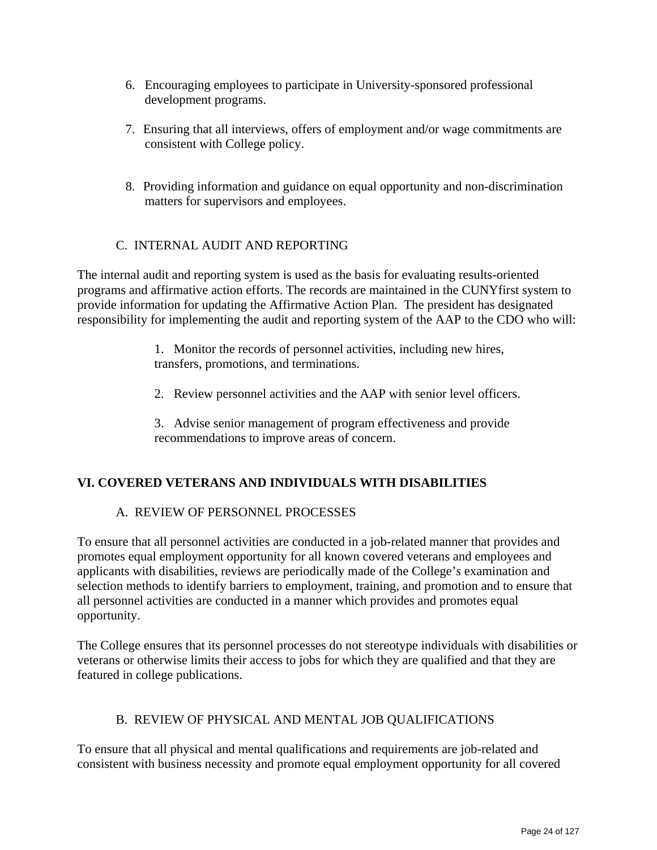- 6. Encouraging employees to participate in University-sponsored professional development programs.
- 7. Ensuring that all interviews, offers of employment and/or wage commitments are consistent with College policy.
- 8. Providing information and guidance on equal opportunity and non-discrimination matters for supervisors and employees.

# C. INTERNAL AUDIT AND REPORTING

The internal audit and reporting system is used as the basis for evaluating results-oriented programs and affirmative action efforts. The records are maintained in the CUNYfirst system to provide information for updating the Affirmative Action Plan. The president has designated responsibility for implementing the audit and reporting system of the AAP to the CDO who will:

> 1. Monitor the records of personnel activities, including new hires, transfers, promotions, and terminations.

2. Review personnel activities and the AAP with senior level officers.

3. Advise senior management of program effectiveness and provide recommendations to improve areas of concern.

#### **VI. COVERED VETERANS AND INDIVIDUALS WITH DISABILITIES**

#### A. REVIEW OF PERSONNEL PROCESSES

To ensure that all personnel activities are conducted in a job-related manner that provides and promotes equal employment opportunity for all known covered veterans and employees and applicants with disabilities, reviews are periodically made of the College'*s* examination and selection methods to identify barriers to employment, training, and promotion and to ensure that all personnel activities are conducted in a manner which provides and promotes equal opportunity.

The College ensures that its personnel processes do not stereotype individuals with disabilities or veterans or otherwise limits their access to jobs for which they are qualified and that they are featured in college publications.

#### B. REVIEW OF PHYSICAL AND MENTAL JOB QUALIFICATIONS

To ensure that all physical and mental qualifications and requirements are job-related and consistent with business necessity and promote equal employment opportunity for all covered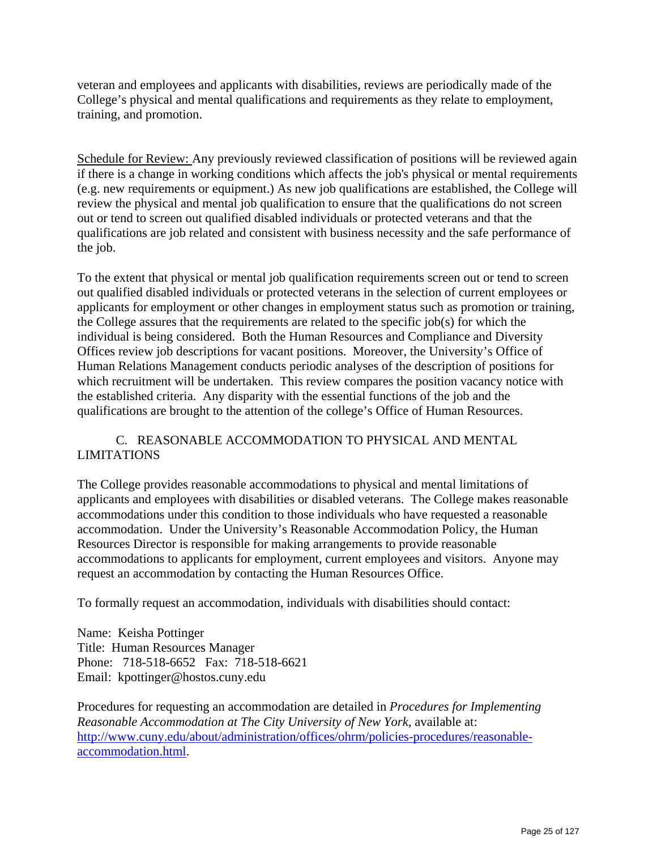veteran and employees and applicants with disabilities, reviews are periodically made of the College's physical and mental qualifications and requirements as they relate to employment, training, and promotion.

Schedule for Review: Any previously reviewed classification of positions will be reviewed again if there is a change in working conditions which affects the job's physical or mental requirements (e.g. new requirements or equipment.) As new job qualifications are established, the College will review the physical and mental job qualification to ensure that the qualifications do not screen out or tend to screen out qualified disabled individuals or protected veterans and that the qualifications are job related and consistent with business necessity and the safe performance of the job.

To the extent that physical or mental job qualification requirements screen out or tend to screen out qualified disabled individuals or protected veterans in the selection of current employees or applicants for employment or other changes in employment status such as promotion or training, the College assures that the requirements are related to the specific job(s) for which the individual is being considered. Both the Human Resources and Compliance and Diversity Offices review job descriptions for vacant positions. Moreover, the University's Office of Human Relations Management conducts periodic analyses of the description of positions for which recruitment will be undertaken. This review compares the position vacancy notice with the established criteria. Any disparity with the essential functions of the job and the qualifications are brought to the attention of the college's Office of Human Resources.

# C. REASONABLE ACCOMMODATION TO PHYSICAL AND MENTAL LIMITATIONS

The College provides reasonable accommodations to physical and mental limitations of applicants and employees with disabilities or disabled veterans. The College makes reasonable accommodations under this condition to those individuals who have requested a reasonable accommodation. Under the University's Reasonable Accommodation Policy, the Human Resources Director is responsible for making arrangements to provide reasonable accommodations to applicants for employment, current employees and visitors. Anyone may request an accommodation by contacting the Human Resources Office.

To formally request an accommodation, individuals with disabilities should contact:

Name: Keisha Pottinger Title: Human Resources Manager Phone: 718-518-6652 Fax: 718-518-6621 Email: kpottinger@hostos.cuny.edu

Procedures for requesting an accommodation are detailed in *Procedures for Implementing Reasonable Accommodation at The City University of New York, available at:* http://www.cuny.edu/about/administration/offices/ohrm/policies-procedures/reasonableaccommodation.html.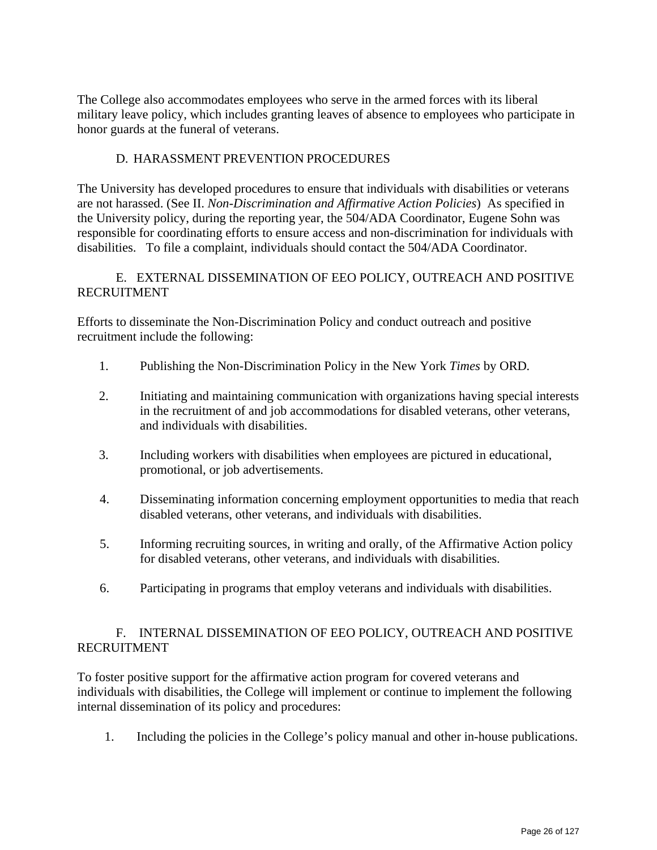The College also accommodates employees who serve in the armed forces with its liberal military leave policy, which includes granting leaves of absence to employees who participate in honor guards at the funeral of veterans.

#### D. HARASSMENT PREVENTION PROCEDURES

The University has developed procedures to ensure that individuals with disabilities or veterans are not harassed. (See II. *Non-Discrimination and Affirmative Action Policies*) As specified in the University policy, during the reporting year, the 504/ADA Coordinator, Eugene Sohn was responsible for coordinating efforts to ensure access and non-discrimination for individuals with disabilities. To file a complaint, individuals should contact the 504/ADA Coordinator.

#### E. EXTERNAL DISSEMINATION OF EEO POLICY, OUTREACH AND POSITIVE RECRUITMENT

Efforts to disseminate the Non-Discrimination Policy and conduct outreach and positive recruitment include the following:

- 1. Publishing the Non-Discrimination Policy in the New York *Times* by ORD*.*
- 2. Initiating and maintaining communication with organizations having special interests in the recruitment of and job accommodations for disabled veterans, other veterans, and individuals with disabilities.
- 3. Including workers with disabilities when employees are pictured in educational, promotional, or job advertisements.
- 4. Disseminating information concerning employment opportunities to media that reach disabled veterans, other veterans, and individuals with disabilities.
- 5. Informing recruiting sources, in writing and orally, of the Affirmative Action policy for disabled veterans, other veterans, and individuals with disabilities.
- 6. Participating in programs that employ veterans and individuals with disabilities.

# F. INTERNAL DISSEMINATION OF EEO POLICY, OUTREACH AND POSITIVE RECRUITMENT

To foster positive support for the affirmative action program for covered veterans and individuals with disabilities, the College will implement or continue to implement the following internal dissemination of its policy and procedures:

1. Including the policies in the College's policy manual and other in-house publications.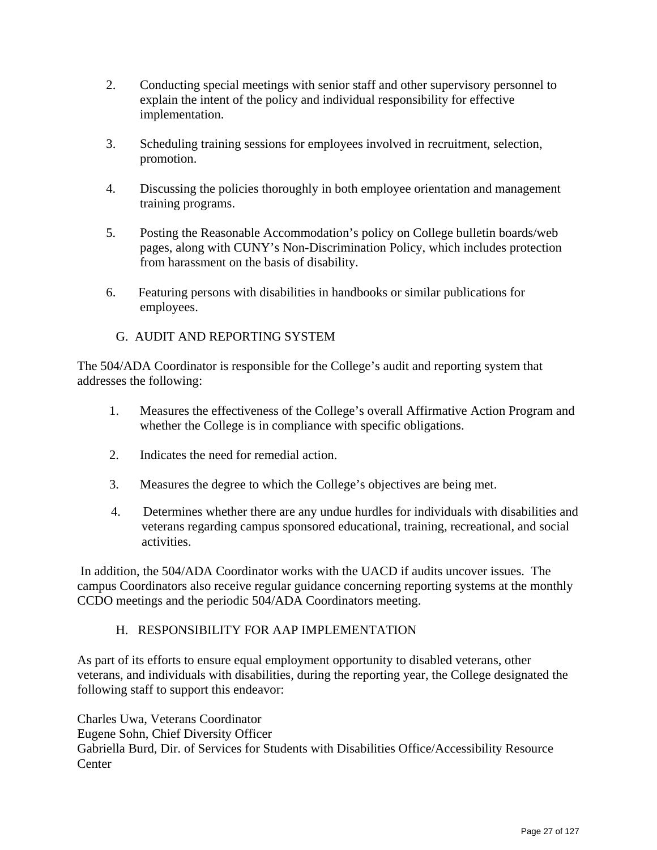- 2. Conducting special meetings with senior staff and other supervisory personnel to explain the intent of the policy and individual responsibility for effective implementation.
- 3. Scheduling training sessions for employees involved in recruitment, selection, promotion.
- 4. Discussing the policies thoroughly in both employee orientation and management training programs.
- 5. Posting the Reasonable Accommodation's policy on College bulletin boards/web pages, along with CUNY's Non-Discrimination Policy, which includes protection from harassment on the basis of disability.
- 6. Featuring persons with disabilities in handbooks or similar publications for employees.
	- G. AUDIT AND REPORTING SYSTEM

The 504/ADA Coordinator is responsible for the College's audit and reporting system that addresses the following:

- 1. Measures the effectiveness of the College's overall Affirmative Action Program and whether the College is in compliance with specific obligations.
- 2. Indicates the need for remedial action.
- 3. Measures the degree to which the College's objectives are being met.
- 4. Determines whether there are any undue hurdles for individuals with disabilities and veterans regarding campus sponsored educational, training, recreational, and social activities.

 In addition, the 504/ADA Coordinator works with the UACD if audits uncover issues. The campus Coordinators also receive regular guidance concerning reporting systems at the monthly CCDO meetings and the periodic 504/ADA Coordinators meeting.

#### H. RESPONSIBILITY FOR AAP IMPLEMENTATION

As part of its efforts to ensure equal employment opportunity to disabled veterans, other veterans, and individuals with disabilities, during the reporting year, the College designated the following staff to support this endeavor:

Charles Uwa, Veterans Coordinator Eugene Sohn, Chief Diversity Officer Gabriella Burd, Dir. of Services for Students with Disabilities Office/Accessibility Resource **Center**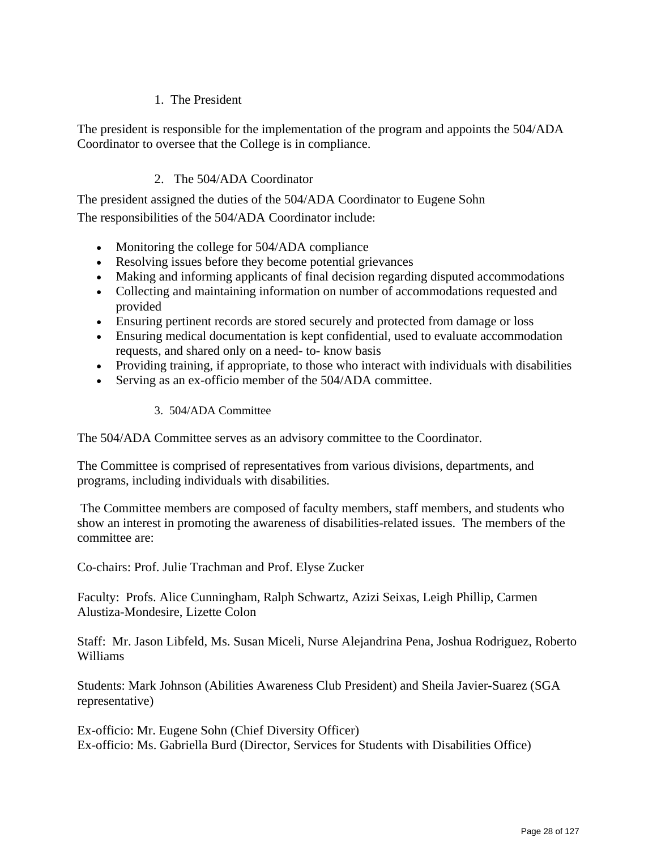# 1. The President

The president is responsible for the implementation of the program and appoints the 504/ADA Coordinator to oversee that the College is in compliance.

# 2. The 504/ADA Coordinator

The president assigned the duties of the 504/ADA Coordinator to Eugene Sohn The responsibilities of the 504/ADA Coordinator include:

- Monitoring the college for 504/ADA compliance
- Resolving issues before they become potential grievances
- Making and informing applicants of final decision regarding disputed accommodations
- Collecting and maintaining information on number of accommodations requested and provided
- Ensuring pertinent records are stored securely and protected from damage or loss
- Ensuring medical documentation is kept confidential, used to evaluate accommodation requests, and shared only on a need- to- know basis
- Providing training, if appropriate, to those who interact with individuals with disabilities
- Serving as an ex-officio member of the 504/ADA committee.

#### 3. 504/ADA Committee

The 504/ADA Committee serves as an advisory committee to the Coordinator.

The Committee is comprised of representatives from various divisions, departments, and programs, including individuals with disabilities.

The Committee members are composed of faculty members, staff members, and students who show an interest in promoting the awareness of disabilities-related issues. The members of the committee are:

Co-chairs: Prof. Julie Trachman and Prof. Elyse Zucker

Faculty: Profs. Alice Cunningham, Ralph Schwartz, Azizi Seixas, Leigh Phillip, Carmen Alustiza-Mondesire, Lizette Colon

Staff: Mr. Jason Libfeld, Ms. Susan Miceli, Nurse Alejandrina Pena, Joshua Rodriguez, Roberto Williams

Students: Mark Johnson (Abilities Awareness Club President) and Sheila Javier-Suarez (SGA representative)

Ex-officio: Mr. Eugene Sohn (Chief Diversity Officer) Ex-officio: Ms. Gabriella Burd (Director, Services for Students with Disabilities Office)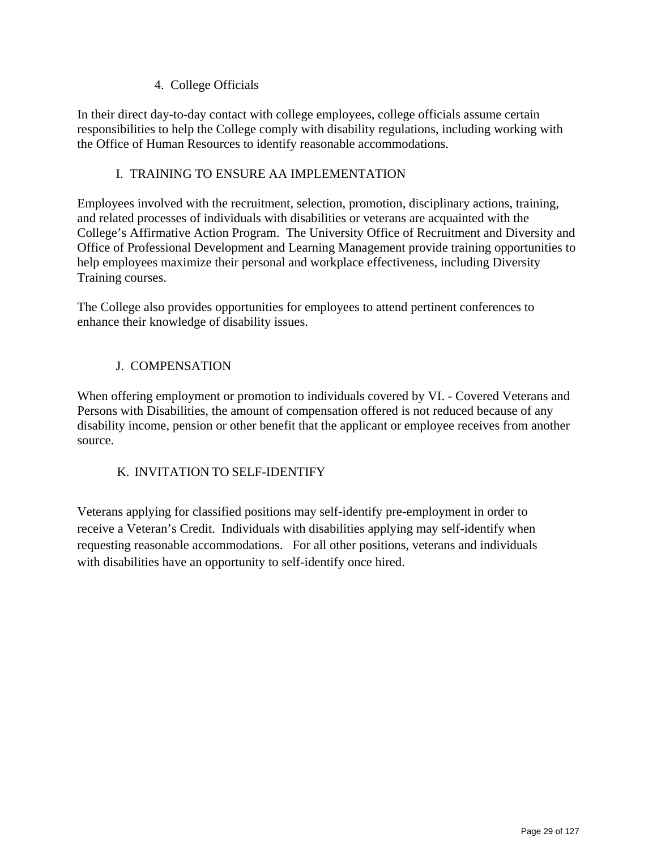# 4. College Officials

In their direct day-to-day contact with college employees, college officials assume certain responsibilities to help the College comply with disability regulations, including working with the Office of Human Resources to identify reasonable accommodations.

# I. TRAINING TO ENSURE AA IMPLEMENTATION

Employees involved with the recruitment, selection, promotion, disciplinary actions, training, and related processes of individuals with disabilities or veterans are acquainted with the College's Affirmative Action Program. The University Office of Recruitment and Diversity and Office of Professional Development and Learning Management provide training opportunities to help employees maximize their personal and workplace effectiveness, including Diversity Training courses.

The College also provides opportunities for employees to attend pertinent conferences to enhance their knowledge of disability issues.

# J. COMPENSATION

When offering employment or promotion to individuals covered by VI. - Covered Veterans and Persons with Disabilities, the amount of compensation offered is not reduced because of any disability income, pension or other benefit that the applicant or employee receives from another source.

# K. INVITATION TO SELF-IDENTIFY

Veterans applying for classified positions may self-identify pre-employment in order to receive a Veteran's Credit. Individuals with disabilities applying may self-identify when requesting reasonable accommodations. For all other positions, veterans and individuals with disabilities have an opportunity to self-identify once hired.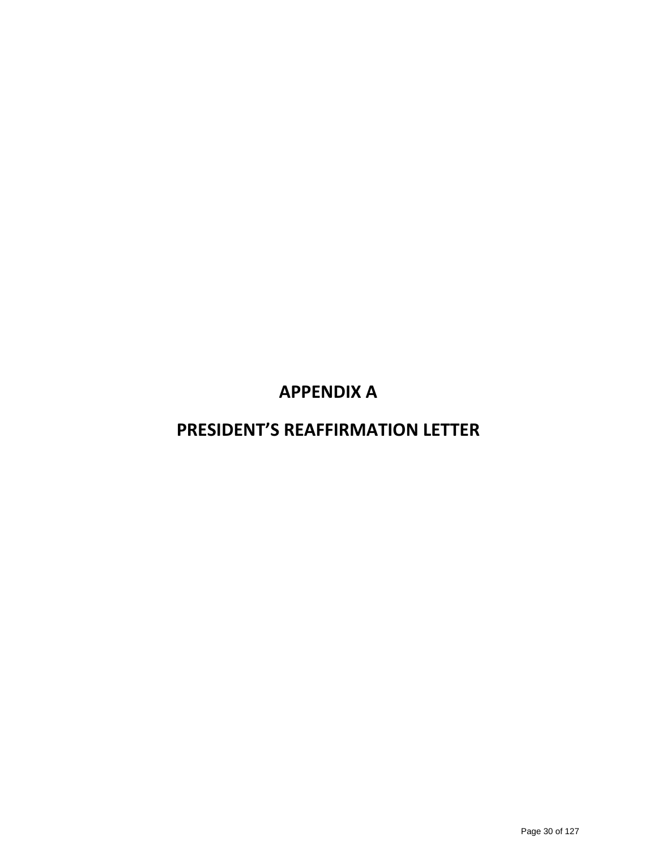# **APPENDIX A**

# **PRESIDENT'S REAFFIRMATION LETTER**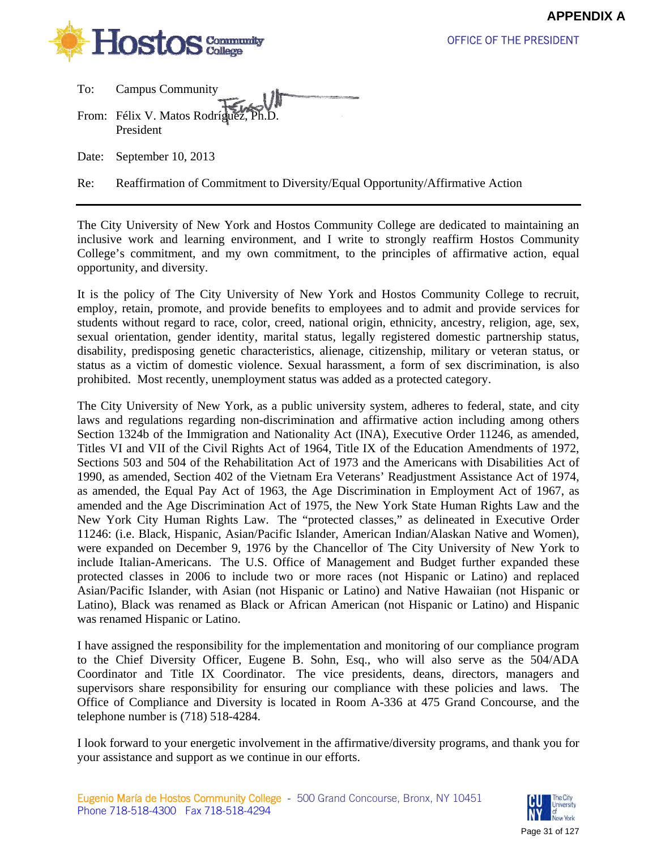

OFFICE OF THE PRESIDENT

| To: | <b>Campus Community</b>               |
|-----|---------------------------------------|
|     | From: Félix V. Matos Rodríguez, Ph.D. |
|     | President                             |

Date: September 10, 2013

Re: Reaffirmation of Commitment to Diversity/Equal Opportunity/Affirmative Action

The City University of New York and Hostos Community College are dedicated to maintaining an inclusive work and learning environment, and I write to strongly reaffirm Hostos Community College's commitment, and my own commitment, to the principles of affirmative action, equal opportunity, and diversity.

It is the policy of The City University of New York and Hostos Community College to recruit, employ, retain, promote, and provide benefits to employees and to admit and provide services for students without regard to race, color, creed, national origin, ethnicity, ancestry, religion, age, sex, sexual orientation, gender identity, marital status, legally registered domestic partnership status, disability, predisposing genetic characteristics, alienage, citizenship, military or veteran status, or status as a victim of domestic violence. Sexual harassment, a form of sex discrimination, is also prohibited. Most recently, unemployment status was added as a protected category.

The City University of New York, as a public university system, adheres to federal, state, and city laws and regulations regarding non-discrimination and affirmative action including among others Section 1324b of the Immigration and Nationality Act (INA), Executive Order 11246, as amended, Titles VI and VII of the Civil Rights Act of 1964, Title IX of the Education Amendments of 1972, Sections 503 and 504 of the Rehabilitation Act of 1973 and the Americans with Disabilities Act of 1990, as amended, Section 402 of the Vietnam Era Veterans' Readjustment Assistance Act of 1974, as amended, the Equal Pay Act of 1963, the Age Discrimination in Employment Act of 1967, as amended and the Age Discrimination Act of 1975, the New York State Human Rights Law and the New York City Human Rights Law. The "protected classes," as delineated in Executive Order 11246: (i.e. Black, Hispanic, Asian/Pacific Islander, American Indian/Alaskan Native and Women), were expanded on December 9, 1976 by the Chancellor of The City University of New York to include Italian-Americans. The U.S. Office of Management and Budget further expanded these protected classes in 2006 to include two or more races (not Hispanic or Latino) and replaced Asian/Pacific Islander, with Asian (not Hispanic or Latino) and Native Hawaiian (not Hispanic or Latino), Black was renamed as Black or African American (not Hispanic or Latino) and Hispanic was renamed Hispanic or Latino.

I have assigned the responsibility for the implementation and monitoring of our compliance program to the Chief Diversity Officer, Eugene B. Sohn, Esq., who will also serve as the 504/ADA Coordinator and Title IX Coordinator. The vice presidents, deans, directors, managers and supervisors share responsibility for ensuring our compliance with these policies and laws. The Office of Compliance and Diversity is located in Room A-336 at 475 Grand Concourse, and the telephone number is (718) 518-4284.

I look forward to your energetic involvement in the affirmative/diversity programs, and thank you for your assistance and support as we continue in our efforts.

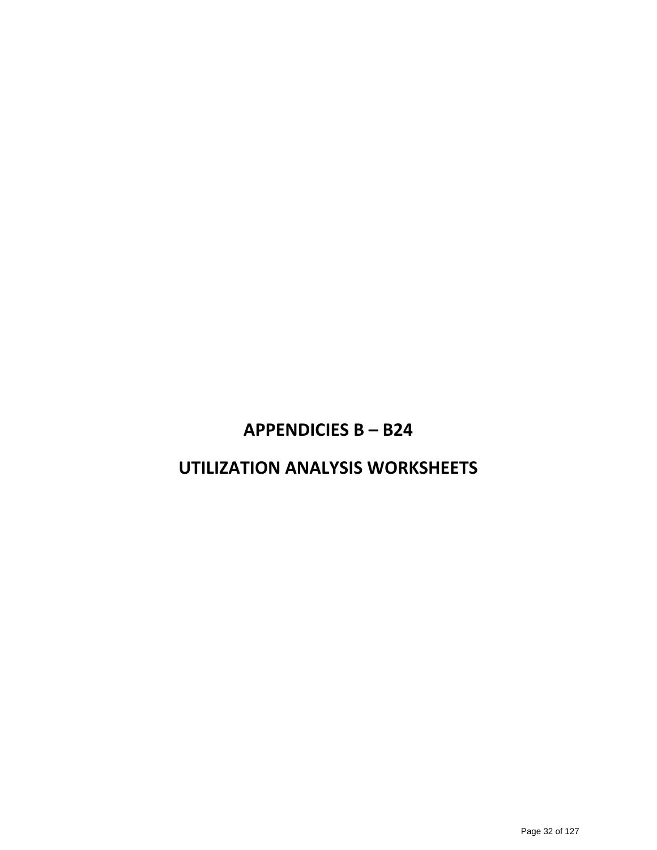# **APPENDICIES B – B24**

# **UTILIZATION ANALYSIS WORKSHEETS**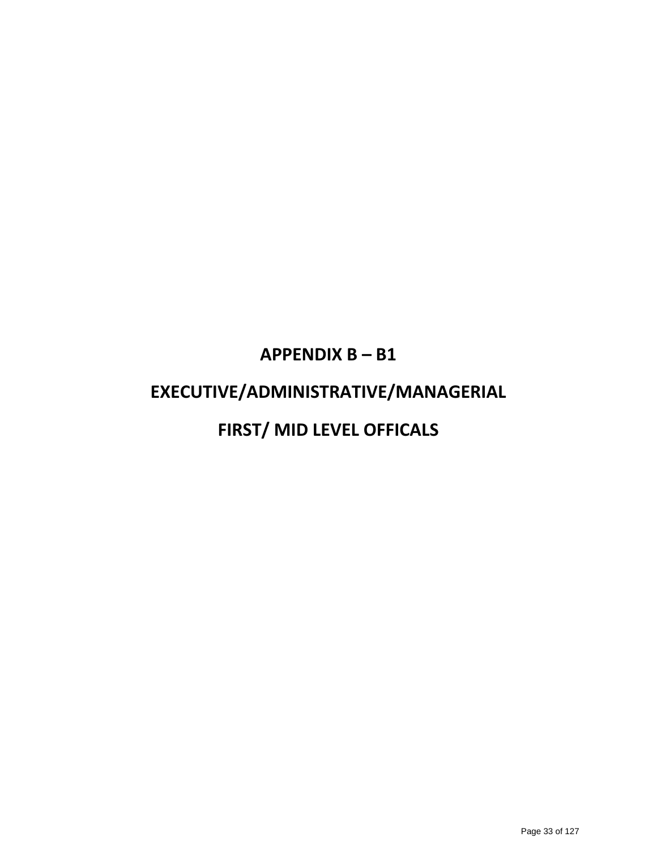# **APPENDIX B – B1 EXECUTIVE/ADMINISTRATIVE/MANAGERIAL FIRST/ MID LEVEL OFFICALS**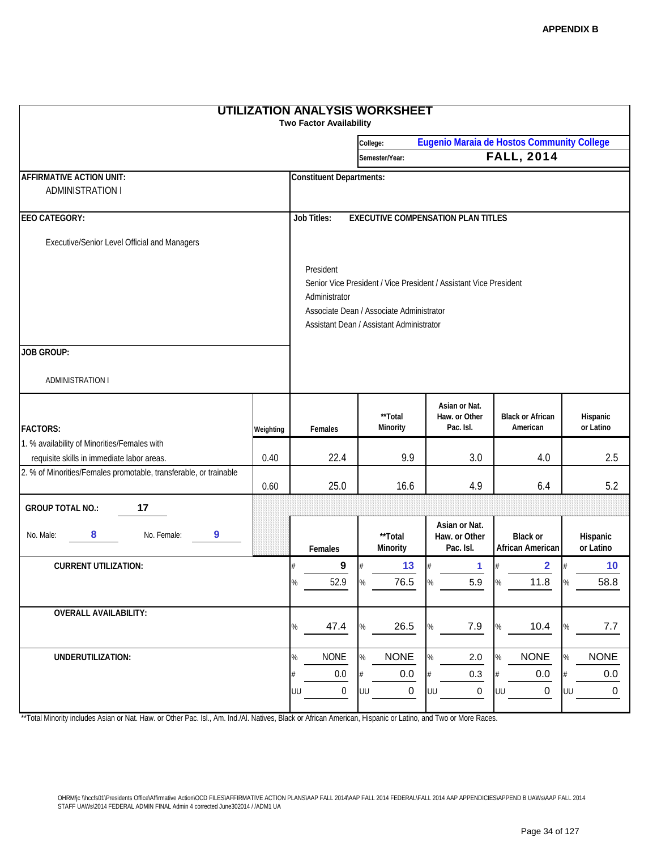| <b>UTILIZATION ANALYSIS WORKSHEET</b><br><b>Two Factor Availability</b> |                                                                                                                                                                                         |                                                        |                     |                                             |                                     |                       |  |  |
|-------------------------------------------------------------------------|-----------------------------------------------------------------------------------------------------------------------------------------------------------------------------------------|--------------------------------------------------------|---------------------|---------------------------------------------|-------------------------------------|-----------------------|--|--|
|                                                                         |                                                                                                                                                                                         | Eugenio Maraia de Hostos Community College<br>College: |                     |                                             |                                     |                       |  |  |
|                                                                         |                                                                                                                                                                                         |                                                        | Semester/Year:      |                                             | <b>FALL, 2014</b>                   |                       |  |  |
| <b>AFFIRMATIVE ACTION UNIT:</b>                                         | <b>Constituent Departments:</b>                                                                                                                                                         |                                                        |                     |                                             |                                     |                       |  |  |
| <b>ADMINISTRATION I</b>                                                 |                                                                                                                                                                                         |                                                        |                     |                                             |                                     |                       |  |  |
| <b>EEO CATEGORY:</b>                                                    | <b>Job Titles:</b><br><b>EXECUTIVE COMPENSATION PLAN TITLES</b>                                                                                                                         |                                                        |                     |                                             |                                     |                       |  |  |
| Executive/Senior Level Official and Managers                            |                                                                                                                                                                                         |                                                        |                     |                                             |                                     |                       |  |  |
|                                                                         | President<br>Senior Vice President / Vice President / Assistant Vice President<br>Administrator<br>Associate Dean / Associate Administrator<br>Assistant Dean / Assistant Administrator |                                                        |                     |                                             |                                     |                       |  |  |
| <b>JOB GROUP:</b>                                                       |                                                                                                                                                                                         |                                                        |                     |                                             |                                     |                       |  |  |
| <b>ADMINISTRATION I</b>                                                 |                                                                                                                                                                                         |                                                        |                     |                                             |                                     |                       |  |  |
| <b>FACTORS:</b>                                                         | Weighting                                                                                                                                                                               | Females                                                | **Total<br>Minority | Asian or Nat.<br>Haw. or Other<br>Pac. Isl. | <b>Black or African</b><br>American | Hispanic<br>or Latino |  |  |
| 1. % availability of Minorities/Females with                            |                                                                                                                                                                                         |                                                        |                     |                                             |                                     |                       |  |  |
| requisite skills in immediate labor areas.                              |                                                                                                                                                                                         | 22.4                                                   | 9.9                 | 3.0                                         | 4.0                                 | 2.5                   |  |  |
| 2. % of Minorities/Females promotable, transferable, or trainable       | 0.60                                                                                                                                                                                    | 25.0                                                   | 16.6                | 4.9                                         | 6.4                                 | 5.2                   |  |  |
| 17<br><b>GROUP TOTAL NO.:</b>                                           |                                                                                                                                                                                         |                                                        |                     |                                             |                                     |                       |  |  |
| 8<br>No. Male:<br>No. Female:<br>9                                      |                                                                                                                                                                                         | Females                                                | **Total<br>Minority | Asian or Nat.<br>Haw. or Other<br>Pac. Isl. | <b>Black or</b><br>African American | Hispanic<br>or Latino |  |  |
| <b>CURRENT UTILIZATION:</b>                                             |                                                                                                                                                                                         | 9<br>#                                                 | 13                  | 1                                           | $\overline{\mathbf{2}}$             | 10                    |  |  |
|                                                                         |                                                                                                                                                                                         | 52.9<br>%                                              | 76.5<br>$\%$        | 5.9                                         | 11.8                                | 58.8                  |  |  |
| <b>OVERALL AVAILABILITY:</b>                                            |                                                                                                                                                                                         | 47.4<br>%                                              | 26.5<br>%           | 7.9<br>%                                    | 10.4<br>%                           | 7.7                   |  |  |
| UNDERUTILIZATION:                                                       |                                                                                                                                                                                         | <b>NONE</b><br>%                                       | %<br><b>NONE</b>    | %<br>2.0                                    | <b>NONE</b><br>%                    | <b>NONE</b>           |  |  |
|                                                                         |                                                                                                                                                                                         | 0.0<br>#                                               | 0.0                 | 0.3                                         | 0.0                                 | 0.0                   |  |  |
|                                                                         |                                                                                                                                                                                         | $\boldsymbol{0}$<br>UU                                 | $\mathbf 0$<br>UU   | 0<br>UU                                     | $\mathbf 0$<br>UU                   | 0<br>UU               |  |  |

\*\*Total Minority includes Asian or Nat. Haw. or Other Pac. Isl., Am. Ind./Al. Natives, Black or African American, Hispanic or Latino, and Two or More Races.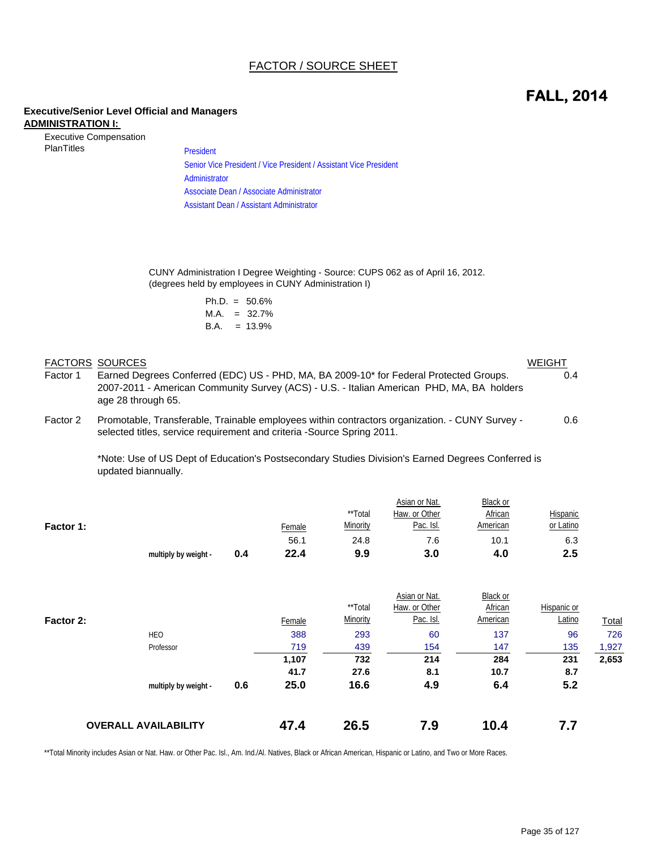#### FACTOR / SOURCE SHEET

## **FALL, 2014**

#### **Executive/Senior Level Official and Managers ADMINISTRATION I:**

| <b>Executive Compensation</b> |  |
|-------------------------------|--|
| <b>PlanTitles</b>             |  |

President Senior Vice President / Vice President / Assistant Vice President Administrator Associate Dean / Associate Administrator Assistant Dean / Assistant Administrator

CUNY Administration I Degree Weighting - Source: CUPS 062 as of April 16, 2012. (degrees held by employees in CUNY Administration I)

|      | $Ph.D. = 50.6\%$ |
|------|------------------|
| M.A. | $= 32.7\%$       |
| B.A. | $= 13.9\%$       |

#### FACTORS SOURCES WEIGHT Factor 1 Earned Degrees Conferred (EDC) US - PHD, MA, BA 2009-10\* for Federal Protected Groups. 6.4 Factor 2 Promotable, Transferable, Trainable employees within contractors organization. - CUNY Survey - 0.6 2007-2011 - American Community Survey (ACS) - U.S. - Italian American PHD, MA, BA holders age 28 through 65. selected titles, service requirement and criteria -Source Spring 2011.

\*Note: Use of US Dept of Education's Postsecondary Studies Division's Earned Degrees Conferred is updated biannually.

|           |                      |     |               |          | Asian or Nat. | <b>Black or</b> |                 |
|-----------|----------------------|-----|---------------|----------|---------------|-----------------|-----------------|
|           |                      |     |               | **Total  | Haw. or Other | African         | <b>Hispanic</b> |
| Factor 1: |                      |     | <u>Female</u> | Minority | Pac. Isl.     | American        | or Latino       |
|           |                      |     | 56.1          | 24.8     | 7.6           | 10.1            | 6.3             |
|           | multiply by weight - | 0.4 | 22.4          | 9.9      | 3.0           | 4.0             | 2.5             |

|           | <b>OVERALL AVAILABILITY</b> | 47.4        | 26.5     | 7.9           | 10.4     | 7.7         |              |
|-----------|-----------------------------|-------------|----------|---------------|----------|-------------|--------------|
|           | multiply by weight -        | 25.0<br>0.6 | 16.6     | 4.9           | 6.4      | 5.2         |              |
|           |                             | 41.7        | 27.6     | 8.1           | 10.7     | 8.7         |              |
|           |                             | 1,107       | 732      | 214           | 284      | 231         | 2,653        |
|           | Professor                   | 719         | 439      | 154           | 147      | 135         | 1,927        |
|           | <b>HEO</b>                  | 388         | 293      | 60            | 137      | 96          | 726          |
| Factor 2: |                             | Female      | Minority | Pac. Isl.     | American | Latino      | <b>Total</b> |
|           |                             |             | **Total  | Haw. or Other | African  | Hispanic or |              |
|           |                             |             |          | Asian or Nat. | Black or |             |              |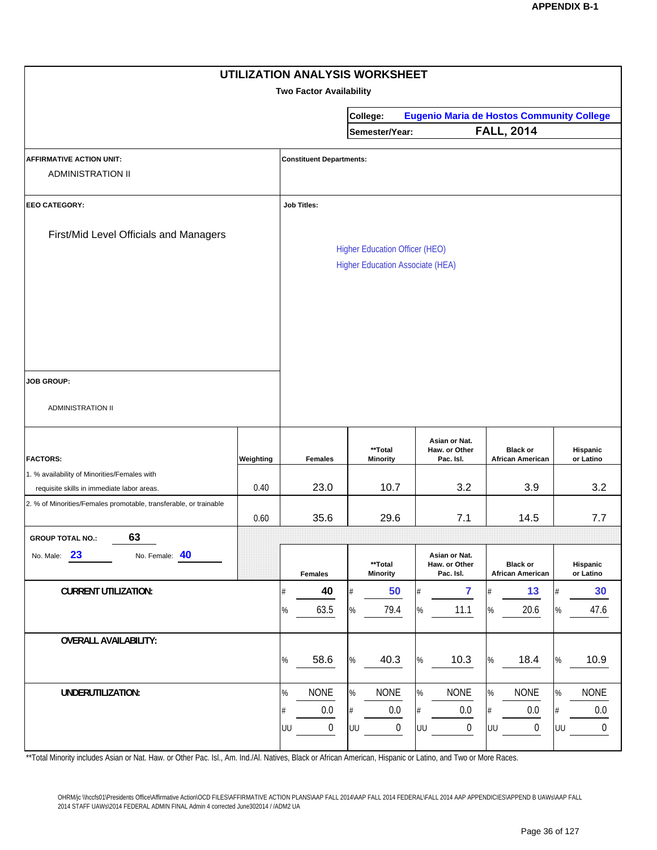|                                                                                            |           |      |                                 |           | UTILIZATION ANALYSIS WORKSHEET                                                   |              |                                                  |              |                                            |           |                        |
|--------------------------------------------------------------------------------------------|-----------|------|---------------------------------|-----------|----------------------------------------------------------------------------------|--------------|--------------------------------------------------|--------------|--------------------------------------------|-----------|------------------------|
|                                                                                            |           |      | <b>Two Factor Availability</b>  |           |                                                                                  |              |                                                  |              |                                            |           |                        |
|                                                                                            |           |      |                                 |           | College:                                                                         |              | <b>Eugenio Maria de Hostos Community College</b> |              |                                            |           |                        |
|                                                                                            |           |      |                                 |           | Semester/Year:                                                                   |              |                                                  |              | <b>FALL, 2014</b>                          |           |                        |
| <b>AFFIRMATIVE ACTION UNIT:</b><br><b>ADMINISTRATION II</b>                                |           |      | <b>Constituent Departments:</b> |           |                                                                                  |              |                                                  |              |                                            |           |                        |
| <b>EEO CATEGORY:</b>                                                                       |           |      | <b>Job Titles:</b>              |           |                                                                                  |              |                                                  |              |                                            |           |                        |
| First/Mid Level Officials and Managers                                                     |           |      |                                 |           | <b>Higher Education Officer (HEO)</b><br><b>Higher Education Associate (HEA)</b> |              |                                                  |              |                                            |           |                        |
| <b>JOB GROUP:</b><br><b>ADMINISTRATION II</b>                                              |           |      |                                 |           |                                                                                  |              |                                                  |              |                                            |           |                        |
| <b>FACTORS:</b>                                                                            | Weighting |      | <b>Females</b>                  |           | **Total<br>Minority                                                              |              | Asian or Nat.<br>Haw. or Other<br>Pac. Isl.      |              | <b>Black or</b><br><b>African American</b> |           | Hispanic<br>or Latino  |
| 1. % availability of Minorities/Females with<br>requisite skills in immediate labor areas. | 0.40      |      | 23.0                            |           | 10.7                                                                             |              | 3.2                                              |              | 3.9                                        |           | 3.2                    |
| 2. % of Minorities/Females promotable, transferable, or trainable                          | 0.60      |      | 35.6                            |           | 29.6                                                                             |              | 7.1                                              |              | 14.5                                       |           | 7.7                    |
| 63<br><b>GROUP TOTAL NO.:</b>                                                              |           |      |                                 |           |                                                                                  |              |                                                  |              |                                            |           |                        |
| 23<br>No. Female: 40<br>No. Male:                                                          |           |      | <b>Females</b>                  |           | **Total<br><b>Minority</b>                                                       |              | Asian or Nat.<br>Haw. or Other<br>Pac. Isl.      |              | <b>Black or</b><br><b>African American</b> |           | Hispanic<br>or Latino  |
| <b>CURRENT UTILIZATION:</b>                                                                |           |      | 40                              |           | 50                                                                               | #            | $\overline{7}$                                   |              | 13                                         |           | 30                     |
|                                                                                            |           | %    | 63.5                            | %         | 79.4                                                                             | $\%$         | 11.1                                             | $\%$         | 20.6                                       | %         | 47.6                   |
| <b>OVERALL AVAILABILITY:</b>                                                               |           | %    | 58.6                            | %         | 40.3                                                                             | $\%$         | 10.3                                             | $\%$         | 18.4                                       | %         | 10.9                   |
| UNDERUTILIZATION:                                                                          |           | $\%$ | <b>NONE</b><br>0.0              | $\%$<br># | <b>NONE</b><br>$0.0\,$                                                           | $\%$<br>$\#$ | <b>NONE</b><br>0.0                               | $\%$<br>$\#$ | <b>NONE</b><br>0.0                         | $\%$<br># | <b>NONE</b><br>$0.0\,$ |
|                                                                                            |           | UU   | $\boldsymbol{0}$                | UU        | 0                                                                                | UU           | $\pmb{0}$                                        | UU           | $\boldsymbol{0}$                           | UU        | 0                      |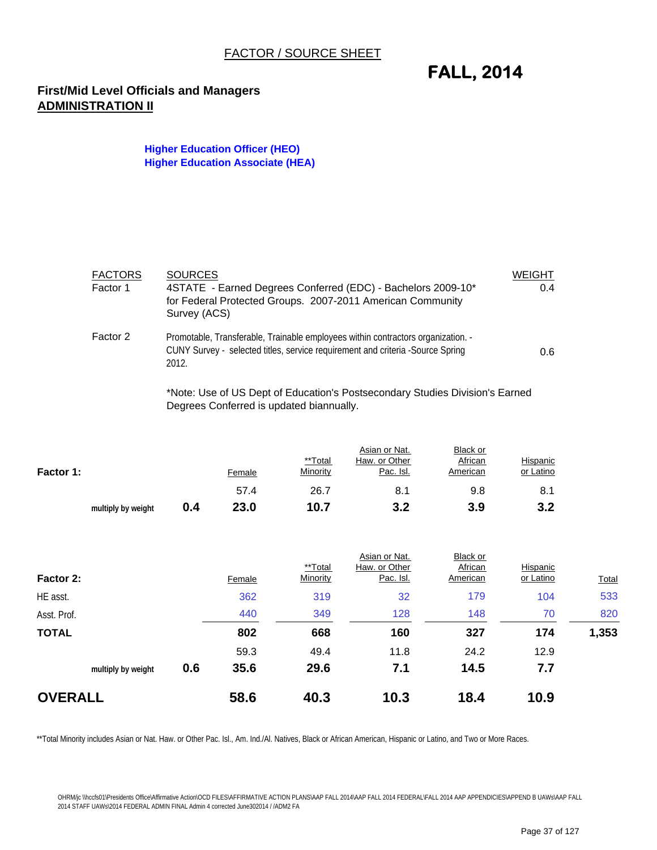## **FALL, 2014**

### **First/Mid Level Officials and Managers ADMINISTRATION II**

#### **Higher Education Officer (HEO) Higher Education Associate (HEA)**

| <b>FACTORS</b><br>Factor 1 | <b>SOURCES</b><br>4STATE - Earned Degrees Conferred (EDC) - Bachelors 2009-10*<br>for Federal Protected Groups. 2007-2011 American Community<br>Survey (ACS)                | <b>WEIGHT</b><br>0.4 |
|----------------------------|-----------------------------------------------------------------------------------------------------------------------------------------------------------------------------|----------------------|
| Factor 2                   | Promotable, Transferable, Trainable employees within contractors organization. -<br>CUNY Survey - selected titles, service requirement and criteria -Source Spring<br>2012. | 0.6                  |

\*Note: Use of US Dept of Education's Postsecondary Studies Division's Earned Degrees Conferred is updated biannually.

| Factor 1: |                    |     | Female | **Total<br>Minority | Asian or Nat.<br>Haw. or Other<br>Pac. Isl. | Black or<br>African<br>American | Hispanic<br>or Latino |
|-----------|--------------------|-----|--------|---------------------|---------------------------------------------|---------------------------------|-----------------------|
|           |                    |     | 57.4   | 26.7                | 8.1                                         | 9.8                             | 8.1                   |
|           | multiply by weight | 0.4 | 23.0   | 10.7                | 3.2                                         | 3.9                             | 3.2                   |

| Factor 2:      |                    |     | Female | **Total<br>Minority | Asian or Nat.<br>Haw. or Other<br>Pac. Isl. | Black or<br>African<br>American | Hispanic<br>or Latino | <b>Total</b> |
|----------------|--------------------|-----|--------|---------------------|---------------------------------------------|---------------------------------|-----------------------|--------------|
| HE asst.       |                    |     | 362    | 319                 | 32                                          | 179                             | 104                   | 533          |
| Asst. Prof.    |                    |     | 440    | 349                 | 128                                         | 148                             | 70                    | 820          |
| <b>TOTAL</b>   |                    |     | 802    | 668                 | 160                                         | 327                             | 174                   | 1,353        |
|                |                    |     | 59.3   | 49.4                | 11.8                                        | 24.2                            | 12.9                  |              |
|                | multiply by weight | 0.6 | 35.6   | 29.6                | 7.1                                         | 14.5                            | 7.7                   |              |
| <b>OVERALL</b> |                    |     | 58.6   | 40.3                | 10.3                                        | 18.4                            | 10.9                  |              |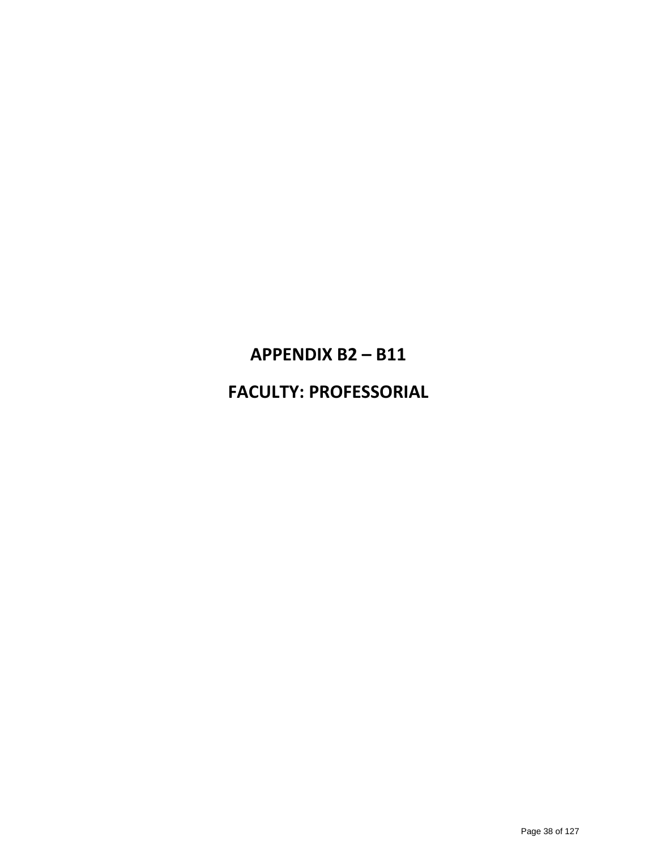# **APPENDIX B2 – B11**

## **FACULTY: PROFESSORIAL**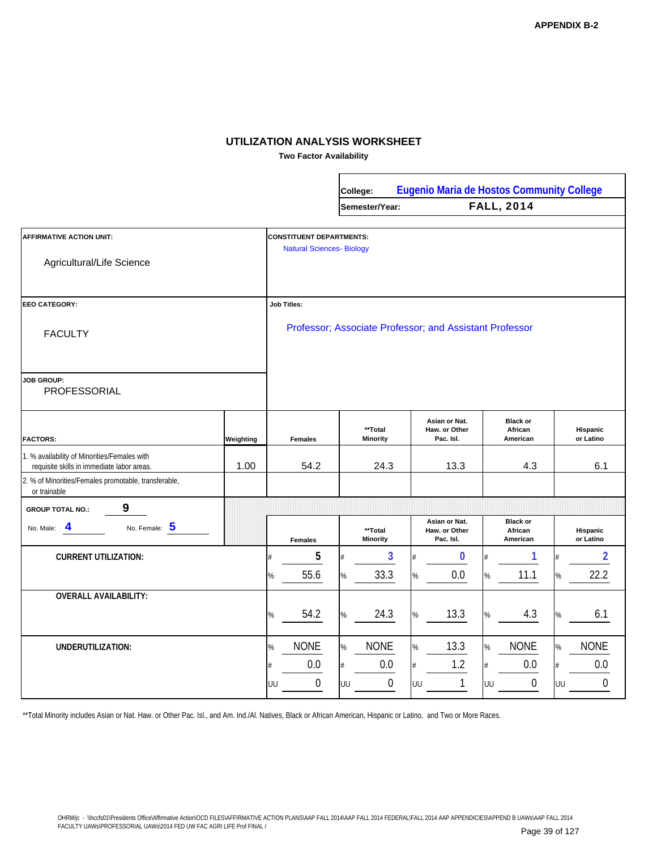**Two Factor Availability**

 $\mathbf{r}$ 

|                                                                                            |           |                                                                     | College: |                                                         | <b>Eugenio Maria de Hostos Community College</b> |                                        |                              |  |  |
|--------------------------------------------------------------------------------------------|-----------|---------------------------------------------------------------------|----------|---------------------------------------------------------|--------------------------------------------------|----------------------------------------|------------------------------|--|--|
|                                                                                            |           |                                                                     |          | Semester/Year:                                          |                                                  | <b>FALL, 2014</b>                      |                              |  |  |
| <b>AFFIRMATIVE ACTION UNIT:</b>                                                            |           | <b>CONSTITUENT DEPARTMENTS:</b><br><b>Natural Sciences- Biology</b> |          |                                                         |                                                  |                                        |                              |  |  |
| Agricultural/Life Science                                                                  |           |                                                                     |          |                                                         |                                                  |                                        |                              |  |  |
| <b>EEO CATEGORY:</b>                                                                       |           | <b>Job Titles:</b>                                                  |          |                                                         |                                                  |                                        |                              |  |  |
| <b>FACULTY</b>                                                                             |           |                                                                     |          | Professor; Associate Professor; and Assistant Professor |                                                  |                                        |                              |  |  |
| <b>JOB GROUP:</b><br>PROFESSORIAL                                                          |           |                                                                     |          |                                                         |                                                  |                                        |                              |  |  |
| <b>FACTORS:</b>                                                                            | Weighting | <b>Females</b>                                                      |          | **Total<br><b>Minority</b>                              | Asian or Nat.<br>Haw. or Other<br>Pac. Isl.      | <b>Black or</b><br>African<br>American | Hispanic<br>or Latino        |  |  |
| 1. % availability of Minorities/Females with<br>requisite skills in immediate labor areas. | 1.00      | 54.2                                                                |          | 24.3                                                    | 13.3                                             | 4.3                                    | 6.1                          |  |  |
| 2. % of Minorities/Females promotable, transferable,<br>or trainable                       |           |                                                                     |          |                                                         |                                                  |                                        |                              |  |  |
| 9<br><b>GROUP TOTAL NO.:</b>                                                               |           |                                                                     |          |                                                         |                                                  |                                        |                              |  |  |
| No. Female: 5<br>4<br>No. Male:                                                            |           | <b>Females</b>                                                      |          | **Total<br><b>Minority</b>                              | Asian or Nat.<br>Haw. or Other<br>Pac. Isl.      | <b>Black or</b><br>African<br>American | <b>Hispanic</b><br>or Latino |  |  |
| <b>CURRENT UTILIZATION:</b>                                                                |           | 5<br>#                                                              |          | 3                                                       | $\bf{0}$<br>#                                    | 1                                      | $\overline{2}$               |  |  |
|                                                                                            |           | 55.6<br>%                                                           | $\%$     | 33.3                                                    | 0.0<br>%                                         | 11.1<br>%                              | 22.2<br>$\%$                 |  |  |
| <b>OVERALL AVAILABILITY:</b>                                                               |           |                                                                     |          |                                                         |                                                  |                                        |                              |  |  |
|                                                                                            |           | 54.2<br>%                                                           | %        | 24.3                                                    | 13.3<br>%                                        | 4.3<br>%                               | 6.1<br>$\%$                  |  |  |
| UNDERUTILIZATION:                                                                          |           | <b>NONE</b><br>$\%$                                                 | $\%$     | <b>NONE</b>                                             | 13.3<br>$\%$                                     | <b>NONE</b><br>%                       | <b>NONE</b><br>%             |  |  |
|                                                                                            |           | 0.0<br>#                                                            | #        | 0.0                                                     | 1.2<br>#                                         | 0.0<br>#                               | 0.0<br>#                     |  |  |
|                                                                                            |           | 0<br>UU                                                             | UU       | $\mathbf 0$                                             | 1<br>UU                                          | $\mathbf 0$<br>UU                      | 0<br>UU                      |  |  |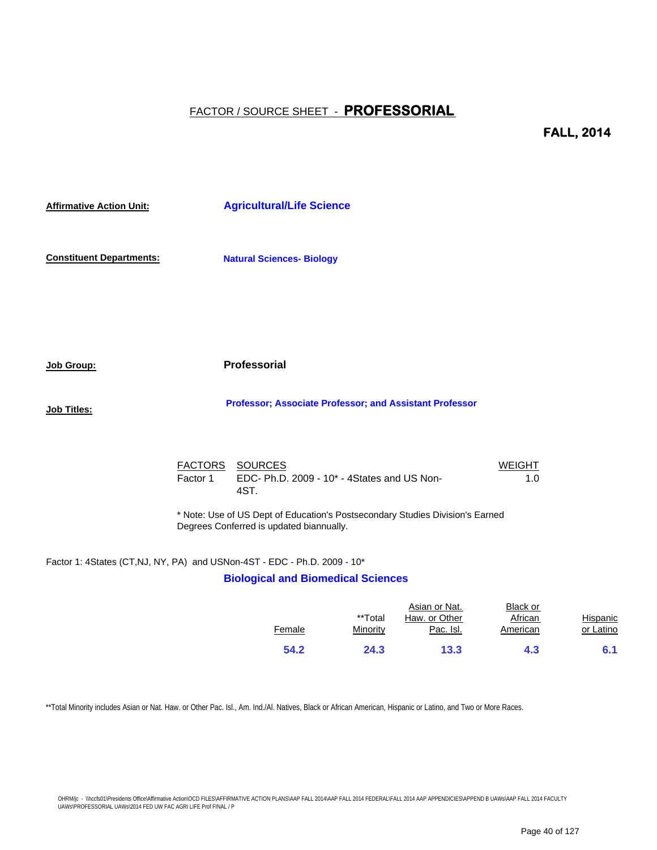**FALL, 2014**

**Affirmative Action Unit: Constituent Departments: Job Group: Job Titles:** FACTORS SOURCES WEIGHT Factor 1 EDC- Ph.D. 2009 - 10<sup>\*</sup> - 4States and US Non- 1.0 Factor 1: 4States (CT,NJ, NY, PA) and USNon-4ST - EDC - Ph.D. 2009 - 10\*  **Professor; Associate Professor; and Assistant Professor Natural Sciences- Biology Agricultural/Life Science** 4ST. **Professorial** \* Note: Use of US Dept of Education's Postsecondary Studies Division's Earned Degrees Conferred is updated biannually.

## **Biological and Biomedical Sciences**

|        | **Total  | Asian or Nat.<br>Haw. or Other | Black or<br>African | Hispanic  |
|--------|----------|--------------------------------|---------------------|-----------|
| Female | Minority | Pac. Isl.                      | American            | or Latino |
| 54.2   | 24.3     | 13.3                           | 4.3                 | 6.1       |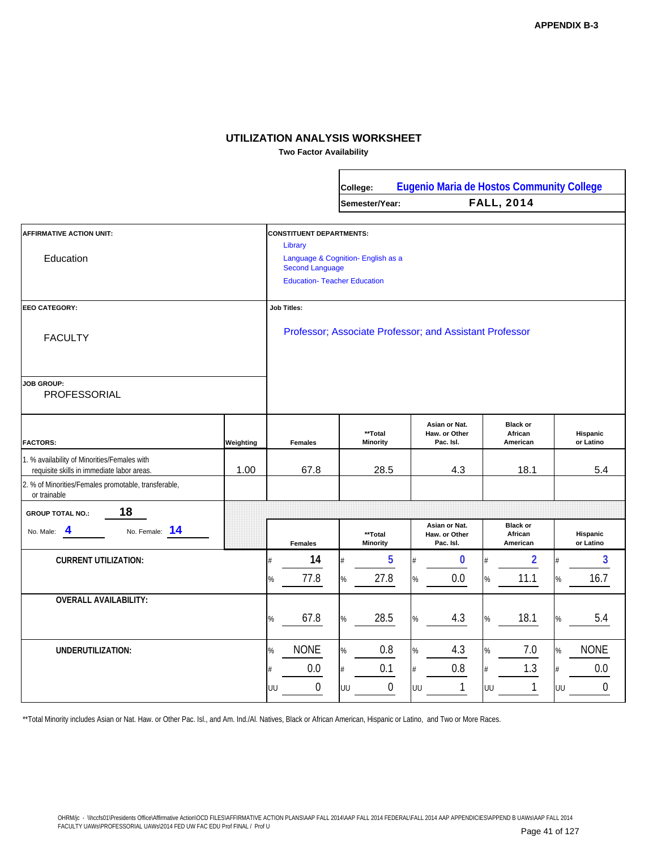**Two Factor Availability**

 $\mathbf{r}$ 

|                                                                                            |                                                                                                                                                   |                                                   | College:                   |                                                         |                                             | <b>Eugenio Maria de Hostos Community College</b> |                                                           |
|--------------------------------------------------------------------------------------------|---------------------------------------------------------------------------------------------------------------------------------------------------|---------------------------------------------------|----------------------------|---------------------------------------------------------|---------------------------------------------|--------------------------------------------------|-----------------------------------------------------------|
|                                                                                            |                                                                                                                                                   |                                                   | Semester/Year:             |                                                         |                                             | <b>FALL, 2014</b>                                |                                                           |
| AFFIRMATIVE ACTION UNIT:<br>Education                                                      | <b>CONSTITUENT DEPARTMENTS:</b><br>Library<br>Language & Cognition- English as a<br><b>Second Language</b><br><b>Education- Teacher Education</b> |                                                   |                            |                                                         |                                             |                                                  |                                                           |
| <b>EEO CATEGORY:</b><br><b>FACULTY</b>                                                     | <b>Job Titles:</b>                                                                                                                                |                                                   |                            | Professor; Associate Professor; and Assistant Professor |                                             |                                                  |                                                           |
| <b>JOB GROUP:</b><br>PROFESSORIAL                                                          |                                                                                                                                                   |                                                   |                            |                                                         |                                             |                                                  |                                                           |
| <b>FACTORS:</b>                                                                            | Weighting                                                                                                                                         | <b>Females</b>                                    | **Total<br><b>Minority</b> |                                                         | Asian or Nat.<br>Haw. or Other<br>Pac. Isl. | <b>Black or</b><br>African<br>American           | Hispanic<br>or Latino                                     |
| 1. % availability of Minorities/Females with<br>requisite skills in immediate labor areas. | 1.00                                                                                                                                              | 67.8                                              | 28.5                       |                                                         | 4.3                                         | 18.1                                             | 5.4                                                       |
| 2. % of Minorities/Females promotable, transferable,<br>or trainable                       |                                                                                                                                                   |                                                   |                            |                                                         |                                             |                                                  |                                                           |
| 18<br><b>GROUP TOTAL NO.:</b>                                                              |                                                                                                                                                   |                                                   |                            |                                                         |                                             |                                                  |                                                           |
| No. Female: 14<br>4<br>No. Male:                                                           |                                                                                                                                                   | <b>Females</b>                                    | **Total<br><b>Minority</b> |                                                         | Asian or Nat.<br>Haw. or Other<br>Pac. Isl. | <b>Black or</b><br>African<br>American           | Hispanic<br>or Latino                                     |
| <b>CURRENT UTILIZATION:</b>                                                                |                                                                                                                                                   | 14<br>77.8<br>%                                   | #<br>27.8<br>%             | 5                                                       | 0<br>0.0                                    | $\overline{2}$<br>#<br>11.1<br>%                 | 3<br>#<br>16.7<br>%                                       |
| <b>OVERALL AVAILABILITY:</b>                                                               |                                                                                                                                                   | 67.8<br>%                                         | $\%$                       | 28.5<br>%                                               | 4.3                                         | 18.1<br>$\%$                                     | 5.4<br>%                                                  |
| UNDERUTILIZATION:                                                                          |                                                                                                                                                   | <b>NONE</b><br>%<br>0.0<br>$\boldsymbol{0}$<br>UU | $\%$<br>#<br>UU            | 0.8<br>%<br>0.1<br>$\boldsymbol{0}$<br>UU               | 4.3<br>0.8<br>$\mathbf{1}$                  | 7.0<br>$\%$<br>1.3<br>#<br>$\mathbf{1}$<br>UU    | <b>NONE</b><br>$\%$<br>0.0<br>#<br>$\boldsymbol{0}$<br>UU |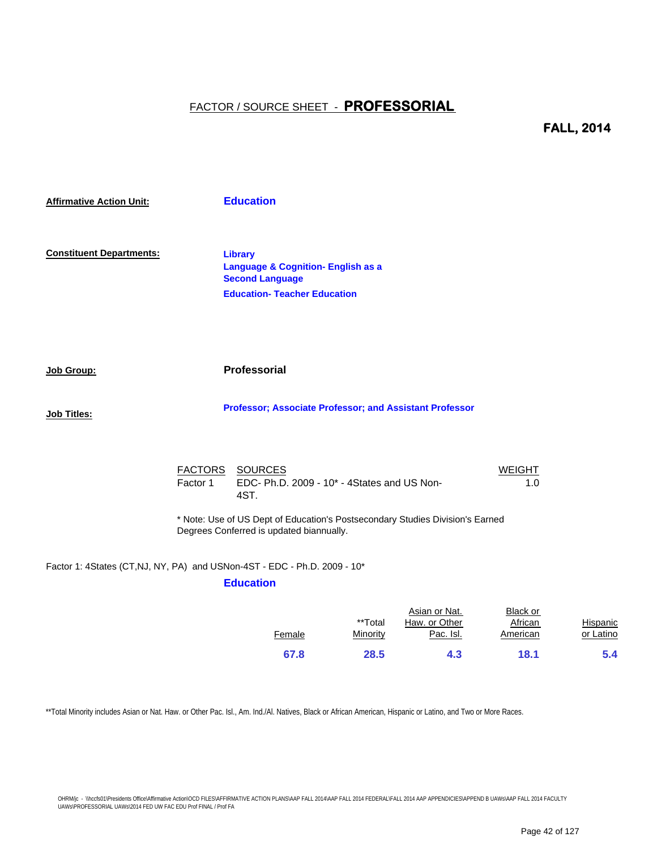## **FALL, 2014**

| <b>Affirmative Action Unit:</b> |          | <b>Education</b>                                                                                                                 |                      |
|---------------------------------|----------|----------------------------------------------------------------------------------------------------------------------------------|----------------------|
| <b>Constituent Departments:</b> |          | <b>Library</b><br><b>Language &amp; Cognition- English as a</b><br><b>Second Language</b><br><b>Education- Teacher Education</b> |                      |
| Job Group:                      |          | Professorial                                                                                                                     |                      |
| <b>Job Titles:</b>              |          | Professor; Associate Professor; and Assistant Professor                                                                          |                      |
|                                 | Factor 1 | FACTORS SOURCES<br>EDC- Ph.D. 2009 - 10* - 4States and US Non-<br>4ST.                                                           | <b>WEIGHT</b><br>1.0 |
|                                 |          | * Note: Use of US Dept of Education's Postsecondary Studies Division's Earned<br>Degrees Conferred is updated biannually.        |                      |
|                                 |          | Factor 1: 4States (CT,NJ, NY, PA) and USNon-4ST - EDC - Ph.D. 2009 - 10*<br><b>Education</b>                                     |                      |

|        |          | Asian or Nat. | Black or |           |
|--------|----------|---------------|----------|-----------|
|        | **Total  | Haw, or Other | African  | Hispanic  |
| Female | Minority | Pac. Isl.     | American | or Latino |
| 67.8   | 28.5     | 4.3           | 18.1     | 5.4       |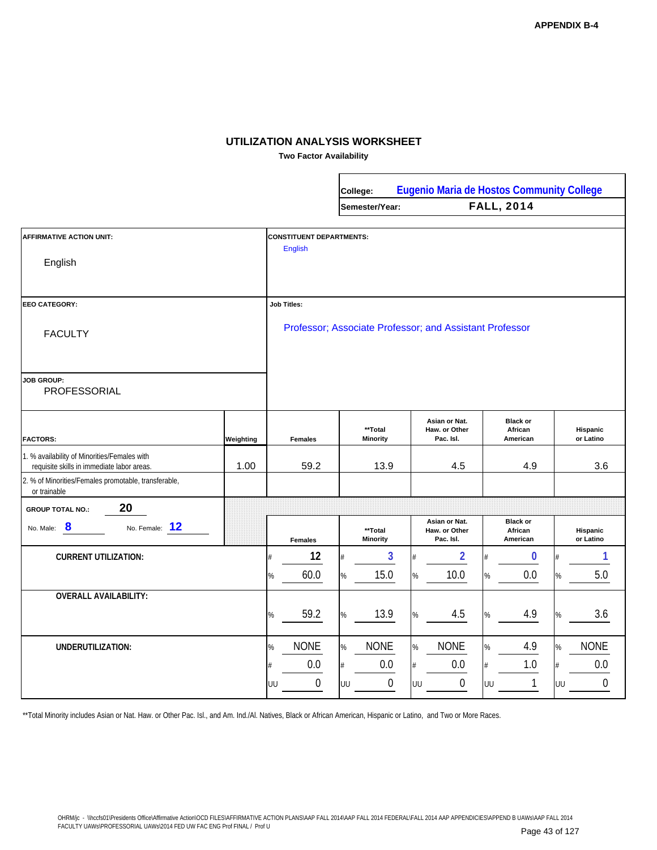**Two Factor Availability**

|                                                                                            |           |                                                   |      | College:                   |    | Eugenio Maria de Hostos Community College               |      |                                        |      |                       |
|--------------------------------------------------------------------------------------------|-----------|---------------------------------------------------|------|----------------------------|----|---------------------------------------------------------|------|----------------------------------------|------|-----------------------|
|                                                                                            |           |                                                   |      | Semester/Year:             |    |                                                         |      | <b>FALL, 2014</b>                      |      |                       |
| <b>AFFIRMATIVE ACTION UNIT:</b><br>English                                                 |           | <b>CONSTITUENT DEPARTMENTS:</b><br><b>English</b> |      |                            |    |                                                         |      |                                        |      |                       |
|                                                                                            |           |                                                   |      |                            |    |                                                         |      |                                        |      |                       |
| <b>EEO CATEGORY:</b>                                                                       |           | <b>Job Titles:</b>                                |      |                            |    |                                                         |      |                                        |      |                       |
| <b>FACULTY</b>                                                                             |           |                                                   |      |                            |    | Professor; Associate Professor; and Assistant Professor |      |                                        |      |                       |
| <b>JOB GROUP:</b><br>PROFESSORIAL                                                          |           |                                                   |      |                            |    |                                                         |      |                                        |      |                       |
| <b>FACTORS:</b>                                                                            | Weighting | <b>Females</b>                                    |      | **Total<br><b>Minority</b> |    | Asian or Nat.<br>Haw. or Other<br>Pac. Isl.             |      | <b>Black or</b><br>African<br>American |      | Hispanic<br>or Latino |
| 1. % availability of Minorities/Females with<br>requisite skills in immediate labor areas. | 1.00      | 59.2                                              |      | 13.9                       |    | 4.5                                                     |      | 4.9                                    |      | 3.6                   |
| 2. % of Minorities/Females promotable, transferable,<br>or trainable                       |           |                                                   |      |                            |    |                                                         |      |                                        |      |                       |
| 20<br><b>GROUP TOTAL NO.:</b>                                                              |           |                                                   |      |                            |    |                                                         |      |                                        |      |                       |
| 8<br>No. Female: 12<br>No. Male:                                                           |           | <b>Females</b>                                    |      | **Total<br><b>Minority</b> |    | Asian or Nat.<br>Haw. or Other<br>Pac. Isl.             |      | <b>Black or</b><br>African<br>American |      | Hispanic<br>or Latino |
| <b>CURRENT UTILIZATION:</b>                                                                |           | 12                                                | #    | 3                          |    | $\overline{2}$                                          |      | $\bf{0}$                               |      | 1                     |
|                                                                                            |           | 60.0<br>%                                         | $\%$ | 15.0                       | %  | 10.0                                                    | %    | 0.0                                    | %    | 5.0                   |
| <b>OVERALL AVAILABILITY:</b>                                                               |           |                                                   |      |                            |    |                                                         |      |                                        |      |                       |
|                                                                                            |           | 59.2<br>$\%$                                      | $\%$ | 13.9                       | %  | 4.5                                                     | $\%$ | 4.9                                    | %    | 3.6                   |
| UNDERUTILIZATION:                                                                          |           | <b>NONE</b><br>%                                  | $\%$ | <b>NONE</b>                | %  | <b>NONE</b>                                             | $\%$ | 4.9                                    | $\%$ | <b>NONE</b>           |
|                                                                                            |           | 0.0                                               | #    | $0.0\,$                    |    | $0.0\,$                                                 | #    | 1.0                                    | #    | 0.0                   |
|                                                                                            |           | $\boldsymbol{0}$<br>UU                            | UU   | $\boldsymbol{0}$           | UU | $\boldsymbol{0}$                                        | UU   | 1                                      | UU   | $\mathbf 0$           |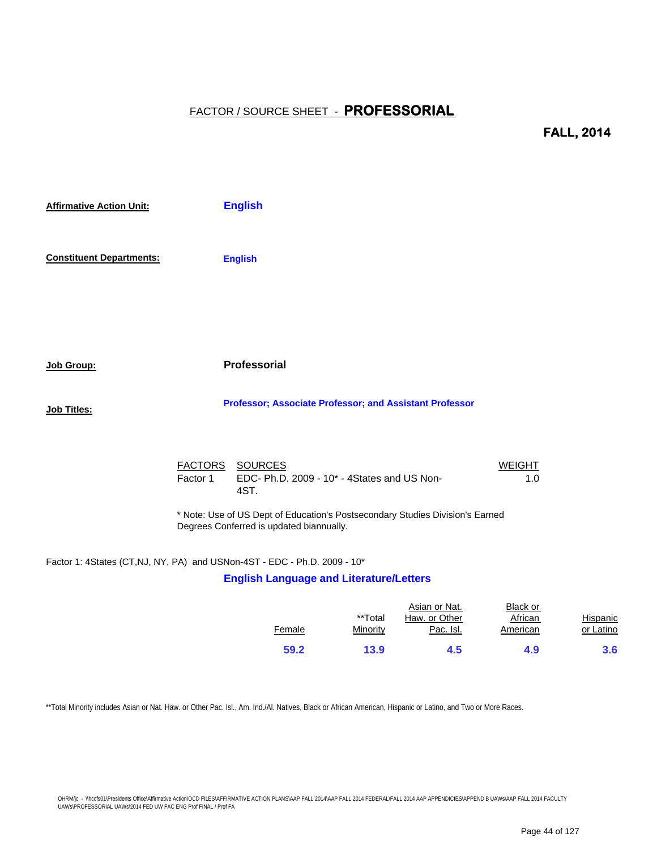#### **FALL, 2014**

| <b>Affirmative Action Unit:</b> |          | <b>English</b>                                                         |                      |
|---------------------------------|----------|------------------------------------------------------------------------|----------------------|
| <b>Constituent Departments:</b> |          | <b>English</b>                                                         |                      |
|                                 |          |                                                                        |                      |
| Job Group:                      |          | Professorial                                                           |                      |
| Job Titles:                     |          | Professor; Associate Professor; and Assistant Professor                |                      |
|                                 | Factor 1 | FACTORS SOURCES<br>EDC- Ph.D. 2009 - 10* - 4States and US Non-<br>4ST. | <b>WEIGHT</b><br>1.0 |

\* Note: Use of US Dept of Education's Postsecondary Studies Division's Earned Degrees Conferred is updated biannually.

#### Factor 1: 4States (CT,NJ, NY, PA) and USNon-4ST - EDC - Ph.D. 2009 - 10\*

#### **English Language and Literature/Letters**

|        | **Total  | Asian or Nat.<br>Haw, or Other | Black or<br>African | Hispanic  |
|--------|----------|--------------------------------|---------------------|-----------|
| Female | Minority | Pac. Isl.                      | American            | or Latino |
| 59.2   | 13.9     | 4.5                            | 4.9                 | 3.6       |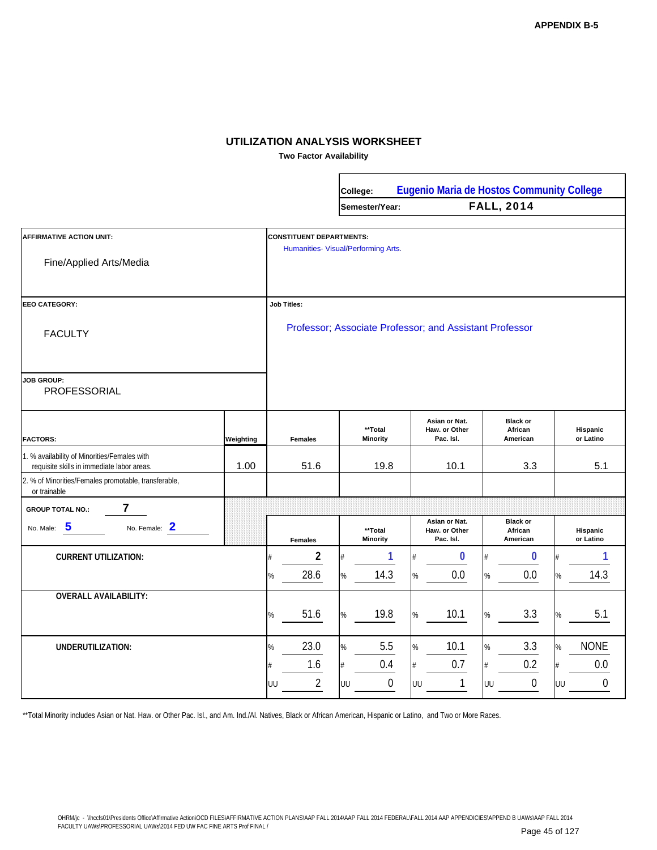**Two Factor Availability**

|                                                                                           |           |                                          | College:                                             | Eugenio Maria de Hostos Community College               |                                                      |                                            |
|-------------------------------------------------------------------------------------------|-----------|------------------------------------------|------------------------------------------------------|---------------------------------------------------------|------------------------------------------------------|--------------------------------------------|
|                                                                                           |           |                                          | Semester/Year:                                       |                                                         | <b>FALL, 2014</b>                                    |                                            |
| <b>AFFIRMATIVE ACTION UNIT:</b><br>Fine/Applied Arts/Media                                |           | <b>CONSTITUENT DEPARTMENTS:</b>          | Humanities- Visual/Performing Arts.                  |                                                         |                                                      |                                            |
| <b>EEO CATEGORY:</b>                                                                      |           | <b>Job Titles:</b>                       |                                                      | Professor; Associate Professor; and Assistant Professor |                                                      |                                            |
| <b>FACULTY</b><br><b>JOB GROUP:</b><br>PROFESSORIAL                                       |           |                                          |                                                      |                                                         |                                                      |                                            |
| <b>FACTORS:</b>                                                                           | Weighting | <b>Females</b>                           | **Total<br><b>Minority</b>                           | Asian or Nat.<br>Haw. or Other<br>Pac. Isl.             | <b>Black or</b><br>African<br>American               | Hispanic<br>or Latino                      |
| 1. % availability of Minorities/Females with<br>requisite skills in immediate labor areas | 1.00      | 51.6                                     | 19.8                                                 | 10.1                                                    | 3.3                                                  | 5.1                                        |
| 2. % of Minorities/Females promotable, transferable,<br>or trainable                      |           |                                          |                                                      |                                                         |                                                      |                                            |
| 7<br><b>GROUP TOTAL NO.:</b>                                                              |           |                                          |                                                      |                                                         |                                                      |                                            |
| $\overline{\mathbf{5}}$<br>No. Female: 2<br>No. Male:                                     |           | <b>Females</b>                           | **Total<br><b>Minority</b>                           | Asian or Nat.<br>Haw. or Other<br>Pac. Isl.             | <b>Black or</b><br>African<br>American               | <b>Hispanic</b><br>or Latino               |
| <b>CURRENT UTILIZATION:</b>                                                               |           | $\overline{\mathbf{c}}$                  | 1                                                    | $\bf{0}$                                                | 0                                                    | 1<br>#                                     |
|                                                                                           |           | 28.6<br>%                                | 14.3<br>$\%$                                         | 0.0                                                     | 0.0<br>$\%$                                          | 14.3<br>%                                  |
| <b>OVERALL AVAILABILITY:</b>                                                              |           | 51.6<br>%                                | 19.8<br>$\%$                                         | 10.1<br>%                                               | 3.3<br>$\%$                                          | 5.1<br>%                                   |
| UNDERUTILIZATION:                                                                         |           | 23.0<br>%<br>1.6<br>$\overline{2}$<br>UU | 5.5<br>$\%$<br>0.4<br>$\#$<br>$\boldsymbol{0}$<br>UU | 10.1<br>%<br>0.7<br>#<br>$\mathbf{1}$<br>UU             | 3.3<br>$\%$<br>0.2<br>$\#$<br>$\boldsymbol{0}$<br>UU | <b>NONE</b><br>$\%$<br>0.0<br>#<br>0<br>UU |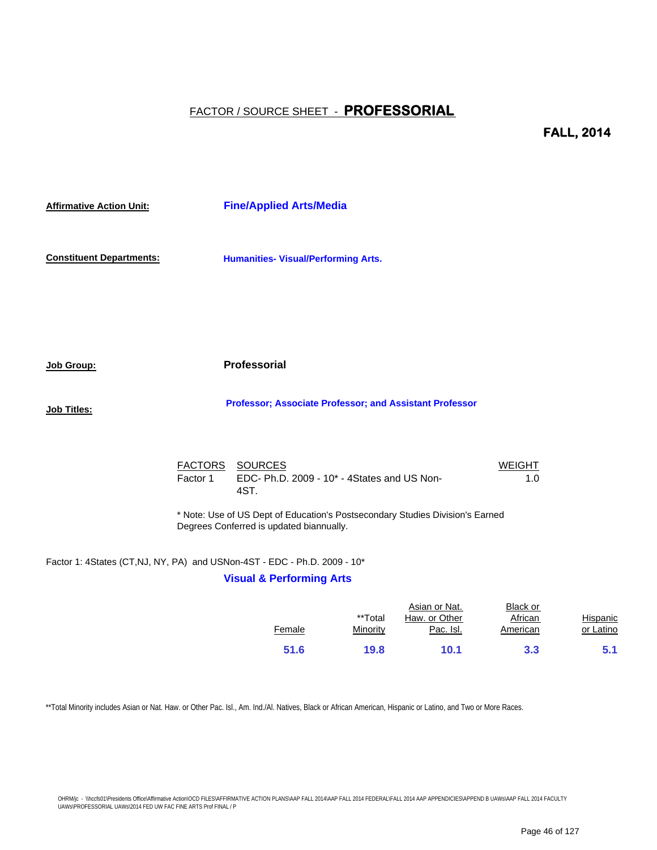**FALL, 2014**

| <b>Affirmative Action Unit:</b> |          | <b>Fine/Applied Arts/Media</b>                                                                                            |                      |
|---------------------------------|----------|---------------------------------------------------------------------------------------------------------------------------|----------------------|
| <b>Constituent Departments:</b> |          | <b>Humanities- Visual/Performing Arts.</b>                                                                                |                      |
|                                 |          |                                                                                                                           |                      |
| <u> Job Group:</u>              |          | <b>Professorial</b>                                                                                                       |                      |
| <u> Job Titles:</u>             |          | Professor; Associate Professor; and Assistant Professor                                                                   |                      |
|                                 | Factor 1 | FACTORS SOURCES<br>EDC- Ph.D. 2009 - 10* - 4States and US Non-<br>4ST.                                                    | <b>WEIGHT</b><br>1.0 |
|                                 |          | * Note: Use of US Dept of Education's Postsecondary Studies Division's Earned<br>Degrees Conferred is updated biannually. |                      |
|                                 |          | Factor 1: 4States (CT,NJ, NY, PA) and USNon-4ST - EDC - Ph.D. 2009 - 10*                                                  |                      |
|                                 |          | <b>Visual &amp; Performing Arts</b>                                                                                       |                      |

|        |          | Asian or Nat. | Black or |                 |
|--------|----------|---------------|----------|-----------------|
|        | **Total  | Haw. or Other | African  | <b>Hispanic</b> |
| Female | Minority | Pac. Isl.     | American | or Latino       |
|        |          |               |          |                 |
| 51.6   | 19.8     | 10.1          | 3.3      | 5.1             |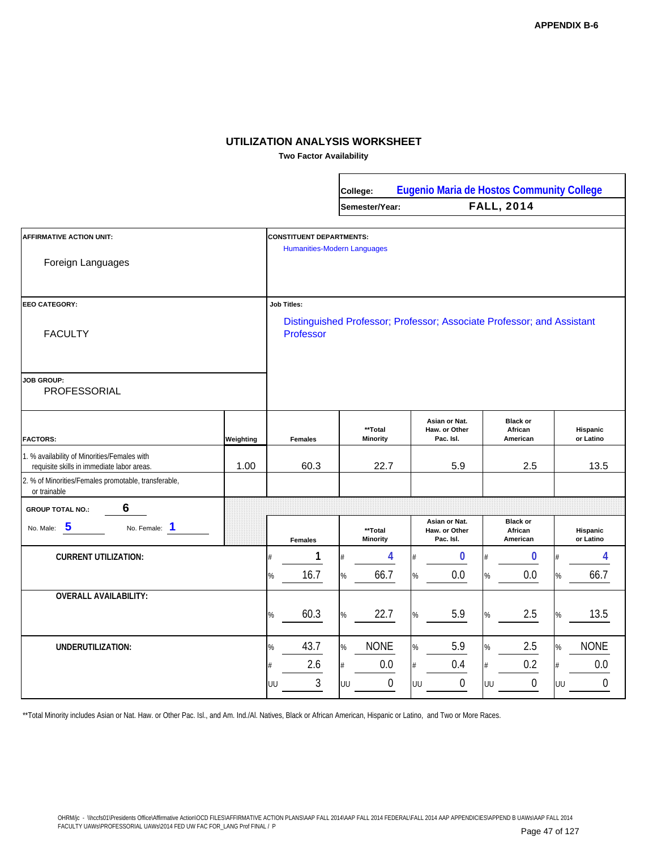**Two Factor Availability**

|                                                                                            |           |                                    | College:                   |                        |                                             | <b>Eugenio Maria de Hostos Community College</b>                       |                        |
|--------------------------------------------------------------------------------------------|-----------|------------------------------------|----------------------------|------------------------|---------------------------------------------|------------------------------------------------------------------------|------------------------|
|                                                                                            |           |                                    | Semester/Year:             |                        |                                             | <b>FALL, 2014</b>                                                      |                        |
|                                                                                            |           |                                    |                            |                        |                                             |                                                                        |                        |
| <b>AFFIRMATIVE ACTION UNIT:</b>                                                            |           | <b>CONSTITUENT DEPARTMENTS:</b>    |                            |                        |                                             |                                                                        |                        |
| Foreign Languages                                                                          |           | <b>Humanities-Modern Languages</b> |                            |                        |                                             |                                                                        |                        |
| <b>EEO CATEGORY:</b>                                                                       |           | <b>Job Titles:</b>                 |                            |                        |                                             |                                                                        |                        |
| <b>FACULTY</b>                                                                             |           | Professor                          |                            |                        |                                             | Distinguished Professor; Professor; Associate Professor; and Assistant |                        |
| <b>JOB GROUP:</b><br>PROFESSORIAL                                                          |           |                                    |                            |                        |                                             |                                                                        |                        |
| <b>FACTORS:</b>                                                                            | Weighting | <b>Females</b>                     | **Total<br>Minority        |                        | Asian or Nat.<br>Haw. or Other<br>Pac. Isl. | <b>Black or</b><br>African<br>American                                 | Hispanic<br>or Latino  |
| 1. % availability of Minorities/Females with<br>requisite skills in immediate labor areas. | 1.00      | 60.3                               | 22.7                       |                        | 5.9                                         | 2.5                                                                    | 13.5                   |
| 2. % of Minorities/Females promotable, transferable,<br>or trainable                       |           |                                    |                            |                        |                                             |                                                                        |                        |
| 6<br><b>GROUP TOTAL NO.:</b>                                                               |           |                                    |                            |                        |                                             |                                                                        |                        |
| 5<br>No. Female: 1<br>No. Male:                                                            |           | <b>Females</b>                     | **Total<br><b>Minority</b> |                        | Asian or Nat.<br>Haw. or Other<br>Pac. Isl. | <b>Black or</b><br>African<br>American                                 | Hispanic<br>or Latino  |
| <b>CURRENT UTILIZATION:</b>                                                                |           | 1                                  |                            | 4                      | 0                                           | 0                                                                      | 4                      |
|                                                                                            |           | 16.7<br>%                          | 66.7<br>%                  | %                      | 0.0                                         | 0.0<br>$\%$                                                            | 66.7<br>%              |
| <b>OVERALL AVAILABILITY:</b>                                                               |           |                                    |                            |                        |                                             |                                                                        |                        |
|                                                                                            |           | 60.3<br>%                          | 22.7<br>$\%$               | %                      | 5.9                                         | 2.5<br>$\%$                                                            | 13.5<br>%              |
| UNDERUTILIZATION:                                                                          |           | 43.7<br>%                          | <b>NONE</b><br>%           | %                      | 5.9                                         | 2.5<br>$\%$                                                            | <b>NONE</b><br>%       |
|                                                                                            |           | 2.6                                | 0.0<br>$#$                 |                        | 0.4                                         | 0.2<br>$\#$                                                            | 0.0<br>#               |
|                                                                                            |           | 3<br>UU                            | UU                         | $\boldsymbol{0}$<br>UU | 0                                           | $\boldsymbol{0}$<br>UU                                                 | $\boldsymbol{0}$<br>UU |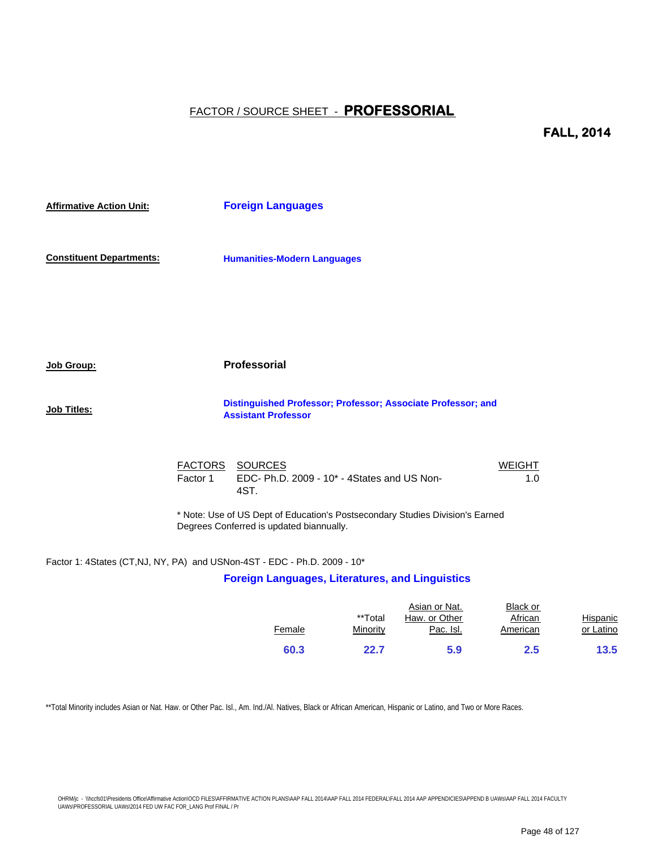**FALL, 2014**

| <b>Affirmative Action Unit:</b> | <b>Foreign Languages</b>                                                                                            |  |
|---------------------------------|---------------------------------------------------------------------------------------------------------------------|--|
| <b>Constituent Departments:</b> | <b>Humanities-Modern Languages</b>                                                                                  |  |
|                                 |                                                                                                                     |  |
| Job Group:                      | <b>Professorial</b>                                                                                                 |  |
| Job Titles:                     | Distinguished Professor; Professor; Associate Professor; and<br><b>Assistant Professor</b>                          |  |
|                                 | <b>FACTORS</b><br><b>SOURCES</b><br><b>WEIGHT</b><br>Factor 1<br>EDC- Ph.D. 2009 - 10* - 4States and US Non-<br>1.0 |  |

\* Note: Use of US Dept of Education's Postsecondary Studies Division's Earned Degrees Conferred is updated biannually.

Factor 1: 4States (CT,NJ, NY, PA) and USNon-4ST - EDC - Ph.D. 2009 - 10\*

4ST.

#### **Foreign Languages, Literatures, and Linguistics**

|        | **Total  | Asian or Nat.<br>Haw, or Other | Black or<br>African | Hispanic  |
|--------|----------|--------------------------------|---------------------|-----------|
| Female | Minority | Pac. Isl.                      | American            | or Latino |
| 60.3   | 22.7     | 5.9                            | $2.5\,$             | 13.5      |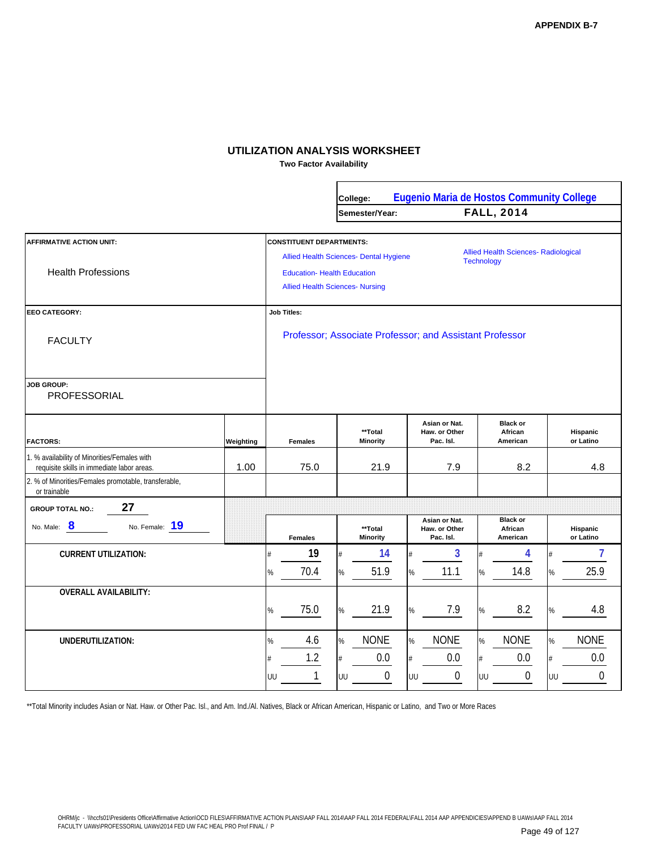**Two Factor Availability**

|                                                                                            |           |                                                                       | College:                                                                                |                                                         | <b>Eugenio Maria de Hostos Community College</b>                 |                        |
|--------------------------------------------------------------------------------------------|-----------|-----------------------------------------------------------------------|-----------------------------------------------------------------------------------------|---------------------------------------------------------|------------------------------------------------------------------|------------------------|
|                                                                                            |           |                                                                       | Semester/Year:                                                                          |                                                         | <b>FALL, 2014</b>                                                |                        |
| <b>AFFIRMATIVE ACTION UNIT:</b><br><b>Health Professions</b>                               |           | <b>CONSTITUENT DEPARTMENTS:</b><br><b>Education- Health Education</b> | <b>Allied Health Sciences- Dental Hygiene</b><br><b>Allied Health Sciences- Nursing</b> |                                                         | <b>Allied Health Sciences- Radiological</b><br><b>Technology</b> |                        |
| <b>EEO CATEGORY:</b>                                                                       |           | <b>Job Titles:</b>                                                    |                                                                                         |                                                         |                                                                  |                        |
| <b>FACULTY</b>                                                                             |           |                                                                       |                                                                                         | Professor; Associate Professor; and Assistant Professor |                                                                  |                        |
| <b>JOB GROUP:</b><br>PROFESSORIAL                                                          |           |                                                                       |                                                                                         |                                                         |                                                                  |                        |
| <b>FACTORS:</b>                                                                            | Weighting | <b>Females</b>                                                        | **Total<br><b>Minority</b>                                                              | Asian or Nat.<br>Haw. or Other<br>Pac. Isl.             | <b>Black or</b><br>African<br>American                           | Hispanic<br>or Latino  |
| 1. % availability of Minorities/Females with<br>requisite skills in immediate labor areas. | 1.00      | 75.0                                                                  | 21.9                                                                                    | 7.9                                                     | 8.2                                                              | 4.8                    |
| 2. % of Minorities/Females promotable, transferable,<br>or trainable                       |           |                                                                       |                                                                                         |                                                         |                                                                  |                        |
| 27<br><b>GROUP TOTAL NO.:</b>                                                              |           |                                                                       |                                                                                         |                                                         |                                                                  |                        |
| $\bf{8}$<br>No. Female: 19<br>No. Male:                                                    |           | <b>Females</b>                                                        | **Total<br><b>Minority</b>                                                              | Asian or Nat.<br>Haw. or Other<br>Pac. Isl.             | <b>Black or</b><br>African<br>American                           | Hispanic<br>or Latino  |
| <b>CURRENT UTILIZATION:</b>                                                                |           | 19<br>4                                                               | 14                                                                                      | 3<br>$#$                                                | 4                                                                | 7                      |
|                                                                                            |           | 70.4<br>%                                                             | 51.9<br>$\%$                                                                            | 11.1<br>%                                               | 14.8<br>%                                                        | 25.9<br>%              |
| <b>OVERALL AVAILABILITY:</b>                                                               |           |                                                                       |                                                                                         |                                                         |                                                                  |                        |
|                                                                                            |           | 75.0<br>%                                                             | 21.9<br>%                                                                               | 7.9<br>%                                                | 8.2<br>$\%$                                                      | 4.8<br>%               |
| <b>UNDERUTILIZATION:</b>                                                                   |           | 4.6<br>%                                                              | <b>NONE</b><br>$\%$                                                                     | <b>NONE</b><br>%                                        | <b>NONE</b><br>%                                                 | <b>NONE</b><br>%       |
|                                                                                            |           | 1.2<br>#                                                              | 0.0<br>#                                                                                | 0.0<br>#                                                | 0.0<br>#                                                         | 0.0<br>#               |
|                                                                                            |           | 1<br>UU                                                               | $\mathbf 0$<br>UU                                                                       | $\mathbf 0$<br>UU                                       | $\mathbf 0$<br>UU                                                | $\boldsymbol{0}$<br>UU |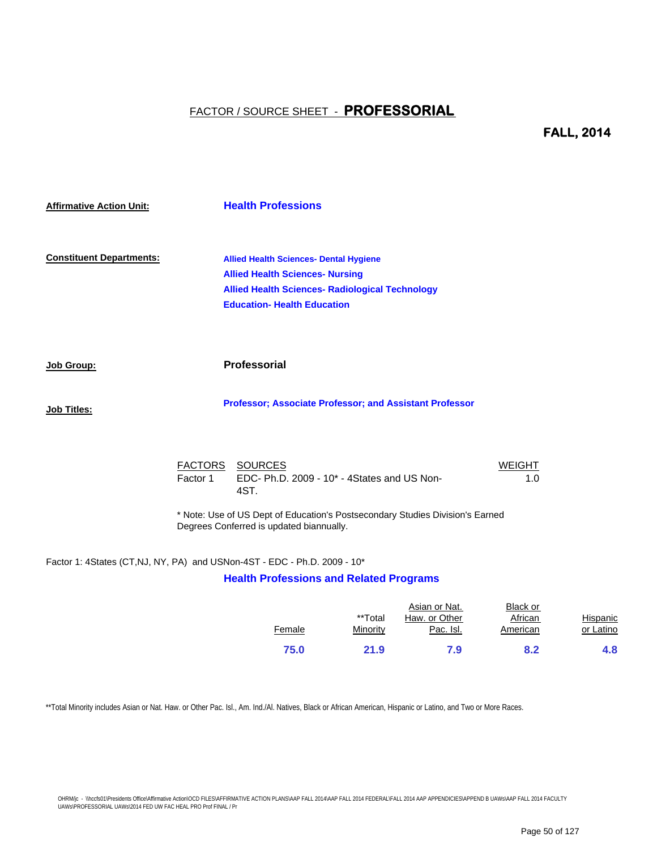#### **FALL, 2014**

| <b>Affirmative Action Unit:</b> | <b>Health Professions</b>                                                                                                                                                               |
|---------------------------------|-----------------------------------------------------------------------------------------------------------------------------------------------------------------------------------------|
| <b>Constituent Departments:</b> | <b>Allied Health Sciences- Dental Hygiene</b><br><b>Allied Health Sciences- Nursing</b><br><b>Allied Health Sciences- Radiological Technology</b><br><b>Education- Health Education</b> |
| Job Group:                      | <b>Professorial</b>                                                                                                                                                                     |
| <b>Job Titles:</b>              | Professor; Associate Professor; and Assistant Professor                                                                                                                                 |
|                                 |                                                                                                                                                                                         |

|          | FACTORS SOURCES                                       | <b>WEIGHT</b> |
|----------|-------------------------------------------------------|---------------|
| Factor 1 | EDC-Ph.D. $2009 - 10* - 4$ States and US Non-<br>4ST. | 1.0           |

\* Note: Use of US Dept of Education's Postsecondary Studies Division's Earned Degrees Conferred is updated biannually.

#### Factor 1: 4States (CT,NJ, NY, PA) and USNon-4ST - EDC - Ph.D. 2009 - 10\*

#### **Health Professions and Related Programs**

|        | **Total  | Asian or Nat.<br>Haw. or Other | Black or<br>African | Hispanic  |
|--------|----------|--------------------------------|---------------------|-----------|
| Female | Minority | Pac. Isl.                      | American            | or Latino |
| 75.0   | 21.9     | 7.9                            | 8.2                 | 4.8       |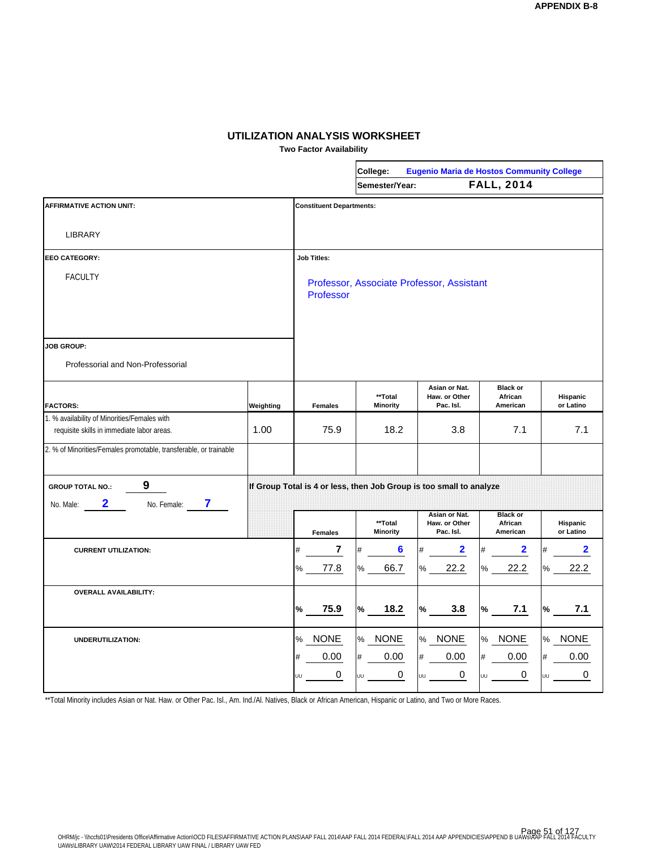**Two Factor Availability**

|                                                                                            |           | College:<br><b>Eugenio Maria de Hostos Community College</b> |                                                                     |                                             |                                        |                       |  |  |
|--------------------------------------------------------------------------------------------|-----------|--------------------------------------------------------------|---------------------------------------------------------------------|---------------------------------------------|----------------------------------------|-----------------------|--|--|
|                                                                                            |           |                                                              | Semester/Year:                                                      |                                             | <b>FALL, 2014</b>                      |                       |  |  |
| <b>AFFIRMATIVE ACTION UNIT:</b>                                                            |           | <b>Constituent Departments:</b>                              |                                                                     |                                             |                                        |                       |  |  |
| <b>LIBRARY</b>                                                                             |           |                                                              |                                                                     |                                             |                                        |                       |  |  |
| <b>EEO CATEGORY:</b>                                                                       |           | <b>Job Titles:</b>                                           |                                                                     |                                             |                                        |                       |  |  |
| <b>FACULTY</b>                                                                             |           | Professor                                                    |                                                                     | Professor, Associate Professor, Assistant   |                                        |                       |  |  |
| <b>JOB GROUP:</b><br>Professorial and Non-Professorial                                     |           |                                                              |                                                                     |                                             |                                        |                       |  |  |
| <b>FACTORS:</b>                                                                            | Weighting | <b>Females</b>                                               | **Total<br>Minority                                                 | Asian or Nat.<br>Haw. or Other<br>Pac. Isl. | <b>Black or</b><br>African<br>American | Hispanic<br>or Latino |  |  |
| 1. % availability of Minorities/Females with<br>requisite skills in immediate labor areas. | 1.00      | 75.9                                                         | 18.2                                                                | 3.8                                         | 7.1                                    | 7.1                   |  |  |
| 2. % of Minorities/Females promotable, transferable, or trainable                          |           |                                                              |                                                                     |                                             |                                        |                       |  |  |
| 9<br><b>GROUP TOTAL NO.:</b><br>2<br>7<br>No. Female:<br>No. Male:                         |           |                                                              | If Group Total is 4 or less, then Job Group is too small to analyze |                                             |                                        |                       |  |  |
|                                                                                            |           | <b>Females</b>                                               | **Total<br><b>Minority</b>                                          | Asian or Nat.<br>Haw. or Other<br>Pac. Isl. | <b>Black or</b><br>African<br>American | Hispanic<br>or Latino |  |  |
| <b>CURRENT UTILIZATION:</b>                                                                |           | 7<br>#                                                       | 6<br>#                                                              | #<br>2                                      | $\overline{\mathbf{2}}$                | $\mathbf{2}$          |  |  |
|                                                                                            |           | 77.8<br>℅                                                    | 66.7<br>%                                                           | 22.2<br>%                                   | 22.2<br>%                              | 22.2<br>%             |  |  |
| <b>OVERALL AVAILABILITY:</b>                                                               |           | 75.9<br>$\%$                                                 | $\%$<br>18.2                                                        | $\%$<br>3.8                                 | 7.1<br>%                               | 7.1<br>℅              |  |  |
| UNDERUTILIZATION:                                                                          |           | <b>NONE</b><br>%                                             | <b>NONE</b><br>℅                                                    | <b>NONE</b><br>$\%$                         | <b>NONE</b><br>$\%$                    | <b>NONE</b><br>%      |  |  |
|                                                                                            |           | 0.00<br>#<br>0<br>UU                                         | 0.00<br>$\#$<br>0<br>UU                                             | $\#$<br>0.00<br>0<br>UU                     | 0.00<br>#<br>0                         | 0.00<br>#<br>0<br>UU  |  |  |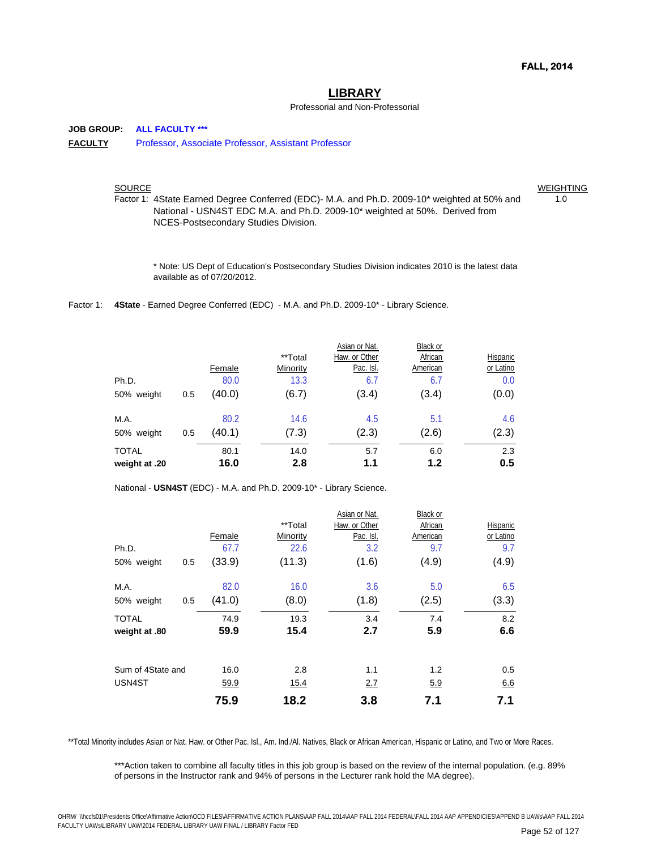#### **LIBRARY**

#### Professorial and Non-Professorial

**JOB GROUP: ALL FACULTY \*\*\* FACULTY** Professor, Associate Professor, Assistant Professor

SOURCE WEIGHTING AND THE SOURCE WEIGHTING AND THE SOURCE AND THE SOURCE AND THE SOURCE AND THE SOURCE AND THE SOURCE AND THE SOURCE AND THE SOURCE AND THE SOURCE AND THE SOURCE AND THE SOURCE AND THE SOURCE AND THE SOURCE

Factor 1: 4State Earned Degree Conferred (EDC)- M.A. and Ph.D. 2009-10\* weighted at 50% and  $1.0$ National - USN4ST EDC M.A. and Ph.D. 2009-10\* weighted at 50%. Derived from NCES-Postsecondary Studies Division.

\* Note: US Dept of Education's Postsecondary Studies Division indicates 2010 is the latest data available as of 07/20/2012.

Factor 1: 4State - Earned Degree Conferred (EDC) - M.A. and Ph.D. 2009-10<sup>\*</sup> - Library Science.

|               |     |        |          | Asian or Nat. | Black or |           |
|---------------|-----|--------|----------|---------------|----------|-----------|
|               |     |        | **Total  | Haw. or Other | African  | Hispanic  |
|               |     | Female | Minority | Pac. Isl.     | American | or Latino |
| Ph.D.         |     | 80.0   | 13.3     | 6.7           | 6.7      | 0.0       |
| 50% weight    | 0.5 | (40.0) | (6.7)    | (3.4)         | (3.4)    | (0.0)     |
| M.A.          |     | 80.2   | 14.6     | 4.5           | 5.1      | 4.6       |
| 50% weight    | 0.5 | (40.1) | (7.3)    | (2.3)         | (2.6)    | (2.3)     |
| <b>TOTAL</b>  |     | 80.1   | 14.0     | 5.7           | 6.0      | 2.3       |
| weight at .20 |     | 16.0   | 2.8      | 1.1           | 1.2      | 0.5       |

National - **USN4ST** (EDC) - M.A. and Ph.D. 2009-10\* - Library Science.

|                   |     |        |          | Asian or Nat. | <b>Black or</b> |           |
|-------------------|-----|--------|----------|---------------|-----------------|-----------|
|                   |     |        | **Total  | Haw. or Other | African         | Hispanic  |
|                   |     | Female | Minority | Pac. Isl.     | American        | or Latino |
| Ph.D.             |     | 67.7   | 22.6     | 3.2           | 9.7             | 9.7       |
| 50% weight        | 0.5 | (33.9) | (11.3)   | (1.6)         | (4.9)           | (4.9)     |
| M.A.              |     | 82.0   | 16.0     | 3.6           | 5.0             | 6.5       |
| 50% weight        | 0.5 | (41.0) | (8.0)    | (1.8)         | (2.5)           | (3.3)     |
| <b>TOTAL</b>      |     | 74.9   | 19.3     | 3.4           | 7.4             | 8.2       |
| weight at .80     |     | 59.9   | 15.4     | 2.7           | 5.9             | 6.6       |
| Sum of 4State and |     | 16.0   | 2.8      | 1.1           | 1.2             | 0.5       |
| USN4ST            |     | 59.9   | 15.4     | 2.7           | 5.9             | 6.6       |
|                   |     | 75.9   | 18.2     | 3.8           | 7.1             | 7.1       |

\*\*Total Minority includes Asian or Nat. Haw. or Other Pac. Isl., Am. Ind./Al. Natives, Black or African American, Hispanic or Latino, and Two or More Races.

\*\*\*Action taken to combine all faculty titles in this job group is based on the review of the internal population. (e.g. 89% of persons in the Instructor rank and 94% of persons in the Lecturer rank hold the MA degree).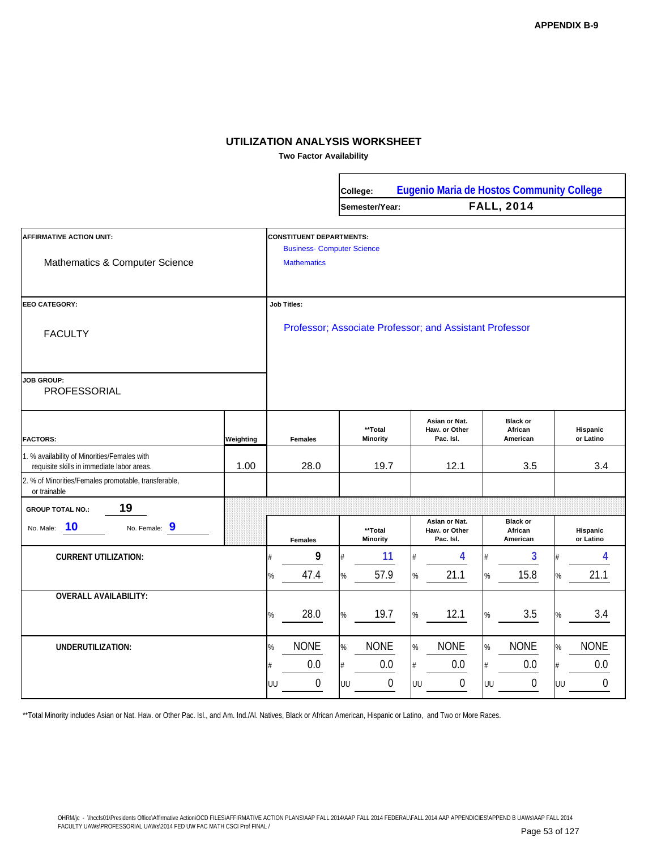**Two Factor Availability**

 $\Gamma$ 

|                                                                                            |           |                                                                      | <b>Eugenio Maria de Hostos Community College</b><br>College: |                            |    |                                             |      |                                        |      |                       |
|--------------------------------------------------------------------------------------------|-----------|----------------------------------------------------------------------|--------------------------------------------------------------|----------------------------|----|---------------------------------------------|------|----------------------------------------|------|-----------------------|
|                                                                                            |           |                                                                      |                                                              | Semester/Year:             |    |                                             |      | <b>FALL, 2014</b>                      |      |                       |
| <b>AFFIRMATIVE ACTION UNIT:</b>                                                            |           | <b>CONSTITUENT DEPARTMENTS:</b><br><b>Business- Computer Science</b> |                                                              |                            |    |                                             |      |                                        |      |                       |
| Mathematics & Computer Science                                                             |           | <b>Mathematics</b>                                                   |                                                              |                            |    |                                             |      |                                        |      |                       |
| EEO CATEGORY:                                                                              |           | <b>Job Titles:</b>                                                   |                                                              |                            |    |                                             |      |                                        |      |                       |
| <b>FACULTY</b>                                                                             |           | Professor; Associate Professor; and Assistant Professor              |                                                              |                            |    |                                             |      |                                        |      |                       |
| <b>JOB GROUP:</b><br>PROFESSORIAL                                                          |           |                                                                      |                                                              |                            |    |                                             |      |                                        |      |                       |
| <b>FACTORS:</b>                                                                            | Weighting | <b>Females</b>                                                       |                                                              | **Total<br><b>Minority</b> |    | Asian or Nat.<br>Haw. or Other<br>Pac. Isl. |      | <b>Black or</b><br>African<br>American |      | Hispanic<br>or Latino |
| 1. % availability of Minorities/Females with<br>requisite skills in immediate labor areas. | 1.00      | 28.0                                                                 |                                                              | 19.7                       |    | 12.1                                        |      | 3.5                                    |      | 3.4                   |
| 2. % of Minorities/Females promotable, transferable,<br>or trainable                       |           |                                                                      |                                                              |                            |    |                                             |      |                                        |      |                       |
| 19<br><b>GROUP TOTAL NO.:</b>                                                              |           |                                                                      |                                                              |                            |    |                                             |      |                                        |      |                       |
| 10<br>No. Female: 9<br>No. Male:                                                           |           | <b>Females</b>                                                       |                                                              | **Total<br><b>Minority</b> |    | Asian or Nat.<br>Haw. or Other<br>Pac. Isl. |      | <b>Black or</b><br>African<br>American |      | Hispanic<br>or Latino |
| <b>CURRENT UTILIZATION:</b>                                                                |           | 9<br>#                                                               |                                                              | 11                         |    | 4                                           | #    | 3                                      | #    | 4                     |
|                                                                                            |           | 47.4<br>%                                                            | $\%$                                                         | 57.9                       | %  | 21.1                                        | $\%$ | 15.8                                   | %    | 21.1                  |
| <b>OVERALL AVAILABILITY:</b>                                                               |           |                                                                      |                                                              |                            |    |                                             |      |                                        |      |                       |
|                                                                                            |           | 28.0<br>%                                                            | $\%$                                                         | 19.7                       | %  | 12.1                                        | $\%$ | 3.5                                    | %    | 3.4                   |
| UNDERUTILIZATION:                                                                          |           | <b>NONE</b><br>%                                                     | $\%$                                                         | <b>NONE</b>                | %  | <b>NONE</b>                                 | $\%$ | <b>NONE</b>                            | $\%$ | <b>NONE</b>           |
|                                                                                            |           | 0.0<br>#                                                             | #                                                            | 0.0                        | #  | 0.0                                         | #    | 0.0                                    | #    | 0.0                   |
|                                                                                            |           | 0<br>UU                                                              | UU                                                           | 0                          | UU | $\boldsymbol{0}$                            | UU   | $\boldsymbol{0}$                       | UU   | $\boldsymbol{0}$      |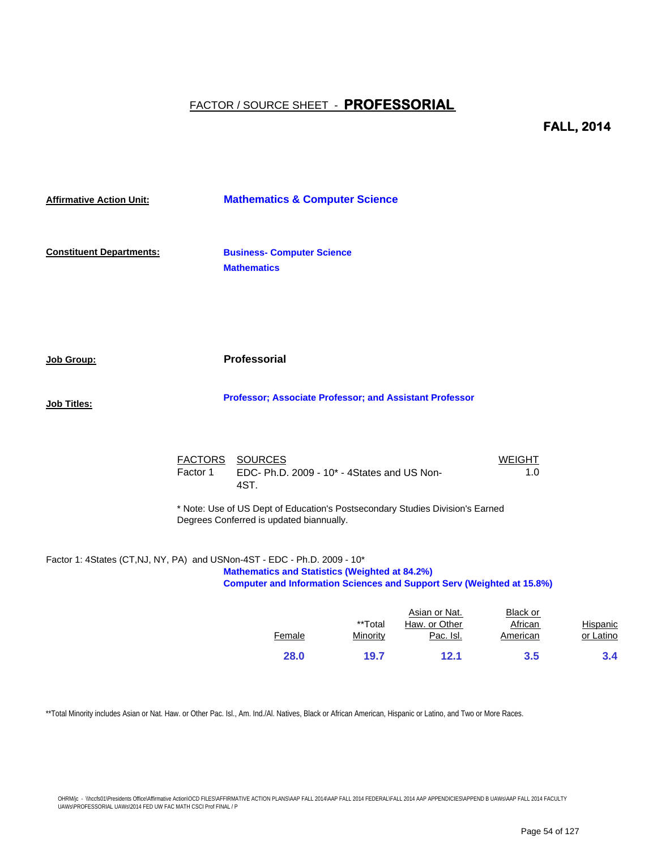**FALL, 2014**

| <b>Affirmative Action Unit:</b> |          | <b>Mathematics &amp; Computer Science</b>                                                                                                                                                                          |               |                      |          |
|---------------------------------|----------|--------------------------------------------------------------------------------------------------------------------------------------------------------------------------------------------------------------------|---------------|----------------------|----------|
| <b>Constituent Departments:</b> |          | <b>Business- Computer Science</b><br><b>Mathematics</b>                                                                                                                                                            |               |                      |          |
| <b>Job Group:</b>               |          | <b>Professorial</b>                                                                                                                                                                                                |               |                      |          |
| <b>Job Titles:</b>              |          | Professor; Associate Professor; and Assistant Professor                                                                                                                                                            |               |                      |          |
|                                 | Factor 1 | FACTORS SOURCES<br>EDC- Ph.D. 2009 - 10* - 4States and US Non-<br>4ST.                                                                                                                                             |               | <b>WEIGHT</b><br>1.0 |          |
|                                 |          | * Note: Use of US Dept of Education's Postsecondary Studies Division's Earned<br>Degrees Conferred is updated biannually.                                                                                          |               |                      |          |
|                                 |          | Factor 1: 4States (CT,NJ, NY, PA) and USNon-4ST - EDC - Ph.D. 2009 - 10*<br><b>Mathematics and Statistics (Weighted at 84.2%)</b><br><b>Computer and Information Sciences and Support Serv (Weighted at 15.8%)</b> |               |                      |          |
|                                 |          |                                                                                                                                                                                                                    | Asian or Nat. | Black or             | $\cdots$ |

|                 | <b>Black or</b> | Asian or Nat. |          |        |
|-----------------|-----------------|---------------|----------|--------|
| <b>Hispanic</b> | African         | Haw, or Other | **Total  |        |
| or Latino       | American        | Pac. Isl.     | Minority | Female |
| 3.4             | 3.5             | 12.1          | 19.7     | 28.0   |
|                 |                 |               |          |        |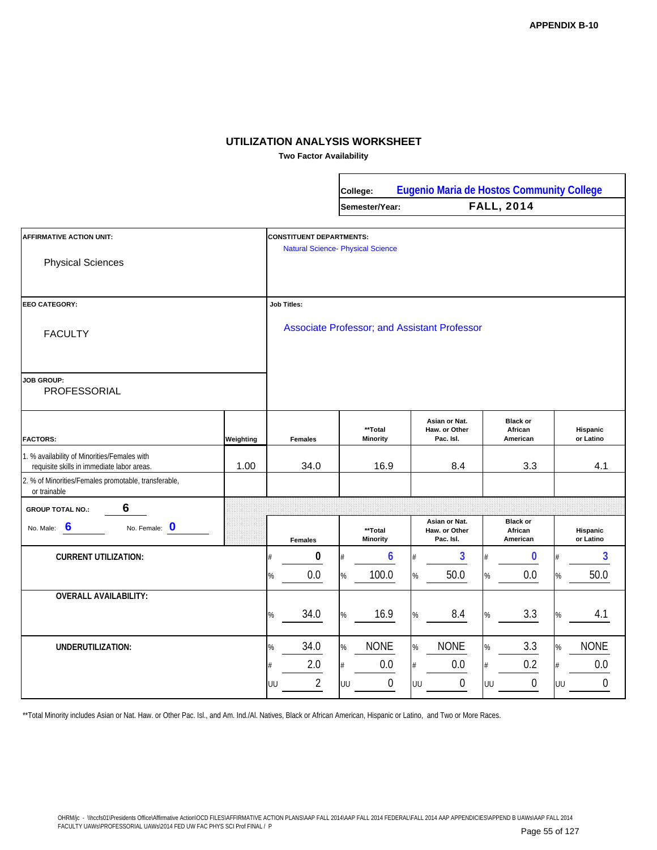**Two Factor Availability**

Г

|                                                                                            |           |                                                                             | Eugenio Maria de Hostos Community College<br>College: |                            |                                              |                                             |      |                                        |    |                       |
|--------------------------------------------------------------------------------------------|-----------|-----------------------------------------------------------------------------|-------------------------------------------------------|----------------------------|----------------------------------------------|---------------------------------------------|------|----------------------------------------|----|-----------------------|
|                                                                                            |           |                                                                             |                                                       | Semester/Year:             |                                              |                                             |      | <b>FALL, 2014</b>                      |    |                       |
| <b>AFFIRMATIVE ACTION UNIT:</b><br><b>Physical Sciences</b>                                |           | <b>CONSTITUENT DEPARTMENTS:</b><br><b>Natural Science- Physical Science</b> |                                                       |                            |                                              |                                             |      |                                        |    |                       |
| <b>EEO CATEGORY:</b>                                                                       |           | <b>Job Titles:</b>                                                          |                                                       |                            |                                              |                                             |      |                                        |    |                       |
| <b>FACULTY</b>                                                                             |           |                                                                             |                                                       |                            | Associate Professor; and Assistant Professor |                                             |      |                                        |    |                       |
| <b>JOB GROUP:</b><br>PROFESSORIAL                                                          |           |                                                                             |                                                       |                            |                                              |                                             |      |                                        |    |                       |
| <b>FACTORS:</b>                                                                            | Weighting | <b>Females</b>                                                              |                                                       | **Total<br><b>Minority</b> |                                              | Asian or Nat.<br>Haw. or Other<br>Pac. Isl. |      | <b>Black or</b><br>African<br>American |    | Hispanic<br>or Latino |
| 1. % availability of Minorities/Females with<br>requisite skills in immediate labor areas. | 1.00      | 34.0                                                                        |                                                       | 16.9                       |                                              | 8.4                                         |      | 3.3                                    |    | 4.1                   |
| 2. % of Minorities/Females promotable, transferable,<br>or trainable                       |           |                                                                             |                                                       |                            |                                              |                                             |      |                                        |    |                       |
| 6<br><b>GROUP TOTAL NO.:</b>                                                               |           |                                                                             |                                                       |                            |                                              |                                             |      |                                        |    |                       |
| 6<br>No. Female: 0<br>No. Male:                                                            |           | <b>Females</b>                                                              |                                                       | **Total<br><b>Minority</b> |                                              | Asian or Nat.<br>Haw. or Other<br>Pac. Isl. |      | <b>Black or</b><br>African<br>American |    | Hispanic<br>or Latino |
| <b>CURRENT UTILIZATION:</b>                                                                |           | $\bf{0}$                                                                    |                                                       | 6                          |                                              | 3                                           | #    | 0                                      |    | 3                     |
|                                                                                            |           | 0.0<br>%                                                                    | $\%$                                                  | 100.0                      | %                                            | 50.0                                        | %    | 0.0                                    | %  | 50.0                  |
| <b>OVERALL AVAILABILITY:</b>                                                               |           |                                                                             |                                                       |                            |                                              |                                             |      |                                        |    |                       |
|                                                                                            |           | 34.0<br>%                                                                   | $\%$                                                  | 16.9                       | %                                            | 8.4                                         | %    | 3.3                                    | %  | 4.1                   |
| UNDERUTILIZATION:                                                                          |           | 34.0<br>%                                                                   | $\%$                                                  | <b>NONE</b>                | %                                            | <b>NONE</b>                                 | %    | 3.3                                    | %  | <b>NONE</b>           |
|                                                                                            |           | 2.0                                                                         | #                                                     | 0.0                        |                                              | 0.0                                         | $\#$ | 0.2                                    | #  | 0.0                   |
|                                                                                            |           | $\overline{2}$<br>UU                                                        | UU                                                    | $\mathbf 0$                | UU                                           | $\boldsymbol{0}$                            | UU   | $\boldsymbol{0}$                       | UU | $\theta$              |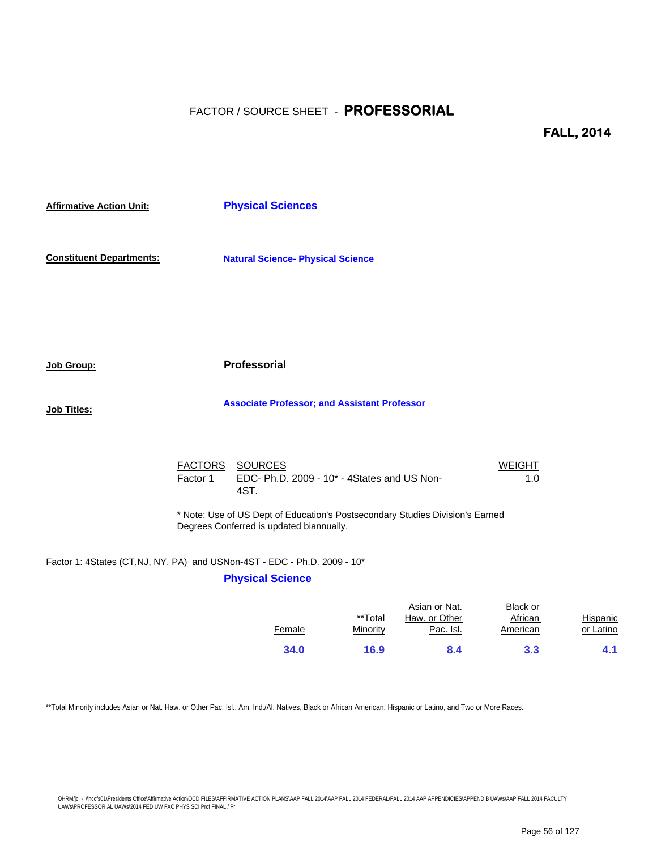**FALL, 2014**

| <b>Affirmative Action Unit:</b> |                                                                                                                           | <b>Physical Sciences</b>                                               |                      |  |  |  |  |  |
|---------------------------------|---------------------------------------------------------------------------------------------------------------------------|------------------------------------------------------------------------|----------------------|--|--|--|--|--|
| <b>Constituent Departments:</b> |                                                                                                                           | <b>Natural Science- Physical Science</b>                               |                      |  |  |  |  |  |
|                                 |                                                                                                                           |                                                                        |                      |  |  |  |  |  |
| <u>Job Group:</u>               |                                                                                                                           | Professorial                                                           |                      |  |  |  |  |  |
| Job Titles:                     |                                                                                                                           | <b>Associate Professor; and Assistant Professor</b>                    |                      |  |  |  |  |  |
|                                 | Factor 1                                                                                                                  | FACTORS SOURCES<br>EDC- Ph.D. 2009 - 10* - 4States and US Non-<br>4ST. | <b>WEIGHT</b><br>1.0 |  |  |  |  |  |
|                                 | * Note: Use of US Dept of Education's Postsecondary Studies Division's Earned<br>Degrees Conferred is updated biannually. |                                                                        |                      |  |  |  |  |  |

#### Factor 1: 4States (CT,NJ, NY, PA) and USNon-4ST - EDC - Ph.D. 2009 - 10\*

#### **Physical Science**

|        |          | Asian or Nat. | Black or |           |
|--------|----------|---------------|----------|-----------|
|        | **Total  | Haw. or Other | African  | Hispanic  |
| Female | Minority | Pac. Isl.     | American | or Latino |
|        |          |               |          |           |
| 34.0   | 16.9     | 8.4           | 3.3      | 4.1       |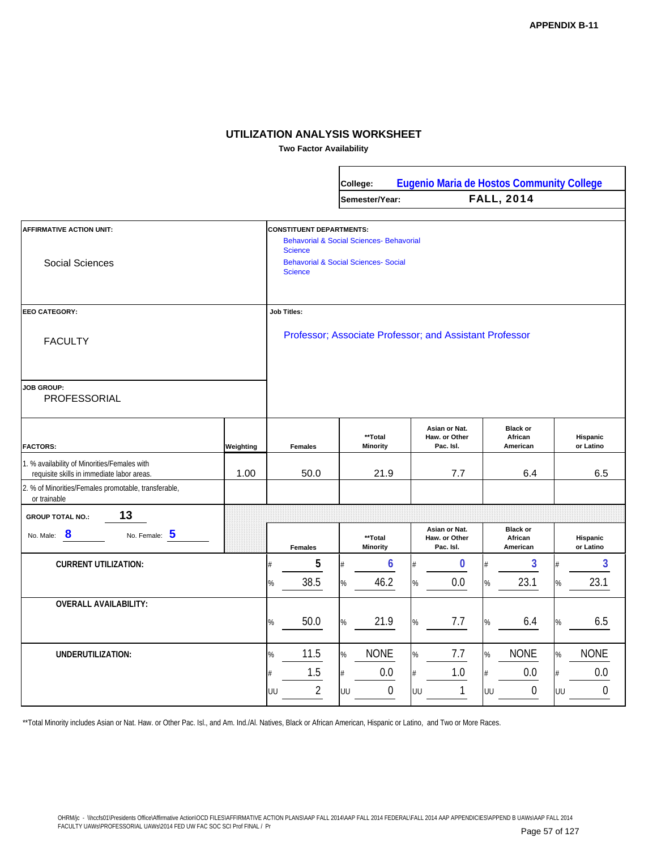**Two Factor Availability**

|                                                                                            |           |                                                                                                                                                                    |                       |         | College:                |    | <b>Eugenio Maria de Hostos Community College</b> |         |                                        |         |                       |
|--------------------------------------------------------------------------------------------|-----------|--------------------------------------------------------------------------------------------------------------------------------------------------------------------|-----------------------|---------|-------------------------|----|--------------------------------------------------|---------|----------------------------------------|---------|-----------------------|
|                                                                                            |           |                                                                                                                                                                    |                       |         | Semester/Year:          |    |                                                  |         | <b>FALL, 2014</b>                      |         |                       |
| <b>AFFIRMATIVE ACTION UNIT:</b><br><b>Social Sciences</b>                                  |           | <b>CONSTITUENT DEPARTMENTS:</b><br>Behavorial & Social Sciences- Behavorial<br><b>Science</b><br><b>Behavorial &amp; Social Sciences- Social</b><br><b>Science</b> |                       |         |                         |    |                                                  |         |                                        |         |                       |
| <b>EEO CATEGORY:</b>                                                                       |           |                                                                                                                                                                    | <b>Job Titles:</b>    |         |                         |    |                                                  |         |                                        |         |                       |
| <b>FACULTY</b>                                                                             |           | Professor; Associate Professor; and Assistant Professor                                                                                                            |                       |         |                         |    |                                                  |         |                                        |         |                       |
| <b>JOB GROUP:</b><br><b>PROFESSORIAL</b>                                                   |           |                                                                                                                                                                    |                       |         |                         |    |                                                  |         |                                        |         |                       |
| <b>FACTORS:</b>                                                                            | Weighting |                                                                                                                                                                    | <b>Females</b>        |         | **Total<br>Minority     |    | Asian or Nat.<br>Haw. or Other<br>Pac. Isl.      |         | <b>Black or</b><br>African<br>American |         | Hispanic<br>or Latino |
| 1. % availability of Minorities/Females with<br>requisite skills in immediate labor areas. | 1.00      |                                                                                                                                                                    | 50.0                  |         | 21.9                    |    | 7.7                                              |         | 6.4                                    |         | 6.5                   |
| 2. % of Minorities/Females promotable, transferable,<br>or trainable                       |           |                                                                                                                                                                    |                       |         |                         |    |                                                  |         |                                        |         |                       |
| 13<br><b>GROUP TOTAL NO.:</b>                                                              |           |                                                                                                                                                                    |                       |         |                         |    |                                                  |         |                                        |         |                       |
| No. Female: 5<br>No. Male: 8                                                               |           |                                                                                                                                                                    | <b>Females</b>        |         | **Total<br>Minority     |    | Asian or Nat.<br>Haw. or Other<br>Pac. Isl.      |         | <b>Black or</b><br>African<br>American |         | Hispanic<br>or Latino |
| <b>CURRENT UTILIZATION:</b>                                                                |           |                                                                                                                                                                    | 5                     |         | 6                       |    | 0                                                |         | 3                                      | #       | 3                     |
|                                                                                            |           | %                                                                                                                                                                  | 38.5                  | $\%$    | 46.2                    | %  | 0.0                                              | %       | 23.1                                   | $\%$    | 23.1                  |
| <b>OVERALL AVAILABILITY:</b>                                                               |           | %                                                                                                                                                                  | 50.0                  | $\%$    | 21.9                    | %  | 7.7                                              | %       | 6.4                                    | %       | 6.5                   |
| UNDERUTILIZATION:                                                                          |           | %                                                                                                                                                                  | 11.5                  | $\%$    | <b>NONE</b>             | %  | 7.7                                              | %       | <b>NONE</b>                            | $\%$    | <b>NONE</b>           |
|                                                                                            |           | #<br>UU                                                                                                                                                            | 1.5<br>$\overline{2}$ | #<br>UU | 0.0<br>$\boldsymbol{0}$ | UU | 1.0<br>1                                         | #<br>UU | 0.0<br>$\boldsymbol{0}$                | #<br>UU | 0.0<br>$\mathbf 0$    |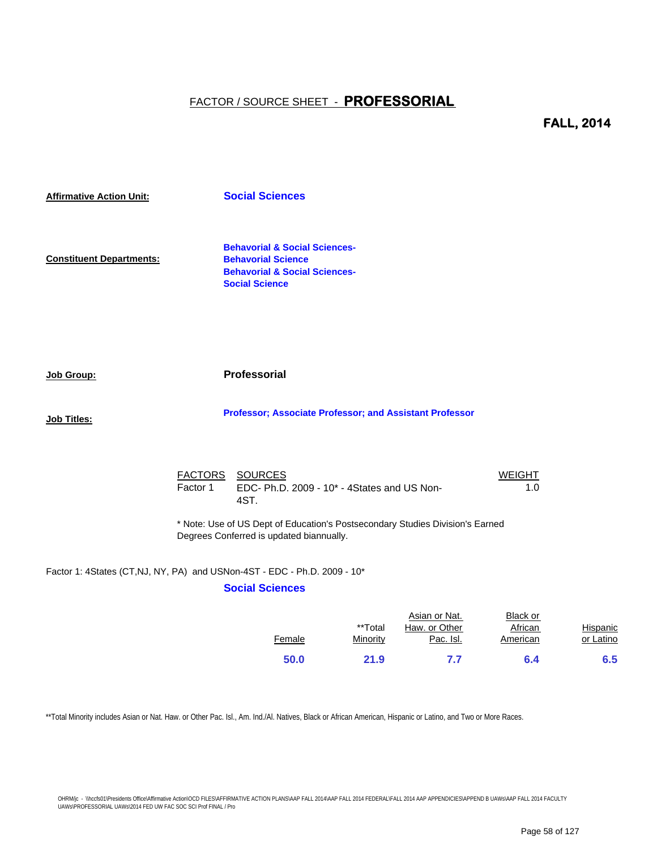#### **FALL, 2014**

| <b>Affirmative Action Unit:</b> |          | <b>Social Sciences</b>                                                                                                                     |                      |
|---------------------------------|----------|--------------------------------------------------------------------------------------------------------------------------------------------|----------------------|
| <b>Constituent Departments:</b> |          | <b>Behavorial &amp; Social Sciences-</b><br><b>Behavorial Science</b><br><b>Behavorial &amp; Social Sciences-</b><br><b>Social Science</b> |                      |
| Job Group:                      |          | <b>Professorial</b>                                                                                                                        |                      |
| Job Titles:                     |          | Professor; Associate Professor; and Assistant Professor                                                                                    |                      |
|                                 | Factor 1 | FACTORS SOURCES<br>EDC- Ph.D. 2009 - 10* - 4States and US Non-<br>4ST.                                                                     | <b>WEIGHT</b><br>1.0 |
|                                 |          | * Note: Use of US Dept of Education's Postsecondary Studies Division's Earned<br>Degrees Conferred is updated biannually.                  |                      |
|                                 |          | Factor 1: 4States (CT,NJ, NY, PA) and USNon-4ST - EDC - Ph.D. 2009 - 10*                                                                   |                      |

#### **Social Sciences**

|        | **Total  | Asian or Nat.<br>Haw. or Other | Black or<br>African | Hispanic  |
|--------|----------|--------------------------------|---------------------|-----------|
| Female | Minority | Pac. Isl.                      | American            | or Latino |
| 50.0   | 21.9     | 7.7                            | 6.4                 | 6.5       |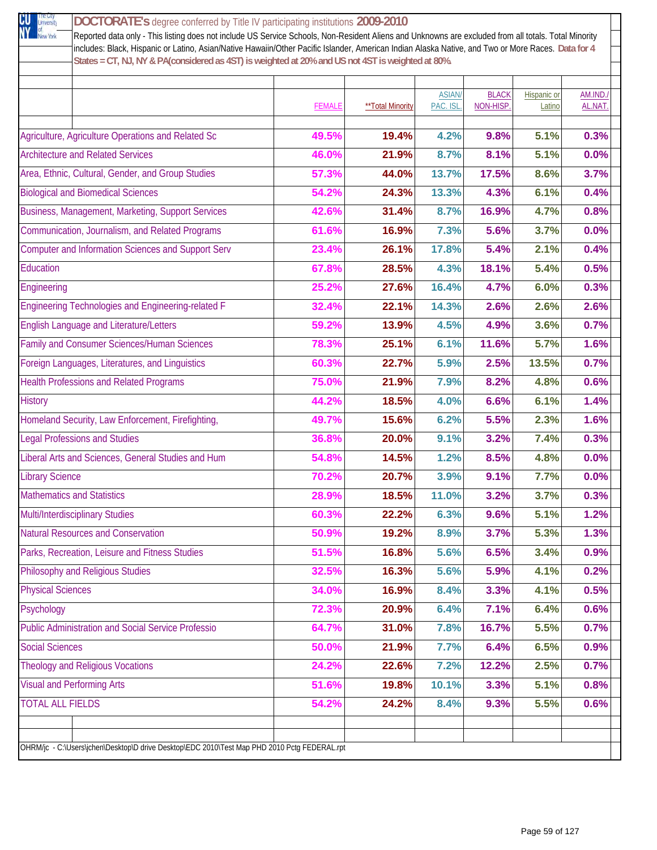| New York<br>Reported data only - This listing does not include US Service Schools, Non-Resident Aliens and Unknowns are excluded from all totals. Total Minority<br>includes: Black, Hispanic or Latino, Asian/Native Hawaiin/Other Pacific Islander, American Indian Alaska Native, and Two or More Races. Data for 4 |               |                         |              |              |                    |         |
|------------------------------------------------------------------------------------------------------------------------------------------------------------------------------------------------------------------------------------------------------------------------------------------------------------------------|---------------|-------------------------|--------------|--------------|--------------------|---------|
| States = CT, NJ, NY & PA(considered as 4ST) is weighted at 20% and US not 4ST is weighted at 80%.                                                                                                                                                                                                                      |               |                         |              |              |                    |         |
|                                                                                                                                                                                                                                                                                                                        |               |                         | <b>ASIAN</b> | <b>BLACK</b> | <b>Hispanic or</b> | AM.IND. |
|                                                                                                                                                                                                                                                                                                                        | <b>FEMALE</b> | <b>**Total Minority</b> | PAC. ISL.    | NON-HISP.    | Latino             | AL.NAT  |
| Agriculture, Agriculture Operations and Related Sc                                                                                                                                                                                                                                                                     | 49.5%         | 19.4%                   | 4.2%         | 9.8%         | 5.1%               | 0.3%    |
| <b>Architecture and Related Services</b>                                                                                                                                                                                                                                                                               | 46.0%         | 21.9%                   | 8.7%         | 8.1%         | 5.1%               | 0.0%    |
| Area, Ethnic, Cultural, Gender, and Group Studies                                                                                                                                                                                                                                                                      | 57.3%         | 44.0%                   | 13.7%        | 17.5%        | 8.6%               | 3.7%    |
| <b>Biological and Biomedical Sciences</b>                                                                                                                                                                                                                                                                              | 54.2%         | 24.3%                   | 13.3%        | 4.3%         | 6.1%               | 0.4%    |
| Business, Management, Marketing, Support Services                                                                                                                                                                                                                                                                      | 42.6%         | 31.4%                   | 8.7%         | 16.9%        | 4.7%               | 0.8%    |
| Communication, Journalism, and Related Programs                                                                                                                                                                                                                                                                        | 61.6%         | 16.9%                   | 7.3%         | 5.6%         | 3.7%               | 0.0%    |
| <b>Computer and Information Sciences and Support Serv</b>                                                                                                                                                                                                                                                              | 23.4%         | 26.1%                   | 17.8%        | 5.4%         | 2.1%               | 0.4%    |
| Education                                                                                                                                                                                                                                                                                                              | 67.8%         | 28.5%                   | 4.3%         | 18.1%        | 5.4%               | 0.5%    |
| Engineering                                                                                                                                                                                                                                                                                                            | 25.2%         | 27.6%                   | 16.4%        | 4.7%         | 6.0%               | 0.3%    |
| Engineering Technologies and Engineering-related F                                                                                                                                                                                                                                                                     | 32.4%         | 22.1%                   | 14.3%        | 2.6%         | 2.6%               | 2.6%    |
| <b>English Language and Literature/Letters</b>                                                                                                                                                                                                                                                                         | 59.2%         | 13.9%                   | 4.5%         | 4.9%         | 3.6%               | 0.7%    |
| Family and Consumer Sciences/Human Sciences                                                                                                                                                                                                                                                                            | 78.3%         | 25.1%                   | 6.1%         | 11.6%        | 5.7%               | 1.6%    |
| Foreign Languages, Literatures, and Linguistics                                                                                                                                                                                                                                                                        | 60.3%         | 22.7%                   | 5.9%         | 2.5%         | 13.5%              | 0.7%    |
| <b>Health Professions and Related Programs</b>                                                                                                                                                                                                                                                                         | 75.0%         | 21.9%                   | 7.9%         | 8.2%         | 4.8%               | 0.6%    |
| <b>History</b>                                                                                                                                                                                                                                                                                                         | 44.2%         | 18.5%                   | 4.0%         | 6.6%         | 6.1%               | 1.4%    |
| Homeland Security, Law Enforcement, Firefighting,                                                                                                                                                                                                                                                                      | 49.7%         | 15.6%                   | 6.2%         | 5.5%         | 2.3%               | 1.6%    |
| <b>Legal Professions and Studies</b>                                                                                                                                                                                                                                                                                   | 36.8%         | 20.0%                   | 9.1%         | 3.2%         | 7.4%               | 0.3%    |
| Liberal Arts and Sciences, General Studies and Hum                                                                                                                                                                                                                                                                     | 54.8%         | 14.5%                   | 1.2%         | 8.5%         | 4.8%               | 0.0%    |
| <b>Library Science</b>                                                                                                                                                                                                                                                                                                 | 70.2%         | 20.7%                   | 3.9%         | 9.1%         | 7.7%               | 0.0%    |
| <b>Mathematics and Statistics</b>                                                                                                                                                                                                                                                                                      | 28.9%         | 18.5%                   | 11.0%        | 3.2%         | 3.7%               | 0.3%    |
| <b>Multi/Interdisciplinary Studies</b>                                                                                                                                                                                                                                                                                 | 60.3%         | 22.2%                   | 6.3%         | 9.6%         | 5.1%               | 1.2%    |
| <b>Natural Resources and Conservation</b>                                                                                                                                                                                                                                                                              | 50.9%         | 19.2%                   | 8.9%         | 3.7%         | 5.3%               | 1.3%    |
| Parks, Recreation, Leisure and Fitness Studies                                                                                                                                                                                                                                                                         | 51.5%         | 16.8%                   | 5.6%         | 6.5%         | 3.4%               | 0.9%    |
| Philosophy and Religious Studies                                                                                                                                                                                                                                                                                       | 32.5%         | 16.3%                   | 5.6%         | 5.9%         | 4.1%               | 0.2%    |
| <b>Physical Sciences</b>                                                                                                                                                                                                                                                                                               | 34.0%         | 16.9%                   | 8.4%         | 3.3%         | 4.1%               | 0.5%    |
| Psychology                                                                                                                                                                                                                                                                                                             | 72.3%         | 20.9%                   | 6.4%         | 7.1%         | 6.4%               | 0.6%    |
| <b>Public Administration and Social Service Professio</b>                                                                                                                                                                                                                                                              | 64.7%         | 31.0%                   | 7.8%         | 16.7%        | 5.5%               | 0.7%    |
| <b>Social Sciences</b>                                                                                                                                                                                                                                                                                                 | 50.0%         | 21.9%                   | 7.7%         | 6.4%         | 6.5%               | 0.9%    |
| <b>Theology and Religious Vocations</b>                                                                                                                                                                                                                                                                                | 24.2%         | 22.6%                   | 7.2%         | 12.2%        | 2.5%               | 0.7%    |
| <b>Visual and Performing Arts</b>                                                                                                                                                                                                                                                                                      | 51.6%         | 19.8%                   | 10.1%        | 3.3%         | 5.1%               | 0.8%    |
| <b>TOTAL ALL FIELDS</b>                                                                                                                                                                                                                                                                                                | 54.2%         | 24.2%                   | 8.4%         | 9.3%         | 5.5%               | 0.6%    |
|                                                                                                                                                                                                                                                                                                                        |               |                         |              |              |                    |         |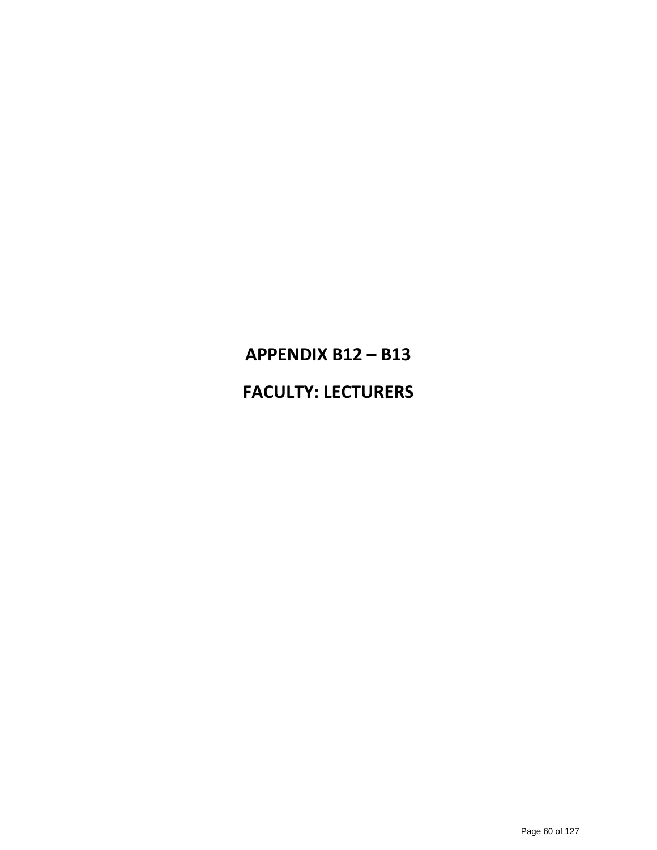# **APPENDIX B12 – B13 FACULTY: LECTURERS**

#### Page 60 of 127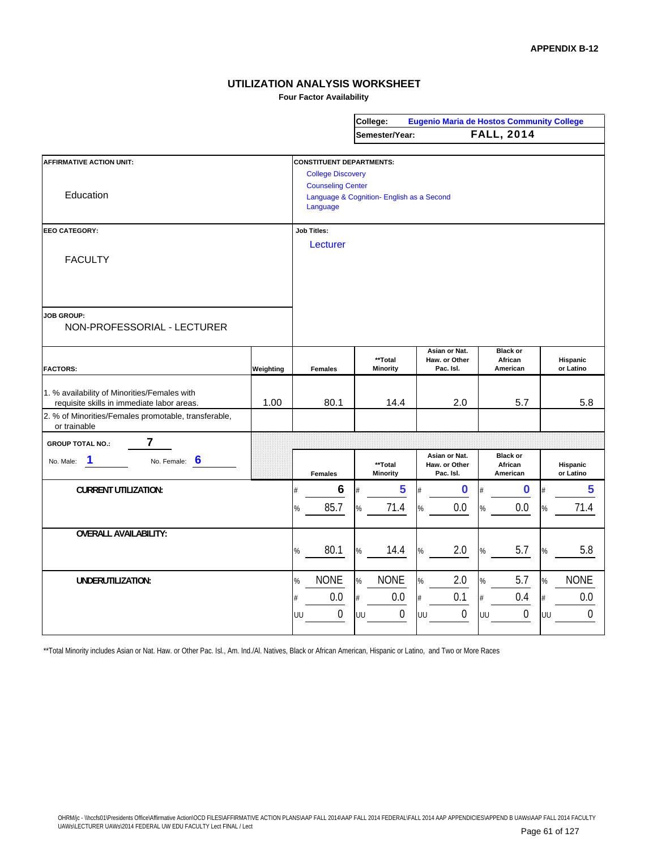**Four Factor Availability**

|                                                      |           |      |                                           |    | College:         |      |                            |    | <b>Eugenio Maria de Hostos Community College</b> |    |                       |
|------------------------------------------------------|-----------|------|-------------------------------------------|----|------------------|------|----------------------------|----|--------------------------------------------------|----|-----------------------|
|                                                      |           |      |                                           |    | Semester/Year:   |      |                            |    | <b>FALL, 2014</b>                                |    |                       |
|                                                      |           |      |                                           |    |                  |      |                            |    |                                                  |    |                       |
| <b>AFFIRMATIVE ACTION UNIT:</b>                      |           |      | <b>CONSTITUENT DEPARTMENTS:</b>           |    |                  |      |                            |    |                                                  |    |                       |
|                                                      |           |      | <b>College Discovery</b>                  |    |                  |      |                            |    |                                                  |    |                       |
|                                                      |           |      | <b>Counseling Center</b>                  |    |                  |      |                            |    |                                                  |    |                       |
| Education                                            |           |      | Language & Cognition- English as a Second |    |                  |      |                            |    |                                                  |    |                       |
|                                                      |           |      | Language                                  |    |                  |      |                            |    |                                                  |    |                       |
|                                                      |           |      |                                           |    |                  |      |                            |    |                                                  |    |                       |
| <b>EEO CATEGORY:</b>                                 |           |      | <b>Job Titles:</b>                        |    |                  |      |                            |    |                                                  |    |                       |
|                                                      |           |      | Lecturer                                  |    |                  |      |                            |    |                                                  |    |                       |
| <b>FACULTY</b>                                       |           |      |                                           |    |                  |      |                            |    |                                                  |    |                       |
|                                                      |           |      |                                           |    |                  |      |                            |    |                                                  |    |                       |
|                                                      |           |      |                                           |    |                  |      |                            |    |                                                  |    |                       |
|                                                      |           |      |                                           |    |                  |      |                            |    |                                                  |    |                       |
| <b>JOB GROUP:</b>                                    |           |      |                                           |    |                  |      |                            |    |                                                  |    |                       |
| NON-PROFESSORIAL - LECTURER                          |           |      |                                           |    |                  |      |                            |    |                                                  |    |                       |
|                                                      |           |      |                                           |    |                  |      |                            |    |                                                  |    |                       |
|                                                      |           |      |                                           |    |                  |      | Asian or Nat.              |    | <b>Black or</b>                                  |    |                       |
| <b>FACTORS:</b>                                      |           |      |                                           |    | **Total          |      | Haw. or Other<br>Pac. Isl. |    | African<br>American                              |    | Hispanic<br>or Latino |
|                                                      | Weighting |      | <b>Females</b>                            |    | <b>Minority</b>  |      |                            |    |                                                  |    |                       |
| 1. % availability of Minorities/Females with         |           |      |                                           |    |                  |      |                            |    |                                                  |    |                       |
| requisite skills in immediate labor areas.           | 1.00      |      | 80.1                                      |    | 14.4             |      | 2.0                        |    | 5.7                                              |    | 5.8                   |
| 2. % of Minorities/Females promotable, transferable, |           |      |                                           |    |                  |      |                            |    |                                                  |    |                       |
| or trainable                                         |           |      |                                           |    |                  |      |                            |    |                                                  |    |                       |
| 7<br><b>GROUP TOTAL NO.:</b>                         |           |      |                                           |    |                  |      |                            |    |                                                  |    |                       |
|                                                      |           |      |                                           |    |                  |      | Asian or Nat.              |    | <b>Black or</b>                                  |    |                       |
| 1<br>6<br>No. Female:<br>No. Male:                   |           |      |                                           |    | **Total          |      | Haw. or Other              |    | African                                          |    | Hispanic              |
|                                                      |           |      | <b>Females</b>                            |    | <b>Minority</b>  |      | Pac. Isl.                  |    | American                                         |    | or Latino             |
| <b>CURRENT UTILIZATION:</b>                          |           | #    | 6                                         |    | 5                |      | 0                          |    | 0                                                |    | 5                     |
|                                                      |           | %    | 85.7                                      | %  | 71.4             | %    | 0.0                        | %  | 0.0                                              | %  | 71.4                  |
|                                                      |           |      |                                           |    |                  |      |                            |    |                                                  |    |                       |
| <b>OVERALL AVAILABILITY:</b>                         |           |      |                                           |    |                  |      |                            |    |                                                  |    |                       |
|                                                      |           |      |                                           |    |                  |      |                            |    |                                                  |    |                       |
|                                                      |           | $\%$ | 80.1                                      | %  | 14.4             | %    | 2.0                        | %  | 5.7                                              | %  | 5.8                   |
|                                                      |           |      |                                           |    |                  |      |                            |    |                                                  |    |                       |
| UNDERUTILIZATION:                                    |           | %    | <b>NONE</b>                               | %  | <b>NONE</b>      | %    | 2.0                        | %  | 5.7                                              | %  | <b>NONE</b>           |
|                                                      |           | #    | 0.0                                       | #  | 0.0              | $\#$ | 0.1                        | #  | 0.4                                              | #  | 0.0                   |
|                                                      |           |      |                                           |    |                  |      |                            |    |                                                  |    |                       |
|                                                      |           | UU   | $\boldsymbol{0}$                          | UU | $\boldsymbol{0}$ | UU   | $\boldsymbol{0}$           | UU | $\mathbf 0$                                      | UU | $\mathbf 0$           |
|                                                      |           |      |                                           |    |                  |      |                            |    |                                                  |    |                       |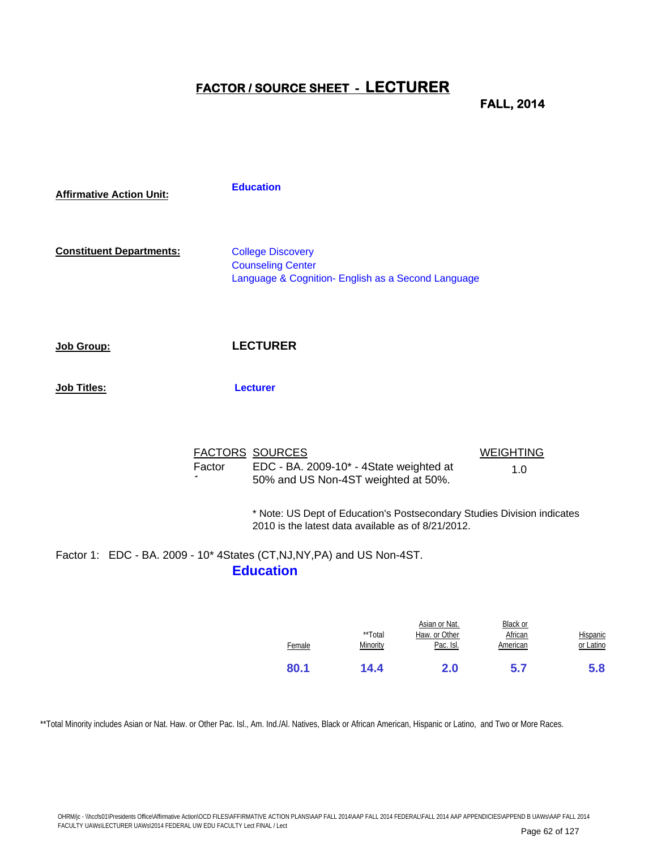## **FACTOR / SOURCE SHEET - LECTURER**

**FALL, 2014**

| <b>Affirmative Action Unit:</b> |        | <b>Education</b>                                                                                                              |                         |
|---------------------------------|--------|-------------------------------------------------------------------------------------------------------------------------------|-------------------------|
| <b>Constituent Departments:</b> |        | <b>College Discovery</b><br><b>Counseling Center</b><br>Language & Cognition- English as a Second Language                    |                         |
| Job Group:                      |        | <b>LECTURER</b>                                                                                                               |                         |
| Job Titles:                     |        | <b>Lecturer</b>                                                                                                               |                         |
|                                 | Factor | <b>FACTORS SOURCES</b><br>EDC - BA. 2009-10* - 4State weighted at<br>50% and US Non-4ST weighted at 50%.                      | <b>WEIGHTING</b><br>1.0 |
|                                 |        | * Note: US Dept of Education's Postsecondary Studies Division indicates<br>2010 is the latest data available as of 8/21/2012. |                         |

Factor 1: EDC - BA. 2009 - 10\* 4States (CT,NJ,NY,PA) and US Non-4ST. **Education**

| 80.1   | 14.4                | 2.0                                         | 5.7                             | 5.8                          |
|--------|---------------------|---------------------------------------------|---------------------------------|------------------------------|
| Female | **Total<br>Minority | Asian or Nat.<br>Haw. or Other<br>Pac. Isl. | Black or<br>African<br>American | <b>Hispanic</b><br>or Latino |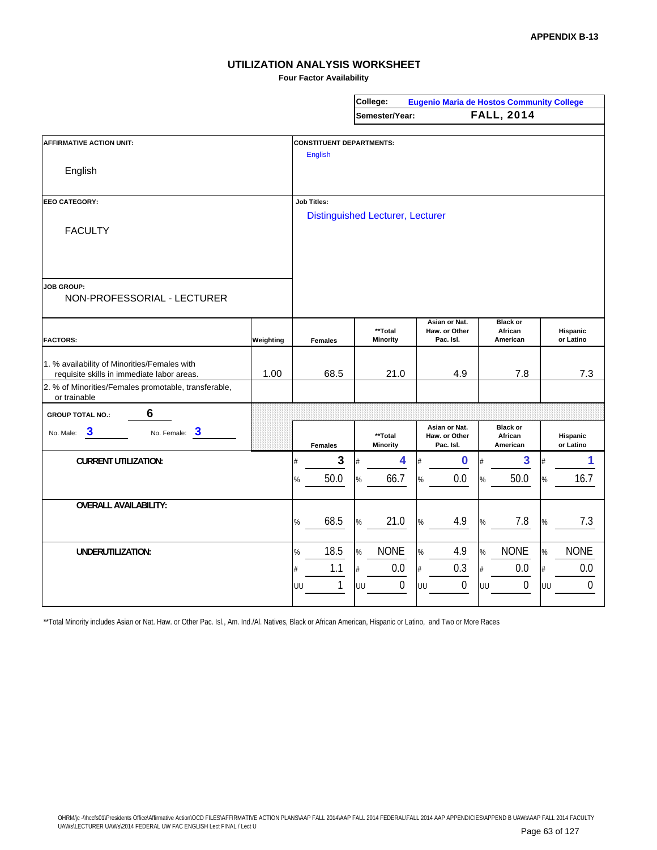**Four Factor Availability**

|                                                                                            |           |                                 | College:                                |                                | <b>Eugenio Maria de Hostos Community College</b> |                       |
|--------------------------------------------------------------------------------------------|-----------|---------------------------------|-----------------------------------------|--------------------------------|--------------------------------------------------|-----------------------|
|                                                                                            |           |                                 | Semester/Year:                          |                                | <b>FALL, 2014</b>                                |                       |
|                                                                                            |           |                                 |                                         |                                |                                                  |                       |
| <b>AFFIRMATIVE ACTION UNIT:</b>                                                            |           | <b>CONSTITUENT DEPARTMENTS:</b> |                                         |                                |                                                  |                       |
|                                                                                            |           | <b>English</b>                  |                                         |                                |                                                  |                       |
| English                                                                                    |           |                                 |                                         |                                |                                                  |                       |
|                                                                                            |           |                                 |                                         |                                |                                                  |                       |
| <b>EEO CATEGORY:</b>                                                                       |           | <b>Job Titles:</b>              |                                         |                                |                                                  |                       |
|                                                                                            |           |                                 | <b>Distinguished Lecturer, Lecturer</b> |                                |                                                  |                       |
| <b>FACULTY</b>                                                                             |           |                                 |                                         |                                |                                                  |                       |
|                                                                                            |           |                                 |                                         |                                |                                                  |                       |
|                                                                                            |           |                                 |                                         |                                |                                                  |                       |
|                                                                                            |           |                                 |                                         |                                |                                                  |                       |
| <b>JOB GROUP:</b>                                                                          |           |                                 |                                         |                                |                                                  |                       |
| NON-PROFESSORIAL - LECTURER                                                                |           |                                 |                                         |                                |                                                  |                       |
|                                                                                            |           |                                 |                                         |                                |                                                  |                       |
|                                                                                            |           |                                 | **Total                                 | Asian or Nat.<br>Haw. or Other | <b>Black or</b><br>African                       | Hispanic              |
| <b>FACTORS:</b>                                                                            | Weighting | <b>Females</b>                  | <b>Minority</b>                         | Pac. Isl.                      | American                                         | or Latino             |
|                                                                                            |           |                                 |                                         |                                |                                                  |                       |
| 1. % availability of Minorities/Females with<br>requisite skills in immediate labor areas. | 1.00      | 68.5                            | 21.0                                    | 4.9                            | 7.8                                              | 7.3                   |
| 2. % of Minorities/Females promotable, transferable,                                       |           |                                 |                                         |                                |                                                  |                       |
| or trainable                                                                               |           |                                 |                                         |                                |                                                  |                       |
| 6<br><b>GROUP TOTAL NO.:</b>                                                               |           |                                 |                                         |                                |                                                  |                       |
| No. Female: 3<br>$\boldsymbol{3}$<br>No. Male:                                             |           |                                 |                                         | Asian or Nat.                  | <b>Black or</b>                                  |                       |
|                                                                                            |           | <b>Females</b>                  | **Total<br><b>Minority</b>              | Haw. or Other<br>Pac. Isl.     | African<br>American                              | Hispanic<br>or Latino |
| <b>CURRENT UTILIZATION:</b>                                                                |           | $\mathbf{3}$                    | 4                                       | $\bf{0}$                       | 3                                                | 1                     |
|                                                                                            |           |                                 |                                         |                                |                                                  |                       |
|                                                                                            |           | 50.0<br>%                       | 66.7<br>%                               | 0.0<br>%                       | 50.0<br>%                                        | 16.7                  |
| <b>OVERALL AVAILABILITY:</b>                                                               |           |                                 |                                         |                                |                                                  |                       |
|                                                                                            |           |                                 |                                         |                                |                                                  |                       |
|                                                                                            |           | 68.5<br>%                       | 21.0<br>%                               | 4.9<br>%                       | 7.8<br>%                                         | 7.3                   |
|                                                                                            |           |                                 |                                         |                                |                                                  |                       |
| <b>UNDERUTILIZATION:</b>                                                                   |           | 18.5<br>%                       | <b>NONE</b><br>%                        | 4.9<br>%                       | <b>NONE</b><br>%                                 | <b>NONE</b><br>%      |
|                                                                                            |           | 1.1<br>#                        | 0.0<br>#                                | 0.3<br>#                       | 0.0<br>#                                         | 0.0                   |
|                                                                                            |           | 1<br>UU                         | $\mathbf{0}$<br>UU                      | $\boldsymbol{0}$<br>UU         | $\boldsymbol{0}$<br>UU                           | 0<br>UU               |
|                                                                                            |           |                                 |                                         |                                |                                                  |                       |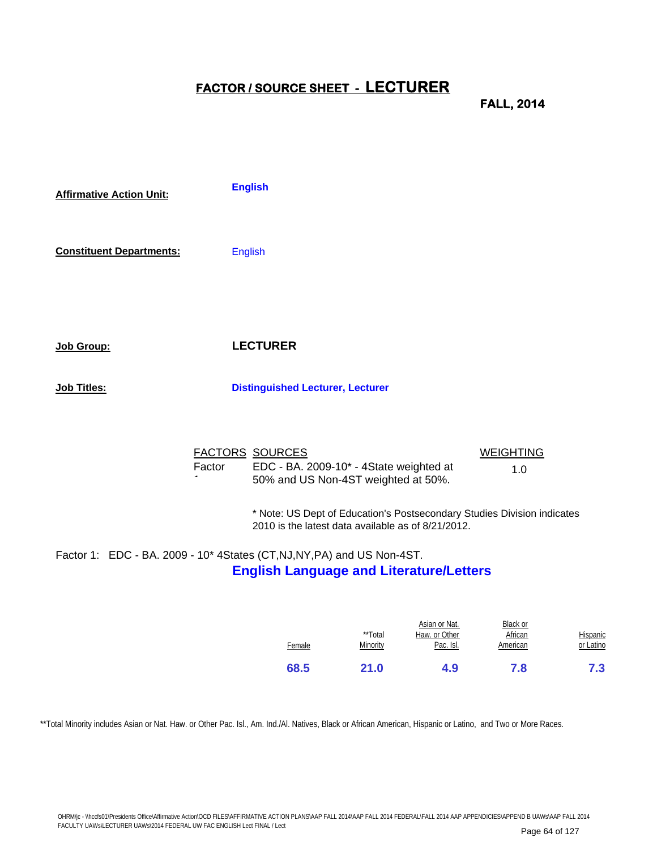## **FACTOR / SOURCE SHEET - LECTURER**

**FALL, 2014**

| <b>Affirmative Action Unit:</b> | <b>English</b>                                                                                                     |                         |
|---------------------------------|--------------------------------------------------------------------------------------------------------------------|-------------------------|
| <b>Constituent Departments:</b> | <b>English</b>                                                                                                     |                         |
| Job Group:                      | <b>LECTURER</b>                                                                                                    |                         |
| Job Titles:                     | <b>Distinguished Lecturer, Lecturer</b>                                                                            |                         |
|                                 | <b>FACTORS SOURCES</b><br>EDC - BA. 2009-10* - 4State weighted at<br>Factor<br>50% and US Non-4ST weighted at 50%. | <b>WEIGHTING</b><br>1.0 |

\* Note: US Dept of Education's Postsecondary Studies Division indicates 2010 is the latest data available as of 8/21/2012.

## Factor 1: EDC - BA. 2009 - 10\* 4States (CT,NJ,NY,PA) and US Non-4ST. **English Language and Literature/Letters**

| 68.5   | 21.0                | 4.9                                         | 7.8                             | 7.3                          |
|--------|---------------------|---------------------------------------------|---------------------------------|------------------------------|
| Female | **Total<br>Minority | Asian or Nat.<br>Haw. or Other<br>Pac. Isl. | Black or<br>African<br>American | <b>Hispanic</b><br>or Latino |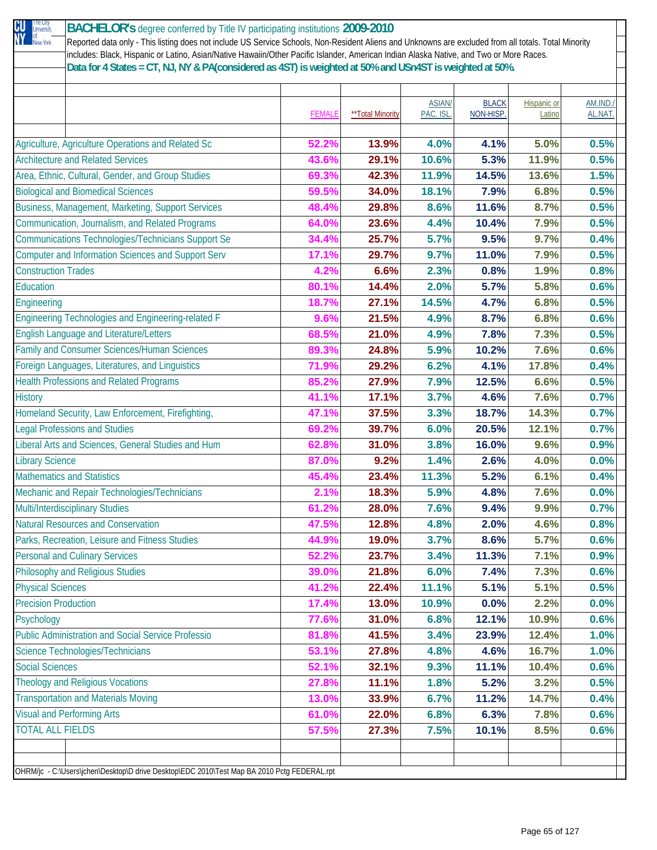| The City<br>University<br>CU | BACHELOR's degree conferred by Title IV participating institutions 2009-2010                                                                         |               |                  |          |              |                    |          |
|------------------------------|------------------------------------------------------------------------------------------------------------------------------------------------------|---------------|------------------|----------|--------------|--------------------|----------|
| ÑŸ<br>of<br>New York         | Reported data only - This listing does not include US Service Schools, Non-Resident Aliens and Unknowns are excluded from all totals. Total Minority |               |                  |          |              |                    |          |
|                              | includes: Black, Hispanic or Latino, Asian/Native Hawaiin/Other Pacific Islander, American Indian Alaska Native, and Two or More Races.              |               |                  |          |              |                    |          |
|                              | Data for 4 States = CT, NJ, NY & PA(considered as 4ST) is weighted at 50% and USn4ST is weighted at 50%.                                             |               |                  |          |              |                    |          |
|                              |                                                                                                                                                      |               |                  |          |              |                    |          |
|                              |                                                                                                                                                      |               |                  | ASIAN/   | <b>BLACK</b> | <b>Hispanic or</b> | AM.IND./ |
|                              |                                                                                                                                                      | <b>FEMALE</b> | **Total Minority | PAC. ISL | NON-HISP.    | Latino             | AL.NAT   |
|                              |                                                                                                                                                      |               |                  |          |              |                    |          |
|                              | Agriculture, Agriculture Operations and Related Sc                                                                                                   | 52.2%         | 13.9%            | 4.0%     | 4.1%         | 5.0%               | 0.5%     |
|                              | <b>Architecture and Related Services</b>                                                                                                             | 43.6%         | 29.1%            | 10.6%    | 5.3%         | 11.9%              | 0.5%     |
|                              | Area, Ethnic, Cultural, Gender, and Group Studies                                                                                                    | 69.3%         | 42.3%            | 11.9%    | 14.5%        | 13.6%              | 1.5%     |
|                              | <b>Biological and Biomedical Sciences</b>                                                                                                            | 59.5%         | 34.0%            | 18.1%    | 7.9%         | 6.8%               | 0.5%     |
|                              |                                                                                                                                                      | 48.4%         | 29.8%            | 8.6%     | 11.6%        | 8.7%               | 0.5%     |
|                              | Business, Management, Marketing, Support Services                                                                                                    |               |                  |          |              |                    |          |
|                              | Communication, Journalism, and Related Programs                                                                                                      | 64.0%         | 23.6%            | 4.4%     | 10.4%        | 7.9%               | 0.5%     |
|                              | <b>Communications Technologies/Technicians Support Se</b>                                                                                            | 34.4%         | 25.7%            | 5.7%     | 9.5%         | 9.7%               | 0.4%     |
|                              | <b>Computer and Information Sciences and Support Serv</b>                                                                                            | 17.1%         | 29.7%            | 9.7%     | 11.0%        | 7.9%               | 0.5%     |
| <b>Construction Trades</b>   |                                                                                                                                                      | 4.2%          | 6.6%             | 2.3%     | 0.8%         | 1.9%               | 0.8%     |
| Education                    |                                                                                                                                                      | 80.1%         | 14.4%            | 2.0%     | 5.7%         | 5.8%               | 0.6%     |
| Engineering                  |                                                                                                                                                      | 18.7%         | 27.1%            | 14.5%    | 4.7%         | 6.8%               | 0.5%     |
|                              | Engineering Technologies and Engineering-related F                                                                                                   | 9.6%          | 21.5%            | 4.9%     | 8.7%         | 6.8%               | 0.6%     |
|                              | <b>English Language and Literature/Letters</b>                                                                                                       | 68.5%         | 21.0%            | 4.9%     | 7.8%         | 7.3%               | 0.5%     |
|                              | Family and Consumer Sciences/Human Sciences                                                                                                          | 89.3%         | 24.8%            | 5.9%     | 10.2%        | 7.6%               | 0.6%     |
|                              | Foreign Languages, Literatures, and Linguistics                                                                                                      | 71.9%         | 29.2%            | 6.2%     | 4.1%         | 17.8%              | 0.4%     |
|                              |                                                                                                                                                      |               |                  |          |              |                    |          |
|                              | <b>Health Professions and Related Programs</b>                                                                                                       | 85.2%         | 27.9%            | 7.9%     | 12.5%        | 6.6%               | 0.5%     |
| <b>History</b>               |                                                                                                                                                      | 41.1%         | 17.1%            | 3.7%     | 4.6%         | 7.6%               | 0.7%     |
|                              | Homeland Security, Law Enforcement, Firefighting,                                                                                                    | 47.1%         | 37.5%            | 3.3%     | 18.7%        | 14.3%              | 0.7%     |
|                              | <b>Legal Professions and Studies</b>                                                                                                                 | 69.2%         | 39.7%            | 6.0%     | 20.5%        | 12.1%              | 0.7%     |
|                              | Liberal Arts and Sciences, General Studies and Hum                                                                                                   | 62.8%         | 31.0%            | 3.8%     | 16.0%        | 9.6%               | 0.9%     |
| <b>Library Science</b>       |                                                                                                                                                      | 87.0%         | 9.2%             | 1.4%     | 2.6%         | 4.0%               | 0.0%     |
|                              | <b>Mathematics and Statistics</b>                                                                                                                    | 45.4%         | 23.4%            | 11.3%    | 5.2%         | 6.1%               | 0.4%     |
|                              | Mechanic and Repair Technologies/Technicians                                                                                                         | 2.1%          | 18.3%            | 5.9%     | 4.8%         | 7.6%               | 0.0%     |
|                              | <b>Multi/Interdisciplinary Studies</b>                                                                                                               | 61.2%         | 28.0%            | 7.6%     | 9.4%         | 9.9%               | 0.7%     |
|                              | <b>Natural Resources and Conservation</b>                                                                                                            |               |                  |          |              |                    |          |
|                              |                                                                                                                                                      | 47.5%         | 12.8%            | 4.8%     | 2.0%         | 4.6%               | 0.8%     |
|                              | Parks, Recreation, Leisure and Fitness Studies                                                                                                       | 44.9%         | 19.0%            | 3.7%     | 8.6%         | 5.7%               | 0.6%     |
|                              | <b>Personal and Culinary Services</b>                                                                                                                | 52.2%         | 23.7%            | 3.4%     | 11.3%        | 7.1%               | 0.9%     |
|                              | <b>Philosophy and Religious Studies</b>                                                                                                              | 39.0%         | 21.8%            | 6.0%     | 7.4%         | 7.3%               | 0.6%     |
| <b>Physical Sciences</b>     |                                                                                                                                                      | 41.2%         | 22.4%            | 11.1%    | 5.1%         | 5.1%               | 0.5%     |
| <b>Precision Production</b>  |                                                                                                                                                      | 17.4%         | 13.0%            | 10.9%    | 0.0%         | 2.2%               | 0.0%     |
| Psychology                   |                                                                                                                                                      | 77.6%         | 31.0%            | 6.8%     | 12.1%        | 10.9%              | 0.6%     |
|                              | <b>Public Administration and Social Service Professio</b>                                                                                            | 81.8%         | 41.5%            | 3.4%     | 23.9%        | 12.4%              | 1.0%     |
|                              | Science Technologies/Technicians                                                                                                                     | 53.1%         | 27.8%            | 4.8%     | 4.6%         | 16.7%              | 1.0%     |
| <b>Social Sciences</b>       |                                                                                                                                                      | 52.1%         | 32.1%            | 9.3%     | 11.1%        | 10.4%              | 0.6%     |
|                              | <b>Theology and Religious Vocations</b>                                                                                                              | 27.8%         | 11.1%            | 1.8%     | 5.2%         | 3.2%               | 0.5%     |
|                              |                                                                                                                                                      |               |                  |          |              |                    |          |
|                              | <b>Transportation and Materials Moving</b>                                                                                                           | 13.0%         | 33.9%            | 6.7%     | 11.2%        | 14.7%              | 0.4%     |
|                              | <b>Visual and Performing Arts</b>                                                                                                                    | 61.0%         | 22.0%            | 6.8%     | 6.3%         | 7.8%               | 0.6%     |
| <b>TOTAL ALL FIELDS</b>      |                                                                                                                                                      | 57.5%         | 27.3%            | 7.5%     | 10.1%        | 8.5%               | 0.6%     |
|                              |                                                                                                                                                      |               |                  |          |              |                    |          |
|                              |                                                                                                                                                      |               |                  |          |              |                    |          |
|                              | OHRM/jc - C:\Users\jchen\Desktop\D drive Desktop\EDC 2010\Test Map BA 2010 Pctg FEDERAL.rpt                                                          |               |                  |          |              |                    |          |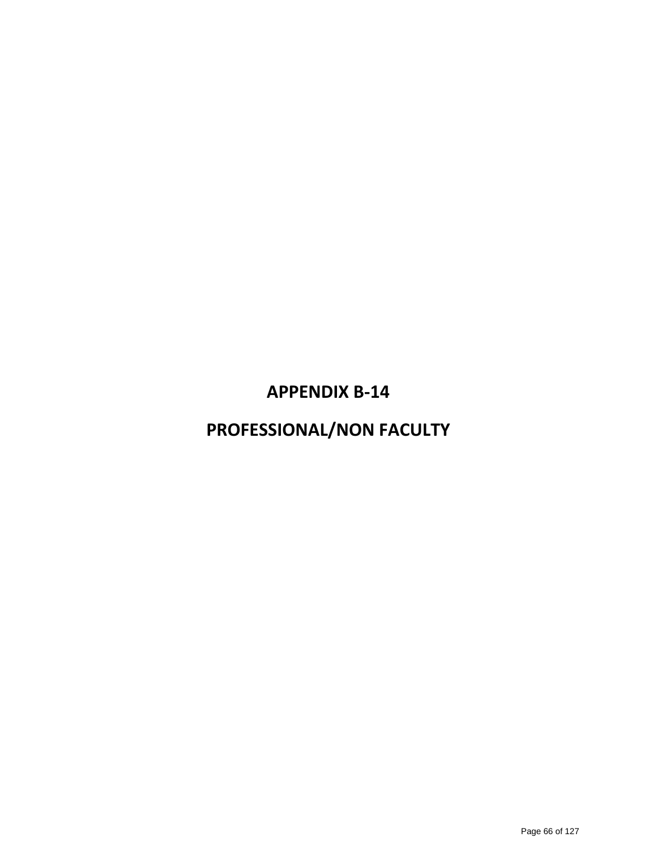## **APPENDIX B‐14**

## **PROFESSIONAL/NON FACULTY**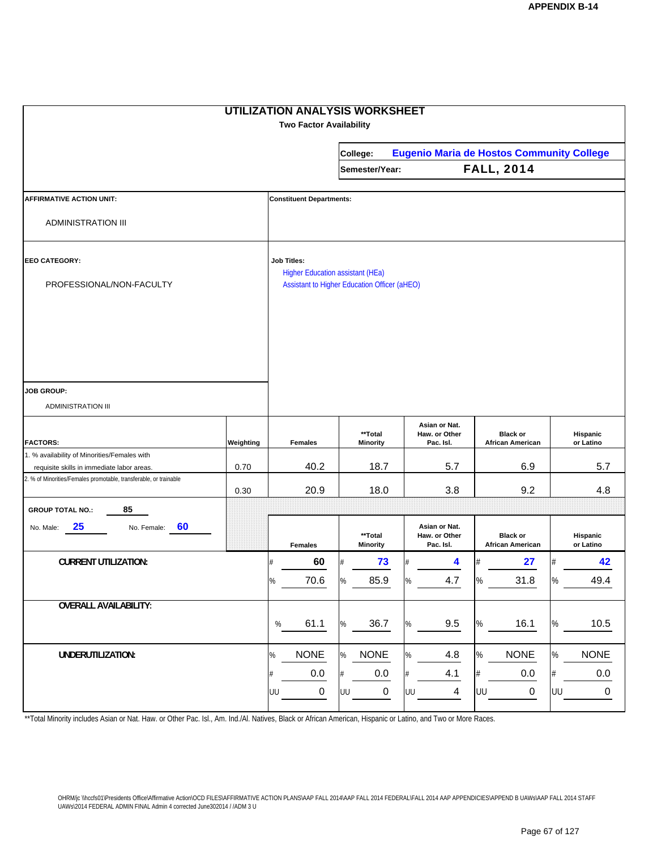|                                                                                                                 |           | <b>UTILIZATION ANALYSIS WORKSHEET</b><br><b>Two Factor Availability</b>                                       |      |                            |      |                                                  |      |                                     |      |                       |
|-----------------------------------------------------------------------------------------------------------------|-----------|---------------------------------------------------------------------------------------------------------------|------|----------------------------|------|--------------------------------------------------|------|-------------------------------------|------|-----------------------|
|                                                                                                                 |           |                                                                                                               |      | College:                   |      | <b>Eugenio Maria de Hostos Community College</b> |      |                                     |      |                       |
|                                                                                                                 |           |                                                                                                               |      | Semester/Year:             |      |                                                  |      | <b>FALL, 2014</b>                   |      |                       |
| <b>AFFIRMATIVE ACTION UNIT:</b>                                                                                 |           | <b>Constituent Departments:</b>                                                                               |      |                            |      |                                                  |      |                                     |      |                       |
| <b>ADMINISTRATION III</b>                                                                                       |           |                                                                                                               |      |                            |      |                                                  |      |                                     |      |                       |
| <b>EEO CATEGORY:</b><br>PROFESSIONAL/NON-FACULTY                                                                |           | <b>Job Titles:</b><br><b>Higher Education assistant (HEa)</b><br>Assistant to Higher Education Officer (aHEO) |      |                            |      |                                                  |      |                                     |      |                       |
|                                                                                                                 |           |                                                                                                               |      |                            |      |                                                  |      |                                     |      |                       |
| <b>JOB GROUP:</b><br><b>ADMINISTRATION III</b>                                                                  |           |                                                                                                               |      |                            |      |                                                  |      |                                     |      |                       |
| <b>FACTORS:</b>                                                                                                 | Weighting | <b>Females</b>                                                                                                |      | **Total<br><b>Minority</b> |      | Asian or Nat.<br>Haw. or Other<br>Pac. Isl.      |      | <b>Black or</b><br>African American |      | Hispanic<br>or Latino |
| 1. % availability of Minorities/Females with                                                                    |           |                                                                                                               |      | 18.7                       |      | 5.7                                              |      |                                     |      |                       |
| requisite skills in immediate labor areas.<br>2. % of Minorities/Females promotable, transferable, or trainable | 0.70      | 40.2                                                                                                          |      |                            |      |                                                  |      | 6.9                                 |      | 5.7                   |
|                                                                                                                 | 0.30      | 20.9                                                                                                          |      | 18.0                       |      | 3.8                                              |      | 9.2                                 |      | 4.8                   |
| 85<br><b>GROUP TOTAL NO.:</b>                                                                                   |           |                                                                                                               |      |                            |      |                                                  |      |                                     |      |                       |
| 25<br>60<br>No. Female:<br>No. Male:                                                                            |           | <b>Females</b>                                                                                                |      | **Total<br><b>Minority</b> |      | Asian or Nat.<br>Haw. or Other<br>Pac. Isl.      |      | <b>Black or</b><br>African American |      | Hispanic<br>or Latino |
| <b>CURRENT UTILIZATION:</b>                                                                                     |           | 60                                                                                                            |      | 73                         |      | 4                                                |      | 27                                  |      | 42                    |
|                                                                                                                 |           | 70.6<br>%                                                                                                     | %    | 85.9                       | $\%$ | 4.7                                              | %    | 31.8                                | $\%$ | 49.4                  |
| <b>OVERALL AVAILABILITY:</b>                                                                                    |           | 61.1<br>$\%$                                                                                                  | $\%$ | 36.7                       | $\%$ | 9.5                                              | $\%$ | 16.1                                | $\%$ | 10.5                  |
| UNDERUTILIZATION:                                                                                               |           | <b>NONE</b><br>$\%$                                                                                           | %    | <b>NONE</b>                | $\%$ | 4.8                                              | $\%$ | <b>NONE</b>                         | $\%$ | <b>NONE</b>           |
|                                                                                                                 |           | 0.0<br>#                                                                                                      | #    | 0.0                        | #    | 4.1                                              | $\#$ | $0.0\,$                             | #    | $0.0\,$               |
|                                                                                                                 |           | 0<br>UU                                                                                                       | UU   | $\pmb{0}$                  | UU   | $\overline{4}$                                   | UU   | $\pmb{0}$                           | UU   | 0                     |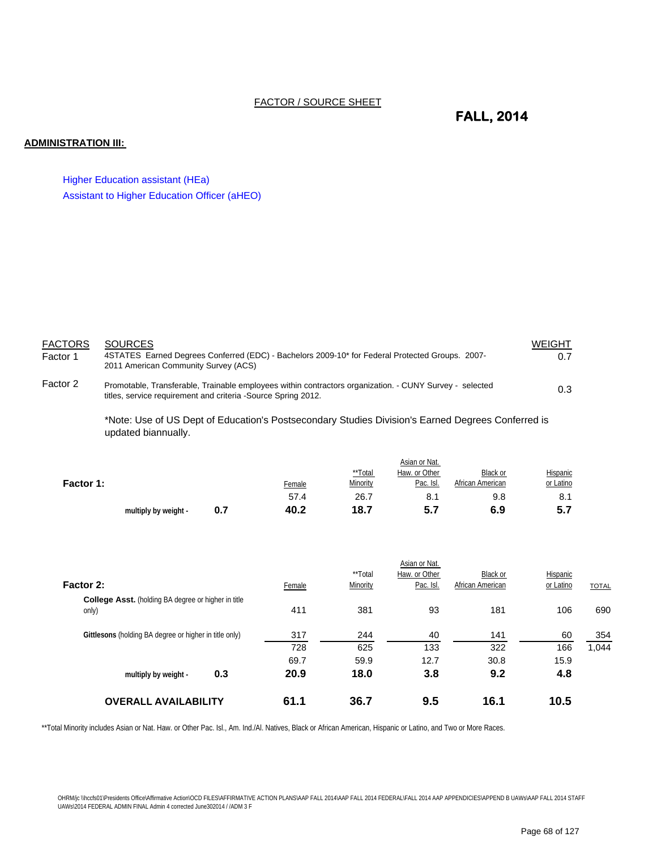#### FACTOR / SOURCE SHEET

### **FALL, 2014**

#### **ADMINISTRATION III:**

Higher Education assistant (HEa) Assistant to Higher Education Officer (aHEO)

| <b>FACTORS</b> | <b>SOURCES</b>                                                                                                                                                           | WEIGHT |
|----------------|--------------------------------------------------------------------------------------------------------------------------------------------------------------------------|--------|
| Factor 1       | 4STATES Earned Degrees Conferred (EDC) - Bachelors 2009-10* for Federal Protected Groups. 2007-<br>2011 American Community Survey (ACS)                                  | 0.7    |
| Factor 2       | Promotable, Transferable, Trainable employees within contractors organization. - CUNY Survey - selected<br>titles, service requirement and criteria -Source Spring 2012. | 0.3    |

\*Note: Use of US Dept of Education's Postsecondary Studies Division's Earned Degrees Conferred is updated biannually.

|           | multiply by weight - | 0.7 | 40.2   | 18.7     | 5.7           | 6.9              | 5.7       |
|-----------|----------------------|-----|--------|----------|---------------|------------------|-----------|
|           |                      |     | 57.4   | 26.7     | 8.1           | 9.8              | 8.1       |
| Factor 1: |                      |     | Female | Minority | Pac. Isl.     | African American | or Latino |
|           |                      |     |        | **Total  | Haw. or Other | Black or         | Hispanic  |
|           |                      |     |        |          | Asian or Nat. |                  |           |

| <b>OVERALL AVAILABILITY</b>                                         | 61.1   | 36.7                | 9.5                        | 16.1                         | 10.5                  |              |
|---------------------------------------------------------------------|--------|---------------------|----------------------------|------------------------------|-----------------------|--------------|
| 0.3<br>multiply by weight -                                         | 20.9   | 18.0                | 3.8                        | 9.2                          | 4.8                   |              |
|                                                                     | 69.7   | 59.9                | 12.7                       | 30.8                         | 15.9                  |              |
|                                                                     | 728    | 625                 | 133                        | 322                          | 166                   | 1,044        |
| Gittlesons (holding BA degree or higher in title only)              | 317    | 244                 | 40                         | 141                          | 60                    | 354          |
| <b>College Asst.</b> (holding BA degree or higher in title<br>only) | 411    | 381                 | 93                         | 181                          | 106                   | 690          |
| Factor 2:                                                           | Female | **Total<br>Minority | Haw. or Other<br>Pac. Isl. | Black or<br>African American | Hispanic<br>or Latino | <b>TOTAL</b> |
|                                                                     |        |                     | Asian or Nat.              |                              |                       |              |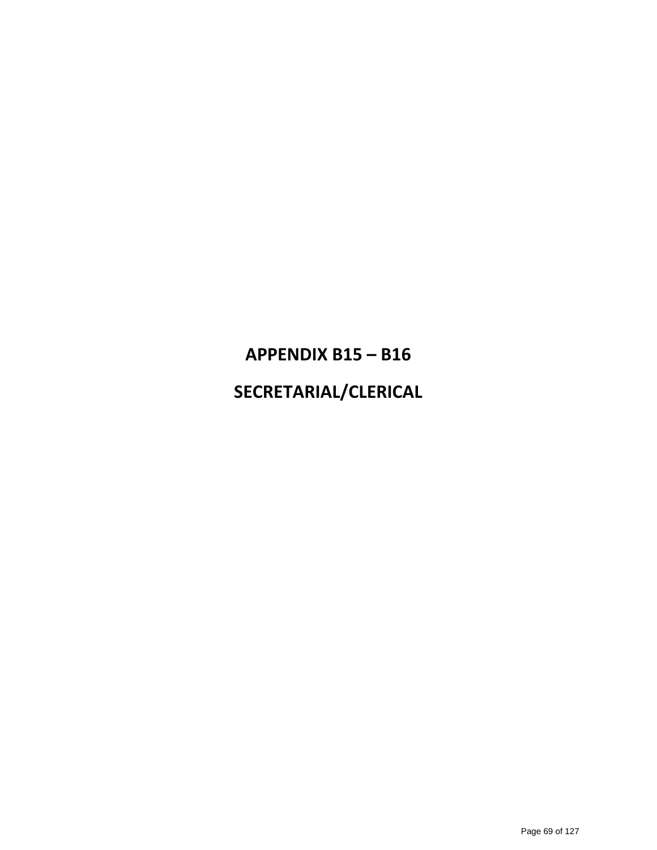# **APPENDIX B15 – B16 SECRETARIAL/CLERICAL**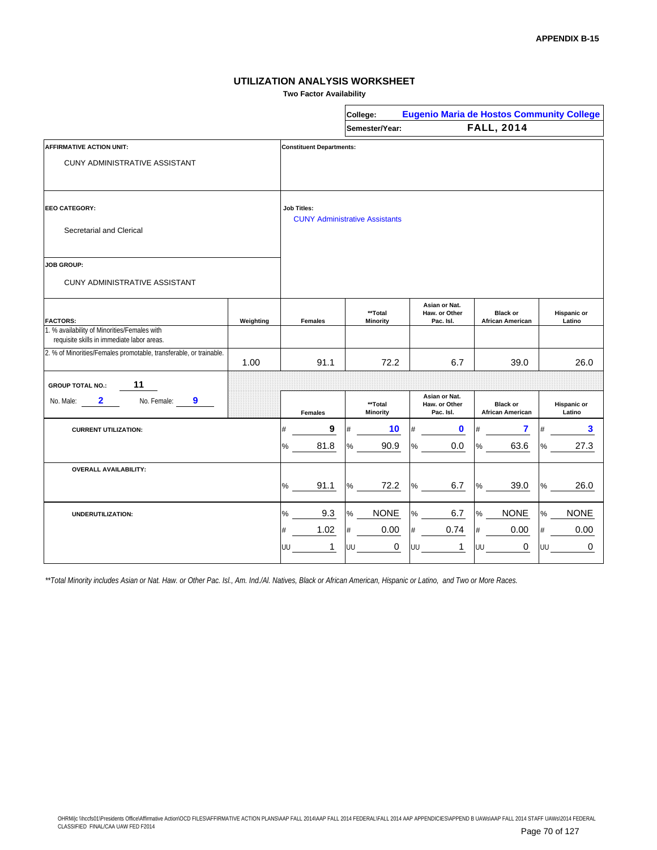**Two Factor Availability**

|                                                                                            |                                                             |                | College:                   | <b>Eugenio Maria de Hostos Community College</b> |                                            |                       |  |
|--------------------------------------------------------------------------------------------|-------------------------------------------------------------|----------------|----------------------------|--------------------------------------------------|--------------------------------------------|-----------------------|--|
|                                                                                            |                                                             |                | Semester/Year:             |                                                  | <b>FALL, 2014</b>                          |                       |  |
| <b>AFFIRMATIVE ACTION UNIT:</b>                                                            | <b>Constituent Departments:</b>                             |                |                            |                                                  |                                            |                       |  |
| CUNY ADMINISTRATIVE ASSISTANT                                                              |                                                             |                |                            |                                                  |                                            |                       |  |
| EEO CATEGORY:                                                                              | <b>Job Titles:</b><br><b>CUNY Administrative Assistants</b> |                |                            |                                                  |                                            |                       |  |
| Secretarial and Clerical                                                                   |                                                             |                |                            |                                                  |                                            |                       |  |
| <b>JOB GROUP:</b>                                                                          |                                                             |                |                            |                                                  |                                            |                       |  |
| CUNY ADMINISTRATIVE ASSISTANT                                                              |                                                             |                |                            |                                                  |                                            |                       |  |
| <b>FACTORS:</b>                                                                            | Weighting                                                   | <b>Females</b> | **Total<br><b>Minority</b> | Asian or Nat.<br>Haw. or Other<br>Pac. Isl.      | <b>Black or</b><br><b>African American</b> | Hispanic or<br>Latino |  |
| 1. % availability of Minorities/Females with<br>requisite skills in immediate labor areas. |                                                             |                |                            |                                                  |                                            |                       |  |
| 2. % of Minorities/Females promotable, transferable, or trainable.                         | 1.00                                                        | 91.1           | 72.2                       | 6.7                                              | 39.0                                       | 26.0                  |  |
| 11<br><b>GROUP TOTAL NO.:</b>                                                              |                                                             |                |                            |                                                  |                                            |                       |  |
| 9<br>2<br>No. Female:<br>No. Male:                                                         |                                                             | <b>Females</b> | **Total<br><b>Minority</b> | Asian or Nat.<br>Haw. or Other<br>Pac. Isl.      | <b>Black or</b><br><b>African American</b> | Hispanic or<br>Latino |  |
| <b>CURRENT UTILIZATION:</b>                                                                |                                                             | 9<br>#         | 10                         | $\mathbf 0$<br>#                                 | 7<br>#                                     | 3                     |  |
|                                                                                            |                                                             | 81.8<br>%      | 90.9<br>℅                  | 0.0<br>℅                                         | 63.6<br>$\%$                               | 27.3<br>℅             |  |
| <b>OVERALL AVAILABILITY:</b>                                                               |                                                             |                |                            |                                                  |                                            |                       |  |
|                                                                                            |                                                             | 91.1<br>%      | 72.2<br>%                  | 6.7<br>%                                         | 39.0<br>$\%$                               | 26.0<br>$\%$          |  |
| <b>UNDERUTILIZATION:</b>                                                                   |                                                             | 9.3<br>%       | <b>NONE</b><br>%           | 6.7<br>$\%$                                      | <b>NONE</b><br>%                           | <b>NONE</b><br>%      |  |
|                                                                                            |                                                             | 1.02<br>#      | 0.00<br>#                  | 0.74<br>#                                        | 0.00<br>$\#$                               | 0.00<br>#             |  |
|                                                                                            |                                                             | 1<br>UU        | 0<br>UU                    | UU<br>1                                          | 0<br>UU                                    | 0<br>UU               |  |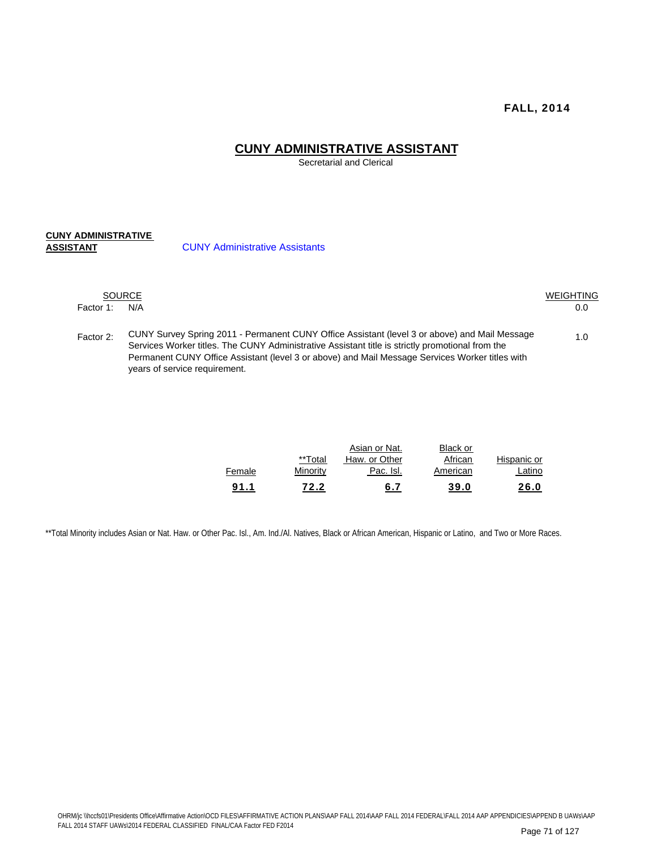#### **CUNY ADMINISTRATIVE ASSISTANT**

Secretarial and Clerical

## **CUNY ADMINISTRATIVE**

**CUNY Administrative Assistants** 

|           | <b>SOURCE</b><br>WEIGHTING                                                                                                                                                                                                                                                                                                            |     |  |  |  |  |  |
|-----------|---------------------------------------------------------------------------------------------------------------------------------------------------------------------------------------------------------------------------------------------------------------------------------------------------------------------------------------|-----|--|--|--|--|--|
| Factor 1: | N/A                                                                                                                                                                                                                                                                                                                                   | 0.0 |  |  |  |  |  |
| Factor 2: | CUNY Survey Spring 2011 - Permanent CUNY Office Assistant (level 3 or above) and Mail Message<br>Services Worker titles. The CUNY Administrative Assistant title is strictly promotional from the<br>Permanent CUNY Office Assistant (level 3 or above) and Mail Message Services Worker titles with<br>years of service requirement. | 1.0 |  |  |  |  |  |

| 91.1   | 72.2     | 6.7           | 39.0     | 26.0        |
|--------|----------|---------------|----------|-------------|
| Female | Minority | Pac. Isl.     | American | Latino      |
|        | **Total  | Haw. or Other | African  | Hispanic or |
|        |          | Asian or Nat. | Black or |             |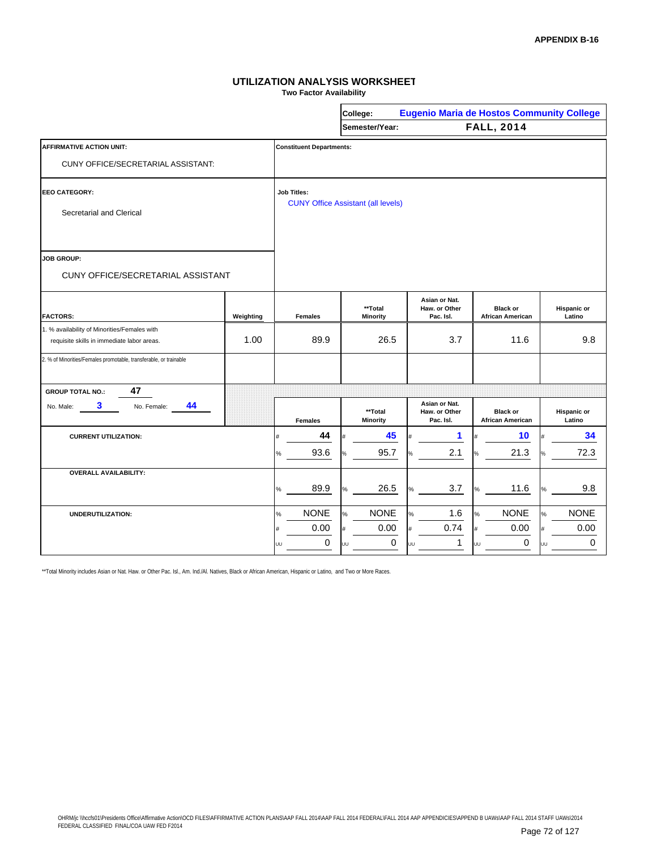**Two Factor Availability**

|                                                                                            |           | <b>Eugenio Maria de Hostos Community College</b><br>College: |                                           |                                             |                                            |                              |  |  |
|--------------------------------------------------------------------------------------------|-----------|--------------------------------------------------------------|-------------------------------------------|---------------------------------------------|--------------------------------------------|------------------------------|--|--|
|                                                                                            |           |                                                              | Semester/Year:                            |                                             | <b>FALL, 2014</b>                          |                              |  |  |
| <b>AFFIRMATIVE ACTION UNIT:</b>                                                            |           | <b>Constituent Departments:</b>                              |                                           |                                             |                                            |                              |  |  |
| CUNY OFFICE/SECRETARIAL ASSISTANT:                                                         |           |                                                              |                                           |                                             |                                            |                              |  |  |
| <b>EEO CATEGORY:</b>                                                                       |           | <b>Job Titles:</b>                                           |                                           |                                             |                                            |                              |  |  |
| Secretarial and Clerical                                                                   |           |                                                              | <b>CUNY Office Assistant (all levels)</b> |                                             |                                            |                              |  |  |
| <b>JOB GROUP:</b>                                                                          |           |                                                              |                                           |                                             |                                            |                              |  |  |
| <b>CUNY OFFICE/SECRETARIAL ASSISTANT</b>                                                   |           |                                                              |                                           |                                             |                                            |                              |  |  |
| <b>FACTORS:</b>                                                                            | Weighting | <b>Females</b>                                               | **Total<br><b>Minority</b>                | Asian or Nat.<br>Haw. or Other<br>Pac. Isl. | <b>Black or</b><br><b>African American</b> | <b>Hispanic or</b><br>Latino |  |  |
| 1. % availability of Minorities/Females with<br>requisite skills in immediate labor areas. | 1.00      | 89.9                                                         | 26.5                                      | 3.7                                         | 11.6                                       | 9.8                          |  |  |
| 2. % of Minorities/Females promotable, transferable, or trainable                          |           |                                                              |                                           |                                             |                                            |                              |  |  |
| 47<br><b>GROUP TOTAL NO.:</b>                                                              |           |                                                              |                                           |                                             |                                            |                              |  |  |
| 3.<br>44<br>No. Female:<br>No. Male:                                                       |           | <b>Females</b>                                               | **Total<br><b>Minority</b>                | Asian or Nat.<br>Haw. or Other<br>Pac. Isl. | <b>Black or</b><br><b>African American</b> | <b>Hispanic or</b><br>Latino |  |  |
| <b>CURRENT UTILIZATION:</b>                                                                |           | 44<br>Ħ                                                      | 45                                        | 1                                           | 10                                         | 34                           |  |  |
|                                                                                            |           | 93.6<br>%                                                    | 95.7                                      | 2.1                                         | 21.3                                       | 72.3                         |  |  |
| <b>OVERALL AVAILABILITY:</b>                                                               |           |                                                              |                                           |                                             |                                            |                              |  |  |
|                                                                                            |           | 89.9<br>%                                                    | 26.5<br>$\%$                              | 3.7<br>$\%$                                 | 11.6<br>%                                  | 9.8<br>%                     |  |  |
| UNDERUTILIZATION:                                                                          |           | <b>NONE</b><br>$\%$                                          | <b>NONE</b><br>%                          | 1.6<br>%                                    | <b>NONE</b><br>%                           | <b>NONE</b><br>%             |  |  |
|                                                                                            |           | 0.00<br>#                                                    | 0.00<br>#                                 | 0.74<br>#                                   | 0.00<br>#                                  | 0.00<br>#                    |  |  |
|                                                                                            |           | 0<br>UU                                                      | 0<br>ūп                                   | 1<br>UU                                     | 0<br>UU                                    | $\Omega$<br>UU               |  |  |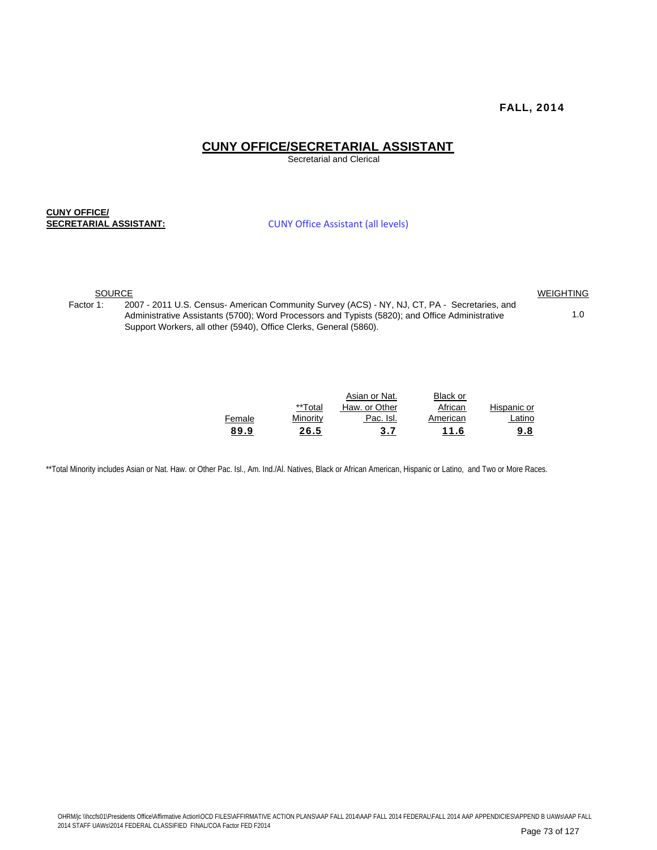#### **CUNY OFFICE/SECRETARIAL ASSISTANT**

Secretarial and Clerical

**CUNY OFFICE/ SECRETARIAL ASSISTANT:**

CUNY Office Assistant (all levels)

SOURCE WEIGHTING

1.0

Factor 1: 2007 - 2011 U.S. Census- American Community Survey (ACS) - NY, NJ, CT, PA - Secretaries, and Administrative Assistants (5700); Word Processors and Typists (5820); and Office Administrative Support Workers, all other (5940), Office Clerks, General (5860).

|        |          | Asian or Nat. | <b>Black or</b> |             |
|--------|----------|---------------|-----------------|-------------|
|        | **Total  | Haw. or Other | African         | Hispanic or |
| Female | Minority | Pac. Isl.     | American        | Latino      |
| 89.9   | 26.5     | 3.7           | 11.6            | <u>9.8</u>  |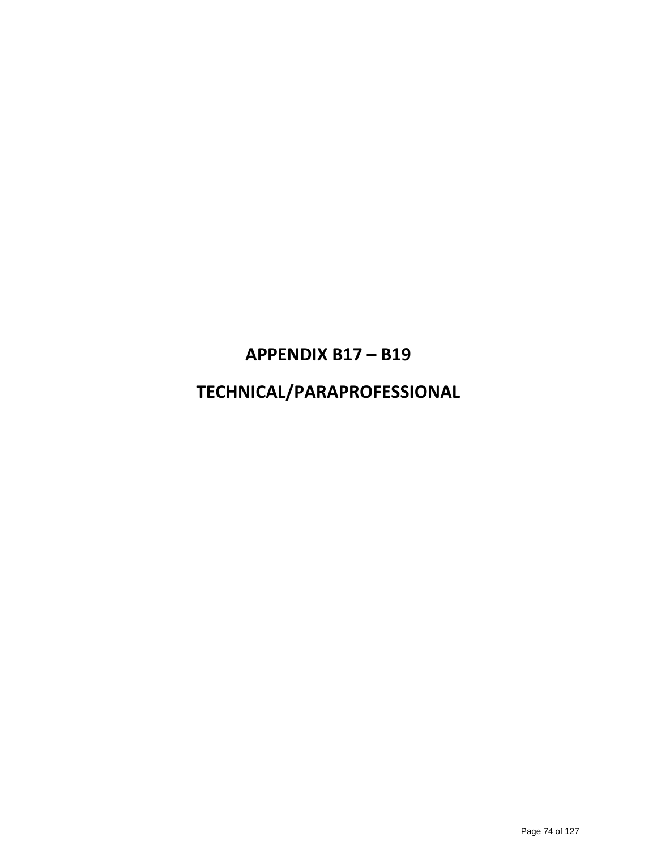### **APPENDIX B17 – B19**

### **TECHNICAL/PARAPROFESSIONAL**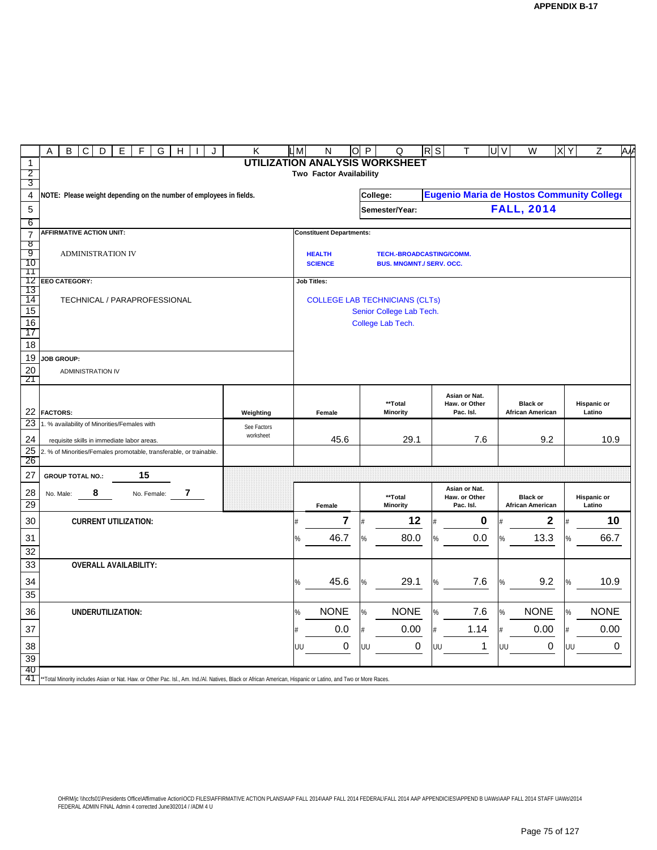|                       | Α<br>В<br>С<br>Ε<br>G<br>D<br>F<br>н<br>J                                                                                                                   | LМ          | O<br>N                                | P                               | Q  | $R$ S                           | т    | U V                                       | W<br>X | Υ                       | Z    | ΑW                 |    |  |
|-----------------------|-------------------------------------------------------------------------------------------------------------------------------------------------------------|-------------|---------------------------------------|---------------------------------|----|---------------------------------|------|-------------------------------------------|--------|-------------------------|------|--------------------|----|--|
| $\mathbf{1}$          |                                                                                                                                                             |             |                                       |                                 |    | UTILIZATION ANALYSIS WORKSHEET  |      |                                           |        |                         |      |                    |    |  |
| 2<br>3                |                                                                                                                                                             |             |                                       | Two Factor Availability         |    |                                 |      |                                           |        |                         |      |                    |    |  |
| 4                     | NOTE: Please weight depending on the number of employees in fields.                                                                                         |             |                                       |                                 |    | College:                        |      | Eugenio Maria de Hostos Community College |        |                         |      |                    |    |  |
| $\overline{5}$        |                                                                                                                                                             |             |                                       |                                 |    | Semester/Year:                  |      |                                           |        | <b>FALL, 2014</b>       |      |                    |    |  |
| 6                     |                                                                                                                                                             |             |                                       |                                 |    |                                 |      |                                           |        |                         |      |                    |    |  |
| $\overline{7}$        | <b>AFFIRMATIVE ACTION UNIT:</b>                                                                                                                             |             |                                       | <b>Constituent Departments:</b> |    |                                 |      |                                           |        |                         |      |                    |    |  |
| ष्ठ                   |                                                                                                                                                             |             |                                       |                                 |    |                                 |      |                                           |        |                         |      |                    |    |  |
| 9<br>10               | <b>ADMINISTRATION IV</b>                                                                                                                                    |             |                                       | <b>HEALTH</b><br><b>SCIENCE</b> |    | TECH.-BROADCASTING/COMM.        |      |                                           |        |                         |      |                    |    |  |
| 11                    |                                                                                                                                                             |             |                                       |                                 |    | <b>BUS. MNGMNT./ SERV. OCC.</b> |      |                                           |        |                         |      |                    |    |  |
| 12                    | EEO CATEGORY:                                                                                                                                               |             | <b>Job Titles:</b>                    |                                 |    |                                 |      |                                           |        |                         |      |                    |    |  |
| 13<br>14              | TECHNICAL / PARAPROFESSIONAL                                                                                                                                |             | <b>COLLEGE LAB TECHNICIANS (CLTs)</b> |                                 |    |                                 |      |                                           |        |                         |      |                    |    |  |
| 15                    |                                                                                                                                                             |             |                                       |                                 |    | Senior College Lab Tech.        |      |                                           |        |                         |      |                    |    |  |
| 16                    |                                                                                                                                                             |             |                                       |                                 |    | College Lab Tech.               |      |                                           |        |                         |      |                    |    |  |
| 17                    |                                                                                                                                                             |             |                                       |                                 |    |                                 |      |                                           |        |                         |      |                    |    |  |
| 18                    |                                                                                                                                                             |             |                                       |                                 |    |                                 |      |                                           |        |                         |      |                    |    |  |
| 19                    | <b>JOB GROUP:</b>                                                                                                                                           |             |                                       |                                 |    |                                 |      |                                           |        |                         |      |                    |    |  |
| 20<br>21              | <b>ADMINISTRATION IV</b>                                                                                                                                    |             |                                       |                                 |    |                                 |      |                                           |        |                         |      |                    |    |  |
|                       |                                                                                                                                                             |             |                                       |                                 |    |                                 |      | Asian or Nat.                             |        |                         |      |                    |    |  |
|                       |                                                                                                                                                             |             |                                       |                                 |    | **Total                         |      | Haw. or Other                             |        | <b>Black or</b>         |      | <b>Hispanic or</b> |    |  |
| 22                    | <b>FACTORS:</b>                                                                                                                                             | Weighting   |                                       | Female                          |    | <b>Minority</b>                 |      | Pac. Isl.                                 |        | <b>African American</b> |      | Latino             |    |  |
| 23                    | 1. % availability of Minorities/Females with                                                                                                                | See Factors |                                       |                                 |    |                                 |      |                                           |        |                         |      |                    |    |  |
| 24                    | requisite skills in immediate labor areas.                                                                                                                  | worksheet   |                                       | 45.6                            |    | 29.1                            |      | 7.6                                       |        | 9.2                     |      | 10.9               |    |  |
| $\overline{25}$<br>26 | 2. % of Minorities/Females promotable, transferable, or trainable.                                                                                          |             |                                       |                                 |    |                                 |      |                                           |        |                         |      |                    |    |  |
| 27                    | 15                                                                                                                                                          |             |                                       |                                 |    |                                 |      |                                           |        |                         |      |                    |    |  |
|                       | <b>GROUP TOTAL NO.:</b>                                                                                                                                     |             |                                       |                                 |    |                                 |      |                                           |        |                         |      |                    |    |  |
| 28                    | 8<br>7<br>No. Male:<br>No. Female:                                                                                                                          |             |                                       |                                 |    | **Total                         |      | Asian or Nat.<br>Haw. or Other            |        | <b>Black or</b>         |      | <b>Hispanic or</b> |    |  |
| 29                    |                                                                                                                                                             |             |                                       | Female                          |    | <b>Minority</b>                 |      | Pac. Isl.                                 |        | <b>African American</b> |      | Latino             |    |  |
| 30                    | <b>CURRENT UTILIZATION:</b>                                                                                                                                 |             |                                       | 7                               |    | 12                              |      | 0                                         |        | 2                       |      |                    | 10 |  |
| 31                    |                                                                                                                                                             |             |                                       | 46.7                            | %  | 80.0                            | %    | 0.0                                       | %      | 13.3                    | %    | 66.7               |    |  |
| 32                    |                                                                                                                                                             |             |                                       |                                 |    |                                 |      |                                           |        |                         |      |                    |    |  |
| 33                    | <b>OVERALL AVAILABILITY:</b>                                                                                                                                |             |                                       |                                 |    |                                 |      |                                           |        |                         |      |                    |    |  |
| 34                    |                                                                                                                                                             |             |                                       | 45.6                            |    | 29.1                            | %    | 7.6                                       |        | 9.2                     |      | 10.9               |    |  |
| $\overline{35}$       |                                                                                                                                                             |             |                                       |                                 | %  |                                 |      |                                           | %      |                         | %    |                    |    |  |
|                       |                                                                                                                                                             |             |                                       |                                 |    |                                 |      |                                           |        |                         |      |                    |    |  |
| 36                    | UNDERUTILIZATION:                                                                                                                                           |             | $\frac{1}{2}$                         | <b>NONE</b>                     | %  | <b>NONE</b>                     | $\%$ | 7.6                                       | $\%$   | <b>NONE</b>             | $\%$ | <b>NONE</b>        |    |  |
| 37                    |                                                                                                                                                             |             |                                       | 0.0                             |    | 0.00                            |      | 1.14                                      |        | 0.00                    |      | 0.00               |    |  |
| 38                    |                                                                                                                                                             |             | UU                                    | $\mathbf 0$                     | UU | $\boldsymbol{0}$                | UU   | $\mathbf 1$                               | UU     | 0                       | UU   |                    | 0  |  |
| 39                    |                                                                                                                                                             |             |                                       |                                 |    |                                 |      |                                           |        |                         |      |                    |    |  |
| 40                    |                                                                                                                                                             |             |                                       |                                 |    |                                 |      |                                           |        |                         |      |                    |    |  |
| 41                    | **Total Minority includes Asian or Nat. Haw. or Other Pac. Isl., Am. Ind./Al. Natives, Black or African American, Hispanic or Latino, and Two or More Races |             |                                       |                                 |    |                                 |      |                                           |        |                         |      |                    |    |  |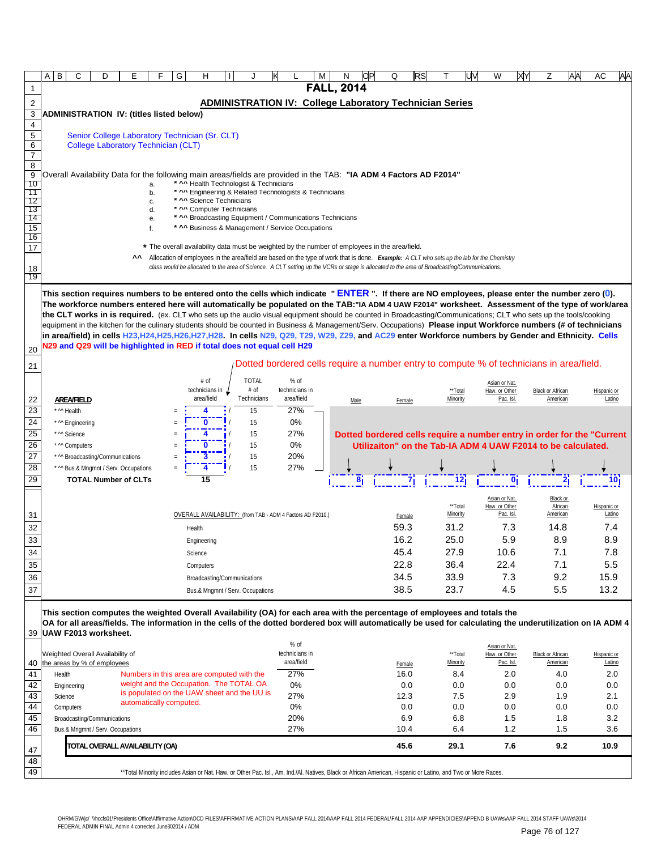|                       | В<br>Α                           | C<br>D                                                                                                                                                                                                                                                                                                                 | E  |                                                                                                                                                              | G      | н                                                     |              |                                        |                                                            | м |                                                                                                                                              | OР | Q              | RS |              | W                                                                                                                                          | XY | Z                       | AA | АC          | AA         |
|-----------------------|----------------------------------|------------------------------------------------------------------------------------------------------------------------------------------------------------------------------------------------------------------------------------------------------------------------------------------------------------------------|----|--------------------------------------------------------------------------------------------------------------------------------------------------------------|--------|-------------------------------------------------------|--------------|----------------------------------------|------------------------------------------------------------|---|----------------------------------------------------------------------------------------------------------------------------------------------|----|----------------|----|--------------|--------------------------------------------------------------------------------------------------------------------------------------------|----|-------------------------|----|-------------|------------|
| 1                     |                                  |                                                                                                                                                                                                                                                                                                                        |    |                                                                                                                                                              |        |                                                       |              |                                        |                                                            |   | <b>FALL, 2014</b>                                                                                                                            |    |                |    |              |                                                                                                                                            |    |                         |    |             |            |
| $\sqrt{2}$            |                                  |                                                                                                                                                                                                                                                                                                                        |    |                                                                                                                                                              |        |                                                       |              |                                        |                                                            |   | <b>ADMINISTRATION IV: College Laboratory Technician Series</b>                                                                               |    |                |    |              |                                                                                                                                            |    |                         |    |             |            |
| 3                     |                                  | <b>ADMINISTRATION IV: (titles listed below)</b>                                                                                                                                                                                                                                                                        |    |                                                                                                                                                              |        |                                                       |              |                                        |                                                            |   |                                                                                                                                              |    |                |    |              |                                                                                                                                            |    |                         |    |             |            |
| 4                     |                                  |                                                                                                                                                                                                                                                                                                                        |    |                                                                                                                                                              |        |                                                       |              |                                        |                                                            |   |                                                                                                                                              |    |                |    |              |                                                                                                                                            |    |                         |    |             |            |
| $\overline{5}$        |                                  | Senior College Laboratory Technician (Sr. CLT)<br><b>College Laboratory Technician (CLT)</b>                                                                                                                                                                                                                           |    |                                                                                                                                                              |        |                                                       |              |                                        |                                                            |   |                                                                                                                                              |    |                |    |              |                                                                                                                                            |    |                         |    |             |            |
| 6<br>$\boldsymbol{7}$ |                                  |                                                                                                                                                                                                                                                                                                                        |    |                                                                                                                                                              |        |                                                       |              |                                        |                                                            |   |                                                                                                                                              |    |                |    |              |                                                                                                                                            |    |                         |    |             |            |
| 8                     |                                  |                                                                                                                                                                                                                                                                                                                        |    |                                                                                                                                                              |        |                                                       |              |                                        |                                                            |   |                                                                                                                                              |    |                |    |              |                                                                                                                                            |    |                         |    |             |            |
| 9<br>10               |                                  | Overall Availability Data for the following main areas/fields are provided in the TAB: "IA ADM 4 Factors AD F2014"                                                                                                                                                                                                     |    | a.                                                                                                                                                           |        |                                                       |              | * ^^ Health Technologist & Technicians |                                                            |   |                                                                                                                                              |    |                |    |              |                                                                                                                                            |    |                         |    |             |            |
| 11                    |                                  |                                                                                                                                                                                                                                                                                                                        |    | b.                                                                                                                                                           |        |                                                       |              |                                        | * ^^ Engineering & Related Technologists & Technicians     |   |                                                                                                                                              |    |                |    |              |                                                                                                                                            |    |                         |    |             |            |
| 12<br>13              |                                  |                                                                                                                                                                                                                                                                                                                        |    | c.<br>d.                                                                                                                                                     |        | * ^^ Science Technicians<br>* ^^ Computer Technicians |              |                                        |                                                            |   |                                                                                                                                              |    |                |    |              |                                                                                                                                            |    |                         |    |             |            |
| 14                    |                                  |                                                                                                                                                                                                                                                                                                                        |    | е.                                                                                                                                                           |        |                                                       |              |                                        | * ^^ Broadcasting Equipment / Communications Technicians   |   |                                                                                                                                              |    |                |    |              |                                                                                                                                            |    |                         |    |             |            |
| 15<br>16              |                                  |                                                                                                                                                                                                                                                                                                                        |    | f.                                                                                                                                                           |        |                                                       |              |                                        | * ^^ Business & Management / Service Occupations           |   |                                                                                                                                              |    |                |    |              |                                                                                                                                            |    |                         |    |             |            |
| 17                    |                                  |                                                                                                                                                                                                                                                                                                                        |    | * The overall availability data must be weighted by the number of employees in the area/field.                                                               |        |                                                       |              |                                        |                                                            |   |                                                                                                                                              |    |                |    |              |                                                                                                                                            |    |                         |    |             |            |
|                       |                                  |                                                                                                                                                                                                                                                                                                                        | ^^ |                                                                                                                                                              |        |                                                       |              |                                        |                                                            |   |                                                                                                                                              |    |                |    |              | Allocation of employees in the area/field are based on the type of work that is done. Example: A CLT who sets up the lab for the Chemistry |    |                         |    |             |            |
| <u>18</u><br>19       |                                  |                                                                                                                                                                                                                                                                                                                        |    |                                                                                                                                                              |        |                                                       |              |                                        |                                                            |   | class would be allocated to the area of Science. A CLT setting up the VCRs or stage is allocated to the area of Broadcasting/Communications. |    |                |    |              |                                                                                                                                            |    |                         |    |             |            |
|                       |                                  |                                                                                                                                                                                                                                                                                                                        |    |                                                                                                                                                              |        |                                                       |              |                                        |                                                            |   |                                                                                                                                              |    |                |    |              |                                                                                                                                            |    |                         |    |             |            |
|                       |                                  | This section requires numbers to be entered onto the cells which indicate " $ENTER$ ". If there are NO employees, please enter the number zero (0).                                                                                                                                                                    |    |                                                                                                                                                              |        |                                                       |              |                                        |                                                            |   |                                                                                                                                              |    |                |    |              |                                                                                                                                            |    |                         |    |             |            |
|                       |                                  | The workforce numbers entered here will automatically be populated on the TAB:"IA ADM 4 UAW F2014" worksheet. Assessment of the type of work/area<br>the CLT works in is required. (ex. CLT who sets up the audio visual equipment should be counted in Broadcasting/Communications; CLT who sets up the tools/cooking |    |                                                                                                                                                              |        |                                                       |              |                                        |                                                            |   |                                                                                                                                              |    |                |    |              |                                                                                                                                            |    |                         |    |             |            |
|                       |                                  | equipment in the kitchen for the culinary students should be counted in Business & Management/Serv. Occupations) Please input Workforce numbers (# of technicians                                                                                                                                                      |    |                                                                                                                                                              |        |                                                       |              |                                        |                                                            |   |                                                                                                                                              |    |                |    |              |                                                                                                                                            |    |                         |    |             |            |
|                       |                                  | in area/field) in cells H23,H24,H25,H26,H27,H28. In cells N29, Q29, T29, W29, Z29, and AC29 enter Workforce numbers by Gender and Ethnicity. Cells                                                                                                                                                                     |    |                                                                                                                                                              |        |                                                       |              |                                        |                                                            |   |                                                                                                                                              |    |                |    |              |                                                                                                                                            |    |                         |    |             |            |
| 20                    |                                  | N29 and Q29 will be highlighted in RED if total does not equal cell H29                                                                                                                                                                                                                                                |    |                                                                                                                                                              |        |                                                       |              |                                        |                                                            |   |                                                                                                                                              |    |                |    |              |                                                                                                                                            |    |                         |    |             |            |
| 21                    |                                  |                                                                                                                                                                                                                                                                                                                        |    |                                                                                                                                                              |        |                                                       |              |                                        |                                                            |   |                                                                                                                                              |    |                |    |              | Dotted bordered cells require a number entry to compute % of technicians in area/field.                                                    |    |                         |    |             |            |
|                       |                                  |                                                                                                                                                                                                                                                                                                                        |    |                                                                                                                                                              |        | # of                                                  | <b>TOTAL</b> |                                        | $%$ of                                                     |   |                                                                                                                                              |    |                |    |              |                                                                                                                                            |    |                         |    |             |            |
|                       |                                  |                                                                                                                                                                                                                                                                                                                        |    |                                                                                                                                                              |        | technicians in $\perp$                                | # of         |                                        | technicians in                                             |   |                                                                                                                                              |    |                |    | **Total      | Asian or Nat.<br>Haw. or Other                                                                                                             |    | <b>Black or African</b> |    | Hispanic or |            |
| 22                    | <b>AREA/FIELD</b>                |                                                                                                                                                                                                                                                                                                                        |    |                                                                                                                                                              |        | area/field                                            | Technicians  |                                        | area/field                                                 |   | Male                                                                                                                                         |    | Female         |    | Minority     | Pac. Isl.                                                                                                                                  |    | American                |    |             | Latino     |
| $\overline{23}$       | * ^^ Health                      |                                                                                                                                                                                                                                                                                                                        |    |                                                                                                                                                              |        |                                                       | 15           |                                        | 27%                                                        |   |                                                                                                                                              |    |                |    |              |                                                                                                                                            |    |                         |    |             |            |
| 24<br>25              | * ^^ Engineering<br>* ^^ Science |                                                                                                                                                                                                                                                                                                                        |    | $\equiv$                                                                                                                                                     |        | 0                                                     | 15<br>15     |                                        | 0%<br>27%                                                  |   |                                                                                                                                              |    |                |    |              |                                                                                                                                            |    |                         |    |             |            |
| 26                    | * ^^ Computers                   |                                                                                                                                                                                                                                                                                                                        |    | Ξ                                                                                                                                                            |        |                                                       | 15           |                                        | 0%                                                         |   |                                                                                                                                              |    |                |    |              | Dotted bordered cells require a number entry in order for the "Current"<br>Utilizaiton" on the Tab-IA ADM 4 UAW F2014 to be calculated.    |    |                         |    |             |            |
| $\overline{27}$       |                                  | * ^^ Broadcasting/Communications                                                                                                                                                                                                                                                                                       |    | Ξ                                                                                                                                                            |        |                                                       | 15           |                                        | 20%                                                        |   |                                                                                                                                              |    |                |    |              |                                                                                                                                            |    |                         |    |             |            |
| 28                    |                                  | * ^^ Bus.& Mngmnt / Serv. Occupations                                                                                                                                                                                                                                                                                  |    |                                                                                                                                                              |        |                                                       | 15           |                                        | 27%                                                        |   |                                                                                                                                              |    |                |    |              |                                                                                                                                            |    |                         |    |             |            |
| 29                    |                                  | <b>TOTAL Number of CLTs</b>                                                                                                                                                                                                                                                                                            |    |                                                                                                                                                              |        | 15                                                    |              |                                        |                                                            |   |                                                                                                                                              |    |                |    |              |                                                                                                                                            |    |                         |    |             |            |
|                       |                                  |                                                                                                                                                                                                                                                                                                                        |    |                                                                                                                                                              |        |                                                       |              |                                        |                                                            |   |                                                                                                                                              |    |                |    |              | Asian or Nat.                                                                                                                              |    | Black or                |    |             |            |
|                       |                                  |                                                                                                                                                                                                                                                                                                                        |    |                                                                                                                                                              |        |                                                       |              |                                        |                                                            |   |                                                                                                                                              |    |                |    | **Total      | Haw. or Other                                                                                                                              |    | African                 |    | Hispanic or |            |
| 31                    |                                  |                                                                                                                                                                                                                                                                                                                        |    |                                                                                                                                                              |        |                                                       |              |                                        | OVERALL AVAILABILITY: (from TAB - ADM 4 Factors AD F2010.) |   |                                                                                                                                              |    | Female<br>59.3 |    | Minority     | Pac. Isl.                                                                                                                                  |    | <b>American</b>         |    |             | Latino     |
| 32<br>33              |                                  |                                                                                                                                                                                                                                                                                                                        |    |                                                                                                                                                              | Health |                                                       |              |                                        |                                                            |   |                                                                                                                                              |    | 16.2           |    | 31.2<br>25.0 | 7.3<br>5.9                                                                                                                                 |    | 14.8<br>8.9             |    |             | 7.4<br>8.9 |
| 34                    |                                  |                                                                                                                                                                                                                                                                                                                        |    |                                                                                                                                                              |        | Engineering<br>Science                                |              |                                        |                                                            |   |                                                                                                                                              |    | 45.4           |    | 27.9         | 10.6                                                                                                                                       |    | 7.1                     |    |             | 7.8        |
| 35                    |                                  |                                                                                                                                                                                                                                                                                                                        |    |                                                                                                                                                              |        | Computers                                             |              |                                        |                                                            |   |                                                                                                                                              |    | 22.8           |    | 36.4         | 22.4                                                                                                                                       |    | 7.1                     |    |             | 5.5        |
| 36                    |                                  |                                                                                                                                                                                                                                                                                                                        |    |                                                                                                                                                              |        | Broadcasting/Communications                           |              |                                        |                                                            |   |                                                                                                                                              |    | 34.5           |    | 33.9         | 7.3                                                                                                                                        |    | 9.2                     |    | 15.9        |            |
| 37                    |                                  |                                                                                                                                                                                                                                                                                                                        |    |                                                                                                                                                              |        | Bus.& Mngmnt / Serv. Occupations                      |              |                                        |                                                            |   |                                                                                                                                              |    | 38.5           |    | 23.7         | 4.5                                                                                                                                        |    | 5.5                     |    | 13.2        |            |
|                       |                                  |                                                                                                                                                                                                                                                                                                                        |    |                                                                                                                                                              |        |                                                       |              |                                        |                                                            |   |                                                                                                                                              |    |                |    |              |                                                                                                                                            |    |                         |    |             |            |
|                       |                                  | This section computes the weighted Overall Availability (OA) for each area with the percentage of employees and totals the                                                                                                                                                                                             |    |                                                                                                                                                              |        |                                                       |              |                                        |                                                            |   |                                                                                                                                              |    |                |    |              |                                                                                                                                            |    |                         |    |             |            |
|                       |                                  | OA for all areas/fields. The information in the cells of the dotted bordered box will automatically be used for calculating the underutilization on IA ADM 4<br>39 UAW F2013 worksheet.                                                                                                                                |    |                                                                                                                                                              |        |                                                       |              |                                        |                                                            |   |                                                                                                                                              |    |                |    |              |                                                                                                                                            |    |                         |    |             |            |
|                       |                                  |                                                                                                                                                                                                                                                                                                                        |    |                                                                                                                                                              |        |                                                       |              |                                        | $%$ of                                                     |   |                                                                                                                                              |    |                |    |              | Asian or Nat.                                                                                                                              |    |                         |    |             |            |
|                       |                                  | Weighted Overall Availability of                                                                                                                                                                                                                                                                                       |    |                                                                                                                                                              |        |                                                       |              |                                        | technicians in                                             |   |                                                                                                                                              |    |                |    | **Total      | Haw. or Other                                                                                                                              |    | <b>Black or African</b> |    | Hispanic or |            |
| 40                    |                                  | the areas by % of employees                                                                                                                                                                                                                                                                                            |    |                                                                                                                                                              |        |                                                       |              |                                        | area/field                                                 |   |                                                                                                                                              |    | Female         |    | Minority     | Pac. Isl.                                                                                                                                  |    | American                |    |             | Latino     |
| 41<br>42              | Health<br>Engineering            |                                                                                                                                                                                                                                                                                                                        |    | Numbers in this area are computed with the<br>weight and the Occupation. The TOTAL OA                                                                        |        |                                                       |              |                                        | 27%<br>0%                                                  |   |                                                                                                                                              |    | 16.0<br>0.0    |    | 8.4<br>0.0   | 2.0<br>0.0                                                                                                                                 |    | 4.0<br>0.0              |    |             | 2.0<br>0.0 |
| 43                    | Science                          |                                                                                                                                                                                                                                                                                                                        |    | is populated on the UAW sheet and the UU is                                                                                                                  |        |                                                       |              |                                        | 27%                                                        |   |                                                                                                                                              |    | 12.3           |    | 7.5          | 2.9                                                                                                                                        |    | 1.9                     |    |             | 2.1        |
| 44                    | Computers                        |                                                                                                                                                                                                                                                                                                                        |    | automatically computed.                                                                                                                                      |        |                                                       |              |                                        | 0%                                                         |   |                                                                                                                                              |    | 0.0            |    | 0.0          | 0.0                                                                                                                                        |    | 0.0                     |    |             | 0.0        |
| 45                    |                                  | Broadcasting/Communications                                                                                                                                                                                                                                                                                            |    |                                                                                                                                                              |        |                                                       |              |                                        | 20%                                                        |   |                                                                                                                                              |    | 6.9            |    | 6.8          | 1.5                                                                                                                                        |    | 1.8                     |    |             | 3.2        |
| 46                    |                                  | Bus.& Mngmnt / Serv. Occupations                                                                                                                                                                                                                                                                                       |    |                                                                                                                                                              |        |                                                       |              |                                        | 27%                                                        |   |                                                                                                                                              |    | 10.4           |    | 6.4          | 1.2                                                                                                                                        |    | 1.5                     |    |             | 3.6        |
| 47                    |                                  | TOTAL OVERALL AVAILABILITY (OA)                                                                                                                                                                                                                                                                                        |    |                                                                                                                                                              |        |                                                       |              |                                        |                                                            |   |                                                                                                                                              |    | 45.6           |    | 29.1         | 7.6                                                                                                                                        |    | 9.2                     |    | 10.9        |            |
| 48                    |                                  |                                                                                                                                                                                                                                                                                                                        |    |                                                                                                                                                              |        |                                                       |              |                                        |                                                            |   |                                                                                                                                              |    |                |    |              |                                                                                                                                            |    |                         |    |             |            |
| 49                    |                                  |                                                                                                                                                                                                                                                                                                                        |    | **Total Minority includes Asian or Nat. Haw. or Other Pac. Isl., Am. Ind./Al. Natives, Black or African American, Hispanic or Latino, and Two or More Races. |        |                                                       |              |                                        |                                                            |   |                                                                                                                                              |    |                |    |              |                                                                                                                                            |    |                         |    |             |            |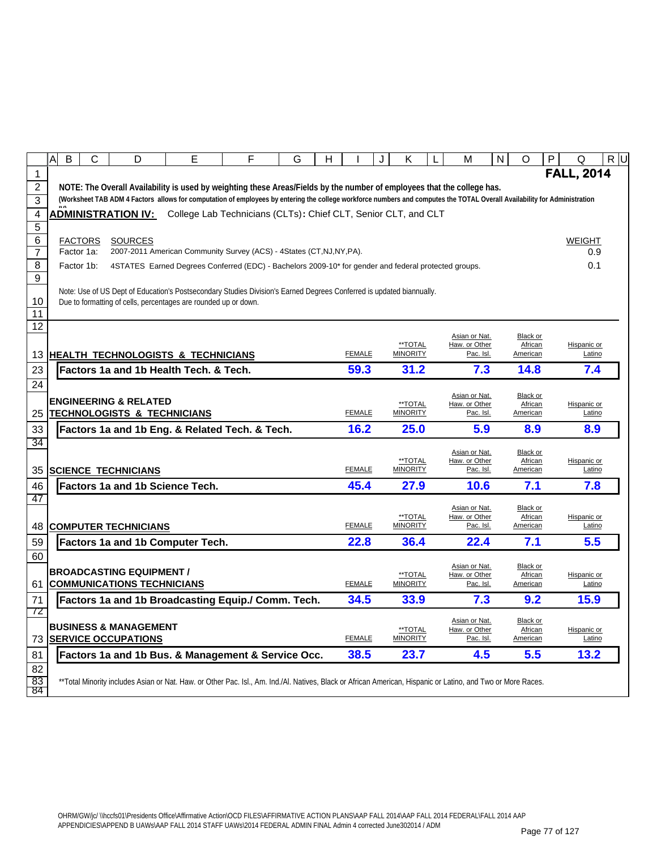|                       | Α<br>B     | $\mathsf{C}$   | D                                      | E                                                                                                                                                                         | F | G | н             | J | K                          | M                              | $\mathsf{N}$ | O                   | P                 | Q                     | R U |
|-----------------------|------------|----------------|----------------------------------------|---------------------------------------------------------------------------------------------------------------------------------------------------------------------------|---|---|---------------|---|----------------------------|--------------------------------|--------------|---------------------|-------------------|-----------------------|-----|
| $\mathbf{1}$          |            |                |                                        |                                                                                                                                                                           |   |   |               |   |                            |                                |              |                     | <b>FALL, 2014</b> |                       |     |
| $\overline{2}$        |            |                |                                        | NOTE: The Overall Availability is used by weighting these Areas/Fields by the number of employees that the college has.                                                   |   |   |               |   |                            |                                |              |                     |                   |                       |     |
| $\overline{3}$        |            |                |                                        | (Worksheet TAB ADM 4 Factors allows for computation of employees by entering the college workforce numbers and computes the TOTAL Overall Availability for Administration |   |   |               |   |                            |                                |              |                     |                   |                       |     |
| 4                     |            |                | <b>ADMINISTRATION IV:</b>              | College Lab Technicians (CLTs): Chief CLT, Senior CLT, and CLT                                                                                                            |   |   |               |   |                            |                                |              |                     |                   |                       |     |
| 5                     |            |                |                                        |                                                                                                                                                                           |   |   |               |   |                            |                                |              |                     |                   |                       |     |
| 6<br>$\overline{7}$   | Factor 1a: | <b>FACTORS</b> | <b>SOURCES</b>                         | 2007-2011 American Community Survey (ACS) - 4States (CT, NJ, NY, PA).                                                                                                     |   |   |               |   |                            |                                |              |                     |                   | <b>WEIGHT</b><br>0.9  |     |
| 8                     | Factor 1b: |                |                                        | 4STATES Earned Degrees Conferred (EDC) - Bachelors 2009-10* for gender and federal protected groups.                                                                      |   |   |               |   |                            |                                |              |                     |                   | 0.1                   |     |
| 9                     |            |                |                                        |                                                                                                                                                                           |   |   |               |   |                            |                                |              |                     |                   |                       |     |
|                       |            |                |                                        | Note: Use of US Dept of Education's Postsecondary Studies Division's Earned Degrees Conferred is updated biannually.                                                      |   |   |               |   |                            |                                |              |                     |                   |                       |     |
| 10                    |            |                |                                        | Due to formatting of cells, percentages are rounded up or down.                                                                                                           |   |   |               |   |                            |                                |              |                     |                   |                       |     |
| 11<br>$\overline{12}$ |            |                |                                        |                                                                                                                                                                           |   |   |               |   |                            |                                |              |                     |                   |                       |     |
|                       |            |                |                                        |                                                                                                                                                                           |   |   |               |   |                            | Asian or Nat.                  |              | Black or            |                   |                       |     |
|                       |            |                |                                        | 13 HEALTH TECHNOLOGISTS & TECHNICIANS                                                                                                                                     |   |   | <b>FEMALE</b> |   | **TOTAL<br><b>MINORITY</b> | Haw. or Other                  | Pac. Isl.    | African<br>American |                   | Hispanic or<br>Latino |     |
| 23                    |            |                |                                        | Factors 1a and 1b Health Tech. & Tech.                                                                                                                                    |   |   | 59.3          |   | 31.2                       |                                | 7.3          | 14.8                |                   | 7.4                   |     |
| 24                    |            |                |                                        |                                                                                                                                                                           |   |   |               |   |                            |                                |              |                     |                   |                       |     |
|                       |            |                | <b>ENGINEERING &amp; RELATED</b>       |                                                                                                                                                                           |   |   |               |   |                            | Asian or Nat.                  |              | Black or            |                   |                       |     |
| 25                    |            |                | <b>TECHNOLOGISTS &amp; TECHNICIANS</b> |                                                                                                                                                                           |   |   | <b>FEMALE</b> |   | **TOTAL<br><b>MINORITY</b> | Haw. or Other                  | Pac. Isl.    | African<br>American |                   | Hispanic or<br>Latino |     |
| 33                    |            |                |                                        | Factors 1a and 1b Eng. & Related Tech. & Tech.                                                                                                                            |   |   | 16.2          |   | 25.0                       |                                | 5.9          | 8.9                 |                   | 8.9                   |     |
| 34                    |            |                |                                        |                                                                                                                                                                           |   |   |               |   |                            |                                |              |                     |                   |                       |     |
|                       |            |                |                                        |                                                                                                                                                                           |   |   |               |   | **TOTAL                    | Asian or Nat.<br>Haw. or Other |              | Black or<br>African |                   | Hispanic or           |     |
|                       |            |                | 35 SCIENCE TECHNICIANS                 |                                                                                                                                                                           |   |   | <b>FEMALE</b> |   | <b>MINORITY</b>            |                                | Pac. Isl.    | American            |                   | Latino                |     |
|                       |            |                |                                        |                                                                                                                                                                           |   |   |               |   |                            |                                |              |                     |                   | 7.8                   |     |
| 46                    |            |                | <b>Factors 1a and 1b Science Tech.</b> |                                                                                                                                                                           |   |   | 45.4          |   | 27.9                       |                                | 10.6         | 7.1                 |                   |                       |     |
| 47                    |            |                |                                        |                                                                                                                                                                           |   |   |               |   |                            |                                |              |                     |                   |                       |     |
|                       |            |                |                                        |                                                                                                                                                                           |   |   |               |   | **TOTAL                    | Asian or Nat.<br>Haw. or Other |              | Black or<br>African |                   | Hispanic or           |     |
| 48                    |            |                | <b>COMPUTER TECHNICIANS</b>            |                                                                                                                                                                           |   |   | <b>FEMALE</b> |   | <b>MINORITY</b>            |                                | Pac. Isl.    | American            |                   | Latino                |     |
| 59                    |            |                |                                        | Factors 1a and 1b Computer Tech.                                                                                                                                          |   |   | 22.8          |   | 36.4                       |                                | 22.4         | 7.1                 |                   | 5.5                   |     |
| 60                    |            |                |                                        |                                                                                                                                                                           |   |   |               |   |                            |                                |              |                     |                   |                       |     |
|                       |            |                | <b>BROADCASTING EQUIPMENT /</b>        |                                                                                                                                                                           |   |   |               |   | **TOTAL                    | Asian or Nat.<br>Haw. or Other |              | Black or<br>African |                   | Hispanic or           |     |
| 61                    |            |                | <b>COMMUNICATIONS TECHNICIANS</b>      |                                                                                                                                                                           |   |   | <b>FEMALE</b> |   | <b>MINORITY</b>            |                                | Pac. Isl.    | American            |                   | Latino                |     |
| 71                    |            |                |                                        | Factors 1a and 1b Broadcasting Equip./ Comm. Tech.                                                                                                                        |   |   | 34.5          |   | 33.9                       |                                | 7.3          | 9.2                 |                   | 15.9                  |     |
| 72                    |            |                |                                        |                                                                                                                                                                           |   |   |               |   |                            | Asian or Nat.                  |              | Black or            |                   |                       |     |
|                       |            |                | <b>BUSINESS &amp; MANAGEMENT</b>       |                                                                                                                                                                           |   |   |               |   | **TOTAL                    | Haw. or Other                  |              | African             |                   | Hispanic or           |     |
| 73                    |            |                | <b>SERVICE OCCUPATIONS</b>             |                                                                                                                                                                           |   |   | <b>FEMALE</b> |   | <b>MINORITY</b>            |                                | Pac. Isl.    | American            |                   | Latino                |     |
| 81                    |            |                |                                        | Factors 1a and 1b Bus. & Management & Service Occ.                                                                                                                        |   |   | 38.5          |   | 23.7                       |                                | 4.5          | 5.5                 |                   | 13.2                  |     |
| 82<br>83              |            |                |                                        | **Total Minority includes Asian or Nat. Haw. or Other Pac. Isl., Am. Ind./Al. Natives, Black or African American, Hispanic or Latino, and Two or More Races.              |   |   |               |   |                            |                                |              |                     |                   |                       |     |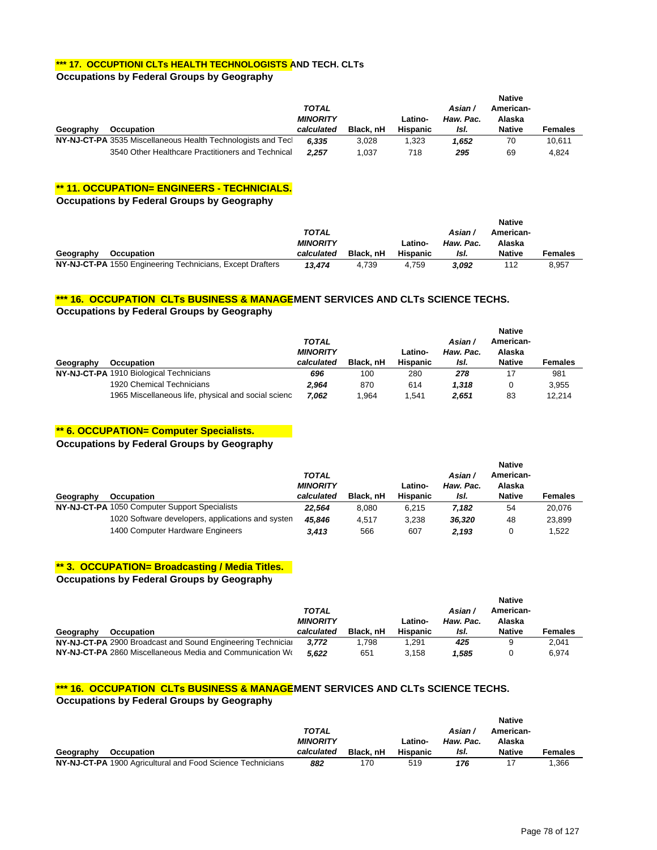#### **\*\*\* 17. OCCUPTIONI CLTs HEALTH TECHNOLOGISTS AND TECH. CLTs**

#### **Occupations by Federal Groups by Geography**

|           |                                                              |                 |           |                 |           | <b>Native</b> |                |
|-----------|--------------------------------------------------------------|-----------------|-----------|-----------------|-----------|---------------|----------------|
|           |                                                              |                 | Asian /   | American-       |           |               |                |
|           |                                                              | <b>MINORITY</b> |           | Latino-         | Haw. Pac. | Alaska        |                |
| Geography | <b>Occupation</b>                                            | calculated      | Black, nH | <b>Hispanic</b> | IsI.      | <b>Native</b> | <b>Females</b> |
|           | NY-NJ-CT-PA 3535 Miscellaneous Health Technologists and Tecl | 6.335           | 3.028     | 1.323           | 1.652     | 70            | 10.611         |
|           | 3540 Other Healthcare Practitioners and Technical            | 2.257           | 1.037     | 718             | 295       | 69            | 4.824          |

#### **\*\* 11. OCCUPATION= ENGINEERS - TECHNICIALS.**

**Occupations by Federal Groups by Geography**

|           |                                                           |                 |           |          |           | <b>Native</b> |         |
|-----------|-----------------------------------------------------------|-----------------|-----------|----------|-----------|---------------|---------|
|           |                                                           | TOTAL           |           |          | Asian     | American-     |         |
|           |                                                           | <b>MINORITY</b> |           | Latino-  | Haw. Pac. | Alaska        |         |
| Geography | <b>Occupation</b>                                         | calculated      | Black, nH | Hispanic | IsI.      | <b>Native</b> | Females |
|           | NY-NJ-CT-PA 1550 Engineering Technicians, Except Drafters | 13.474          | 4.739     | 4.759    | 3.092     | 112           | 8.957   |

#### **\*\*\* 16. OCCUPATION CLTs BUSINESS & MANAGEMENT SERVICES AND CLTs SCIENCE TECHS.**

**Occupations by Federal Groups by Geography**

|           |                                                     |                 |           |                 |           | <b>Native</b> |                |
|-----------|-----------------------------------------------------|-----------------|-----------|-----------------|-----------|---------------|----------------|
|           |                                                     | <b>TOTAL</b>    |           |                 | Asian/    | American-     |                |
|           |                                                     | <b>MINORITY</b> |           | Latino-         | Haw. Pac. | Alaska        |                |
| Geography | Occupation                                          | calculated      | Black, nH | <b>Hispanic</b> | IsI.      | <b>Native</b> | <b>Females</b> |
|           | NY-NJ-CT-PA 1910 Biological Technicians             | 696             | 100       | 280             | 278       | 17            | 981            |
|           | 1920 Chemical Technicians                           | 2.964           | 870       | 614             | 1.318     | 0             | 3,955          |
|           | 1965 Miscellaneous life, physical and social scienc | 7.062           | 964. ا    | .541            | 2.651     | 83            | 12.214         |

#### **\*\* 6. OCCUPATION= Computer Specialists.**

**Occupations by Federal Groups by Geography**

|           |                                                   | <b>TOTAL</b><br><b>MINORITY</b> |           | Latino-         | Asian/<br>Haw. Pac. | <b>Native</b><br>American-<br>Alaska |                |  |
|-----------|---------------------------------------------------|---------------------------------|-----------|-----------------|---------------------|--------------------------------------|----------------|--|
| Geography | <b>Occupation</b>                                 | calculated                      | Black, nH | <b>Hispanic</b> | IsI.                | <b>Native</b>                        | <b>Females</b> |  |
|           | NY-NJ-CT-PA 1050 Computer Support Specialists     | 22.564                          | 8.080     | 6.215           | 7.182               | 54                                   | 20.076         |  |
|           | 1020 Software developers, applications and systen | 45.846                          | 4.517     | 3.238           | 36.320              | 48                                   | 23,899         |  |
|           | 1400 Computer Hardware Engineers                  | 3.413                           | 566       | 607             | 2.193               |                                      | 1.522          |  |

#### **\*\* 3. OCCUPATION= Broadcasting / Media Titles.**

**Occupations by Federal Groups by Geography**

|           |                                                             |                 |           |                 |           | <b>Native</b> |         |
|-----------|-------------------------------------------------------------|-----------------|-----------|-----------------|-----------|---------------|---------|
|           |                                                             | TOTAL           |           |                 | Asian/    | American-     |         |
|           |                                                             | <b>MINORITY</b> |           | Latino-         | Haw. Pac. | Alaska        |         |
| Geography | <b>Occupation</b>                                           | calculated      | Black, nH | <b>Hispanic</b> | IsI.      | <b>Native</b> | Females |
|           | NY-NJ-CT-PA 2900 Broadcast and Sound Engineering Technicial | 3.772           | 1.798     | 1.291           | 425       | 9             | 2.041   |
|           | NY-NJ-CT-PA 2860 Miscellaneous Media and Communication Wo   |                 |           | 3.158           |           |               | 6.974   |

#### **\*\*\* 16. OCCUPATION CLTs BUSINESS & MANAGEMENT SERVICES AND CLTs SCIENCE TECHS.**

**Occupations by Federal Groups by Geography**

|           |                                                            |                 |           |                 |           | <b>Native</b> |                |
|-----------|------------------------------------------------------------|-----------------|-----------|-----------------|-----------|---------------|----------------|
|           |                                                            | TOTAL           |           |                 | Asian/    | American-     |                |
|           |                                                            | <b>MINORITY</b> |           | Latino-         | Haw. Pac. | Alaska        |                |
| Geography | Occupation                                                 | calculated      | Black, nH | <b>Hispanic</b> | IsI.      | <b>Native</b> | <b>Females</b> |
|           | NY-NJ-CT-PA 1900 Agricultural and Food Science Technicians | 882             | 170       | 519             | 176       |               | .366           |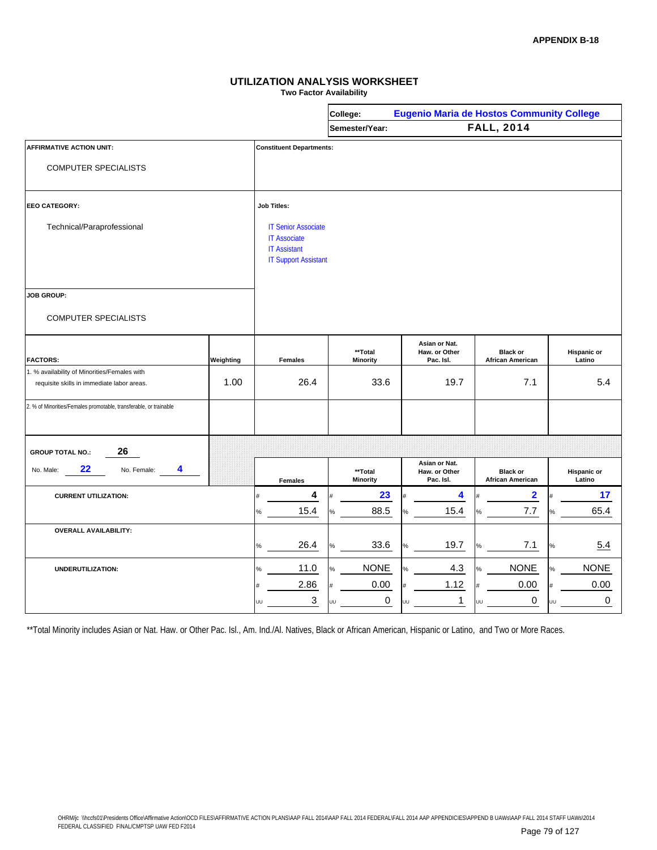**Two Factor Availability**

|                                                                   |           |      |                                                                                                         |    | College:                   |   | <b>Eugenio Maria de Hostos Community College</b> |   |                                            |    |                              |
|-------------------------------------------------------------------|-----------|------|---------------------------------------------------------------------------------------------------------|----|----------------------------|---|--------------------------------------------------|---|--------------------------------------------|----|------------------------------|
|                                                                   |           |      |                                                                                                         |    | Semester/Year:             |   |                                                  |   | <b>FALL, 2014</b>                          |    |                              |
| <b>AFFIRMATIVE ACTION UNIT:</b>                                   |           |      | <b>Constituent Departments:</b>                                                                         |    |                            |   |                                                  |   |                                            |    |                              |
| <b>COMPUTER SPECIALISTS</b>                                       |           |      |                                                                                                         |    |                            |   |                                                  |   |                                            |    |                              |
| <b>EEO CATEGORY:</b>                                              |           |      | <b>Job Titles:</b>                                                                                      |    |                            |   |                                                  |   |                                            |    |                              |
| Technical/Paraprofessional                                        |           |      | <b>IT Senior Associate</b><br><b>IT Associate</b><br><b>IT Assistant</b><br><b>IT Support Assistant</b> |    |                            |   |                                                  |   |                                            |    |                              |
| JOB GROUP:                                                        |           |      |                                                                                                         |    |                            |   |                                                  |   |                                            |    |                              |
| <b>COMPUTER SPECIALISTS</b>                                       |           |      |                                                                                                         |    |                            |   |                                                  |   |                                            |    |                              |
| <b>FACTORS:</b>                                                   | Weighting |      | <b>Females</b>                                                                                          |    | **Total<br><b>Minority</b> |   | Asian or Nat.<br>Haw. or Other<br>Pac. Isl.      |   | <b>Black or</b><br><b>African American</b> |    | <b>Hispanic or</b><br>Latino |
| 1. % availability of Minorities/Females with                      |           |      |                                                                                                         |    |                            |   |                                                  |   |                                            |    |                              |
| requisite skills in immediate labor areas.                        | 1.00      |      | 26.4                                                                                                    |    | 33.6                       |   | 19.7                                             |   | 7.1                                        |    | 5.4                          |
| 2. % of Minorities/Females promotable, transferable, or trainable |           |      |                                                                                                         |    |                            |   |                                                  |   |                                            |    |                              |
| 26<br><b>GROUP TOTAL NO.:</b>                                     |           |      |                                                                                                         |    |                            |   |                                                  |   |                                            |    |                              |
| 22<br>4<br>No. Male:<br>No. Female:                               |           |      | <b>Females</b>                                                                                          |    | **Total<br><b>Minority</b> |   | Asian or Nat.<br>Haw. or Other<br>Pac. Isl.      |   | <b>Black or</b><br><b>African American</b> |    | <b>Hispanic or</b><br>Latino |
| <b>CURRENT UTILIZATION:</b>                                       |           |      | 4                                                                                                       |    | 23                         |   | 4                                                |   | $\mathbf{2}$                               |    | 17                           |
|                                                                   |           | $\%$ | 15.4                                                                                                    | %  | 88.5                       |   | 15.4                                             | % | 7.7                                        | %  | 65.4                         |
| <b>OVERALL AVAILABILITY:</b>                                      |           |      |                                                                                                         |    |                            |   |                                                  |   |                                            |    |                              |
|                                                                   |           | %    | 26.4                                                                                                    | %  | 33.6                       |   | 19.7                                             | ℅ | 7.1                                        | %  | 5.4                          |
| UNDERUTILIZATION:                                                 |           | %    | 11.0                                                                                                    |    | <b>NONE</b>                |   | 4.3                                              | ℅ | <b>NONE</b>                                |    | <b>NONE</b>                  |
|                                                                   |           |      | 2.86                                                                                                    |    | 0.00                       |   | 1.12                                             |   | 0.00                                       |    | 0.00                         |
|                                                                   |           | UU   | 3                                                                                                       | ΠĪ | $\mathbf 0$                | ш | $\mathbf{1}$                                     |   | 0                                          | HГ | 0                            |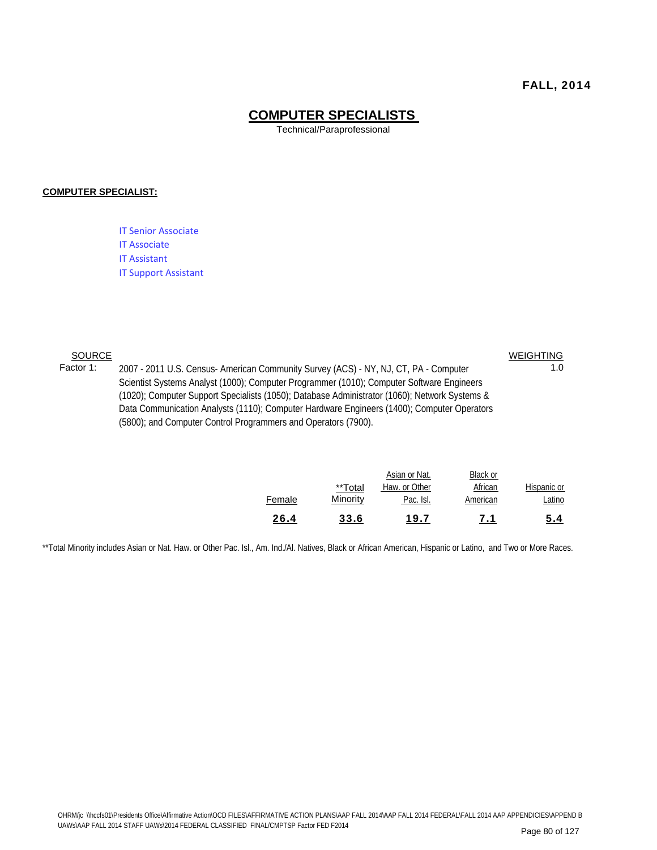#### **COMPUTER SPECIALISTS**

Technical/Paraprofessional

#### **COMPUTER SPECIALIST:**

IT Senior Associate IT Associate IT Assistant IT Support Assistant

**SOURCE** 

Factor 1: 2007 - 2011 U.S. Census- American Community Survey (ACS) - NY, NJ, CT, PA - Computer 1.0 Scientist Systems Analyst (1000); Computer Programmer (1010); Computer Software Engineers (1020); Computer Support Specialists (1050); Database Administrator (1060); Network Systems & Data Communication Analysts (1110); Computer Hardware Engineers (1400); Computer Operators (5800); and Computer Control Programmers and Operators (7900). WEIGHTING

| 26.4   | 33.6                | 19.7                       | 7.1                 | 5.4                   |
|--------|---------------------|----------------------------|---------------------|-----------------------|
| Female | **Total<br>Minority | Haw. or Other<br>Pac. Isl. | African<br>American | Hispanic or<br>Latino |
|        |                     | Asian or Nat.              | Black or            |                       |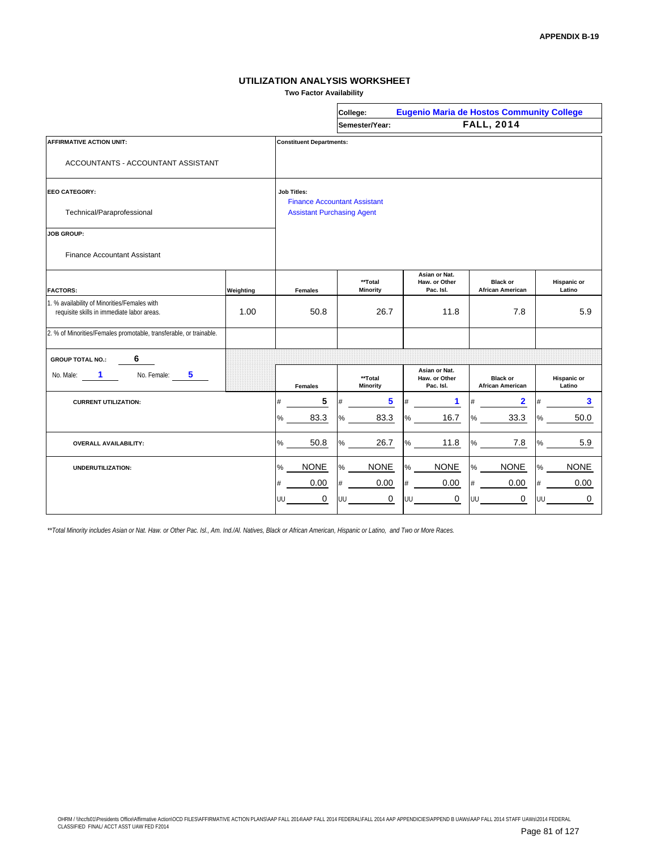**Two Factor Availability**

|                                                                                            |                                   |                                 | College:                            | <b>Eugenio Maria de Hostos Community College</b> |                                            |                              |
|--------------------------------------------------------------------------------------------|-----------------------------------|---------------------------------|-------------------------------------|--------------------------------------------------|--------------------------------------------|------------------------------|
|                                                                                            |                                   |                                 | Semester/Year:                      |                                                  | <b>FALL, 2014</b>                          |                              |
| <b>AFFIRMATIVE ACTION UNIT:</b>                                                            |                                   | <b>Constituent Departments:</b> |                                     |                                                  |                                            |                              |
| ACCOUNTANTS - ACCOUNTANT ASSISTANT                                                         |                                   |                                 |                                     |                                                  |                                            |                              |
| <b>EEO CATEGORY:</b>                                                                       |                                   | <b>Job Titles:</b>              | <b>Finance Accountant Assistant</b> |                                                  |                                            |                              |
| Technical/Paraprofessional                                                                 | <b>Assistant Purchasing Agent</b> |                                 |                                     |                                                  |                                            |                              |
| <b>JOB GROUP:</b>                                                                          |                                   |                                 |                                     |                                                  |                                            |                              |
| <b>Finance Accountant Assistant</b>                                                        |                                   |                                 |                                     |                                                  |                                            |                              |
| <b>FACTORS:</b>                                                                            | Weighting                         | <b>Females</b>                  | **Total<br><b>Minority</b>          | Asian or Nat.<br>Haw. or Other<br>Pac. Isl.      | <b>Black or</b><br><b>African American</b> | <b>Hispanic or</b><br>Latino |
| 1. % availability of Minorities/Females with<br>requisite skills in immediate labor areas. | 1.00                              | 50.8                            | 26.7                                | 11.8                                             | 7.8                                        | 5.9                          |
| 2. % of Minorities/Females promotable, transferable, or trainable.                         |                                   |                                 |                                     |                                                  |                                            |                              |
| 6<br><b>GROUP TOTAL NO.:</b>                                                               |                                   |                                 |                                     |                                                  |                                            |                              |
| No. Female:<br>No. Male:<br>1<br>5                                                         |                                   | <b>Females</b>                  | **Total<br><b>Minority</b>          | Asian or Nat.<br>Haw. or Other<br>Pac. Isl.      | <b>Black or</b><br><b>African American</b> | Hispanic or<br>Latino        |
| <b>CURRENT UTILIZATION:</b>                                                                |                                   | 5<br>#                          | 5                                   | $\mathbf 1$<br>#                                 | 2                                          | 3                            |
|                                                                                            |                                   | 83.3<br>%                       | 83.3<br>%                           | 16.7<br>%                                        | 33.3<br>%                                  | 50.0                         |
| <b>OVERALL AVAILABILITY:</b>                                                               |                                   | 50.8<br>$\%$                    | 26.7<br>℅                           | 11.8<br>$\%$                                     | 7.8<br>%                                   | 5.9<br>%                     |
| UNDERUTILIZATION:                                                                          |                                   | <b>NONE</b><br>%                | <b>NONE</b><br>%                    | <b>NONE</b><br>$\%$                              | <b>NONE</b><br>$\%$                        | <b>NONE</b><br>%             |
|                                                                                            |                                   | 0.00<br>#                       | 0.00<br>#                           | 0.00<br>$\#$                                     | 0.00<br>$\#$                               | 0.00<br>#                    |
|                                                                                            |                                   | 0<br>UU                         | 0<br>UU                             | 0<br>UU                                          | 0<br>UU                                    | 0<br>UU                      |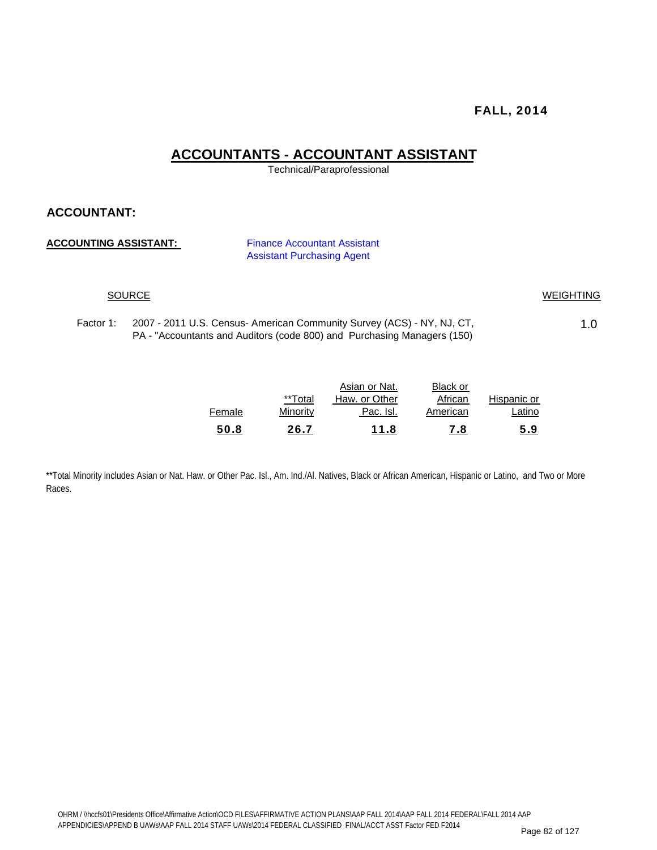### **ACCOUNTANTS - ACCOUNTANT ASSISTANT**

Technical/Paraprofessional

#### **ACCOUNTANT:**

#### **ACCOUNTING ASSISTANT:** Finance Accountant Assistant

Assistant Purchasing Agent

#### SOURCE WEIGHTING

Factor 1: 2007 - 2011 U.S. Census- American Community Survey (ACS) - NY, NJ, CT,  $\hspace{1.5cm}$  1.0 PA - "Accountants and Auditors (code 800) and Purchasing Managers (150)

|        |          | Asian or Nat. | Black or |             |
|--------|----------|---------------|----------|-------------|
|        | **Total  | Haw, or Other | African  | Hispanic or |
| Female | Minority | Pac. Isl.     | American | Latino      |
| 50.8   | 26.7     | 11.8          | 7.8      | 5.9         |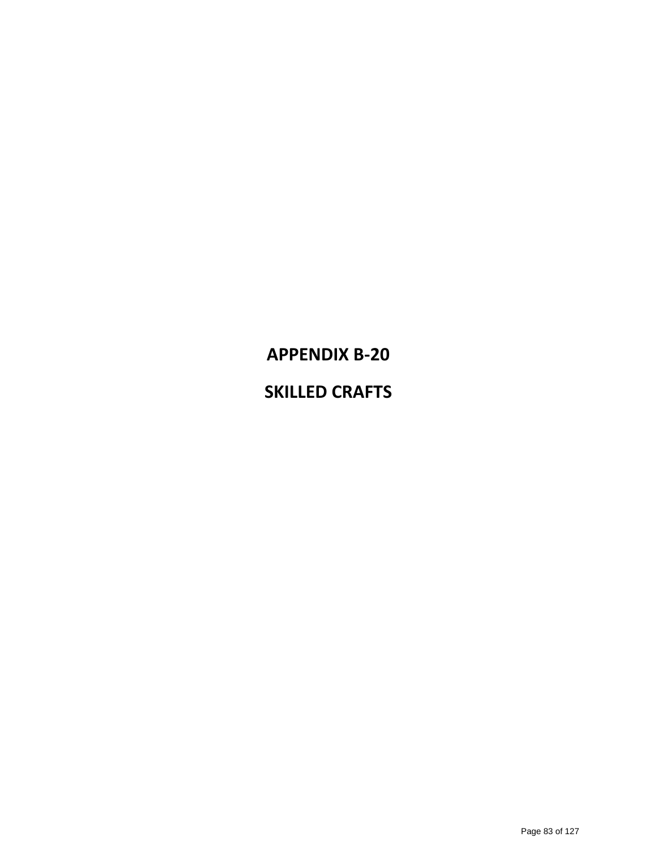# **APPENDIX B‐20 SKILLED CRAFTS**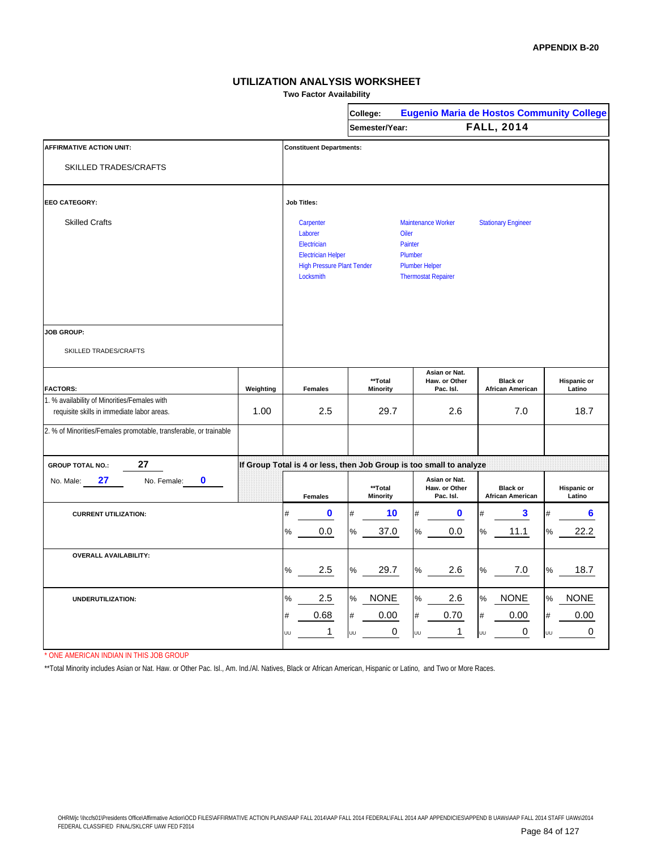**Two Factor Availability**

|                                                                                            |           |                                                                                                                    | College:                   | <b>Eugenio Maria de Hostos Community College</b>                                                |                                            |                              |
|--------------------------------------------------------------------------------------------|-----------|--------------------------------------------------------------------------------------------------------------------|----------------------------|-------------------------------------------------------------------------------------------------|--------------------------------------------|------------------------------|
|                                                                                            |           |                                                                                                                    | Semester/Year:             |                                                                                                 | <b>FALL, 2014</b>                          |                              |
| <b>AFFIRMATIVE ACTION UNIT:</b>                                                            |           | <b>Constituent Departments:</b>                                                                                    |                            |                                                                                                 |                                            |                              |
| <b>SKILLED TRADES/CRAFTS</b>                                                               |           |                                                                                                                    |                            |                                                                                                 |                                            |                              |
| <b>EEO CATEGORY:</b>                                                                       |           | <b>Job Titles:</b>                                                                                                 |                            |                                                                                                 |                                            |                              |
| <b>Skilled Crafts</b>                                                                      |           | Carpenter<br>Laborer<br>Electrician<br><b>Electrician Helper</b><br><b>High Pressure Plant Tender</b><br>Locksmith | Oiler                      | Maintenance Worker<br>Painter<br>Plumber<br><b>Plumber Helper</b><br><b>Thermostat Repairer</b> | <b>Stationary Engineer</b>                 |                              |
| <b>JOB GROUP:</b>                                                                          |           |                                                                                                                    |                            |                                                                                                 |                                            |                              |
| SKILLED TRADES/CRAFTS                                                                      |           |                                                                                                                    |                            |                                                                                                 |                                            |                              |
| <b>FACTORS:</b>                                                                            | Weighting | <b>Females</b>                                                                                                     | **Total<br><b>Minority</b> | Asian or Nat.<br>Haw. or Other<br>Pac. Isl.                                                     | <b>Black or</b><br><b>African American</b> | <b>Hispanic or</b><br>Latino |
| 1. % availability of Minorities/Females with<br>requisite skills in immediate labor areas. | 1.00      | 2.5                                                                                                                | 29.7                       | 2.6                                                                                             | 7.0                                        | 18.7                         |
| 2. % of Minorities/Females promotable, transferable, or trainable                          |           |                                                                                                                    |                            |                                                                                                 |                                            |                              |
| 27<br><b>GROUP TOTAL NO.:</b>                                                              |           |                                                                                                                    |                            | If Group Total is 4 or less, then Job Group is too small to analyze                             |                                            |                              |
| 27<br>$\mathbf 0$<br>No. Female:<br>No. Male:                                              |           | <b>Females</b>                                                                                                     | **Total<br><b>Minority</b> | Asian or Nat.<br>Haw. or Other<br>Pac. Isl.                                                     | <b>Black or</b><br><b>African American</b> | <b>Hispanic or</b><br>Latino |
| <b>CURRENT UTILIZATION:</b>                                                                |           | 0<br>#                                                                                                             | 10<br>#                    | $\mathbf 0$<br>$\#$                                                                             | 3<br>#                                     | $6\phantom{a}$               |
|                                                                                            |           | $\frac{9}{6}$<br>0.0                                                                                               | 37.0<br>%                  | $\%$<br>0.0                                                                                     | $\%$<br>11.1                               | 22.2<br>%                    |
| <b>OVERALL AVAILABILITY:</b>                                                               |           | 2.5<br>%                                                                                                           | 29.7<br>%                  | 2.6<br>%                                                                                        | $7.0\,$<br>%                               | 18.7<br>℅                    |
| UNDERUTILIZATION:                                                                          |           | 2.5<br>℅                                                                                                           | %<br><b>NONE</b>           | 2.6<br>$\%$                                                                                     | <b>NONE</b><br>$\%$                        | <b>NONE</b><br>%             |
|                                                                                            |           | 0.68<br>#                                                                                                          | #<br>0.00                  | 0.70<br>#                                                                                       | 0.00<br>$\#$                               | 0.00<br>#                    |
|                                                                                            |           | 1<br>Uυ                                                                                                            | 0<br>UU                    | 1<br>UU                                                                                         | 0<br>UU                                    | 0<br>UU                      |

\* ONE AMERICAN INDIAN IN THIS JOB GROUP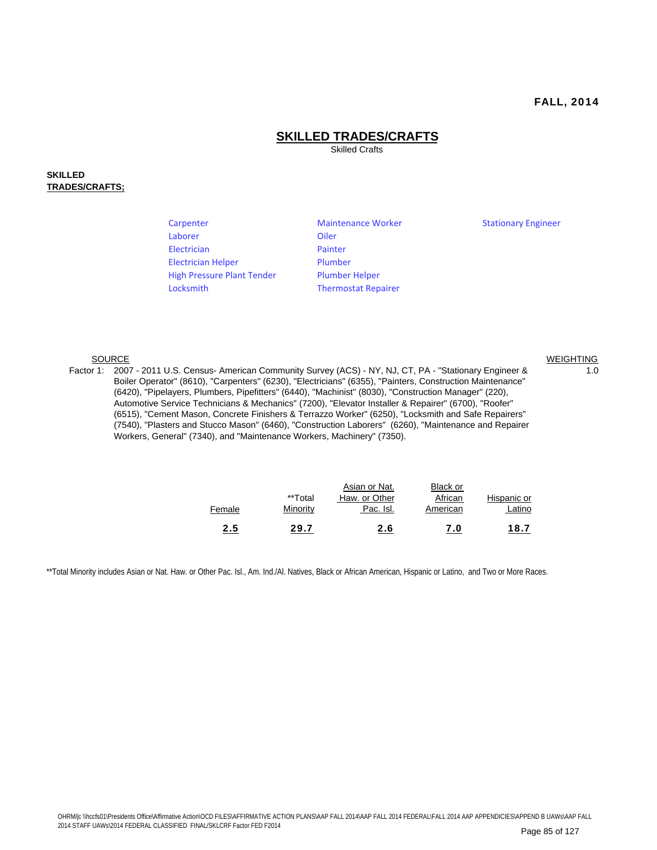WEIGHTING

#### **SKILLED TRADES/CRAFTS**

Skilled Crafts

#### **SKILLED TRADES/CRAFTS;**

| Carpenter                         | <b>Maintenance Worker</b>  | <b>Stationary Engineer</b> |
|-----------------------------------|----------------------------|----------------------------|
| Laborer                           | Oiler                      |                            |
| Electrician                       | Painter                    |                            |
| <b>Electrician Helper</b>         | Plumber                    |                            |
| <b>High Pressure Plant Tender</b> | <b>Plumber Helper</b>      |                            |
| Locksmith                         | <b>Thermostat Repairer</b> |                            |

#### SOURCE

Factor 1: 2007 - 2011 U.S. Census- American Community Survey (ACS) - NY, NJ, CT, PA - "Stationary Engineer & 1.0 Boiler Operator" (8610), "Carpenters" (6230), "Electricians" (6355), "Painters, Construction Maintenance" (6420), "Pipelayers, Plumbers, Pipefitters" (6440), "Machinist" (8030), "Construction Manager" (220), Automotive Service Technicians & Mechanics" (7200), "Elevator Installer & Repairer" (6700), "Roofer" (6515), "Cement Mason, Concrete Finishers & Terrazzo Worker" (6250), "Locksmith and Safe Repairers" (7540), "Plasters and Stucco Mason" (6460), "Construction Laborers" (6260), "Maintenance and Repairer Workers, General" (7340), and "Maintenance Workers, Machinery" (7350).

| Female | **Total<br>Minority | Asian or Nat.<br>Haw. or Other<br>Pac. Isl. | Black or<br>African<br>American | Hispanic or<br>Latino |
|--------|---------------------|---------------------------------------------|---------------------------------|-----------------------|
| 2.5    | 29.7                | 2.6                                         | 7.0                             | 18.7                  |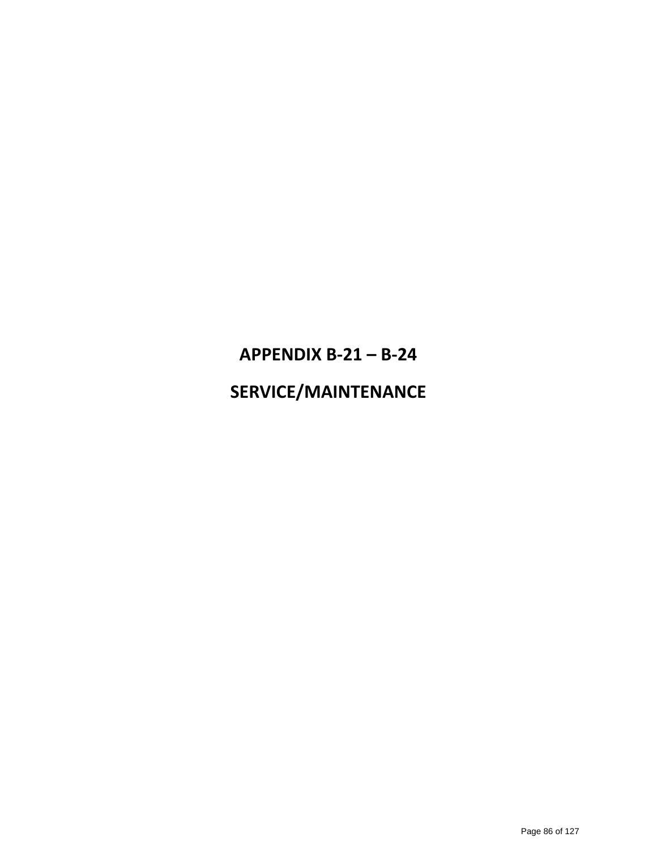# **APPENDIX B‐21 – B‐24**

### **SERVICE/MAINTENANCE**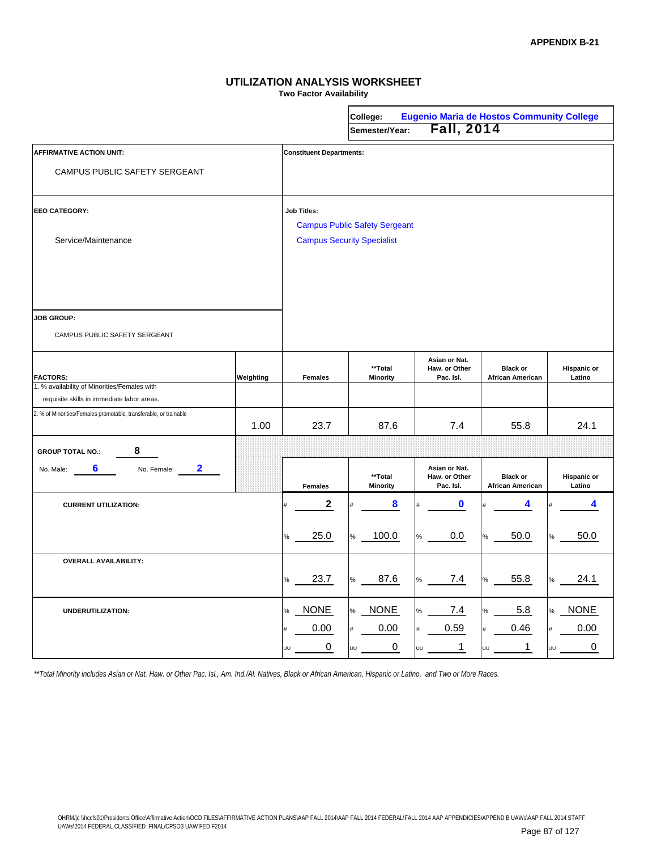**Two Factor Availability**

|                                                                                            |           |                                   |    | College:<br>Semester/Year:           |      | <b>Eugenio Maria de Hostos Community College</b><br><b>Fall, 2014</b> |            |                                            |      |                       |
|--------------------------------------------------------------------------------------------|-----------|-----------------------------------|----|--------------------------------------|------|-----------------------------------------------------------------------|------------|--------------------------------------------|------|-----------------------|
|                                                                                            |           |                                   |    |                                      |      |                                                                       |            |                                            |      |                       |
| <b>AFFIRMATIVE ACTION UNIT:</b>                                                            |           | <b>Constituent Departments:</b>   |    |                                      |      |                                                                       |            |                                            |      |                       |
| CAMPUS PUBLIC SAFETY SERGEANT                                                              |           |                                   |    |                                      |      |                                                                       |            |                                            |      |                       |
| <b>EEO CATEGORY:</b>                                                                       |           | <b>Job Titles:</b>                |    | <b>Campus Public Safety Sergeant</b> |      |                                                                       |            |                                            |      |                       |
| Service/Maintenance                                                                        |           | <b>Campus Security Specialist</b> |    |                                      |      |                                                                       |            |                                            |      |                       |
|                                                                                            |           |                                   |    |                                      |      |                                                                       |            |                                            |      |                       |
| <b>JOB GROUP:</b>                                                                          |           |                                   |    |                                      |      |                                                                       |            |                                            |      |                       |
| CAMPUS PUBLIC SAFETY SERGEANT                                                              |           |                                   |    |                                      |      |                                                                       |            |                                            |      |                       |
| <b>FACTORS:</b>                                                                            | Weighting | <b>Females</b>                    |    | **Total<br><b>Minority</b>           |      | Asian or Nat.<br>Haw. or Other<br>Pac. Isl.                           |            | <b>Black or</b><br><b>African American</b> |      | Hispanic or<br>Latino |
| 1. % availability of Minorities/Females with<br>requisite skills in immediate labor areas. |           |                                   |    |                                      |      |                                                                       |            |                                            |      |                       |
| 2. % of Minorities/Females promotable, transferable, or trainable                          | 1.00      | 23.7                              |    | 87.6                                 |      | 7.4                                                                   |            | 55.8                                       |      | 24.1                  |
| 8<br><b>GROUP TOTAL NO.:</b>                                                               |           |                                   |    |                                      |      |                                                                       |            |                                            |      |                       |
| 2<br>6<br>No. Female:<br>No. Male:                                                         |           | <b>Females</b>                    |    | **Total<br><b>Minority</b>           |      | Asian or Nat.<br>Haw. or Other<br>Pac. Isl.                           |            | <b>Black or</b><br><b>African American</b> |      | Hispanic or<br>Latino |
| <b>CURRENT UTILIZATION:</b>                                                                |           | $\boldsymbol{2}$                  |    | 8                                    |      | 0                                                                     |            | 4                                          |      | 4                     |
|                                                                                            |           | 25.0<br>%                         | %  | 100.0                                | $\%$ | 0.0                                                                   | $\%$       | 50.0                                       |      | 50.0                  |
| <b>OVERALL AVAILABILITY:</b>                                                               |           | 23.7<br>$\%$                      | ℅  | 87.6                                 | ℅    | 7.4                                                                   | $\%$       | 55.8                                       |      | 24.1                  |
| UNDERUTILIZATION:                                                                          |           | <b>NONE</b><br>$\%$               | %  | <b>NONE</b>                          | ℅    | 7.4                                                                   | $\%$       | 5.8                                        | $\%$ | <b>NONE</b>           |
|                                                                                            |           | 0.00<br>0<br>UU                   | υυ | 0.00<br>0                            | UU   | 0.59<br>$\mathbf{1}$                                                  | $\#$<br>UU | 0.46<br>$\mathbf 1$                        | UU   | 0.00<br>0             |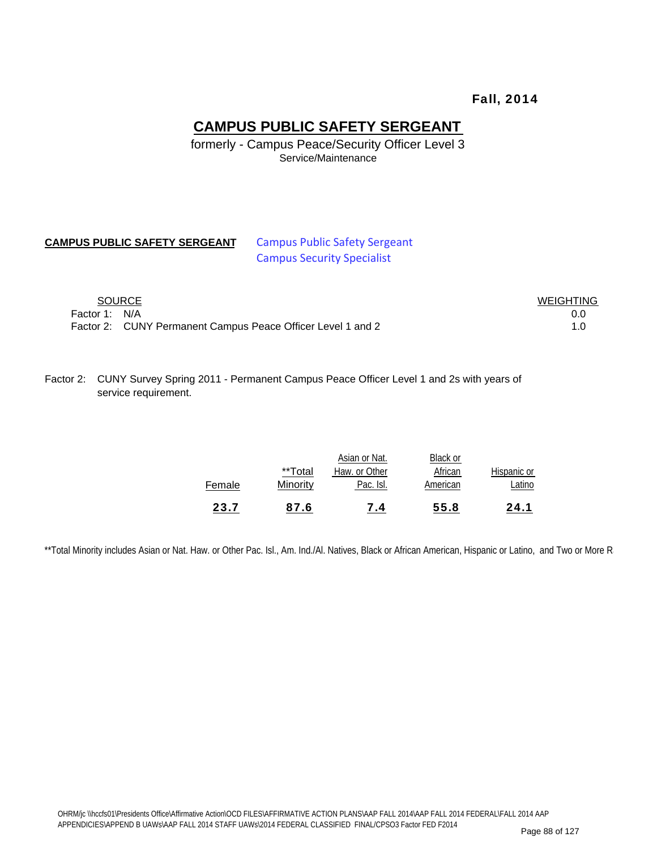#### Fall, 2014

#### **CAMPUS PUBLIC SAFETY SERGEANT**

formerly - Campus Peace/Security Officer Level 3 Service/Maintenance

#### **CAMPUS PUBLIC SAFETY SERGEANT** Campus Public Safety Sergeant

# Campus Security Specialist

|               | SOURCE                                                      | <b>WEIGHTING</b> |
|---------------|-------------------------------------------------------------|------------------|
| Factor 1: N/A |                                                             | 0.0              |
|               | Factor 2: CUNY Permanent Campus Peace Officer Level 1 and 2 |                  |

Factor 2: CUNY Survey Spring 2011 - Permanent Campus Peace Officer Level 1 and 2s with years of service requirement.

| 23.7   | 87.6                | 7.4                                         | 55.8                            | 24.1                  |
|--------|---------------------|---------------------------------------------|---------------------------------|-----------------------|
| Female | **Total<br>Minority | Asian or Nat.<br>Haw. or Other<br>Pac. Isl. | Black or<br>African<br>American | Hispanic or<br>Latino |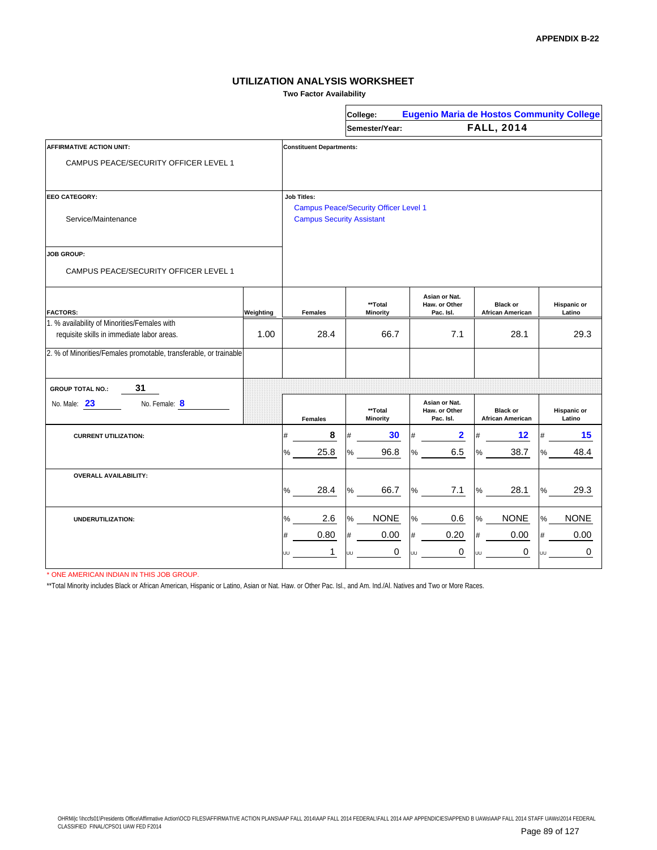**Two Factor Availability**

|                                                                                            |           |                                  | College:                                     |                                             | <b>Eugenio Maria de Hostos Community College</b> |                       |
|--------------------------------------------------------------------------------------------|-----------|----------------------------------|----------------------------------------------|---------------------------------------------|--------------------------------------------------|-----------------------|
|                                                                                            |           |                                  | Semester/Year:                               |                                             | <b>FALL, 2014</b>                                |                       |
| <b>AFFIRMATIVE ACTION UNIT:</b>                                                            |           | <b>Constituent Departments:</b>  |                                              |                                             |                                                  |                       |
| CAMPUS PEACE/SECURITY OFFICER LEVEL 1                                                      |           |                                  |                                              |                                             |                                                  |                       |
| <b>EEO CATEGORY:</b>                                                                       |           | <b>Job Titles:</b>               | <b>Campus Peace/Security Officer Level 1</b> |                                             |                                                  |                       |
| Service/Maintenance                                                                        |           | <b>Campus Security Assistant</b> |                                              |                                             |                                                  |                       |
| <b>JOB GROUP:</b>                                                                          |           |                                  |                                              |                                             |                                                  |                       |
| CAMPUS PEACE/SECURITY OFFICER LEVEL 1                                                      |           |                                  |                                              |                                             |                                                  |                       |
| <b>FACTORS:</b>                                                                            | Weighting | <b>Females</b>                   | **Total<br><b>Minority</b>                   | Asian or Nat.<br>Haw. or Other<br>Pac. Isl. | <b>Black or</b><br><b>African American</b>       | Hispanic or<br>Latino |
| 1. % availability of Minorities/Females with<br>requisite skills in immediate labor areas. | 1.00      | 28.4                             | 66.7                                         | 7.1                                         | 28.1                                             | 29.3                  |
| 2. % of Minorities/Females promotable, transferable, or trainable                          |           |                                  |                                              |                                             |                                                  |                       |
| 31<br><b>GROUP TOTAL NO.:</b>                                                              |           |                                  |                                              |                                             |                                                  |                       |
| No. Female: 8<br>No. Male: 23                                                              |           | <b>Females</b>                   | **Total<br><b>Minority</b>                   | Asian or Nat.<br>Haw. or Other<br>Pac. Isl. | <b>Black or</b><br><b>African American</b>       | Hispanic or<br>Latino |
| <b>CURRENT UTILIZATION:</b>                                                                |           | 8<br>#                           | 30                                           | $\overline{\mathbf{2}}$                     | 12                                               | 15                    |
|                                                                                            |           | 25.8<br>%                        | 96.8<br>℅                                    | 6.5<br>℅                                    | 38.7<br>%                                        | 48.4                  |
| <b>OVERALL AVAILABILITY:</b>                                                               |           |                                  |                                              |                                             |                                                  |                       |
|                                                                                            |           | 28.4<br>%                        | 66.7<br>%                                    | 7.1<br>$\%$                                 | 28.1<br>%                                        | 29.3                  |
| <b>UNDERUTILIZATION:</b>                                                                   |           | 2.6<br>%                         | <b>NONE</b><br>$\frac{1}{2}$                 | 0.6<br>$\%$                                 | <b>NONE</b><br>%                                 | <b>NONE</b>           |
|                                                                                            |           | 0.80<br>#                        | 0.00<br>#                                    | 0.20<br>#                                   | 0.00<br>#                                        | 0.00                  |
|                                                                                            |           | 1<br>UU                          | 0<br>UU                                      | 0<br>UU                                     | 0<br>UU                                          | 0                     |

\* ONE AMERICAN INDIAN IN THIS JOB GROUP.

\*\*Total Minority includes Black or African American, Hispanic or Latino, Asian or Nat. Haw. or Other Pac. Isl., and Am. Ind./Al. Natives and Two or More Races.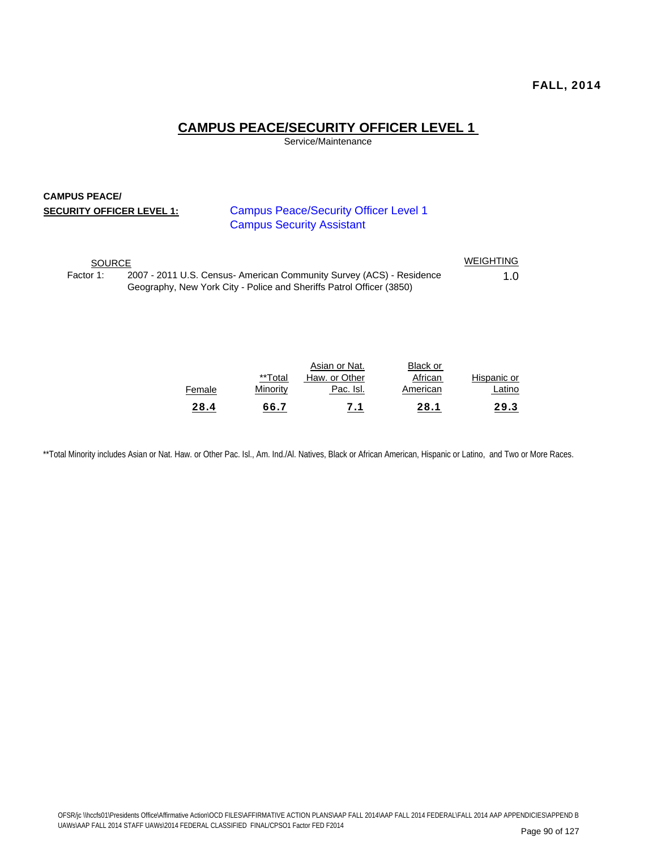#### **CAMPUS PEACE/SECURITY OFFICER LEVEL 1**

Service/Maintenance

#### **CAMPUS PEACE/ SECURITY OFFICER LEVEL 1:**

Campus Peace/Security Officer Level 1 Campus Security Assistant

| <b>SOURCE</b> |                                                                                                                                              | WEIGHTING |
|---------------|----------------------------------------------------------------------------------------------------------------------------------------------|-----------|
| Factor 1:     | 2007 - 2011 U.S. Census- American Community Survey (ACS) - Residence<br>Geography, New York City - Police and Sheriffs Patrol Officer (3850) | 1.0       |

| 28.4   | 66.7     | 7.1                            | 28.1                | 29.3        |
|--------|----------|--------------------------------|---------------------|-------------|
| Female | Minority | Pac. Isl.                      | American            | Latino      |
|        | **Total  | Asian or Nat.<br>Haw, or Other | Black or<br>African | Hispanic or |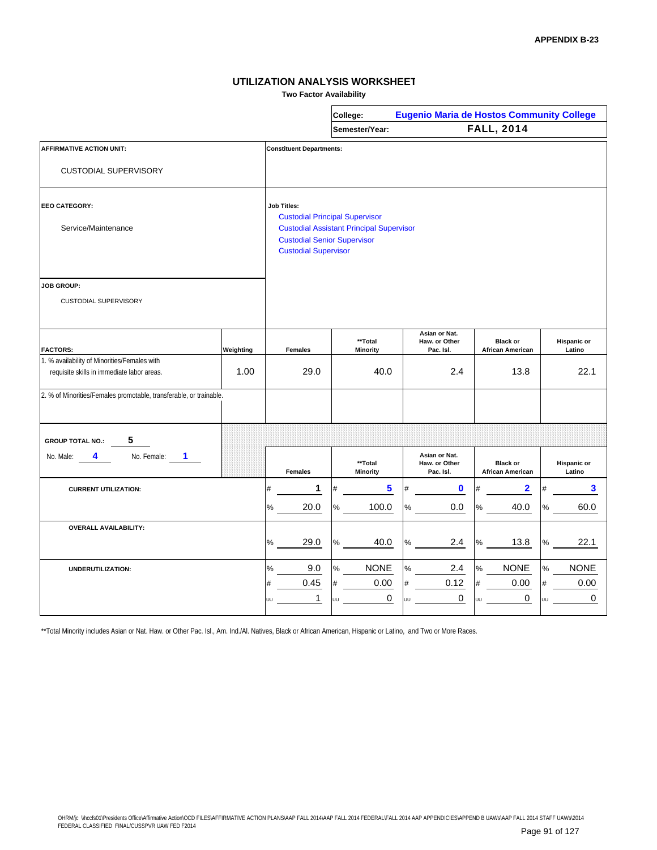**Two Factor Availability**

|                                                                    |           |                                                                   | College:                                        | <b>Eugenio Maria de Hostos Community College</b> |                                            |                              |  |  |  |  |  |
|--------------------------------------------------------------------|-----------|-------------------------------------------------------------------|-------------------------------------------------|--------------------------------------------------|--------------------------------------------|------------------------------|--|--|--|--|--|
|                                                                    |           |                                                                   | Semester/Year:                                  |                                                  | <b>FALL, 2014</b>                          |                              |  |  |  |  |  |
| <b>AFFIRMATIVE ACTION UNIT:</b>                                    |           | <b>Constituent Departments:</b>                                   |                                                 |                                                  |                                            |                              |  |  |  |  |  |
| <b>CUSTODIAL SUPERVISORY</b>                                       |           |                                                                   |                                                 |                                                  |                                            |                              |  |  |  |  |  |
| <b>EEO CATEGORY:</b>                                               |           | <b>Job Titles:</b>                                                | <b>Custodial Principal Supervisor</b>           |                                                  |                                            |                              |  |  |  |  |  |
| Service/Maintenance                                                |           | <b>Custodial Senior Supervisor</b><br><b>Custodial Supervisor</b> | <b>Custodial Assistant Principal Supervisor</b> |                                                  |                                            |                              |  |  |  |  |  |
| <b>JOB GROUP:</b><br>CUSTODIAL SUPERVISORY                         |           |                                                                   |                                                 |                                                  |                                            |                              |  |  |  |  |  |
| <b>FACTORS:</b>                                                    | Weighting | <b>Females</b>                                                    | **Total<br><b>Minority</b>                      | Asian or Nat.<br>Haw. or Other<br>Pac. Isl.      | <b>Black or</b><br><b>African American</b> | <b>Hispanic or</b><br>Latino |  |  |  |  |  |
| 1. % availability of Minorities/Females with                       |           |                                                                   |                                                 |                                                  |                                            |                              |  |  |  |  |  |
| requisite skills in immediate labor areas.                         | 1.00      | 29.0                                                              | 40.0                                            | 2.4                                              | 13.8                                       | 22.1                         |  |  |  |  |  |
| 2. % of Minorities/Females promotable, transferable, or trainable. |           |                                                                   |                                                 |                                                  |                                            |                              |  |  |  |  |  |
| 5<br><b>GROUP TOTAL NO.:</b>                                       |           |                                                                   |                                                 |                                                  |                                            |                              |  |  |  |  |  |
| No. Female:<br>1.<br>No. Male:<br>4                                |           | <b>Females</b>                                                    | **Total<br>Minority                             | Asian or Nat.<br>Haw. or Other<br>Pac. Isl.      | <b>Black or</b><br><b>African American</b> | <b>Hispanic or</b><br>Latino |  |  |  |  |  |
| <b>CURRENT UTILIZATION:</b>                                        |           | 1<br>#                                                            | 5<br>#                                          | 0<br>#                                           | 2                                          | 3<br>#                       |  |  |  |  |  |
|                                                                    |           | $\%$<br>20.0                                                      | $\%$<br>100.0                                   | %<br>0.0                                         | %<br>40.0                                  | $\frac{0}{0}$<br>60.0        |  |  |  |  |  |
| <b>OVERALL AVAILABILITY:</b>                                       |           | 29.0<br>%                                                         | 40.0<br>$\%$                                    | 2.4<br>$\%$                                      | 13.8<br>℅                                  | 22.1<br>℅                    |  |  |  |  |  |
| UNDERUTILIZATION:                                                  |           | 9.0<br>℅                                                          | <b>NONE</b><br>$\%$                             | 2.4<br>%                                         | <b>NONE</b><br>$\%$                        | <b>NONE</b><br>%             |  |  |  |  |  |
|                                                                    |           | 0.45<br>#                                                         | 0.00<br>#                                       | 0.12<br>#                                        | 0.00<br>#                                  | 0.00<br>$\#$                 |  |  |  |  |  |
|                                                                    |           | $\mathbf{1}$<br>UU                                                | 0<br>JU                                         | 0<br>UU                                          | 0<br>UU                                    | 0<br>UU                      |  |  |  |  |  |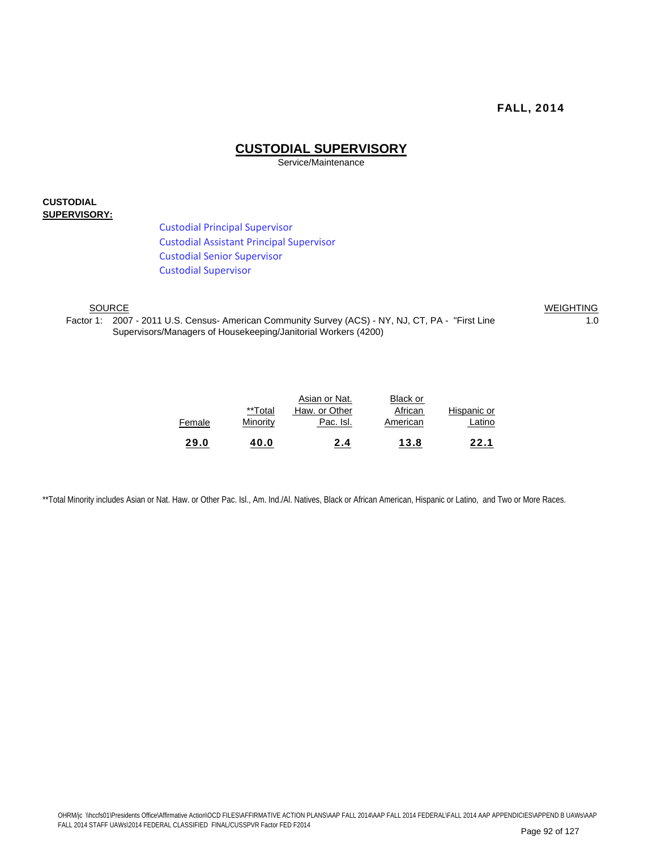#### **CUSTODIAL SUPERVISORY**

Service/Maintenance

#### **CUSTODIAL SUPERVISORY:**

Custodial Principal Supervisor Custodial Assistant Principal Supervisor Custodial Senior Supervisor Custodial Supervisor

SOURCE Factor 1: 2007 - 2011 U.S. Census- American Community Survey (ACS) - NY, NJ, CT, PA - "First Line 10 10 10 Supervisors/Managers of Housekeeping/Janitorial Workers (4200)

WEIGHTING

|             | <b>Black or</b> | Asian or Nat. |          |        |
|-------------|-----------------|---------------|----------|--------|
| Hispanic or | African         | Haw. or Other | **Total  |        |
| Latino      | American        | Pac. Isl.     | Minority | Female |
| 22.1        | 13.8            | 2.4           | 40.0     | 29.0   |
|             |                 |               |          |        |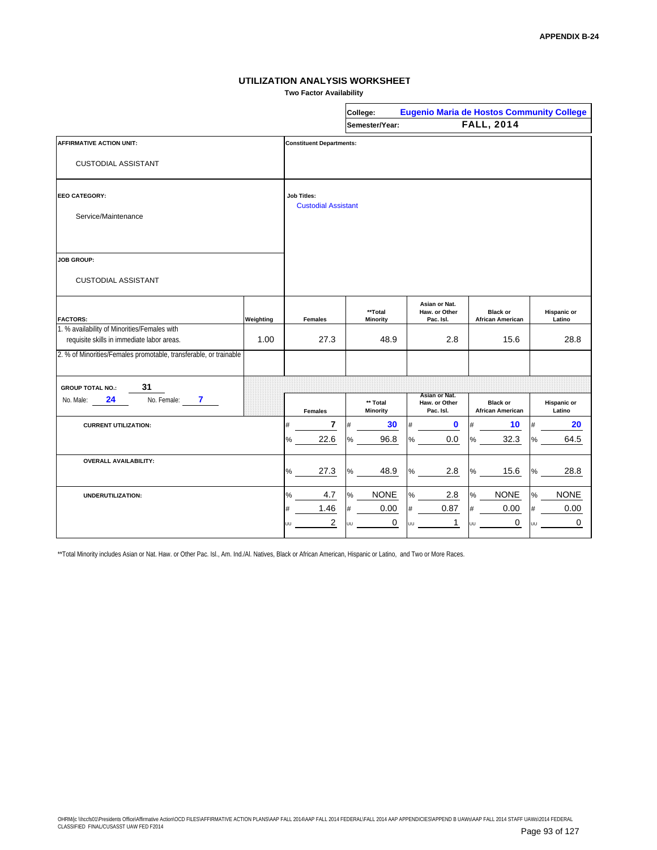**Two Factor Availability**

|                                                                                            |           |                                                  | College:                    |                                             | <b>Eugenio Maria de Hostos Community College</b> |                              |  |  |  |  |
|--------------------------------------------------------------------------------------------|-----------|--------------------------------------------------|-----------------------------|---------------------------------------------|--------------------------------------------------|------------------------------|--|--|--|--|
|                                                                                            |           |                                                  | Semester/Year:              |                                             | <b>FALL, 2014</b>                                |                              |  |  |  |  |
| <b>AFFIRMATIVE ACTION UNIT:</b>                                                            |           | <b>Constituent Departments:</b>                  |                             |                                             |                                                  |                              |  |  |  |  |
| <b>CUSTODIAL ASSISTANT</b>                                                                 |           |                                                  |                             |                                             |                                                  |                              |  |  |  |  |
| <b>EEO CATEGORY:</b>                                                                       |           | <b>Job Titles:</b><br><b>Custodial Assistant</b> |                             |                                             |                                                  |                              |  |  |  |  |
| Service/Maintenance                                                                        |           |                                                  |                             |                                             |                                                  |                              |  |  |  |  |
|                                                                                            |           |                                                  |                             |                                             |                                                  |                              |  |  |  |  |
| <b>JOB GROUP:</b>                                                                          |           |                                                  |                             |                                             |                                                  |                              |  |  |  |  |
| <b>CUSTODIAL ASSISTANT</b>                                                                 |           |                                                  |                             |                                             |                                                  |                              |  |  |  |  |
| <b>FACTORS:</b>                                                                            | Weighting | <b>Females</b>                                   | **Total<br><b>Minority</b>  | Asian or Nat.<br>Haw. or Other<br>Pac. Isl. | <b>Black or</b><br><b>African American</b>       | <b>Hispanic or</b><br>Latino |  |  |  |  |
| 1. % availability of Minorities/Females with<br>requisite skills in immediate labor areas. | 1.00      | 27.3                                             | 48.9                        | 2.8                                         | 15.6                                             | 28.8                         |  |  |  |  |
| 2. % of Minorities/Females promotable, transferable, or trainable                          |           |                                                  |                             |                                             |                                                  |                              |  |  |  |  |
| 31<br><b>GROUP TOTAL NO.:</b>                                                              |           |                                                  |                             |                                             |                                                  |                              |  |  |  |  |
| 24<br>No. Female:<br>7.<br>No. Male:                                                       |           | <b>Females</b>                                   | ** Total<br><b>Minority</b> | Asian or Nat.<br>Haw. or Other<br>Pac. Isl. | <b>Black or</b><br><b>African American</b>       | <b>Hispanic or</b><br>Latino |  |  |  |  |
| <b>CURRENT UTILIZATION:</b>                                                                |           | 7<br>#                                           | 30<br>#                     | $\bf{0}$<br>#                               | 10                                               | 20                           |  |  |  |  |
|                                                                                            |           | 22.6<br>%                                        | 96.8<br>$\%$                | 0.0<br>℅                                    | 32.3<br>%                                        | 64.5<br>%                    |  |  |  |  |
| <b>OVERALL AVAILABILITY:</b>                                                               |           | 27.3<br>%                                        | 48.9<br>$\%$                | 2.8<br>%                                    | 15.6<br>%                                        | 28.8<br>%                    |  |  |  |  |
| UNDERUTILIZATION:                                                                          |           | 4.7<br>%                                         | <b>NONE</b><br>%            | 2.8<br>℅                                    | <b>NONE</b><br>%                                 | <b>NONE</b><br>%             |  |  |  |  |
|                                                                                            |           | 1.46<br>#                                        | 0.00<br>#                   | 0.87<br>#                                   | 0.00<br>#                                        | 0.00<br>#                    |  |  |  |  |
|                                                                                            |           | $\overline{2}$<br>UU                             | $\mathbf 0$<br>UU           | $\mathbf{1}$<br>UU                          | $\mathbf 0$<br>UU                                | $\mathbf 0$<br>UU            |  |  |  |  |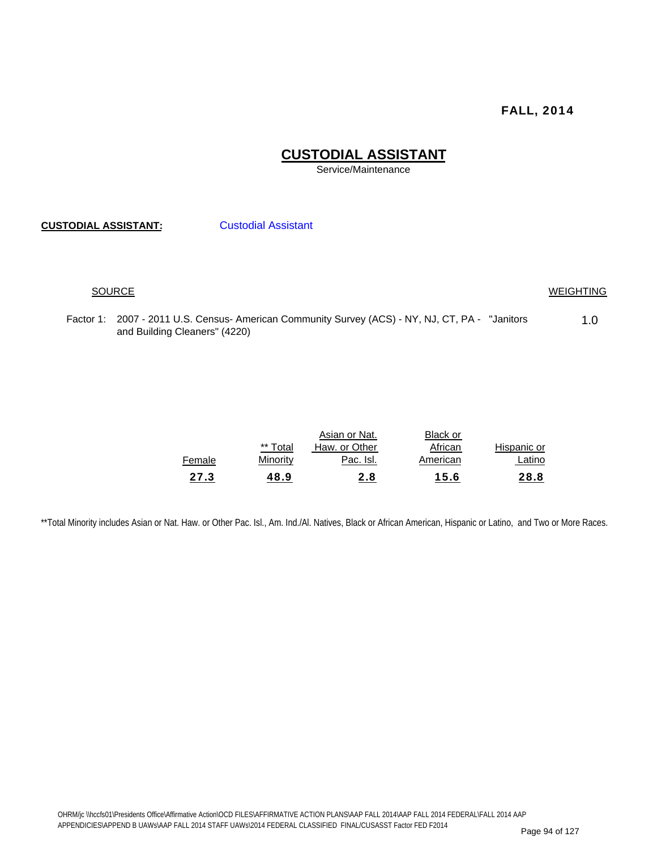### **CUSTODIAL ASSISTANT**

Service/Maintenance

**CUSTODIAL ASSISTANT:** Custodial Assistant

#### SOURCE WEIGHTING

Factor 1: 2007 - 2011 U.S. Census- American Community Survey (ACS) - NY, NJ, CT, PA - "Janitors 1.0 and Building Cleaners" (4220)

|             | Black or | Asian or Nat. |          |        |
|-------------|----------|---------------|----------|--------|
| Hispanic or | African  | Haw. or Other | ** Total |        |
| Latino      | American | Pac. Isl.     | Minority | Female |
| 28.8        | 15.6     | <u>2.8</u>    | 48.9     | 27.3   |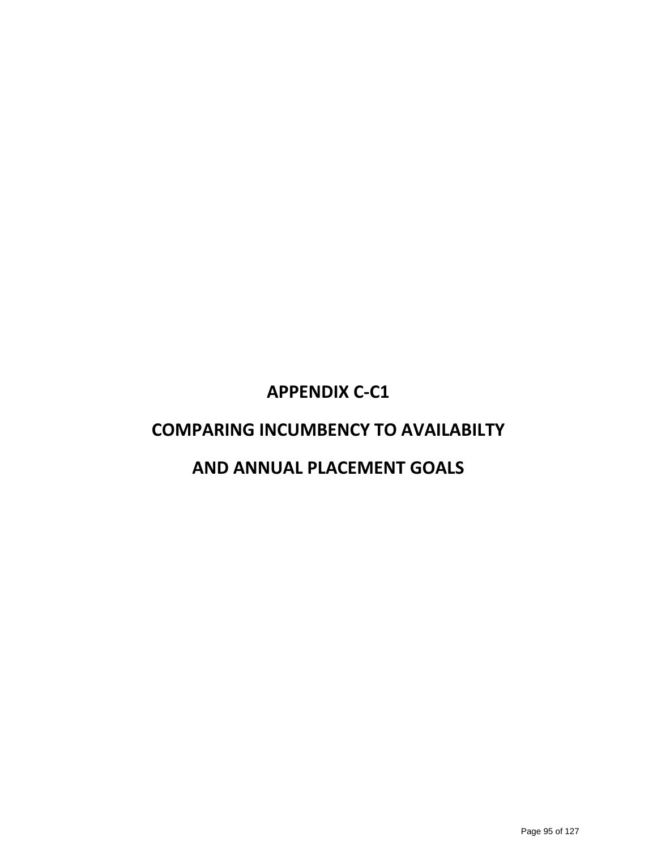### **APPENDIX C‐C1**

### **COMPARING INCUMBENCY TO AVAILABILTY**

### **AND ANNUAL PLACEMENT GOALS**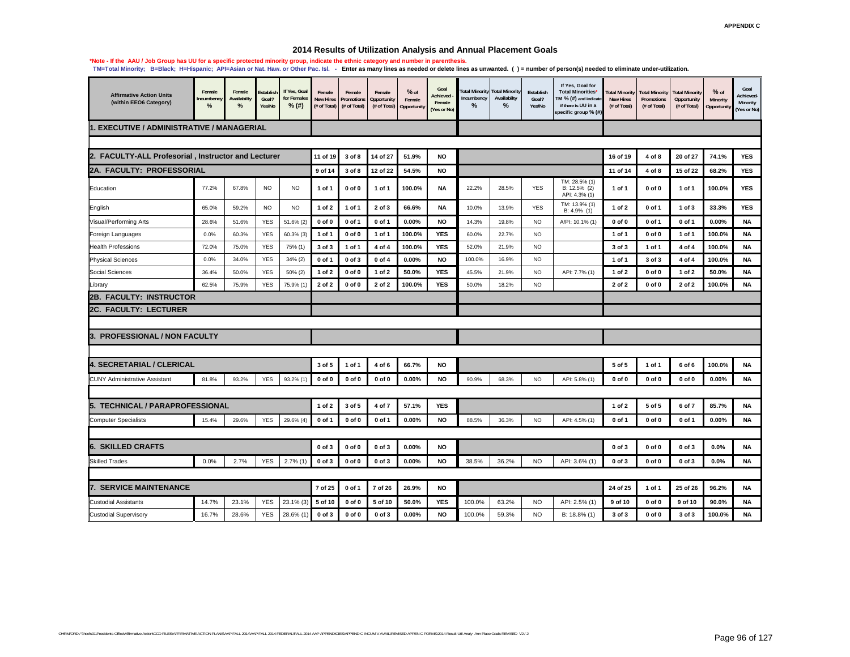#### **2014 Results of Utilization Analysis and Annual Placement Goals**

| <b>Affirmative Action Units</b><br>(within EEO6 Category) | Female<br>ncumbency<br>$\%$ | Female<br>Availabilty<br>% | Establish<br>Goal?<br>Yes/No | If Yes, Goal<br>for Females<br>$%$ (#) | Female<br><b>New Hires</b><br>(# of Total) | Female<br>Promotions<br>(# of Total) | Female<br>Opportunity<br>(# of Total) | $%$ of<br>Female<br>Opportunity | Goal<br>Achieved<br>Female<br>(Yes or No) | otal Minority<br>ncumbency<br>% | <b>Total Minority</b><br>Availabilty<br>% | Establish<br>Goal?<br>Yes/No | If Yes, Goal for<br><b>Total Minorities*</b><br>TM $%$ (#) and indicate<br>if there is UU in a<br>specific group % (#) | otal Minority<br><b>New Hires</b><br>(# of Total) | <b>Total Minority</b><br>Promotions<br>(# of Total) | <b>Total Minority</b><br>Opportunity<br>(# of Total) | $%$ of<br>Minority<br>Opportunit | Goal<br>Achieved-<br>Minority<br>Yes or No) |
|-----------------------------------------------------------|-----------------------------|----------------------------|------------------------------|----------------------------------------|--------------------------------------------|--------------------------------------|---------------------------------------|---------------------------------|-------------------------------------------|---------------------------------|-------------------------------------------|------------------------------|------------------------------------------------------------------------------------------------------------------------|---------------------------------------------------|-----------------------------------------------------|------------------------------------------------------|----------------------------------|---------------------------------------------|
| 1. EXECUTIVE / ADMINISTRATIVE / MANAGERIAL                |                             |                            |                              |                                        |                                            |                                      |                                       |                                 |                                           |                                 |                                           |                              |                                                                                                                        |                                                   |                                                     |                                                      |                                  |                                             |
|                                                           |                             |                            |                              |                                        |                                            |                                      |                                       |                                 |                                           |                                 |                                           |                              |                                                                                                                        |                                                   |                                                     |                                                      |                                  |                                             |
| 2. FACULTY-ALL Profesorial, Instructor and Lecturer       |                             |                            |                              |                                        | 11 of 19                                   | 3 of 8                               | 14 of 27                              | 51.9%                           | <b>NO</b>                                 |                                 |                                           |                              |                                                                                                                        | 16 of 19                                          | 4 of 8                                              | 20 of 27                                             | 74.1%                            | <b>YES</b>                                  |
| <b>2A. FACULTY: PROFESSORIAL</b>                          |                             |                            |                              |                                        | 9 of 14                                    | 3 of 8                               | 12 of 22                              | 54.5%                           | <b>NO</b>                                 |                                 |                                           |                              |                                                                                                                        | 11 of 14                                          | 4 of 8                                              | 15 of 22                                             | 68.2%                            | <b>YES</b>                                  |
| Education                                                 | 77.2%                       | 67.8%                      | <b>NO</b>                    | <b>NO</b>                              | 1 of 1                                     | $0$ of $0$                           | 1 of 1                                | 100.0%                          | <b>NA</b>                                 | 22.2%                           | 28.5%                                     | <b>YES</b>                   | TM: 28.5% (1)<br>B: 12.5% (2)<br>API: 4.3% (1)                                                                         | 1 of 1                                            | $0$ of $0$                                          | 1 of 1                                               | 100.0%                           | <b>YES</b>                                  |
| English                                                   | 65.0%                       | 59.2%                      | <b>NO</b>                    | <b>NO</b>                              | 1 of 2                                     | 1 of 1                               | 2 of 3                                | 66.6%                           | <b>NA</b>                                 | 10.0%                           | 13.9%                                     | <b>YES</b>                   | TM: 13.9% (1)<br>B: 4.9% (1)                                                                                           | $1$ of $2$                                        | 0 of 1                                              | 1 of 3                                               | 33.3%                            | YES                                         |
| Visual/Performing Arts                                    | 28.6%                       | 51.6%                      | <b>YES</b>                   | 51.6% (2)                              | $0$ of $0$                                 | $0$ of 1                             | 0 of 1                                | 0.00%                           | <b>NO</b>                                 | 14.3%                           | 19.8%                                     | <b>NO</b>                    | A/PI: 10.1% (1)                                                                                                        | $0$ of $0$                                        | 0 of 1                                              | 0 of 1                                               | 0.00%                            | <b>NA</b>                                   |
| Foreign Languages                                         | 0.0%                        | 60.3%                      | <b>YES</b>                   | $60.3%$ (3)                            | 1 of 1                                     | $0$ of $0$                           | 1 of 1                                | 100.0%                          | <b>YES</b>                                | 60.0%                           | 22.7%                                     | <b>NO</b>                    |                                                                                                                        | 1 of 1                                            | $0$ of $0$                                          | 1 of 1                                               | 100.0%                           | <b>NA</b>                                   |
| <b>Health Professions</b>                                 | 72.0%                       | 75.0%                      | <b>YES</b>                   | 75% (1)                                | 3 of 3                                     | 1 of 1                               | 4 of 4                                | 100.0%                          | <b>YES</b>                                | 52.0%                           | 21.9%                                     | <b>NO</b>                    |                                                                                                                        | 3 of 3                                            | 1 of 1                                              | 4 of 4                                               | 100.0%                           | <b>NA</b>                                   |
| <b>Physical Sciences</b>                                  | 0.0%                        | 34.0%                      | YES                          | 34% (2)                                | 0 of 1                                     | $0$ of $3$                           | $0$ of $4$                            | 0.00%                           | <b>NO</b>                                 | 100.0%                          | 16.9%                                     | <b>NO</b>                    |                                                                                                                        | 1 of 1                                            | 3 of 3                                              | 4 of 4                                               | 100.0%                           | <b>NA</b>                                   |
| Social Sciences                                           | 36.4%                       | 50.0%                      | <b>YES</b>                   | 50% (2)                                | 1 of 2                                     | $0$ of $0$                           | 1 of 2                                | 50.0%                           | <b>YES</b>                                | 45.5%                           | 21.9%                                     | <b>NO</b>                    | API: 7.7% (1)                                                                                                          | 1 of 2                                            | 0 of 0                                              | 1 of 2                                               | 50.0%                            | <b>NA</b>                                   |
| Library                                                   | 62.5%                       | 75.9%                      | <b>YES</b>                   | 75.9% (1)                              | 2 of 2                                     | $0$ of $0$                           | 2 of 2                                | 100.0%                          | <b>YES</b>                                | 50.0%                           | 18.2%                                     | <b>NO</b>                    |                                                                                                                        | 2 of 2                                            | $0$ of $0$                                          | 2 of 2                                               | 100.0%                           | <b>NA</b>                                   |
| <b>2B. FACULTY: INSTRUCTOR</b>                            |                             |                            |                              |                                        |                                            |                                      |                                       |                                 |                                           |                                 |                                           |                              |                                                                                                                        |                                                   |                                                     |                                                      |                                  |                                             |
| <b>2C. FACULTY: LECTURER</b>                              |                             |                            |                              |                                        |                                            |                                      |                                       |                                 |                                           |                                 |                                           |                              |                                                                                                                        |                                                   |                                                     |                                                      |                                  |                                             |
|                                                           |                             |                            |                              |                                        |                                            |                                      |                                       |                                 |                                           |                                 |                                           |                              |                                                                                                                        |                                                   |                                                     |                                                      |                                  |                                             |
| <b>PROFESSIONAL / NON FACULTY</b><br>3.                   |                             |                            |                              |                                        |                                            |                                      |                                       |                                 |                                           |                                 |                                           |                              |                                                                                                                        |                                                   |                                                     |                                                      |                                  |                                             |
|                                                           |                             |                            |                              |                                        |                                            |                                      |                                       |                                 |                                           |                                 |                                           |                              |                                                                                                                        |                                                   |                                                     |                                                      |                                  |                                             |
| 4. SECRETARIAL / CLERICAL                                 |                             |                            |                              |                                        | 3 of 5                                     | 1 of 1                               | 4 of 6                                | 66.7%                           | <b>NO</b>                                 |                                 |                                           |                              |                                                                                                                        | 5 of 5                                            | 1 of 1                                              | 6 of 6                                               | 100.0%                           | <b>NA</b>                                   |
| <b>CUNY Administrative Assistant</b>                      | 81.8%                       | 93.2%                      | <b>YES</b>                   | 93.2% (1)                              | $0$ of $0$                                 | $0$ of $0$                           | $0$ of $0$                            | 0.00%                           | <b>NO</b>                                 | 90.9%                           | 68.3%                                     | <b>NO</b>                    | API: 5.8% (1)                                                                                                          | $0$ of $0$                                        | $0$ of $0$                                          | $0$ of $0$                                           | 0.00%                            | <b>NA</b>                                   |
|                                                           |                             |                            |                              |                                        |                                            |                                      |                                       |                                 |                                           |                                 |                                           |                              |                                                                                                                        |                                                   |                                                     |                                                      |                                  |                                             |
| 5. TECHNICAL / PARAPROFESSIONAL                           |                             |                            |                              |                                        | 1 of 2                                     | 3 of 5                               | 4 of 7                                | 57.1%                           | <b>YES</b>                                |                                 |                                           |                              |                                                                                                                        | 1 of 2                                            | 5 of 5                                              | 6 of 7                                               | 85.7%                            | <b>NA</b>                                   |
| <b>Computer Specialists</b>                               | 15.4%                       | 29.6%                      | <b>YES</b>                   | 29.6% (4)                              | 0 of 1                                     | $0$ of $0$                           | 0 of 1                                | 0.00%                           | <b>NO</b>                                 | 88.5%                           | 36.3%                                     | <b>NO</b>                    | API: 4.5% (1)                                                                                                          | 0 of 1                                            | $0$ of $0$                                          | 0 of 1                                               | 0.00%                            | <b>NA</b>                                   |
|                                                           |                             |                            |                              |                                        |                                            |                                      |                                       |                                 |                                           |                                 |                                           |                              |                                                                                                                        |                                                   |                                                     |                                                      |                                  |                                             |
| <b>6. SKILLED CRAFTS</b>                                  |                             |                            |                              |                                        | $0$ of $3$                                 | $0$ of $0$                           | $0$ of $3$                            | 0.00%                           | <b>NO</b>                                 |                                 |                                           |                              |                                                                                                                        | $0$ of $3$                                        | $0$ of $0$                                          | $0$ of $3$                                           | 0.0%                             | NA                                          |
| <b>Skilled Trades</b>                                     | 0.0%                        | 2.7%                       | <b>YES</b>                   | $2.7\%$ (1)                            | 0 of 3                                     | $0$ of $0$                           | $0$ of $3$                            | 0.00%                           | <b>NO</b>                                 | 38.5%                           | 36.2%                                     | <b>NO</b>                    | API: 3.6% (1)                                                                                                          | $0$ of $3$                                        | $0$ of $0$                                          | $0$ of $3$                                           | 0.0%                             | <b>NA</b>                                   |
|                                                           |                             |                            |                              |                                        |                                            |                                      |                                       |                                 |                                           |                                 |                                           |                              |                                                                                                                        |                                                   |                                                     |                                                      |                                  |                                             |
| 7. SERVICE MAINTENANCE                                    |                             |                            |                              |                                        | 7 of 25                                    | 0 of 1                               | 7 of 26                               | 26.9%                           | <b>NO</b>                                 |                                 |                                           |                              |                                                                                                                        | 24 of 25                                          | 1 of 1                                              | 25 of 26                                             | 96.2%                            | NA                                          |
| <b>Custodial Assistants</b>                               | 14.7%                       | 23.1%                      | <b>YES</b>                   | 23.1% (3)                              | 5 of 10                                    | $0$ of $0$                           | 5 of 10                               | 50.0%                           | <b>YES</b>                                | 100.0%                          | 63.2%                                     | <b>NO</b>                    | API: 2.5% (1)                                                                                                          | 9 of 10                                           | $0$ of $0$                                          | 9 of 10                                              | 90.0%                            | <b>NA</b>                                   |
| <b>Custodial Supervisory</b>                              | 16.7%                       | 28.6%                      | <b>YES</b>                   | 28.6% (1)                              | $0$ of $3$                                 | $0$ of $0$                           | $0$ of $3$                            | 0.00%                           | <b>NO</b>                                 | 100.0%                          | 59.3%                                     | <b>NO</b>                    | B: 18.8% (1)                                                                                                           | 3 of 3                                            | $0$ of $0$                                          | 3 of 3                                               | 100.0%                           | <b>NA</b>                                   |

\*Note - If the AAU / Job Group has UU for a specific protected minority group, indicate the ethnic category and number in parenthesis.<br>TM=Total Minority; B⊨Black; H⊨Hispanic; API⊨Asian or Nat. Haw. or Other Pac. Isl. - En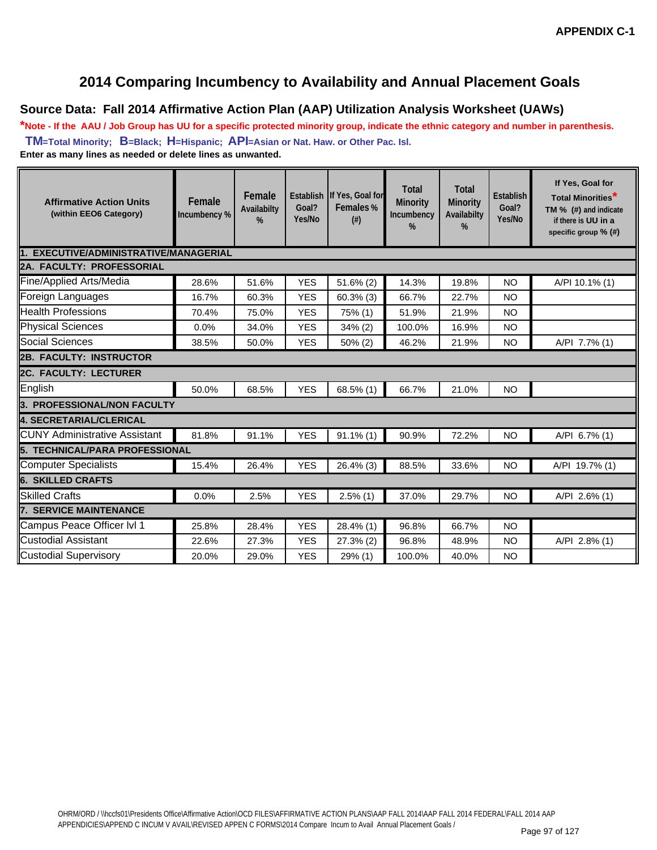### **2014 Comparing Incumbency to Availability and Annual Placement Goals**

#### **Source Data: Fall 2014 Affirmative Action Plan (AAP) Utilization Analysis Worksheet (UAWs)**

**\*Note - If the AAU / Job Group has UU for a specific protected minority group, indicate the ethnic category and number in parenthesis. TM=Total Minority; B=Black; H=Hispanic; API=Asian or Nat. Haw. or Other Pac. Isl. Enter as many lines as needed or delete lines as unwanted.**

| <b>Affirmative Action Units</b><br>(within EEO6 Category)                                                                | Female<br>Incumbency % | Female<br>Availabilty<br>% | Goal?<br>Yes/No | Establish If Yes, Goal for<br>Females %<br>$(\#)$ | <b>Total</b><br>Minority<br>Incumbency<br>% | <b>Total</b><br><b>Minority</b><br>Availabilty<br>% | <b>Establish</b><br>Goal?<br>Yes/No | If Yes, Goal for<br><b>Total Minorities</b> <sup>*</sup><br>TM % (#) and indicate<br>if there is UU in a<br>specific group $%$ (#) |  |  |  |  |  |  |
|--------------------------------------------------------------------------------------------------------------------------|------------------------|----------------------------|-----------------|---------------------------------------------------|---------------------------------------------|-----------------------------------------------------|-------------------------------------|------------------------------------------------------------------------------------------------------------------------------------|--|--|--|--|--|--|
| 1. EXECUTIVE/ADMINISTRATIVE/MANAGERIAL                                                                                   |                        |                            |                 |                                                   |                                             |                                                     |                                     |                                                                                                                                    |  |  |  |  |  |  |
| <b>2A. FACULTY: PROFESSORIAL</b>                                                                                         |                        |                            |                 |                                                   |                                             |                                                     |                                     |                                                                                                                                    |  |  |  |  |  |  |
| Fine/Applied Arts/Media<br><b>YES</b><br><b>NO</b><br>28.6%<br>51.6%<br>$51.6\%$ (2)<br>14.3%<br>19.8%<br>A/PI 10.1% (1) |                        |                            |                 |                                                   |                                             |                                                     |                                     |                                                                                                                                    |  |  |  |  |  |  |
| Foreign Languages                                                                                                        | 16.7%                  | 60.3%                      | <b>YES</b>      | $60.3\%$ (3)                                      | 66.7%                                       | 22.7%                                               | <b>NO</b>                           |                                                                                                                                    |  |  |  |  |  |  |
| <b>Health Professions</b>                                                                                                | 70.4%                  | 75.0%                      | <b>YES</b>      | 75% (1)                                           | 51.9%                                       | 21.9%                                               | <b>NO</b>                           |                                                                                                                                    |  |  |  |  |  |  |
| <b>Physical Sciences</b>                                                                                                 | 0.0%                   | 34.0%                      | <b>YES</b>      | 34% (2)                                           | 100.0%                                      | 16.9%                                               | <b>NO</b>                           |                                                                                                                                    |  |  |  |  |  |  |
| Social Sciences                                                                                                          | 38.5%                  | 50.0%                      | <b>YES</b>      | 50% (2)                                           | 46.2%                                       | 21.9%                                               | <b>NO</b>                           | A/PI 7.7% (1)                                                                                                                      |  |  |  |  |  |  |
| <b>2B. FACULTY: INSTRUCTOR</b>                                                                                           |                        |                            |                 |                                                   |                                             |                                                     |                                     |                                                                                                                                    |  |  |  |  |  |  |
| <b>2C. FACULTY: LECTURER</b>                                                                                             |                        |                            |                 |                                                   |                                             |                                                     |                                     |                                                                                                                                    |  |  |  |  |  |  |
| English                                                                                                                  | 50.0%                  | 68.5%                      | <b>YES</b>      | $68.5\%$ (1)                                      | 66.7%                                       | 21.0%                                               | <b>NO</b>                           |                                                                                                                                    |  |  |  |  |  |  |
| <b>3. PROFESSIONAL/NON FACULTY</b>                                                                                       |                        |                            |                 |                                                   |                                             |                                                     |                                     |                                                                                                                                    |  |  |  |  |  |  |
| 4. SECRETARIAL/CLERICAL                                                                                                  |                        |                            |                 |                                                   |                                             |                                                     |                                     |                                                                                                                                    |  |  |  |  |  |  |
| <b>IICUNY Administrative Assistant</b>                                                                                   | 81.8%                  | 91.1%                      | <b>YES</b>      | $91.1\%$ (1)                                      | 90.9%                                       | 72.2%                                               | <b>NO</b>                           | A/PI 6.7% (1)                                                                                                                      |  |  |  |  |  |  |
| 5. TECHNICAL/PARA PROFESSIONAL                                                                                           |                        |                            |                 |                                                   |                                             |                                                     |                                     |                                                                                                                                    |  |  |  |  |  |  |
| Computer Specialists                                                                                                     | 15.4%                  | 26.4%                      | <b>YES</b>      | $26.4\%$ (3)                                      | 88.5%                                       | 33.6%                                               | <b>NO</b>                           | A/PI 19.7% (1)                                                                                                                     |  |  |  |  |  |  |
| <b>6. SKILLED CRAFTS</b>                                                                                                 |                        |                            |                 |                                                   |                                             |                                                     |                                     |                                                                                                                                    |  |  |  |  |  |  |
| <b>Skilled Crafts</b>                                                                                                    | 0.0%                   | 2.5%                       | <b>YES</b>      | $2.5\%$ (1)                                       | 37.0%                                       | 29.7%                                               | <b>NO</b>                           | A/PI 2.6% (1)                                                                                                                      |  |  |  |  |  |  |
| <b>7. SERVICE MAINTENANCE</b>                                                                                            |                        |                            |                 |                                                   |                                             |                                                     |                                     |                                                                                                                                    |  |  |  |  |  |  |
| Campus Peace Officer Ivl 1                                                                                               | 25.8%                  | 28.4%                      | <b>YES</b>      | 28.4% (1)                                         | 96.8%                                       | 66.7%                                               | <b>NO</b>                           |                                                                                                                                    |  |  |  |  |  |  |
| <b>Custodial Assistant</b>                                                                                               | 22.6%                  | 27.3%                      | <b>YES</b>      | 27.3% (2)                                         | 96.8%                                       | 48.9%                                               | <b>NO</b>                           | A/PI 2.8% (1)                                                                                                                      |  |  |  |  |  |  |
| <b>Custodial Supervisory</b>                                                                                             | 20.0%                  | 29.0%                      | <b>YES</b>      | 29% (1)                                           | 100.0%                                      | 40.0%                                               | <b>NO</b>                           |                                                                                                                                    |  |  |  |  |  |  |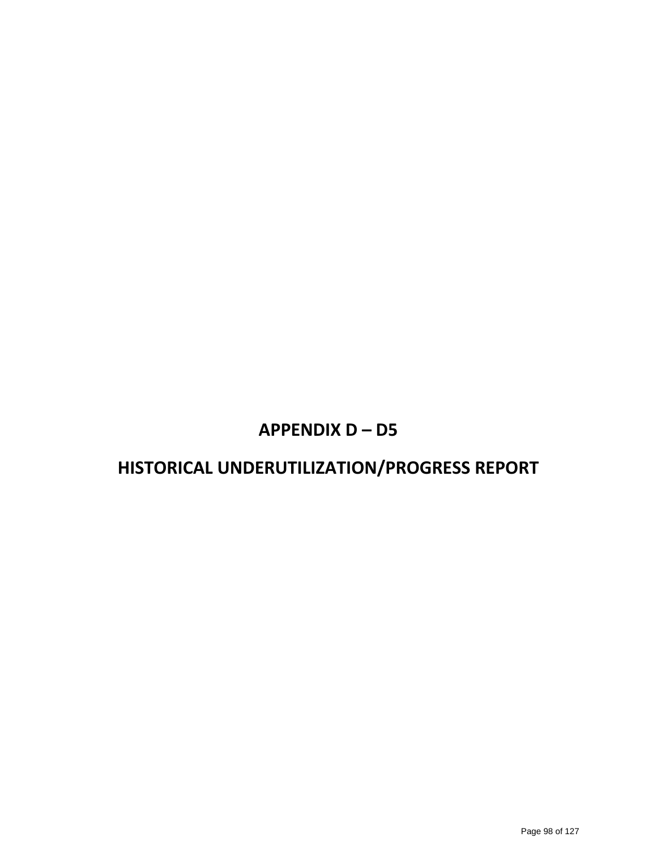### **APPENDIX D – D5**

### **HISTORICAL UNDERUTILIZATION/PROGRESS REPORT**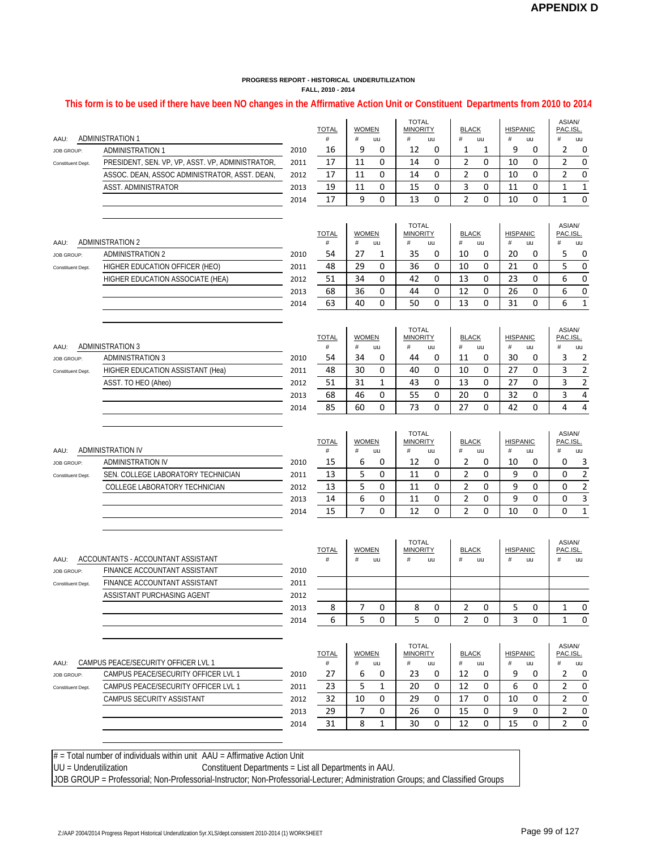#### **This form is to be used if there have been NO changes in the Affirmative Action Unit or Constituent Departments from 2010 to 2014**

|                         | <b>ADMINISTRATION 1</b><br>AAU:                                               |              | <b>TOTAL</b><br># | <b>WOMEN</b><br># | uu           | <b>TOTAL</b><br><b>MINORITY</b><br># | uu                              | <b>BLACK</b><br>$\#$ | uu          | <b>HISPANIC</b><br>#<br>uu |        | ASIAN/<br>PAC.ISL.<br>#          | uu               |
|-------------------------|-------------------------------------------------------------------------------|--------------|-------------------|-------------------|--------------|--------------------------------------|---------------------------------|----------------------|-------------|----------------------------|--------|----------------------------------|------------------|
| <b>JOB GROUP:</b>       | <b>ADMINISTRATION 1</b>                                                       | 2010         | 16                | 9                 | 0            | 12                                   | 0                               | 1                    | 1           | 9                          | 0      | 2                                | 0                |
| Constituent Dept.       | PRESIDENT, SEN. VP, VP, ASST. VP, ADMINISTRATOR,                              | 2011         | 17                | 11                | 0            | 14                                   | 0                               | 2                    | 0           | 10                         | 0      | 2                                | $\pmb{0}$        |
|                         | ASSOC. DEAN, ASSOC ADMINISTRATOR, ASST. DEAN,                                 | 2012         | 17                | 11                | 0            | 14                                   | 0                               | 2                    | 0           | 10                         | 0      | $\overline{2}$                   | 0                |
|                         | <b>ASST. ADMINISTRATOR</b>                                                    | 2013         | 19                | 11                | 0            | 15                                   | 0                               | 3                    | 0           | 11                         | 0      | 1                                | 1                |
|                         |                                                                               | 2014         | 17                | 9                 | 0            | 13                                   | $\Omega$                        | $\overline{2}$       | $\Omega$    | 10                         | 0      | 1                                | 0                |
|                         |                                                                               |              |                   |                   |              | <b>TOTAL</b>                         |                                 |                      |             |                            |        | ASIAN/                           |                  |
|                         |                                                                               |              | <b>TOTAL</b>      | <b>WOMEN</b>      |              | <b>MINORITY</b>                      |                                 | <b>BLACK</b>         |             | <b>HISPANIC</b>            |        | PAC.ISL.                         |                  |
| AAU:                    | <b>ADMINISTRATION 2</b>                                                       |              | #                 | #                 | uu           | #                                    | uu                              | #                    | uu          | #                          | uu     | #                                | uu               |
| <b>JOB GROUP:</b>       | <b>ADMINISTRATION 2</b><br>HIGHER EDUCATION OFFICER (HEO)                     | 2010         | 54<br>48          | 27<br>29          | 1<br>0       | 35<br>36                             | 0<br>0                          | 10<br>10             | 0<br>0      | 20<br>21                   | 0<br>0 | 5<br>5                           | 0<br>0           |
| Constituent Dept.       | HIGHER EDUCATION ASSOCIATE (HEA)                                              | 2011<br>2012 | 51                | 34                | 0            | 42                                   | 0                               | 13                   | 0           | 23                         | 0      | 6                                | $\pmb{0}$        |
|                         |                                                                               | 2013         | 68                | 36                | 0            | 44                                   | 0                               | 12                   | 0           | 26                         | 0      | 6                                | $\pmb{0}$        |
|                         |                                                                               | 2014         | 63                | 40                | 0            | 50                                   | 0                               | 13                   | $\mathbf 0$ | 31                         | 0      | 6                                | $\mathbf 1$      |
|                         |                                                                               |              |                   |                   |              |                                      |                                 |                      |             |                            |        |                                  |                  |
| AAU:                    | <b>ADMINISTRATION 3</b>                                                       |              | <b>TOTAL</b><br># | <b>WOMEN</b><br># | uu           | <b>TOTAL</b><br><b>MINORITY</b><br># | uu                              | <b>BLACK</b><br>#    | uu          | <b>HISPANIC</b><br>#       | uu     | ASIAN/<br>PAC.ISL.<br>#          | uu               |
| <b>JOB GROUP:</b>       | <b>ADMINISTRATION 3</b>                                                       | 2010         | 54                | 34                | 0            | 44                                   | 0                               | 11                   | 0           | 30                         | 0      | 3                                | 2                |
| Constituent Dept.       | HIGHER EDUCATION ASSISTANT (Hea)                                              | 2011         | 48                | 30                | 0            | 40                                   | 0                               | 10                   | 0           | 27                         | 0      | 3                                | $\mathbf{2}$     |
|                         | ASST. TO HEO (Aheo)                                                           | 2012         | 51                | 31                | 1            | 43                                   | 0                               | 13                   | 0           | 27                         | 0      | 3                                | 2                |
|                         |                                                                               | 2013         | 68                | 46                | 0            | 55                                   | 0                               | 20                   | 0           | 32                         | 0      | 3                                | 4                |
|                         |                                                                               | 2014         | 85                | 60                | 0            | 73                                   | $\Omega$                        | 27                   | $\Omega$    | 42                         | 0      | $\overline{4}$                   | 4                |
| AAU:                    | <b>ADMINISTRATION IV</b>                                                      |              | <b>TOTAL</b><br># | <b>WOMEN</b><br># | uu           | <b>TOTAL</b><br><b>MINORITY</b><br># | uu                              | <b>BLACK</b><br>#    | uu          | <b>HISPANIC</b><br>#       | uu     | ASIAN/<br>PAC.ISL.<br>$^{\#}$    | uu               |
| JOB GROUP:              | <b>ADMINISTRATION IV</b>                                                      | 2010         | 15                | 6                 | 0            | 12                                   | 0                               | 2                    | 0           | 10                         | 0      | 0                                | 3                |
| Constituent Dept.       | SEN. COLLEGE LABORATORY TECHNICIAN                                            | 2011         | 13                | 5                 | 0            | 11                                   | 0                               | $\overline{2}$       | 0           | 9                          | 0      | 0                                | $\mathbf 2$      |
|                         | COLLEGE LABORATORY TECHNICIAN                                                 | 2012         | 13                | 5                 | 0            | 11                                   | 0                               | 2                    | 0           | 9                          | 0      | 0                                | 2                |
|                         |                                                                               | 2013         | 14                | 6                 | 0            | 11                                   | 0                               | $\overline{2}$       | 0           | 9                          | 0      | 0                                | 3                |
|                         |                                                                               | 2014         | 15                | 7                 | 0            | 12                                   | 0                               | $\overline{2}$       | $\mathbf 0$ | 10                         | 0      | 0                                | $\mathbf{1}$     |
|                         |                                                                               |              | <b>TOTAL</b>      |                   | <b>WOMEN</b> |                                      | <b>TOTAL</b><br><b>MINORITY</b> | <b>BLACK</b>         |             | <b>HISPANIC</b>            |        | ASIAN/<br>PAC.ISL.               |                  |
| AAU:<br>JOB GROUP:      | ACCOUNTANTS - ACCOUNTANT ASSISTANT<br><b>FINANCE ACCOUNTANT ASSISTANT</b>     | 2010         | #                 | #                 | uu           | #                                    | uu                              | #                    | uu          | #                          | uu     | #                                | uu               |
| Constituent Dept.       | FINANCE ACCOUNTANT ASSISTANT                                                  | 2011         |                   |                   |              |                                      |                                 |                      |             |                            |        |                                  |                  |
|                         | ASSISTANT PURCHASING AGENT                                                    | 2012         |                   |                   |              |                                      |                                 |                      |             |                            |        |                                  |                  |
|                         |                                                                               | 2013         | 8                 | 7                 | 0            | 8                                    | 0                               | 2                    | 0           | 5                          | 0      | 1                                | 0                |
|                         |                                                                               | 2014         | 6                 | 5                 | 0            | 5                                    | 0                               | $\overline{2}$       | $\mathbf 0$ | 3                          | 0      | 1                                | $\boldsymbol{0}$ |
|                         |                                                                               |              | <b>TOTAL</b>      | <b>WOMEN</b>      |              | <b>TOTAL</b><br><b>MINORITY</b>      |                                 | <b>BLACK</b>         |             | <b>HISPANIC</b>            |        | ASIAN/<br>PAC.ISL.               |                  |
| AAU:                    | CAMPUS PEACE/SECURITY OFFICER LVL 1                                           |              | #                 | #                 | uu           | $\#$                                 | uu                              | #                    | uu          | #                          | uu     | $^{\#}$                          | uu               |
| <b>JOB GROUP:</b>       | CAMPUS PEACE/SECURITY OFFICER LVL 1                                           | 2010         | 27                | 6                 | 0            | 23                                   | 0                               | 12                   | 0           | 9                          | 0      | 2                                | 0                |
| Constituent Dept.       | CAMPUS PEACE/SECURITY OFFICER LVL 1                                           | 2011         | 23                | 5                 | $\mathbf{1}$ | 20                                   | 0                               | 12                   | 0           | 6                          | 0      | $\overline{2}$                   | $\mathbf 0$      |
|                         | CAMPUS SECURITY ASSISTANT                                                     | 2012         | 32                | 10                | 0            | 29                                   | 0                               | 17                   | 0           | 10                         | 0      | $\overline{2}$                   | 0                |
|                         |                                                                               | 2013         | 29                | 7                 | 0            | 26                                   | 0                               | 15                   | 0           | 9                          | 0      | $\overline{2}$<br>$\overline{2}$ | $\pmb{0}$        |
|                         |                                                                               | 2014         | 31                | 8                 | 1            | 30                                   | 0                               | 12                   | 0           | 15                         | 0      |                                  | $\pmb{0}$        |
|                         | $#$ = Total number of individuals within unit $AAU = Affirmative$ Action Unit |              |                   |                   |              |                                      |                                 |                      |             |                            |        |                                  |                  |
| $UU = Underutilization$ | Constituent Departments = List all Departments in AAU.                        |              |                   |                   |              |                                      |                                 |                      |             |                            |        |                                  |                  |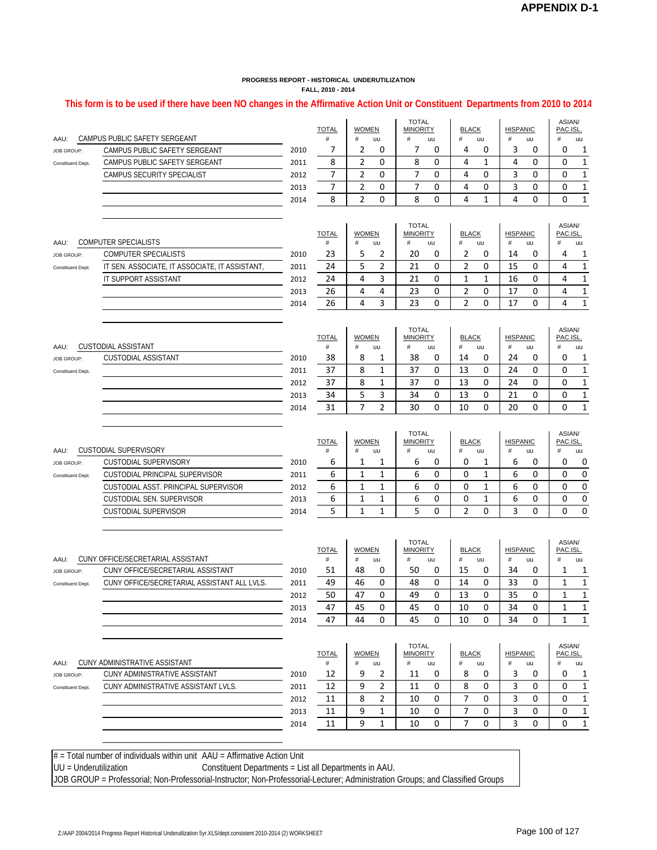#### **This form is to be used if there have been NO changes in the Affirmative Action Unit or Constituent Departments from 2010 to 2014**

| CAMPUS PUBLIC SAFETY SERGEANT<br>AAU: |                                               |              | <b>TOTAL</b><br>$\#$ |                      | <b>WOMEN</b><br>#<br>uu |                                 | <b>TOTAL</b><br><b>MINORITY</b><br>#<br>uu |                     | <b>BLACK</b><br>#<br>uu |                      | <b>HISPANIC</b> | ASIAN/<br>PAC.ISL.<br>#<br>uu |                   |
|---------------------------------------|-----------------------------------------------|--------------|----------------------|----------------------|-------------------------|---------------------------------|--------------------------------------------|---------------------|-------------------------|----------------------|-----------------|-------------------------------|-------------------|
| JOB GROUP:                            | CAMPUS PUBLIC SAFETY SERGEANT                 | 2010         | 7                    | 2                    | 0                       | 7                               | 0                                          | 4                   | 0                       | #<br>3               | uu<br>0         | 0                             | 1                 |
| Constituent Dept.                     | CAMPUS PUBLIC SAFETY SERGEANT                 | 2011         | 8                    | 2                    | 0                       | 8                               | 0                                          | 4                   | 1                       | 4                    | 0               | 0                             | 1                 |
|                                       | CAMPUS SECURITY SPECIALIST                    | 2012         | 7                    | $\overline{2}$       | 0                       | 7                               | 0                                          | 4                   | 0                       | 3                    | 0               | 0                             | $1\,$             |
|                                       |                                               | 2013         | 7                    | 2                    | 0                       | 7                               | 0                                          | 4                   | 0                       | 3                    | 0               | 0                             | $1\,$             |
|                                       |                                               | 2014         | 8                    | 2                    | 0                       | 8                               | 0                                          | 4                   | 1                       | 4                    | 0               | 0                             | $\mathbf 1$       |
|                                       |                                               |              |                      |                      |                         |                                 |                                            |                     |                         |                      |                 |                               |                   |
|                                       |                                               |              | <b>TOTAL</b>         | <b>WOMEN</b>         |                         | <b>TOTAL</b><br><b>MINORITY</b> |                                            | <b>BLACK</b>        |                         | <b>HISPANIC</b>      |                 | ASIAN/<br>PAC.ISL.            |                   |
| AAU:                                  | COMPUTER SPECIALISTS                          |              | #                    | $\#$                 | uu                      | $\#$                            | uu                                         | #                   | uu                      | #                    | uu              | #                             | uu                |
| JOB GROUP:                            | COMPUTER SPECIALISTS                          | 2010         | 23                   | 5                    | 2                       | 20                              | 0                                          | 2                   | 0                       | 14                   | 0               | 4                             | 1                 |
| Constituent Dept.                     | IT SEN. ASSOCIATE, IT ASSOCIATE, IT ASSISTANT | 2011         | 24                   | 5                    | 2                       | 21                              | 0                                          | 2                   | 0                       | 15                   | 0               | 4<br>4                        | $\mathbf 1$       |
|                                       | IT SUPPORT ASSISTANT                          | 2012         | 24                   | 4                    | 3<br>4                  | 21                              | 0                                          | 1                   | $\mathbf{1}$            | 16                   | 0               |                               | $\mathbf 1$       |
|                                       |                                               | 2013<br>2014 | 26<br>26             | 4<br>4               | 3                       | 23<br>23                        | 0<br>$\Omega$                              | 2<br>$\overline{2}$ | 0<br>$\Omega$           | 17<br>17             | 0<br>0          | 4<br>4                        | $\mathbf{1}$<br>1 |
|                                       |                                               |              |                      |                      |                         |                                 |                                            |                     |                         |                      |                 |                               |                   |
|                                       |                                               |              | <b>TOTAL</b>         | <b>WOMEN</b>         |                         | <b>TOTAL</b><br><b>MINORITY</b> |                                            | <b>BLACK</b>        |                         | <b>HISPANIC</b>      |                 | ASIAN/<br>PAC.ISL.            |                   |
| :BAA                                  | CUSTODIAL ASSISTANT                           |              | $\#$                 | #                    | uu                      | #                               | uu                                         | $\#$                | uu                      | #                    | uu              | #                             | uu                |
| <b>JOB GROUP:</b>                     | CUSTODIAL ASSISTANT                           | 2010         | 38                   | 8                    | 1                       | 38                              | 0                                          | 14                  | 0                       | 24                   | 0               | 0                             | 1                 |
| Constituent Dept.                     |                                               | 2011         | 37                   | 8                    | 1                       | 37                              | 0                                          | 13                  | 0                       | 24                   | 0               | 0                             | $\mathbf 1$       |
|                                       |                                               | 2012         | 37                   | 8                    | 1                       | 37                              | 0                                          | 13                  | 0                       | 24                   | 0               | 0                             | $\mathbf 1$       |
|                                       |                                               | 2013         | 34                   | 5                    | 3                       | 34                              | 0                                          | 13                  | 0                       | 21                   | 0               | 0                             | $\mathbf 1$       |
|                                       |                                               | 2014         | 31                   | $\overline{7}$       | $\overline{2}$          | 30                              | $\Omega$                                   | 10                  | 0                       | 20                   | 0               | 0                             | $\mathbf{1}$      |
|                                       |                                               |              | <b>TOTAL</b>         | <b>WOMEN</b>         |                         | <b>TOTAL</b><br><b>MINORITY</b> |                                            | <b>BLACK</b>        |                         | <b>HISPANIC</b>      |                 | ASIAN/<br>PAC.ISL.            |                   |
| AAU:                                  | <b>CUSTODIAL SUPERVISORY</b>                  |              | #                    | $\#$                 | uu                      | #                               | uu                                         | #                   | uu                      | #                    | uu              | #                             | uu                |
| JOB GROUP:                            | CUSTODIAL SUPERVISORY                         | 2010         | 6                    | 1                    | 1                       | 6                               | 0                                          | 0                   | 1                       | 6                    | 0               | 0                             | 0                 |
| Constituent Dept.                     | <b>CUSTODIAL PRINCIPAL SUPERVISOR</b>         | 2011         | 6                    | 1                    | 1                       | 6                               | 0                                          | 0                   | 1                       | 6                    | 0               | 0                             | $\pmb{0}$         |
|                                       | CUSTODIAL ASST. PRINCIPAL SUPERVISOR          | 2012         | 6                    | 1                    | 1                       | 6                               | 0                                          | 0                   | 1                       | 6                    | 0               | 0                             | 0                 |
|                                       | CUSTODIAL SEN. SUPERVISOR                     | 2013         | 6                    | 1                    | 1                       | 6                               | 0                                          | 0                   | 1                       | 6                    | 0               | 0                             | $\pmb{0}$         |
|                                       | <b>CUSTODIAL SUPERVISOR</b>                   | 2014         | 5                    | $\mathbf{1}$         | $\mathbf{1}$            | 5                               | 0                                          | $\overline{2}$      | 0                       | 3                    | 0               | $\Omega$                      | $\pmb{0}$         |
|                                       |                                               |              |                      |                      |                         | <b>TOTAL</b>                    |                                            |                     |                         |                      |                 | ASIAN/                        |                   |
| AAU:                                  | CUNY OFFICE/SECRETARIAL ASSISTANT             |              | <b>TOTAL</b><br>$\#$ | <b>WOMEN</b><br>$\#$ | uu                      | <b>MINORITY</b><br>#            |                                            | <b>BLACK</b><br>#   |                         | <b>HISPANIC</b><br># | uu              | PAC.ISL.<br>#                 | uu                |
| <b>JOB GROUP:</b>                     | CUNY OFFICE/SECRETARIAL ASSISTANT             | 2010         | 51                   | 48                   | 0                       | 50                              | uu<br>0                                    | 15                  | uu<br>0                 | 34                   | 0               | 1                             | 1                 |
| Constituent Dept.                     | CUNY OFFICE/SECRETARIAL ASSISTANT ALL LVLS.   | 2011         | 49                   | 46                   | 0                       | 48                              | 0                                          | 14                  | 0                       | 33                   | 0               | 1                             | $\mathbf 1$       |
|                                       |                                               | 2012         | 50                   | 47                   | 0                       | 49                              | $\Omega$                                   | 13                  | 0                       | 35                   | 0               | $\mathbf{1}$                  | $\mathbf{1}$      |
|                                       |                                               | 2013         | 47                   | 45                   | 0                       | 45                              | 0                                          | 10                  | 0                       | 34                   | 0               | 1                             | 1                 |
|                                       |                                               | 2014         | 47                   | 44                   | $\Omega$                | 45                              | $\Omega$                                   | 10                  | $\Omega$                | 34                   | 0               | $\mathbf{1}$                  | $\mathbf{1}$      |
|                                       |                                               |              |                      | <b>WOMEN</b>         |                         | <b>TOTAL</b><br><b>MINORITY</b> |                                            | <b>BLACK</b>        |                         | <b>HISPANIC</b>      |                 | ASIAN/<br>PAC.ISL.            |                   |
| AAU:                                  | CUNY ADMINISTRATIVE ASSISTANT                 |              | <b>TOTAL</b><br>#    | #                    | uu                      | #                               | uu                                         | #                   | uu                      | #                    | uu              | #                             | uu                |
| JOB GROUP:                            | CUNY ADMINISTRATIVE ASSISTANT                 | 2010         | 12                   | 9                    | 2                       | 11                              | 0                                          | 8                   | 0                       | 3                    | 0               | 0                             | 1                 |
| Constituent Dept.                     | CUNY ADMINISTRATIVE ASSISTANT LVLS.           | 2011         | 12                   | 9                    | 2                       | 11                              | 0                                          | 8                   | 0                       | 3                    | 0               | 0                             | $\mathbf{1}$      |
|                                       |                                               | 2012         | 11                   | 8<br>9               | 2                       | 10                              | 0                                          | 7<br>7              | 0                       | 3                    | 0               | 0                             | 1                 |
|                                       |                                               | 2013<br>2014 | 11<br>11             | 9                    | 1<br>1                  | 10<br>10                        | 0<br>0                                     | 7                   | 0<br>0                  | 3<br>3               | 0<br>0          | 0<br>0                        | 1<br>$\mathbf 1$  |
|                                       |                                               |              |                      |                      |                         |                                 |                                            |                     |                         |                      |                 |                               |                   |

 $#$  = Total number of individuals within unit  $AAU =$  Affirmative Action Unit

UU = Underutilization Constituent Departments = List all Departments in AAU.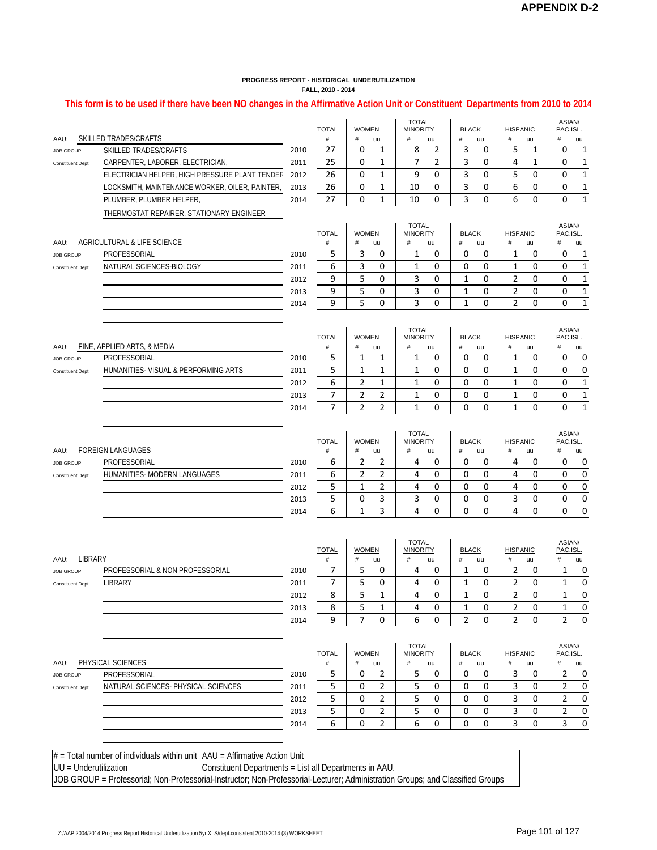#### **This form is to be used if there have been NO changes in the Affirmative Action Unit or Constituent Departments from 2010 to 2014**

|                   |                                                                               |              | <b>TOTAL</b>      | <b>WOMEN</b>        |                | TOTAL<br><b>MINORITY</b>        | <b>BLACK</b>        |                  | <b>HISPANIC</b>      |         | ASIAN/<br>PAC.ISL   |                |
|-------------------|-------------------------------------------------------------------------------|--------------|-------------------|---------------------|----------------|---------------------------------|---------------------|------------------|----------------------|---------|---------------------|----------------|
| AAU:              | SKILLED TRADES/CRAFTS                                                         |              | #                 | #                   | uu             | #<br>uu                         | #                   | uu               | #                    | uu      | $^{\#}$             | uu             |
| JOB GROUP:        | SKILLED TRADES/CRAFTS                                                         | 2010         | 27                | 0                   | 1              | 8<br>2                          | 3                   | 0                | 5                    | 1       | 0                   | 1              |
| Constituent Dept. | CARPENTER, LABORER, ELECTRICIAN                                               | 2011         | 25                | 0                   | 1              | 7<br>2                          | 3                   | 0                | 4                    | 1       | 0                   | $1\,$          |
|                   | ELECTRICIAN HELPER, HIGH PRESSURE PLANT TENDER                                | 2012         | 26                | 0                   | 1              | 9<br>0                          | 3                   | 0                | 5                    | 0       | 0                   | $\mathbf 1$    |
|                   | LOCKSMITH, MAINTENANCE WORKER, OILER, PAINTER,                                | 2013         | 26                | 0                   | 1              | 10<br>0                         | 3                   | 0                | 6                    | 0       | 0                   | $\mathbf 1$    |
|                   | PLUMBER, PLUMBER HELPER,                                                      | 2014         | 27                | 0                   | 1              | 10<br>0                         | 3                   | 0                | 6                    | 0       | 0                   | $\mathbf{1}$   |
|                   | THERMOSTAT REPAIRER, STATIONARY ENGINEER                                      |              |                   |                     |                |                                 |                     |                  |                      |         |                     |                |
|                   |                                                                               |              |                   | <b>WOMEN</b>        |                | <b>TOTAL</b>                    |                     |                  |                      |         | ASIAN/              |                |
| AAU:              | AGRICULTURAL & LIFE SCIENCE                                                   |              | <b>TOTAL</b><br># | #                   | uu             | <b>MINORITY</b><br>#<br>uu      | <b>BLACK</b><br>#   | uu               | <b>HISPANIC</b><br># | uu      | PAC.ISL.<br>#       | uu             |
| JOB GROUP:        | PROFESSORIAL                                                                  | 2010         | 5                 | 3                   | 0              | 1<br>0                          | 0                   | 0                | 1                    | 0       | 0                   | 1              |
| Constituent Dept. | NATURAL SCIENCES-BIOLOGY                                                      | 2011         | 6                 | 3                   | 0              | 1<br>0                          | 0                   | 0                | $\mathbf{1}$         | 0       | 0                   | $\mathbf{1}$   |
|                   |                                                                               | 2012         | 9                 | 5                   | 0              | 3<br>0                          | 1                   | 0                | 2                    | 0       | 0                   | $\mathbf{1}$   |
|                   |                                                                               | 2013         | 9                 | 5                   | 0              | 3<br>0                          | 1                   | 0                | 2                    | 0       | 0                   | $\mathbf{1}$   |
|                   |                                                                               | 2014         | 9                 | 5                   | 0              | 3<br>$\Omega$                   | 1                   | 0                | $\overline{2}$       | 0       | 0                   | $\mathbf{1}$   |
|                   |                                                                               |              |                   |                     |                |                                 |                     |                  |                      |         |                     |                |
|                   |                                                                               |              | <b>TOTAL</b>      | <b>WOMEN</b>        |                | <b>TOTAL</b><br><b>MINORITY</b> | <b>BLACK</b>        |                  | <b>HISPANIC</b>      |         | ASIAN/<br>PAC.ISL.  |                |
| AAU:              | FINE, APPLIED ARTS, & MEDIA                                                   |              | #                 | #                   | uu             | $\#$<br>uu                      | #                   | uu               | #                    | uu      | #                   | uu             |
| <b>JOB GROUP:</b> | PROFESSORIAL                                                                  | 2010         | 5                 | 1                   | 1              | 0<br>1                          | 0                   | 0                | 1                    | 0       | 0                   | 0              |
| Constituent Dept. | HUMANITIES- VISUAL & PERFORMING ARTS                                          | 2011         | 5                 | 1                   | $\mathbf{1}$   | $\mathbf 1$<br>0                | 0                   | 0                | 1                    | 0       | 0                   | $\pmb{0}$      |
|                   |                                                                               | 2012         | 6                 | 2                   | 1              | 1<br>0                          | 0                   | 0                | 1                    | 0       | 0                   | $\mathbf{1}$   |
|                   |                                                                               | 2013         | $\overline{7}$    | $\overline{2}$      | 2              | $\mathbf 1$<br>0                | 0                   | 0                | $\mathbf 1$          | 0       | 0                   | $1\,$          |
|                   |                                                                               | 2014         | 7                 | $\overline{2}$      | $\overline{2}$ | $\mathbf{1}$<br>0               | 0                   | $\mathbf 0$      | $\mathbf{1}$         | 0       | 0                   | $\mathbf 1$    |
|                   |                                                                               |              |                   |                     |                |                                 |                     |                  |                      |         |                     |                |
|                   |                                                                               |              |                   |                     |                | <b>TOTAL</b>                    |                     |                  |                      |         | ASIAN/              |                |
| AAU:              | <b>FOREIGN LANGUAGES</b>                                                      |              | <b>TOTAL</b><br># | <b>WOMEN</b><br>#   | uu             | <b>MINORITY</b><br>#<br>uu      | <b>BLACK</b><br>#   | uu               | <b>HISPANIC</b><br># | uu      | PAC.ISL.<br>#       | uu             |
| JOB GROUP:        | PROFESSORIAL                                                                  | 2010         | 6                 | 2                   | 2              | 4<br>0                          | 0                   | 0                | 4                    | 0       | 0                   | 0              |
| Constituent Dept. | HUMANITIES- MODERN LANGUAGES                                                  | 2011         | 6                 | $\overline{2}$      | $\overline{2}$ | 4<br>0                          | 0                   | 0                | 4                    | 0       | 0                   | $\pmb{0}$      |
|                   |                                                                               | 2012         | 5                 | 1                   | 2              | 4<br>0                          | 0                   | 0                | 4                    | 0       | 0                   | $\pmb{0}$      |
|                   |                                                                               | 2013         | 5                 | 0                   | 3              | 3<br>0                          | 0                   | 0                | 3                    | 0       | 0                   | 0              |
|                   |                                                                               | 2014         | 6                 | 1                   | 3              | 4<br>$\Omega$                   | 0                   | 0                | 4                    | 0       | 0                   | 0              |
|                   |                                                                               |              |                   |                     |                |                                 |                     |                  |                      |         |                     |                |
|                   |                                                                               |              |                   |                     |                | <b>TOTAL</b>                    |                     |                  |                      |         | ASIAN/              |                |
|                   |                                                                               |              | <b>TOTAL</b>      | <b>WOMEN</b>        |                | <b>MINORITY</b>                 | <b>BLACK</b>        |                  | <b>HISPANIC</b>      |         | PAC.ISL.            |                |
| LIBRARY<br>AAU:   | PROFESSORIAL & NON PROFESSORIAL                                               |              | $\#$<br>7         | #                   | uu<br>0        | $\#$<br>uu<br>0                 | #                   | uu<br>0          | #                    | uu<br>0 | $\#$                | uu             |
| JOB GROUP:        |                                                                               | 2010         | 7                 | 5<br>5              | 0              | 4<br>4<br>0                     | 1<br>1              | 0                | 2<br>2               | 0       | 1<br>1              | 0<br>$\pmb{0}$ |
| Constituent Dept. | LIBRARY                                                                       | 2011<br>2012 | 8                 | 5                   | 1              | 4<br>0                          | 1                   | 0                | 2                    | 0       | 1                   | 0              |
|                   |                                                                               |              |                   |                     |                | 4<br>0                          |                     |                  | 2                    |         | 1                   |                |
|                   |                                                                               | 2013         | 8<br>9            | 5<br>$\overline{7}$ | 1<br>0         | 6<br>0                          | 1<br>$\overline{2}$ | 0<br>$\mathbf 0$ | $\overline{2}$       | 0<br>0  | $\overline{2}$      | 0<br>0         |
|                   |                                                                               | 2014         |                   |                     |                |                                 |                     |                  |                      |         |                     |                |
|                   |                                                                               |              |                   |                     |                | <b>TOTAL</b>                    |                     |                  |                      |         | ASIAN/              |                |
| AAU:              | PHYSICAL SCIENCES                                                             |              | <b>TOTAL</b><br># | <b>WOMEN</b><br>#   | uu             | <b>MINORITY</b><br>#<br>uu      | <b>BLACK</b><br>#   | uu               | <b>HISPANIC</b><br># | uu      | PAC.ISL.<br>$^{\#}$ | uu             |
| JOB GROUP:        | PROFESSORIAL                                                                  | 2010         | 5                 | 0                   | 2              | 5<br>0                          | 0                   | 0                | 3                    | 0       | 2                   | 0              |
| Constituent Dept. | NATURAL SCIENCES- PHYSICAL SCIENCES                                           | 2011         | 5                 | 0                   | 2              | 5<br>0                          | 0                   | 0                | 3                    | 0       | 2                   | $\pmb{0}$      |
|                   |                                                                               | 2012         | 5                 | 0                   | 2              | 5<br>0                          | 0                   | 0                | 3                    | 0       | 2                   | 0              |
|                   |                                                                               | 2013         | 5                 | 0                   | 2              | 5<br>0                          | 0                   | 0                | 3                    | 0       | 2                   | 0              |
|                   |                                                                               | 2014         | 6                 | 0                   | 2              | 6<br>0                          | 0                   | 0                | 3                    | 0       | 3                   | $\pmb{0}$      |
|                   |                                                                               |              |                   |                     |                |                                 |                     |                  |                      |         |                     |                |
|                   |                                                                               |              |                   |                     |                |                                 |                     |                  |                      |         |                     |                |
|                   | $#$ = Total number of individuals within unit $AAU = Affirmative Action Unit$ |              |                   |                     |                |                                 |                     |                  |                      |         |                     |                |

UU = Underutilization Constituent Departments = List all Departments in AAU.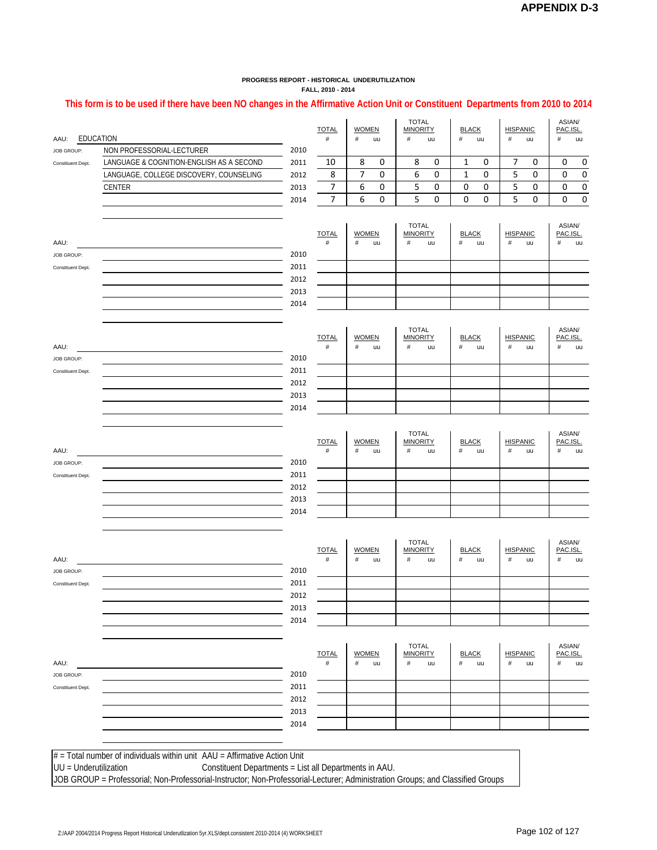#### **This form is to be used if there have been NO changes in the Affirmative Action Unit or Constituent Departments from 2010 to 2014**

| EDUCATION<br>AAU:               |                                                                               |              | <b>TOTAL</b><br>#    | <b>WOMEN</b><br>#    | uu                 | <b>TOTAL</b><br><b>MINORITY</b><br>#<br>uu |                                                    | <b>BLACK</b><br>#<br>uu |    | <b>HISPANIC</b><br>#    | ASIAN/<br>PAC.ISL<br>#<br>uu |                            |           |
|---------------------------------|-------------------------------------------------------------------------------|--------------|----------------------|----------------------|--------------------|--------------------------------------------|----------------------------------------------------|-------------------------|----|-------------------------|------------------------------|----------------------------|-----------|
| <b>JOB GROUP:</b>               | NON PROFESSORIAL-LECTURER                                                     | 2010         |                      |                      |                    |                                            |                                                    |                         |    |                         |                              |                            |           |
| Constituent Dept.               | LANGUAGE & COGNITION-ENGLISH AS A SECOND                                      | 2011         | 10                   | 8                    | 0                  | 8                                          | 0                                                  | 1                       | 0  | 7                       | 0                            | 0                          | 0         |
|                                 | LANGUAGE, COLLEGE DISCOVERY, COUNSELING                                       | 2012         | 8                    | 7                    | 0                  | 6                                          | $\mathbf 0$                                        | 1                       | 0  | 5                       | 0                            | 0                          | 0         |
|                                 | <b>CENTER</b>                                                                 | 2013         | 7                    | 6                    | 0                  | 5                                          | 0                                                  | 0                       | 0  | 5                       | 0                            | 0                          | 0         |
|                                 |                                                                               | 2014         | 7                    | 6                    | 0                  | 5                                          | 0                                                  | 0                       | 0  | 5                       | 0                            | 0                          | $\pmb{0}$ |
| AAU:<br>JOB GROUP:              |                                                                               | 2010         | <b>TOTAL</b><br>$\#$ | <b>WOMEN</b><br>$\#$ | uu                 | <b>TOTAL</b><br><b>MINORITY</b><br>$\#$    | uu                                                 | <b>BLACK</b><br>$\#$    | uu | <b>HISPANIC</b><br>$\#$ | uu                           | ASIAN/<br>PAC.ISL.<br>$\#$ | uu        |
| Constituent Dept.               |                                                                               | 2011         |                      |                      |                    |                                            |                                                    |                         |    |                         |                              |                            |           |
|                                 |                                                                               | 2012         |                      |                      |                    |                                            |                                                    |                         |    |                         |                              |                            |           |
|                                 |                                                                               | 2013<br>2014 |                      |                      |                    |                                            |                                                    |                         |    |                         |                              |                            |           |
| AAU:                            |                                                                               |              | <b>TOTAL</b><br>#    | #                    | <b>WOMEN</b><br>uu |                                            | <b>TOTAL</b><br><b>MINORITY</b><br>$\#$<br>#<br>uu |                         |    | <b>HISPANIC</b><br>#    | uu                           | ASIAN/<br>PAC.ISL.<br>$\#$ | uu        |
| JOB GROUP:<br>Constituent Dept. |                                                                               | 2010<br>2011 |                      |                      |                    |                                            |                                                    |                         |    |                         |                              |                            |           |
|                                 |                                                                               | 2012         |                      |                      |                    |                                            |                                                    |                         |    |                         |                              |                            |           |
|                                 |                                                                               | 2013         |                      |                      |                    |                                            |                                                    |                         |    |                         |                              |                            |           |
|                                 |                                                                               | 2014         |                      |                      |                    |                                            |                                                    |                         |    |                         |                              |                            |           |
| AAU:                            |                                                                               | 2010         | <b>TOTAL</b><br>$\#$ | <b>WOMEN</b><br>$\#$ | uu                 | <b>TOTAL</b><br><b>MINORITY</b><br>#       | uu                                                 | <b>BLACK</b><br>$\#$    | uu | <b>HISPANIC</b><br>#    | uu                           | ASIAN/<br>PAC.ISL.<br>$\#$ | uu        |
| JOB GROUP:<br>Constituent Dept. |                                                                               | 2011         |                      |                      |                    |                                            |                                                    |                         |    |                         |                              |                            |           |
|                                 |                                                                               | 2012         |                      |                      |                    |                                            |                                                    |                         |    |                         |                              |                            |           |
|                                 |                                                                               | 2013         |                      |                      |                    |                                            |                                                    |                         |    |                         |                              |                            |           |
|                                 |                                                                               | 2014         |                      |                      |                    |                                            |                                                    |                         |    |                         |                              |                            |           |
| AAU:                            |                                                                               |              | <b>TOTAL</b><br>#    | <b>WOMEN</b><br>$\#$ | uu                 | <b>TOTAL</b><br><b>MINORITY</b><br>#       | uu                                                 | <b>BLACK</b><br>#       | uu | <b>HISPANIC</b><br>#    | uu                           | ASIAN/<br>PAC.ISL.<br>#    | uu        |
| JOB GROUP:                      |                                                                               | 2010         |                      |                      |                    |                                            |                                                    |                         |    |                         |                              |                            |           |
| Constituent Dept.               |                                                                               | 2011         |                      |                      |                    |                                            |                                                    |                         |    |                         |                              |                            |           |
|                                 |                                                                               | 2012<br>2013 |                      |                      |                    |                                            |                                                    |                         |    |                         |                              |                            |           |
|                                 |                                                                               | 2014         |                      |                      |                    |                                            |                                                    |                         |    |                         |                              |                            |           |
| AAU:                            |                                                                               |              | <b>TOTAL</b><br>$\#$ | <b>WOMEN</b><br>$\#$ | uu                 | <b>TOTAL</b><br><b>MINORITY</b><br>#       | uu                                                 | <b>BLACK</b><br>$\#$    | uu | <b>HISPANIC</b><br>$\#$ | uu                           | ASIAN/<br>PAC.ISL.<br>$\#$ | uu        |
| <b>JOB GROUP:</b>               |                                                                               | 2010         |                      |                      |                    |                                            |                                                    |                         |    |                         |                              |                            |           |
| Constituent Dept.               |                                                                               | 2011         |                      |                      |                    |                                            |                                                    |                         |    |                         |                              |                            |           |
|                                 |                                                                               | 2012         |                      |                      |                    |                                            |                                                    |                         |    |                         |                              |                            |           |
|                                 |                                                                               | 2013<br>2014 |                      |                      |                    |                                            |                                                    |                         |    |                         |                              |                            |           |
|                                 |                                                                               |              |                      |                      |                    |                                            |                                                    |                         |    |                         |                              |                            |           |
|                                 | $#$ = Total number of individuals within unit $AAU = Affirmative Action Unit$ |              |                      |                      |                    |                                            |                                                    |                         |    |                         |                              |                            |           |
| UU = Underutilization           | Constituent Departments = List all Departments in AAU.                        |              |                      |                      |                    |                                            |                                                    |                         |    |                         |                              |                            |           |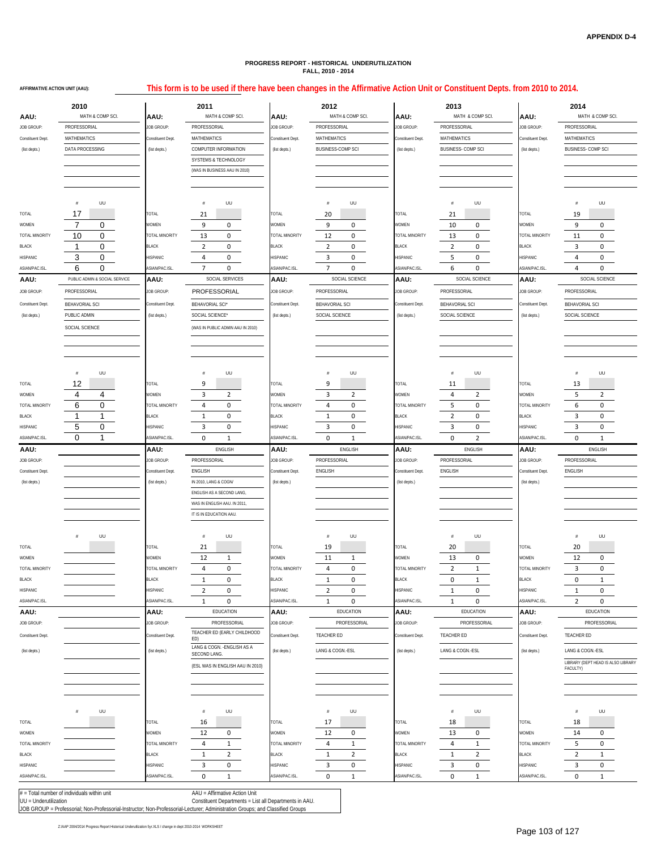**AFFIRMATIVE ACTION UNIT (AAU):**

#### **This form is to be used if there have been changes in the Affirmative Action Unit or Constituent Depts. from 2010 to 2014.**

|                                 | 2010                          |                                 | 2011                                               |                                 | 2012                           |                                   | 2013                                  | 2014                            |                                         |  |  |  |
|---------------------------------|-------------------------------|---------------------------------|----------------------------------------------------|---------------------------------|--------------------------------|-----------------------------------|---------------------------------------|---------------------------------|-----------------------------------------|--|--|--|
| AAU:                            | MATH & COMP SCI.              | AAU:                            | MATH & COMP SCI.                                   | AAU:                            | MATH & COMP SCI.               | AAU:                              | MATH & COMP SCI.                      | AAU:                            | MATH & COMP SCI.                        |  |  |  |
| JOB GROUP:                      | PROFESSORIAL                  | JOB GROUP:                      | PROFESSORIAL                                       | JOB GROUP:                      | PROFESSORIAL                   | JOB GROUP:                        | PROFESSORIAL                          | JOB GROUP:                      | PROFESSORIAL                            |  |  |  |
| Constituent Dept.               | <b>MATHEMATICS</b>            | Constituent Dept.               | MATHEMATICS                                        | Constituent Dept.               | MATHEMATICS                    | Constituent Dept.                 | MATHEMATICS                           | Constituent Dept.               | MATHEMATICS                             |  |  |  |
| (list depts.)                   | DATA PROCESSING               | (list depts.)                   | <b>COMPUTER INFORMATION</b>                        | (list depts.)                   | <b>BUSINESS-COMP SCI</b>       | (list depts.)                     | <b>BUSINESS-COMP SCI</b>              |                                 | <b>BUSINESS- COMP SCI</b>               |  |  |  |
|                                 |                               |                                 | <b>SYSTEMS &amp; TECHNOLOGY</b>                    |                                 |                                |                                   |                                       |                                 |                                         |  |  |  |
|                                 |                               |                                 | (WAS IN BUSINESS AAU IN 2010)                      |                                 |                                |                                   |                                       |                                 |                                         |  |  |  |
|                                 |                               |                                 |                                                    |                                 |                                |                                   |                                       |                                 |                                         |  |  |  |
|                                 |                               |                                 |                                                    |                                 |                                |                                   |                                       |                                 |                                         |  |  |  |
|                                 | UU<br>#                       |                                 | UU<br>#                                            |                                 | UU<br>#                        |                                   | UU<br>#                               |                                 | UU<br>#                                 |  |  |  |
| TOTAL                           | 17<br>7                       | TOTAL<br>WOMEN                  | 21                                                 | TOTAL<br>WOMEN                  | 20<br>9<br>$\mathbf 0$         | TOTAL<br>WOMEN                    | 21                                    | TOTAL<br>WOMEN                  | 19<br>9<br>0                            |  |  |  |
| WOMEN<br>TOTAL MINORITY         | 0<br>10<br>0                  | TOTAL MINORITY                  | $\mathbf 0$<br>9<br>13<br>0                        | TOTAL MINORITY                  | 12<br>0                        | TOTAL MINORITY                    | 0<br>10<br>13<br>0                    | TOTAL MINORITY                  | 11<br>0                                 |  |  |  |
| BLACK                           | 0<br>$\mathbf{1}$             | BLACK                           | $\overline{2}$<br>0                                | <b>BLACK</b>                    | 2<br>$\mathbf 0$               | BLACK                             | $\overline{2}$<br>$^{\circ}$          | BLACK                           | 3<br>$\mathbf 0$                        |  |  |  |
| HISPANIC                        | 3<br>0                        | HISPANIC                        | $\mathbf 0$<br>4                                   | HISPANIC                        | 3<br>$\mathbf 0$               | 5<br>$\mathbf 0$<br>HISPANIC      |                                       | HISPANIC                        | 0<br>4                                  |  |  |  |
| ASIAN/PAC.ISL.                  | 6<br>0                        | ASIAN/PAC.ISL                   | 7<br>$\mathbf 0$                                   | ASIAN/PAC.ISL                   | 7<br>$\mathbf 0$               | ASIAN/PAC.ISL                     | 6<br>$\mathbf 0$                      | ASIAN/PAC.ISL.                  | 4<br>$\mathbf 0$                        |  |  |  |
| AAU:                            | PUBLIC ADMIN & SOCIAL SERVICE | AAU:                            | SOCIAL SERVICES                                    | AAU:                            | SOCIAL SCIENCE                 | AAU:<br>SOCIAL SCIENCE            |                                       | AAU:                            | SOCIAL SCIENCE                          |  |  |  |
| JOB GROUP:                      | PROFESSORIAL                  | JOB GROUP:                      | PROFESSORIAL                                       | JOB GROUP:                      | PROFESSORIAL                   | <b>JOB GROUP:</b><br>PROFESSORIAL |                                       | <b>JOB GROUP:</b>               | PROFESSORIAL                            |  |  |  |
| Constituent Dept.               | BEHAVORIAL SCI                | Constituent Dept.               | BEHAVORIAL SCI*                                    | Constituent Dept.               | <b>BEHAVORIAL SCI</b>          | Constituent Dept.                 | BEHAVORIAL SCI                        | Constituent Dept.               | <b>BEHAVORIAL SCI</b>                   |  |  |  |
| (list depts.)                   | PUBLIC ADMIN                  | (list depts.)                   | SOCIAL SCIENCE*                                    | (list depts.)                   | SOCIAL SCIENCE                 | (list depts.)                     | SOCIAL SCIENCE                        | (list depts.)                   | SOCIAL SCIENCE                          |  |  |  |
|                                 | SOCIAL SCIENCE                |                                 | (WAS IN PUBLIC ADMIN AAU IN 2010)                  |                                 |                                |                                   |                                       |                                 |                                         |  |  |  |
|                                 |                               |                                 |                                                    |                                 |                                |                                   |                                       |                                 |                                         |  |  |  |
|                                 |                               |                                 |                                                    |                                 |                                |                                   |                                       |                                 |                                         |  |  |  |
|                                 |                               |                                 |                                                    |                                 |                                |                                   |                                       |                                 |                                         |  |  |  |
|                                 | UU<br>#                       |                                 | UU<br>#                                            |                                 | UU<br>$\#$                     |                                   | UU<br>#                               |                                 | UU<br>#                                 |  |  |  |
| TOTAL                           | 12                            | TOTAL                           | 9                                                  | TOTAL                           | 9                              | TOTAL                             | 11                                    | TOTAL                           | 13                                      |  |  |  |
| WOMEN                           | 4<br>4                        | WOMEN                           | 3<br>2                                             | WOMEN                           | 3<br>2                         | WOMEN                             | 4<br>$\overline{2}$                   | WOMEN                           | 5<br>2                                  |  |  |  |
| TOTAL MINORITY                  | 6<br>$\mathbf 0$              | <b>TOTAL MINORITY</b>           | $\mathbf 0$<br>4                                   | TOTAL MINORITY                  | $\mathbf 0$<br>4               | TOTAL MINORITY                    | 0<br>5                                | TOTAL MINORITY                  | 0<br>6                                  |  |  |  |
| BLACK                           | 1<br>1                        | <b>BLACK</b>                    | 1<br>0                                             | <b>BLACK</b>                    | $\mathbf 0$<br>$\mathbf{1}$    | <b>BLACK</b>                      | $\overline{2}$<br>0                   | <b>BLACK</b>                    | 3<br>0                                  |  |  |  |
| HISPANIC                        | 5<br>0                        | HISPANIC                        | 3<br>0                                             | HISPANIC                        | 3<br>0                         | <b>ISPANIC</b>                    | 3<br>0                                | <b>HISPANIC</b>                 | 3<br>$\mathbf 0$                        |  |  |  |
| ASIAN/PAC.ISL                   | $\Omega$<br>$\mathbf{1}$      | ASIAN/PAC.ISL                   | $\mathbf 0$<br>$\mathbf{1}$                        | ASIAN/PAC.ISL                   | $\mathbf 0$<br>$\mathbf{1}$    | ASIAN/PAC.ISL                     | $\overline{2}$<br>$\mathbf 0$         | ASIAN/PAC.ISL                   | $\mathbf 0$<br>$\mathbf{1}$             |  |  |  |
| AAU:                            |                               | AAU:                            | ENGLISH                                            | AAU:                            | ENGLISH                        | AAU:                              | ENGLISH                               | AAU:                            | <b>ENGLISH</b>                          |  |  |  |
| JOB GROUP:<br>Constituent Dept. |                               | JOB GROUP:<br>Constituent Dept. | PROFESSORIAL<br>ENGLISH                            | JOB GROUP:<br>Constituent Dept. | PROFESSORIAL<br>ENGLISH        | JOB GROUP:<br>Constituent Dept.   | PROFESSORIAL<br>ENGLISH               | JOB GROUP:<br>Constituent Dept. | PROFESSORIAL<br>ENGLISH                 |  |  |  |
| (list depts.)                   |                               | (list depts.)                   | IN 2010, LANG & COGN/                              | (list depts.)                   |                                | (list depts.)                     |                                       | (list depts.)                   |                                         |  |  |  |
|                                 |                               |                                 | ENGLISH AS A SECOND LANG                           |                                 |                                |                                   |                                       |                                 |                                         |  |  |  |
|                                 |                               |                                 | WAS IN ENGLISH AAU. IN 2011,                       |                                 |                                |                                   |                                       |                                 |                                         |  |  |  |
|                                 |                               |                                 | IT IS IN EDUCATION AAU.                            |                                 |                                |                                   |                                       |                                 |                                         |  |  |  |
|                                 |                               |                                 |                                                    |                                 |                                |                                   |                                       |                                 |                                         |  |  |  |
|                                 | UU                            |                                 | UU<br>#                                            |                                 | UU<br>#                        |                                   | #<br>UU                               |                                 | #<br>UU                                 |  |  |  |
| TOTAL                           |                               | TOTAL                           | 21                                                 | TOTAL                           | 19                             | TOTAL                             | 20                                    | TOTAL                           | 20                                      |  |  |  |
| WOMEN                           |                               | WOMEN                           | 12<br>$\mathbf{1}$                                 | WOMEN                           | 1<br>11                        | WOMEN                             | 13<br>0                               | <b>WOMEN</b>                    | 12<br>0                                 |  |  |  |
| <b>TOTAL MINORITY</b>           |                               | TOTAL MINORITY                  | 4<br>0                                             | TOTAL MINORITY                  | 4<br>0                         | TOTAL MINORITY                    | $\overline{2}$<br>1                   | TOTAL MINORITY                  | 3<br>0                                  |  |  |  |
| BLACK                           |                               | ACK<br>HISPANIC                 | $\mathbf{1}$<br>$\mathbf 0$                        | LACK                            | $\mathbf{1}$<br>$\mathbf 0$    | ᅛ<br>HISPANIC                     | $\mathbf 0$<br>$\mathbf{1}$           | ACK                             | $\mathbf 0$<br>$\mathbf{1}$             |  |  |  |
| HISPANIC<br>ASIAN/PAC.ISL.      |                               | ASIAN/PAC.ISL                   | $\overline{2}$<br>0<br>$\mathbf 0$<br>$\mathbf{1}$ | HISPANIC<br>ASIAN/PAC.ISL       | 2<br>0<br>$\mathbf{1}$<br>0    | ASIAN/PAC.ISL                     | 0<br>1<br>$\mathbf 0$<br>$\mathbf{1}$ | HISPANIC<br>ASIAN/PAC.ISL       | 0<br>1<br>$\overline{2}$<br>$\mathbf 0$ |  |  |  |
| AAU:                            |                               | AAU:                            | EDUCATION                                          | AAU:                            | EDUCATION                      | AAU:                              | EDUCATION                             | AAU:                            | EDUCATION                               |  |  |  |
| JOB GROUP:                      |                               | JOB GROUP:                      | PROFESSORIAL                                       | JOB GROUP:                      | PROFESSORIAL                   | JOB GROUP:                        | PROFESSORIAL                          | JOB GROUP:                      | PROFESSORIAL                            |  |  |  |
| Constituent Dept.               |                               | Constituent Dept.               | TEACHER ED (EARLY CHILDHOOD                        | Constituent Dept.               | TEACHER ED                     | Constituent Dept.                 | <b>TEACHER ED</b>                     | Constituent Dept.               | TEACHER ED                              |  |  |  |
|                                 |                               |                                 | ED)<br>LANG & COGN. - ENGLISH AS A                 |                                 | LANG & COGN.-ESL               |                                   |                                       |                                 | LANG & COGN.-ESL                        |  |  |  |
| (list depts.)                   |                               | (list depts.)                   | SECOND LANG.                                       | (list depts.)                   |                                | (list depts.)                     | LANG & COGN.-ESL                      | (list depts.)                   | LIBRARY (DEPT HEAD IS ALSO LIBRARY      |  |  |  |
|                                 |                               |                                 | (ESL WAS IN ENGLISH AAU IN 2010)                   |                                 |                                |                                   |                                       |                                 | FACULTY)                                |  |  |  |
|                                 |                               |                                 |                                                    |                                 |                                |                                   |                                       |                                 |                                         |  |  |  |
|                                 |                               |                                 |                                                    |                                 |                                |                                   |                                       |                                 |                                         |  |  |  |
|                                 |                               |                                 |                                                    |                                 |                                |                                   |                                       |                                 |                                         |  |  |  |
| TOTAL                           | UU<br>#                       | TOTAL                           | UU<br>$\#$<br>16                                   | TOTAL                           | UU<br>#<br>17                  | TOTAL                             | UU<br>$\#$<br>18                      | TOTAL                           | UU<br>$\#$<br>18                        |  |  |  |
| WOMEN                           |                               | WOMEN                           | 12<br>0                                            | WOMEN                           | 12<br>0                        | WOMEN                             | 13<br>0                               | WOMEN                           | 14<br>0                                 |  |  |  |
| TOTAL MINORITY                  |                               | TOTAL MINORITY                  | 4<br>$\mathbf{1}$                                  | TOTAL MINORITY                  | 4<br>$\mathbf{1}$              | TOTAL MINORITY                    | 4<br>$\mathbf{1}$                     | TOTAL MINORITY                  | 5<br>0                                  |  |  |  |
| <b>BLACK</b>                    |                               | <b>BLACK</b>                    | $\overline{2}$<br>1                                | BLACK                           | $\overline{2}$<br>$\mathbf{1}$ | BLACK                             | $\overline{2}$<br>$\mathbf{1}$        | BLACK                           | $\overline{2}$<br>$\mathbf{1}$          |  |  |  |
| HISPANIC                        |                               | HISPANIC                        | 3<br>$\mathbf 0$                                   | HISPANIC                        | 3<br>$\mathbf 0$               | HISPANIC                          | 3<br>$\pmb{0}$                        | HISPANIC                        | 3<br>$\mathbf 0$                        |  |  |  |
| ASIAN/PAC.ISL.                  |                               | ASIAN/PAC.ISL                   | $\pmb{0}$<br>$\mathbf{1}$                          | ASIAN/PAC.ISL.                  | 0<br>1                         | ASIAN/PAC.ISL.                    | $\mathbf 0$<br>$\mathbf{1}$           | ASIAN/PAC.ISL.                  | 0<br>1                                  |  |  |  |
|                                 |                               |                                 |                                                    |                                 |                                |                                   |                                       |                                 |                                         |  |  |  |

Z:/AAP 2004/2014 Progress Report Historical Underutlization 5yr.XLS / change in dept 2010-2014 WORKSHEET

# = Total number of individuals within unit AAU = Affirmative Action Unit UU = Underutilization Constituent Departments = List all Departments in AAU. JOB GROUP = Professorial; Non-Professorial-Instructor; Non-Professorial-Lecturer; Administration Groups; and Classified Groups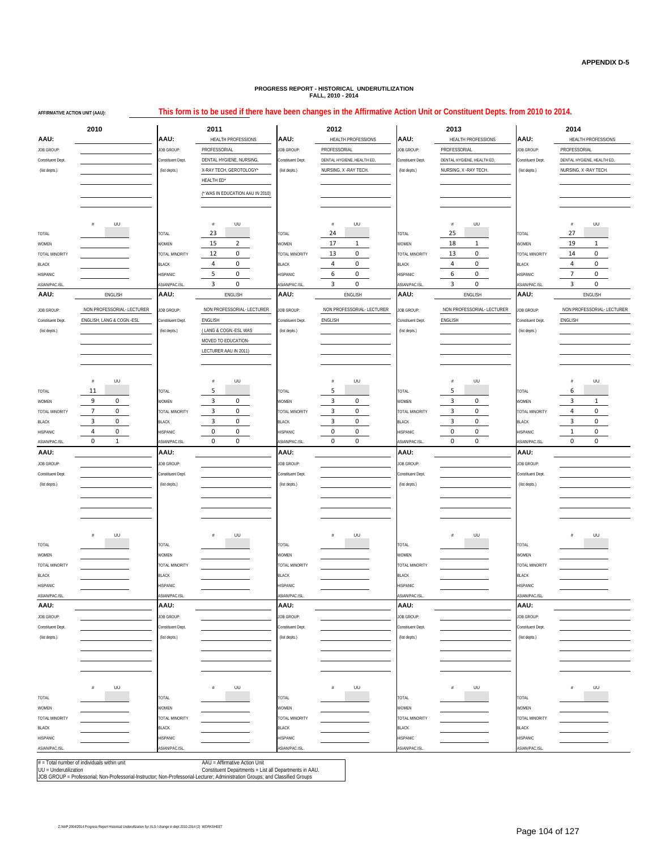| AFFIRMATIVE ACTION UNIT (AAU): |                                                                                                                                                                                 |                       | This form is to be used if there have been changes in the Affirmative Action Unit or Constituent Depts. from 2010 to 2014. |                       |                                      |                       |                                      |                       |                               |  |  |  |
|--------------------------------|---------------------------------------------------------------------------------------------------------------------------------------------------------------------------------|-----------------------|----------------------------------------------------------------------------------------------------------------------------|-----------------------|--------------------------------------|-----------------------|--------------------------------------|-----------------------|-------------------------------|--|--|--|
|                                | 2010                                                                                                                                                                            | 2011<br>AAU:          |                                                                                                                            |                       | 2012                                 |                       | 2013                                 |                       | 2014<br>HEALTH PROFESSIONS    |  |  |  |
| AAU.                           |                                                                                                                                                                                 |                       | HEALTH PROFESSIONS                                                                                                         | <b>AAU:</b>           | HEALTH PROFESSIONS                   | AAU.                  | HEALTH PROFESSIONS                   | AAU:                  |                               |  |  |  |
| JOB GROUP:                     |                                                                                                                                                                                 | JOB GROUP:            | PROFESSORIAL                                                                                                               | <b>IOB GROUP:</b>     | PROFESSORIAL                         | JOB GROUP:            | PROFESSORIAL                         | <b>JOB GROUP:</b>     | PROFESSORIAL                  |  |  |  |
| Constituent Dept.              |                                                                                                                                                                                 | Constituent Dept.     | DENTAL HYGIENE, NURSING                                                                                                    | Constituent Dept.     | DENTAL HYGIENE, HEALTH ED,           | constituent Dept.     | DENTAL HYGIENE, HEALTH ED,           | Constituent Dept.     | DENTAL HYGIENE, HEALTH ED,    |  |  |  |
| (list depts.)                  |                                                                                                                                                                                 | (list depts.)         | X-RAY TECH, GEROTOLOGY*                                                                                                    | (list depts.)         | NURSING, X - RAY TECH.               | (list depts.)         | NURSING, X - RAY TECH.               | (list depts.)         | NURSING, X - RAY TECH         |  |  |  |
|                                |                                                                                                                                                                                 |                       | HEALTH ED*                                                                                                                 |                       |                                      |                       |                                      |                       |                               |  |  |  |
|                                |                                                                                                                                                                                 |                       | (* WAS IN EDUCATION AAU IN 2010)                                                                                           |                       |                                      |                       |                                      |                       |                               |  |  |  |
|                                |                                                                                                                                                                                 |                       |                                                                                                                            |                       |                                      |                       |                                      |                       |                               |  |  |  |
|                                |                                                                                                                                                                                 |                       |                                                                                                                            |                       |                                      |                       |                                      |                       |                               |  |  |  |
|                                | UU<br>#                                                                                                                                                                         |                       | $\#$<br>UU                                                                                                                 |                       | UU<br>#                              |                       | #<br>UU                              |                       | #<br>UU                       |  |  |  |
| TOTAL                          |                                                                                                                                                                                 | TOTAL                 | 23                                                                                                                         | TOTAL                 | 24                                   | TOTAL                 | 25                                   | TOTAL                 | 27                            |  |  |  |
| WOMEN                          |                                                                                                                                                                                 | WOMEN                 | 15<br>$\overline{2}$                                                                                                       | WOMEN                 | 17<br>$\mathbf{1}$                   | WOMEN                 | 18<br>$\mathbf{1}$                   | WOMEN                 | 19<br>$\mathbf{1}$            |  |  |  |
| TOTAL MINORITY                 |                                                                                                                                                                                 | <b>TOTAL MINORITY</b> | $\mathbf 0$<br>12                                                                                                          | <b>TOTAL MINORITY</b> | $\mathbf 0$<br>13                    | TOTAL MINORITY        | $\mathbf 0$<br>13                    | TOTAL MINORITY        | 0<br>14                       |  |  |  |
| BLACK                          |                                                                                                                                                                                 | <b>BLACK</b>          | $\mathbf 0$<br>4<br>5<br>0                                                                                                 | <b>BLACK</b>          | $\mathbf 0$<br>4<br>6<br>$\mathbf 0$ | <b>BLACK</b>          | $\mathbf 0$<br>4<br>6<br>$\mathbf 0$ | <b>BLACK</b>          | 0<br>4<br>$\overline{7}$<br>0 |  |  |  |
| HISPANIC                       |                                                                                                                                                                                 | HISPANIC              | 3<br>0                                                                                                                     | HISPANIC              | 3<br>$\mathbf 0$                     | HISPANIC              | 3<br>$\mathbf 0$                     | HISPANIC              | 3<br>0                        |  |  |  |
| ASIAN/PAC.ISL<br>AAU:          | ENGLISH                                                                                                                                                                         | ASIAN/PAC.ISL<br>AAU: | ENGLISH                                                                                                                    | ASIAN/PAC.ISL<br>AAU: | ENGLISH                              | ASIAN/PAC.ISL<br>AAU. | ENGLISH                              | ASIAN/PAC.ISL<br>AAU: | ENGLISH                       |  |  |  |
|                                |                                                                                                                                                                                 |                       |                                                                                                                            |                       |                                      |                       |                                      |                       |                               |  |  |  |
| JOB GROUP:                     | NON PROFESSORIAL- LECTURER                                                                                                                                                      | <b>JOB GROUP:</b>     | NON PROFESSORIAL- LECTURER                                                                                                 | JOB GROUP:            | NON PROFESSORIAL- LECTURER           | JOB GROUP:            | NON PROFESSORIAL- LECTURER           | <b>JOB GROUP:</b>     | NON PROFESSORIAL- LECTURER    |  |  |  |
| Constituent Dept.              | ENGLISH, LANG & COGN.-ESL                                                                                                                                                       | Constituent Dept.     | ENGLISH                                                                                                                    | onstituent Dept.      | ENGLISH                              | Constituent Dept      | ENGLISH                              | Constituent Dept.     | ENGLISH                       |  |  |  |
| (list depts.)                  |                                                                                                                                                                                 | (list depts.)         | (LANG & COGN.-ESL WAS                                                                                                      | (list depts.)         |                                      | (list depts.)         |                                      | (list depts.)         |                               |  |  |  |
|                                |                                                                                                                                                                                 |                       | MOVED TO EDUCATION-                                                                                                        |                       |                                      |                       |                                      |                       |                               |  |  |  |
|                                |                                                                                                                                                                                 |                       | LECTURER AAU IN 2011)                                                                                                      |                       |                                      |                       |                                      |                       |                               |  |  |  |
|                                |                                                                                                                                                                                 |                       |                                                                                                                            |                       |                                      |                       |                                      |                       |                               |  |  |  |
|                                | UU<br>$\#$                                                                                                                                                                      |                       | UU<br>$\#$                                                                                                                 |                       | UU<br>#                              |                       | UU<br>#                              |                       | UU<br>#                       |  |  |  |
| TOTAL                          | 11                                                                                                                                                                              | TOTAL                 | 5                                                                                                                          | TOTAL                 | 5                                    | TOTAL                 | 5                                    | TOTAL                 | 6                             |  |  |  |
| WOMEN                          | 9<br>$\mathbf 0$                                                                                                                                                                | WOMEN                 | $\mathbf 0$<br>3                                                                                                           | WOMEN                 | 3<br>0                               | WOMEN                 | $\mathbf 0$<br>3                     | WOMEN                 | 3<br>$\mathbf{1}$             |  |  |  |
| TOTAL MINORITY                 | $\overline{7}$<br>0                                                                                                                                                             | <b>TOTAL MINORITY</b> | 0<br>3                                                                                                                     | <b>TOTAL MINORITY</b> | 3<br>$\mathbf 0$                     | TOTAL MINORITY        | $\overline{3}$<br>$\mathbf 0$        | TOTAL MINORITY        | $\mathbf 0$<br>4              |  |  |  |
| <b>BLACK</b>                   | 3<br>0                                                                                                                                                                          | <b>BLACK</b>          | 3<br>$\mathbf 0$                                                                                                           | <b>BLACK</b>          | 3<br>$\mathbf 0$                     | <b>BLACK</b>          | 3<br>0                               | <b>BLACK</b>          | 3<br>0                        |  |  |  |
| HISPANIC                       | $\mathbf 0$<br>4                                                                                                                                                                | HISPANIC              | $\mathbf 0$<br>0                                                                                                           | HISPANIC              | $\pmb{0}$<br>0                       | HISPANIC              | $\mathbf 0$<br>0                     | HISPANIC              | 0<br>$\mathbf{1}$             |  |  |  |
| ASIAN/PAC.ISL                  | $\mathbf 0$<br>$\mathbf{1}$                                                                                                                                                     | ASIAN/PAC.ISL         | 0<br>0                                                                                                                     | ASIAN/PAC.ISL         | $\mathbf 0$<br>0                     | ASIAN/PAC.ISL         | 0<br>$\mathbf 0$                     | ASIAN/PAC.ISL         | $\mathbf 0$<br>0              |  |  |  |
| AAU.                           |                                                                                                                                                                                 | AAU:                  |                                                                                                                            | AAU:                  |                                      | AAU:                  |                                      | AAU:                  |                               |  |  |  |
| JOB GROUP                      |                                                                                                                                                                                 | <b>JOB GROUP:</b>     |                                                                                                                            | OB GROUP:             |                                      | <b>IOB GROUP:</b>     |                                      | <b>OB GROUP:</b>      |                               |  |  |  |
| Constituent Dept               |                                                                                                                                                                                 | Constituent Dept.     |                                                                                                                            | onstituent Dept.      |                                      | Constituent Dept      |                                      | Constituent Dept      |                               |  |  |  |
| (list depts.)                  |                                                                                                                                                                                 | (list depts.)         |                                                                                                                            | (list depts.)         |                                      | (list depts.)         |                                      | (list depts.)         |                               |  |  |  |
|                                |                                                                                                                                                                                 |                       |                                                                                                                            |                       |                                      |                       |                                      |                       |                               |  |  |  |
|                                |                                                                                                                                                                                 |                       |                                                                                                                            |                       |                                      |                       |                                      |                       |                               |  |  |  |
|                                |                                                                                                                                                                                 |                       |                                                                                                                            |                       |                                      |                       |                                      |                       |                               |  |  |  |
|                                |                                                                                                                                                                                 |                       |                                                                                                                            |                       |                                      |                       |                                      |                       |                               |  |  |  |
|                                | UU                                                                                                                                                                              |                       | UU                                                                                                                         |                       | UU                                   |                       | UU                                   |                       | UU<br>#                       |  |  |  |
| TOTAL                          |                                                                                                                                                                                 | TOTAL                 |                                                                                                                            | TOTAL                 |                                      | TOTAL                 |                                      | TOTAL                 |                               |  |  |  |
| WOMEN                          |                                                                                                                                                                                 | WOMEN                 |                                                                                                                            | WOMEN                 |                                      | <b>WOMEN</b>          |                                      | WOMEN                 |                               |  |  |  |
| TOTAL MINORITY                 |                                                                                                                                                                                 | TOTAL MINORITY        |                                                                                                                            | <b>TOTAL MINORITY</b> |                                      | TOTAL MINORITY        |                                      | TOTAL MINORITY        |                               |  |  |  |
| BLACK                          |                                                                                                                                                                                 | <b>BLACK</b>          |                                                                                                                            | <b>BLACK</b>          |                                      | <b>BLACK</b>          |                                      | <b>BLACK</b>          |                               |  |  |  |
| HISPANIC                       |                                                                                                                                                                                 | HISPANIC              |                                                                                                                            | <b>IISPANIC</b>       |                                      | <b>{ISPANIC</b>       |                                      | <b>{ SPANIC</b>       |                               |  |  |  |
| ASIAN/PAC.ISL                  |                                                                                                                                                                                 | ASIAN/PAC.ISL         |                                                                                                                            | ASIAN/PAC.ISL         |                                      | ASIAN/PAC.ISL         |                                      | ASIAN/PAC.ISL         |                               |  |  |  |
| AAU.                           |                                                                                                                                                                                 | AAU:                  |                                                                                                                            | AAU:                  |                                      | AAU.                  |                                      | AAU.                  |                               |  |  |  |
| JOB GROUP:                     |                                                                                                                                                                                 | JOB GROUP:            |                                                                                                                            | <b>JOB GROUP:</b>     |                                      | JOB GROUP:            |                                      | <b>JOB GROUP:</b>     |                               |  |  |  |
| Constituent Dept.              |                                                                                                                                                                                 | Constituent Dept.     |                                                                                                                            | Constituent Dept.     |                                      | Constituent Dept      |                                      | Constituent Dept.     |                               |  |  |  |
| (list depts.)                  |                                                                                                                                                                                 | (list depts.)         |                                                                                                                            | (list depts.)         |                                      | (list depts.)         |                                      | (list depts.)         |                               |  |  |  |
|                                |                                                                                                                                                                                 |                       |                                                                                                                            |                       |                                      |                       |                                      |                       |                               |  |  |  |
|                                |                                                                                                                                                                                 |                       |                                                                                                                            |                       |                                      |                       |                                      |                       |                               |  |  |  |
|                                |                                                                                                                                                                                 |                       |                                                                                                                            |                       |                                      |                       |                                      |                       |                               |  |  |  |
|                                | UU                                                                                                                                                                              |                       | UU                                                                                                                         |                       | UU                                   |                       | UU                                   |                       | UU<br>#                       |  |  |  |
| TOTAL                          |                                                                                                                                                                                 | <b>IATOT</b>          |                                                                                                                            | <b>TOTAL</b>          |                                      | <b>TOTAL</b>          |                                      | TOTAL                 |                               |  |  |  |
| WOMEN                          |                                                                                                                                                                                 | WOMEN                 |                                                                                                                            | WOMEN                 |                                      | <b>WOMEN</b>          |                                      | WOMEN                 |                               |  |  |  |
| TOTAL MINORITY                 |                                                                                                                                                                                 | TOTAL MINORITY        |                                                                                                                            | TOTAL MINORITY        |                                      | TOTAL MINORITY        |                                      | TOTAL MINORITY        |                               |  |  |  |
| BLACK                          |                                                                                                                                                                                 | <b>BLACK</b>          |                                                                                                                            | <b>BLACK</b>          |                                      | <b>BLACK</b>          |                                      | <b>BLACK</b>          |                               |  |  |  |
| HISPANIC                       |                                                                                                                                                                                 | HISPANIC              |                                                                                                                            | HISPANIC              |                                      | HISPANIC              |                                      | HISPANIC              |                               |  |  |  |
| ASIAN/PAC.ISL                  |                                                                                                                                                                                 | ASIAN/PAC.ISL         |                                                                                                                            | ASIAN/PAC.ISL         |                                      | ASIAN/PAC.ISL         |                                      | ASIAN/PAC.ISL         |                               |  |  |  |
| UU = Underutilization          | $#$ = Total number of individuals within unit<br>JOB GROUP = Professorial; Non-Professorial-Instructor; Non-Professorial-Lecturer; Administration Groups; and Classified Groups |                       | AAU = Affirmative Action Unit<br>Constituent Departments = List all Departments in AAU.                                    |                       |                                      |                       |                                      |                       |                               |  |  |  |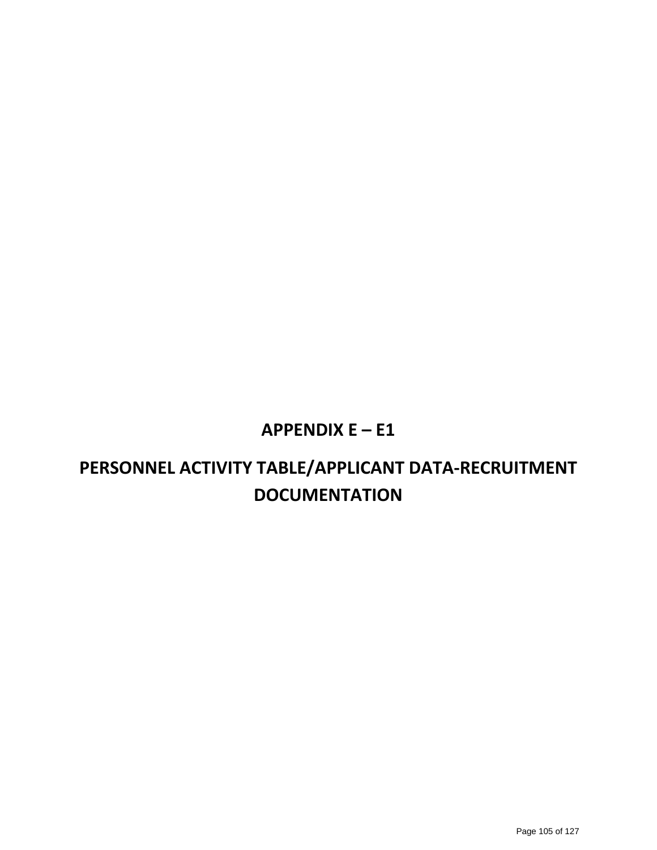### **APPENDIX E – E1**

## **PERSONNEL ACTIVITY TABLE/APPLICANT DATA‐RECRUITMENT DOCUMENTATION**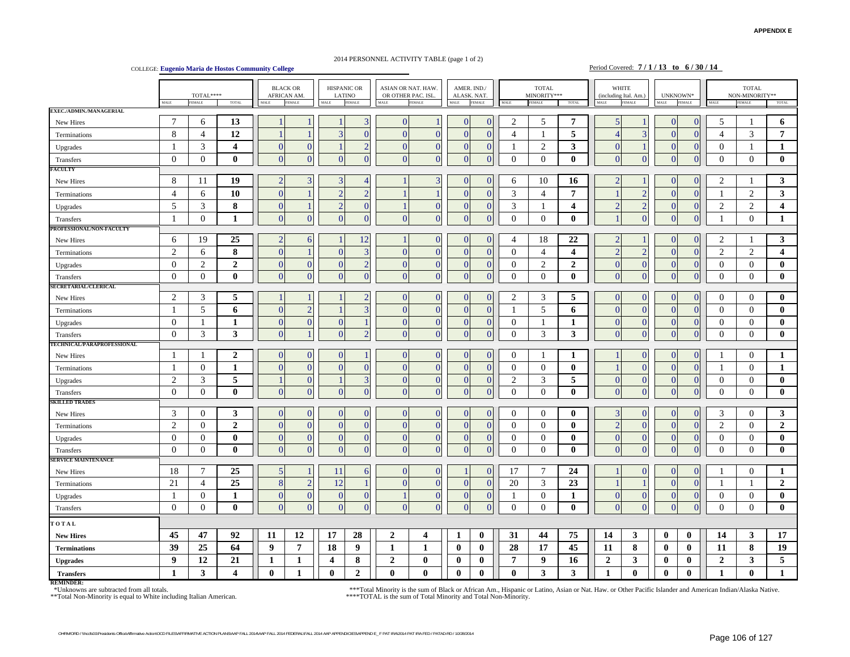#### 2014 PERSONNEL ACTIVITY TABLE (page 1 of 2)

COLLEGE: **Eugenio Maria de Hostos Community College** Period Covered: **7 / 1 / 13 to 6 / 30 / 14** 

|                            | $\texttt{TOTAL***}$<br>MALE<br>FEMALE<br><b>TOTAL</b> |                  |                         | <b>BLACK OR</b><br>HISPANIC OR<br><b>AFRICAN AM</b><br>LATINO<br><b>FEMALE</b><br><b>FEMALE</b><br>MALE<br>MALE |                | ASIAN OR NAT. HAW.<br>OR OTHER PAC. ISL.<br>MALE<br><b>FEMALE</b> |                | AMER. IND./<br>ALASK. NAT.<br>MALE<br><b>FEMALE</b> |                | <b>TOTAL</b><br>MINORITY***<br><b>FEMALE</b><br>TOTAL<br>MALE |                |                  | <b>WHITE</b><br>(including Ital. Am.)<br>MALE<br><b>FEMALE</b> |                | $UNKNOWN^*$<br>MALE<br><b>FEMALE</b> |                | <b>TOTAL</b><br>NON-MINORITY**<br><b>FEMALE</b><br>MALE |                | <b>TOTAL</b>   |                  |                         |
|----------------------------|-------------------------------------------------------|------------------|-------------------------|-----------------------------------------------------------------------------------------------------------------|----------------|-------------------------------------------------------------------|----------------|-----------------------------------------------------|----------------|---------------------------------------------------------------|----------------|------------------|----------------------------------------------------------------|----------------|--------------------------------------|----------------|---------------------------------------------------------|----------------|----------------|------------------|-------------------------|
| EXEC./ADMIN./MANAGERIAL    |                                                       |                  |                         |                                                                                                                 |                |                                                                   |                |                                                     |                |                                                               |                |                  |                                                                |                |                                      |                |                                                         |                |                |                  |                         |
| New Hires                  | $\overline{7}$                                        | 6                | 13                      |                                                                                                                 |                |                                                                   | 3              | $\Omega$                                            |                | C                                                             | $\Omega$       | $\overline{2}$   | 5                                                              | $\overline{7}$ | 5 <sub>1</sub>                       |                | $\Omega$                                                | $\Omega$       | 5              | -1               | 6                       |
| Terminations               | 8                                                     | $\overline{4}$   | 12                      |                                                                                                                 |                | 3                                                                 | $\Omega$       | $\overline{0}$                                      | $\Omega$       | $\theta$                                                      | $\overline{0}$ | $\overline{4}$   | $\overline{\mathbf{1}}$                                        | 5              | 4                                    | 3              | $\Omega$                                                | $\mathbf{0}$   | $\overline{4}$ | 3                | $\overline{7}$          |
| Upgrades                   | $\mathbf{1}$                                          | 3                | $\overline{\mathbf{4}}$ | $\mathbf{0}$                                                                                                    | $\mathbf{0}$   |                                                                   | $\overline{2}$ | $\overline{0}$                                      | $\mathbf{0}$   | $\Omega$                                                      | $\overline{0}$ | -1               | $\sqrt{2}$                                                     | 3              | $\mathbf{0}$                         |                | $\mathbf{0}$                                            | $\mathbf{0}$   | $\mathbf{0}$   | $\mathbf{1}$     | 1                       |
| Transfers                  | $\theta$                                              | $\mathbf{0}$     | $\mathbf{0}$            | $\theta$                                                                                                        | $\overline{0}$ | $\Omega$                                                          | $\Omega$       | $\Omega$                                            | 0              | O                                                             | $\theta$       | $\boldsymbol{0}$ | $\overline{0}$                                                 | $\mathbf{0}$   | $\Omega$                             | $\Omega$       | $\Omega$                                                | $\overline{0}$ | $\mathbf{0}$   | $\mathbf{0}$     | $\bf{0}$                |
| FACULTY                    |                                                       |                  |                         |                                                                                                                 |                |                                                                   |                |                                                     |                |                                                               |                |                  |                                                                |                |                                      |                |                                                         |                |                |                  |                         |
| New Hires                  | 8                                                     | 11               | 19                      | $\overline{2}$                                                                                                  | $\overline{3}$ | $\mathcal{R}$                                                     |                |                                                     | 3              | $\left($                                                      | $\Omega$       | 6                | 10                                                             | 16             | $\mathcal{D}$                        |                | $\Omega$                                                | $\Omega$       | $\overline{2}$ | $\mathbf{1}$     | $\mathbf{3}$            |
| Terminations               | $\overline{4}$                                        | 6                | 10                      | $\mathbf{0}$                                                                                                    |                | $\overline{2}$                                                    | $\overline{2}$ |                                                     |                | $\overline{0}$                                                | $\Omega$       | 3                | $\overline{4}$                                                 | $\overline{7}$ |                                      | $\overline{2}$ | $\overline{0}$                                          | $\theta$       | 1              | $\mathfrak{2}$   | 3                       |
| Upgrades                   | 5                                                     | 3                | 8                       | $\overline{0}$                                                                                                  |                | $\overline{2}$                                                    | $\Omega$       |                                                     | $\mathbf{0}$   | 0                                                             | $\mathbf{0}$   | 3                | $\mathbf{1}$                                                   | 4              | $\overline{2}$                       | $\overline{c}$ | $\mathbf{0}$                                            | $\mathbf{0}$   | $\overline{c}$ | 2                | $\overline{\mathbf{4}}$ |
| Transfers                  | $\overline{1}$                                        | $\mathbf{0}$     | 1                       | $\overline{0}$                                                                                                  | $\overline{0}$ | $\Omega$                                                          | $\Omega$       | $\Omega$                                            | $\Omega$       | $\overline{(}$                                                | $\overline{0}$ | $\overline{0}$   | $\mathbf{0}$                                                   | $\bf{0}$       |                                      | $\overline{0}$ | $\overline{0}$                                          | $\overline{0}$ | 1              | $\mathbf{0}$     | 1                       |
| PROFESSIONAL/NON-FACULTY   |                                                       |                  |                         |                                                                                                                 |                |                                                                   |                |                                                     |                |                                                               |                |                  |                                                                |                |                                      |                |                                                         |                |                |                  |                         |
| New Hires                  | 6                                                     | 19               | 25                      | $\overline{2}$                                                                                                  | 6              |                                                                   | 12             |                                                     | $\Omega$       |                                                               | $\Omega$       | $\overline{4}$   | 18                                                             | 22             | $\mathcal{D}$                        |                | $\Omega$                                                | $\Omega$       | $\mathfrak{2}$ | 1                | 3                       |
| Terminations               | 2                                                     | 6                | 8                       | $\Omega$                                                                                                        |                | $\overline{0}$                                                    | 3              | $\Omega$                                            | $\Omega$       | $\Omega$                                                      | $\overline{0}$ | $\mathbf{0}$     | $\overline{4}$                                                 | 4              | $\overline{2}$                       | $\mathcal{D}$  | $\Omega$                                                | $\theta$       | 2              | 2                | $\overline{4}$          |
| Upgrades                   | $\theta$                                              | $\overline{2}$   | $\overline{2}$          | $\overline{0}$                                                                                                  | $\mathbf{0}$   | $\mathbf{0}$                                                      | $\overline{2}$ | $\overline{0}$                                      | $\Omega$       | $\Omega$                                                      | $\Omega$       | $\boldsymbol{0}$ | $\overline{2}$                                                 | $\overline{2}$ | $\Omega$                             | $\overline{0}$ | $\mathbf{0}$                                            | $\mathbf{0}$   | $\theta$       | $\mathbf{0}$     | $\bf{0}$                |
| Transfers                  | $\theta$                                              | $\Omega$         | $\mathbf{0}$            | $\Omega$                                                                                                        | $\overline{0}$ | $\Omega$                                                          | $\Omega$       | $\Omega$                                            | $\Omega$       | $\sqrt{ }$                                                    | $\overline{0}$ | $\boldsymbol{0}$ | $\mathbf{0}$                                                   | $\mathbf{0}$   | $\Omega$                             | $\Omega$       | $\Omega$                                                | $\overline{0}$ | $\Omega$       | $\overline{0}$   | $\bf{0}$                |
| SECRETARIAL/CLERICAL       |                                                       |                  |                         |                                                                                                                 |                |                                                                   |                |                                                     |                |                                                               |                |                  |                                                                |                |                                      |                |                                                         |                |                |                  |                         |
| New Hires                  | $\overline{c}$                                        | 3                | 5                       |                                                                                                                 |                |                                                                   | $\overline{2}$ | $\overline{0}$                                      | $\Omega$       | $\Omega$                                                      | $\overline{0}$ | $\overline{2}$   | 3                                                              | 5              | $\Omega$                             | $\overline{0}$ | $\Omega$                                                | $\mathbf{0}$   | $\theta$       | $\overline{0}$   | $\bf{0}$                |
| Terminations               | -1                                                    | 5                | 6                       | $\Omega$                                                                                                        | $\overline{2}$ |                                                                   | 3              | $\Omega$                                            | $\Omega$       | $\Omega$                                                      | $\theta$       | -1               | 5                                                              | 6              | $\Omega$                             | $\theta$       | $\Omega$                                                | $\Omega$       | $\Omega$       | $\Omega$         | $\bf{0}$                |
| Upgrades                   | $\theta$                                              | -1               | $\mathbf{1}$            | $\overline{0}$                                                                                                  | $\overline{0}$ | $\mathbf{0}$                                                      |                | $\Omega$                                            | $\Omega$       | $\Omega$                                                      | $\overline{0}$ | $\mathbf{0}$     | -1                                                             | 1              | $\Omega$                             | $\mathbf{0}$   | $\Omega$                                                | $\mathbf{0}$   | $\overline{0}$ | $\mathbf{0}$     | $\bf{0}$                |
| Transfers                  | $\mathbf{0}$                                          | $\mathfrak{Z}$   | 3                       | $\overline{0}$                                                                                                  |                | $\mathbf{0}$                                                      | $\overline{2}$ | $\Omega$                                            | $\overline{0}$ | $\overline{0}$                                                | $\overline{0}$ | $\boldsymbol{0}$ | $\mathfrak{Z}$                                                 | 3              | $\mathbf{0}$                         | $\overline{0}$ | $\overline{0}$                                          | $\mathbf{0}$   | $\mathbf{0}$   | $\boldsymbol{0}$ | $\bf{0}$                |
| TECHNICAL/PARAPROFESSIONAL |                                                       |                  |                         |                                                                                                                 |                |                                                                   |                |                                                     |                |                                                               |                |                  |                                                                |                |                                      |                |                                                         |                |                |                  |                         |
| New Hires                  | -1                                                    | -1               | $\boldsymbol{2}$        | $\overline{0}$                                                                                                  | $\overline{0}$ | $\overline{0}$                                                    |                | $\overline{0}$                                      | $\Omega$       | C                                                             | $\overline{0}$ | $\boldsymbol{0}$ | $\overline{\mathbf{1}}$                                        | $\mathbf{1}$   |                                      | $\theta$       | $\Omega$                                                | $\overline{0}$ | 1              | $\overline{0}$   | $\mathbf{1}$            |
| Terminations               | $\overline{1}$                                        | $\theta$         | $\mathbf{1}$            | $\mathbf{0}$                                                                                                    | $\mathbf{0}$   | $\mathbf{0}$                                                      | $\Omega$       | $\overline{0}$                                      | $\mathbf{0}$   | $\overline{0}$                                                | $\overline{0}$ | $\boldsymbol{0}$ | $\mathbf{0}$                                                   | $\bf{0}$       |                                      | $\Omega$       | $\mathbf{0}$                                            | $\mathbf{0}$   | 1              | $\theta$         | 1                       |
| Upgrades                   | $\overline{2}$                                        | 3                | 5                       |                                                                                                                 | $\overline{0}$ |                                                                   | 3              | $\Omega$                                            | $\Omega$       | C                                                             | $\theta$       | $\overline{2}$   | 3                                                              | 5              | $\Omega$                             | $\Omega$       | $\Omega$                                                | $\mathbf{0}$   | $\overline{0}$ | $\mathbf{0}$     | $\bf{0}$                |
| Transfers                  | $\theta$                                              | $\Omega$         | $\mathbf{0}$            | $\Omega$                                                                                                        | $\overline{0}$ | $\Omega$                                                          | $\Omega$       | $\Omega$                                            | $\Omega$       | $\Omega$                                                      | $\theta$       | $\mathbf{0}$     | $\mathbf{0}$                                                   | $\mathbf{0}$   | $\Omega$                             | $\overline{0}$ | $\Omega$                                                | $\Omega$       | $\overline{0}$ | $\overline{0}$   | $\bf{0}$                |
| <b>SKILLED TRADES</b>      |                                                       |                  |                         |                                                                                                                 |                |                                                                   |                |                                                     |                |                                                               |                |                  |                                                                |                |                                      |                |                                                         |                |                |                  |                         |
| New Hires                  | 3                                                     | $\Omega$         | 3                       | $\Omega$                                                                                                        | $\Omega$       | $\Omega$                                                          | $\Omega$       | $\Omega$                                            | $\Omega$       |                                                               | $\Omega$       | $\Omega$         | $\Omega$                                                       | $\mathbf{0}$   | $\overline{\mathbf{3}}$              | $\Omega$       | $\Omega$                                                | $\Omega$       | 3              | $\theta$         | 3                       |
| Terminations               | $\sqrt{2}$                                            | $\theta$         | $\overline{2}$          | $\overline{0}$                                                                                                  | $\overline{0}$ | $\mathbf{0}$                                                      | $\Omega$       | $\overline{0}$                                      | $\Omega$       | $\Omega$                                                      | $\overline{0}$ | $\boldsymbol{0}$ | $\mathbf{0}$                                                   | $\bf{0}$       | $\overline{a}$                       | $\overline{0}$ | $\mathbf{0}$                                            | $\mathbf{0}$   | 2              | $\overline{0}$   | $\overline{2}$          |
| Upgrades                   | $\overline{0}$                                        | $\mathbf{0}$     | $\bf{0}$                | $\overline{0}$                                                                                                  | $\mathbf{0}$   | $\mathbf{0}$                                                      | $\Omega$       | $\overline{0}$                                      | $\Omega$       | $\sqrt{ }$                                                    | $\overline{0}$ | $\boldsymbol{0}$ | $\overline{0}$                                                 | $\bf{0}$       | $\Omega$                             | $\Omega$       | $\overline{0}$                                          | $\mathbf{0}$   | $\mathbf{0}$   | $\mathbf{0}$     | $\bf{0}$                |
| Transfers                  | $\mathbf{0}$                                          | $\mathbf{0}$     | $\bf{0}$                | $\overline{0}$                                                                                                  | $\overline{0}$ | $\theta$                                                          | $\Omega$       | $\Omega$                                            | $\Omega$       | $\overline{(}$                                                | $\overline{0}$ | $\overline{0}$   | $\overline{0}$                                                 | $\bf{0}$       | $\Omega$                             | $\Omega$       | $\Omega$                                                | $\overline{0}$ | $\theta$       | $\mathbf{0}$     | $\bf{0}$                |
| <b>SERVICE MAINTENANCE</b> |                                                       |                  |                         |                                                                                                                 |                |                                                                   |                |                                                     |                |                                                               |                |                  |                                                                |                |                                      |                |                                                         |                |                |                  |                         |
| New Hires                  | 18                                                    | 7                | 25                      | $\overline{5}$                                                                                                  |                | 11                                                                | 6              | $\overline{0}$                                      | $\Omega$       |                                                               | $\overline{0}$ | 17               | 7                                                              | 24             |                                      | $\theta$       | $\Omega$                                                | $\overline{0}$ | 1              | $\mathbf{0}$     | 1                       |
| Terminations               | 21                                                    | $\overline{4}$   | 25                      | 8                                                                                                               | $\overline{2}$ | 12                                                                |                | $\Omega$                                            | $\Omega$       | $\sqrt{ }$                                                    | $\theta$       | 20               | 3                                                              | 23             |                                      |                | $\Omega$                                                | $\mathbf{0}$   | -1             | 1                | $\overline{2}$          |
| Upgrades                   | -1                                                    | $\boldsymbol{0}$ | $\mathbf{1}$            | $\mathbf{0}$                                                                                                    | $\mathbf{0}$   | $\mathbf{0}$                                                      | $\mathbf{0}$   |                                                     | $\mathbf{0}$   | $\bf{0}$                                                      | $\overline{0}$ | -1               | $\overline{0}$                                                 | 1              | $\overline{0}$                       | $\mathbf{0}$   | $\mathbf{0}$                                            | $\mathbf{0}$   | $\overline{0}$ | $\mathbf{0}$     | $\bf{0}$                |
| Transfers                  | $\theta$                                              | $\mathbf{0}$     | $\mathbf{0}$            | $\overline{0}$                                                                                                  | $\mathbf{0}$   | $\Omega$                                                          | $\Omega$       | $\Omega$                                            | $\mathbf{0}$   | $\Omega$                                                      | $\overline{0}$ | $\boldsymbol{0}$ | $\overline{0}$                                                 | $\bf{0}$       | $\Omega$                             | $\mathbf{0}$   | $\Omega$                                                | $\overline{0}$ | $\mathbf{0}$   | $\theta$         | $\bf{0}$                |
| TOTAL                      |                                                       |                  |                         |                                                                                                                 |                |                                                                   |                |                                                     |                |                                                               |                |                  |                                                                |                |                                      |                |                                                         |                |                |                  |                         |
| <b>New Hires</b>           | 45                                                    | 47               | 92                      | 11                                                                                                              | 12             | 17                                                                | 28             | $\overline{2}$                                      | 4              | 1                                                             | $\bf{0}$       | 31               | 44                                                             | 75             | 14                                   | 3              | $\bf{0}$                                                | $\bf{0}$       | 14             | 3                | 17                      |
| <b>Terminations</b>        | 39                                                    | 25               | 64                      | 9                                                                                                               | $\overline{7}$ | 18                                                                | 9              | 1                                                   | 1              | $\bf{0}$                                                      | $\bf{0}$       | 28               | 17                                                             | 45             | 11                                   | $\bf 8$        | $\bf{0}$                                                | $\bf{0}$       | 11             | 8                | 19                      |
| <b>Upgrades</b>            | $\boldsymbol{9}$                                      | 12               | 21                      | 1                                                                                                               | 1              | $\overline{4}$                                                    | 8              | $\overline{2}$                                      | $\bf{0}$       | $\mathbf{0}$                                                  | $\bf{0}$       | $\overline{7}$   | 9                                                              | 16             | $\overline{2}$                       | 3              | $\bf{0}$                                                | $\bf{0}$       | $\overline{2}$ | 3                | 5                       |
| <b>Transfers</b>           | $\mathbf{1}$                                          | 3                | $\overline{\mathbf{4}}$ | $\mathbf{0}$                                                                                                    | $\mathbf{1}$   | $\mathbf{0}$                                                      | $\mathbf{2}$   | $\mathbf{0}$                                        | $\mathbf{0}$   | $\bf{0}$                                                      | $\mathbf{0}$   | $\mathbf{0}$     | 3                                                              | 3              | -1                                   | $\mathbf{0}$   | $\bf{0}$                                                | $\mathbf{0}$   | 1              | $\mathbf{0}$     | $\mathbf{1}$            |
|                            |                                                       |                  |                         |                                                                                                                 |                |                                                                   |                |                                                     |                |                                                               |                |                  |                                                                |                |                                      |                |                                                         |                |                |                  |                         |

**REMINDER:**

**EXEMINATE:**<br>
\*Unknowns are subtracted from all totals.<br>
\*\*Total Non-Minority is equal to White including Italian American.

\*Unknowns are subtracted from all totals. the including Italian American. the state of the state of Black or African Am, Hispanic or Latino, Asian or Nat. Haw. or Other Pacific Islander and American Indian/Alaska Native.<br>\*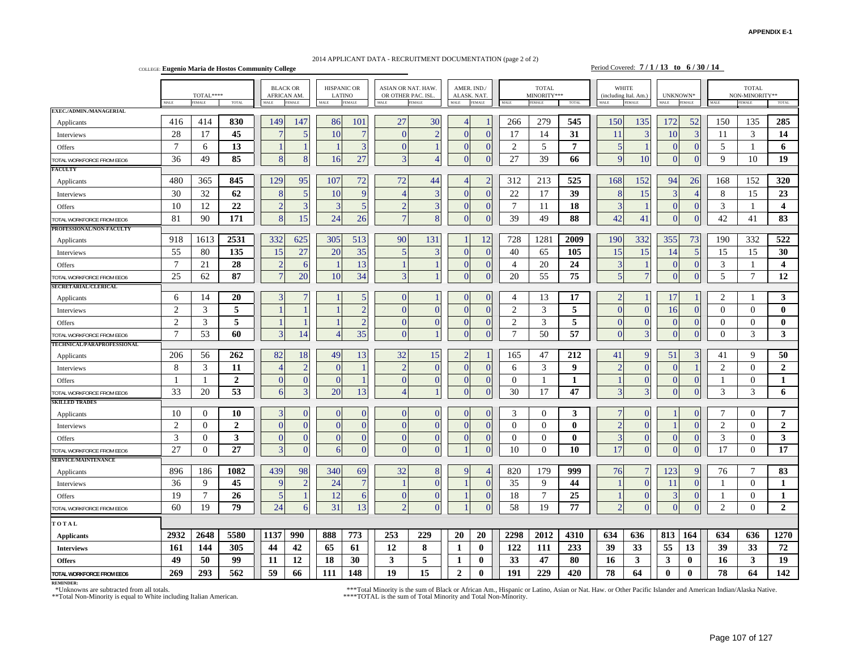#### **APPENDIX E-1**

#### 2014 APPLICANT DATA - RECRUITMENT DOCUMENTATION (page 2 of 2)

COLLEGE: **Eugenio Maria de Hostos Community College** Period Covered: **7 / 1 / 13 to 6 / 30 / 14** 

|                                   |                | $\texttt{TOTAL***}$ |                 |                          | <b>BLACK OR</b><br>AFRICAN AM. | <b>LATINO</b> | <b>HISPANIC OR</b>       | ASIAN OR NAT. HAW<br>OR OTHER PAC. ISL. |                | ALASK. NAT.              | AMER. IND./   |                 | <b>TOTAL</b><br>MINORITY*** |                |                | <b>WHITE</b><br>(including Ital. Am.) |                | UNKNOWN*       |                | <b>TOTAL</b><br>NON-MINORITY** |                         |
|-----------------------------------|----------------|---------------------|-----------------|--------------------------|--------------------------------|---------------|--------------------------|-----------------------------------------|----------------|--------------------------|---------------|-----------------|-----------------------------|----------------|----------------|---------------------------------------|----------------|----------------|----------------|--------------------------------|-------------------------|
|                                   | <b>MALE</b>    | EMALE               | TOTAL           | MALE                     | FEMALE                         | MALE          | <b>FEMALE</b>            | MALE                                    | EMALE          | MALE                     | <b>FEMALE</b> | MALE            | <b>FEMALE</b>               | TOTAL          |                | FEMALE                                | <b>MALE</b>    | <b>FEMALE</b>  | MALE           | EMALE                          | TOTAL                   |
| EXEC./ADMIN./MANAGERIAL           |                |                     |                 |                          |                                |               |                          |                                         |                |                          |               |                 |                             |                |                |                                       |                |                |                |                                |                         |
| Applicants                        | 416            | 414                 | 830             | 149                      | 147                            | 86            | 101                      | 27                                      | 30             | $\boldsymbol{\varDelta}$ |               | 266             | 279                         | 545            | 150            | 135                                   | 172            | 52             | 150            | 135                            | 285                     |
| Interviews                        | 28             | 17                  | 45              | $\overline{7}$           | 5                              | 10            |                          | $\Omega$                                | $\overline{2}$ | C                        | $\Omega$      | 17              | 14                          | 31             | 11             |                                       | 10             | 3              | 11             | 3                              | 14                      |
| Offers                            | $\overline{7}$ | 6                   | 13              |                          |                                |               | $\overline{3}$           | $\Omega$                                |                | $\sqrt{ }$               | $\Omega$      | $\overline{2}$  | 5                           | $\overline{7}$ | 5              |                                       | $\Omega$       | $\mathbf{0}$   | 5              | $\overline{1}$                 | 6                       |
| <b>TOTAL WORKFORCE FROM EEO6</b>  | 36             | 49                  | 85              | 8                        | 8                              | 16            | 27                       | 3                                       |                | -0                       | $\Omega$      | 27              | 39                          | 66             | 9              | 10                                    | $\overline{0}$ | $\mathbf{0}$   | 9              | 10                             | 19                      |
| FACULTY                           |                |                     |                 |                          |                                |               |                          |                                         |                |                          |               |                 |                             |                |                |                                       |                |                |                |                                |                         |
| Applicants                        | 480            | 365                 | 845             | 129                      | 95                             | 107           | 72                       | 72                                      | 44             | Δ                        | $\mathcal{D}$ | 312             | 213                         | 525            | 168            | 152                                   | 94             | 26             | 168            | 152                            | 320                     |
| Interviews                        | 30             | 32                  | 62              | 8                        | 5                              | 10            | <sub>Q</sub>             | Δ                                       | 3              | C                        | $\Omega$      | 22              | 17                          | 39             | 8              | 15                                    | 3              | $\overline{4}$ | 8              | 15                             | 23                      |
| Offers                            | 10             | 12                  | 22              | $\overline{2}$           | $\overline{\mathbf{3}}$        | 3             | $\overline{5}$           | $\overline{2}$                          | 3              | $\theta$                 | $\Omega$      | $7\phantom{.0}$ | 11                          | 18             | 3              |                                       | $\overline{0}$ | $\mathbf{0}$   | 3              | $\overline{1}$                 | $\overline{\mathbf{4}}$ |
| TOTAL WORKFORCE FROM EEO6         | 81             | 90                  | 171             | 8                        | 15                             | 24            | 26                       |                                         | 8              | $\sqrt{ }$               | $\Omega$      | 39              | 49                          | 88             | 42             | 41                                    | $\Omega$       | $\overline{0}$ | 42             | 41                             | 83                      |
| PROFESSIONAL/NON-FACULTY          |                |                     |                 |                          |                                |               |                          |                                         |                |                          |               |                 |                             |                |                |                                       |                |                |                |                                |                         |
| Applicants                        | 918            | 1613                | 2531            | 332                      | 625                            | 305           | 513                      | 90                                      | 131            |                          | 12            | 728             | 1281                        | 2009           | 190            | 332                                   | 355            | 73             | 190            | 332                            | 522                     |
| Interviews                        | 55             | 80                  | 135             | 15                       | 27                             | <b>20</b>     | 35                       | 5                                       |                | T                        | $\Omega$      | 40              | 65                          | 105            | 15             | 15                                    | 14             | 5              | 15             | 15                             | 30                      |
| Offers                            | $\overline{7}$ | 21                  | 28              | $\overline{2}$           | 6                              |               | 13                       |                                         |                | C                        | $\Omega$      | $\overline{4}$  | 20                          | 24             | 3              |                                       | $\Omega$       | $\theta$       | 3              | $\mathbf{1}$                   | $\overline{\mathbf{4}}$ |
| <b>OTAL WORKFORCE FROM EEO6</b>   | 25             | 62                  | 87              | $\overline{7}$           | 20                             | 10            | 34                       | 3                                       |                | $\theta$                 | $\Omega$      | 20              | 55                          | 75             | 5              |                                       | $\Omega$       | $\overline{0}$ | 5              | $\overline{7}$                 | 12                      |
| <b>SECRETARIAL/CLERICAL</b>       |                |                     |                 |                          |                                |               |                          |                                         |                |                          |               |                 |                             |                |                |                                       |                |                |                |                                |                         |
| Applicants                        | 6              | 14                  | 20              | 3                        |                                |               | 5                        | $\mathbf{0}$                            |                | C                        | $\Omega$      | $\overline{4}$  | 13                          | 17             | $\overline{2}$ |                                       | 17             |                | 2              | $\mathbf{1}$                   | 3                       |
| Interviews                        | $\overline{c}$ | 3                   | 5               |                          |                                |               | $\overline{\mathcal{L}}$ | $\overline{0}$                          | $\theta$       | -0                       | $\Omega$      | 2               | 3                           | 5              | $\overline{0}$ | $\Omega$                              | 16             | $\theta$       | $\Omega$       | $\Omega$                       | $\bf{0}$                |
| Offers                            | $\overline{2}$ | 3                   | 5               |                          |                                |               | $\overline{2}$           | $\Omega$                                | $\Omega$       | C                        | $\Omega$      | $\overline{2}$  | 3                           | 5              | $\Omega$       | $\Omega$                              | $\overline{0}$ | $\mathbf{0}$   | $\theta$       | $\theta$                       | $\mathbf{0}$            |
| <b>OTAL WORKFORCE FROM EEO6</b>   | $\overline{7}$ | 53                  | 60              | $\overline{3}$           | 14                             |               | 35                       | $\overline{0}$                          |                | $\sqrt{ }$               | $\Omega$      | $\tau$          | 50                          | 57             | $\overline{0}$ | 3                                     | $\Omega$       | $\overline{0}$ | $\mathbf{0}$   | 3                              | 3                       |
| <b>TECHNICAL/PARAPROFESSIONAL</b> |                |                     |                 |                          |                                |               |                          |                                         |                |                          |               |                 |                             |                |                |                                       |                |                |                |                                |                         |
| Applicants                        | 206            | 56                  | 262             | 82                       | 18                             | 49            | 13                       | 32                                      | 15             | $\overline{2}$           |               | 165             | 47                          | 212            | 41             | 9                                     | 51             |                | 41             | 9                              | 50                      |
| Interviews                        | 8              | 3                   | 11              | $\boldsymbol{\varDelta}$ | $\overline{2}$                 | $\Omega$      |                          | $\overline{2}$                          | $\overline{0}$ | $\bigcap$                | $\Omega$      | 6               | 3                           | 9              | $\overline{2}$ | $\mathbf{0}$                          | $\Omega$       |                | $\overline{2}$ | $\Omega$                       | $\overline{2}$          |
| Offers                            | $\overline{1}$ | $\overline{1}$      | $\overline{2}$  | $\overline{0}$           | $\theta$                       | $\Omega$      |                          | $\overline{0}$                          | $\overline{0}$ | $\bf{0}$                 | $\theta$      | $\theta$        | -1                          | 1              |                | $\overline{0}$                        | $\overline{0}$ | $\mathbf{0}$   | -1             | $\mathbf{0}$                   | 1                       |
| <b>OTAL WORKFORCE FROM EEO6</b>   | 33             | 20                  | 53              | 6                        | 3                              | 20            | 13                       | $\overline{A}$                          |                |                          | $\Omega$      | 30              | 17                          | 47             | 3              | $\overline{\mathbf{3}}$               | $\Omega$       | $\Omega$       | 3              | 3                              | 6                       |
| <b>SKILLED TRADES</b>             |                |                     |                 |                          |                                |               |                          |                                         |                |                          |               |                 |                             |                |                |                                       |                |                |                |                                |                         |
| Applicants                        | 10             | $\overline{0}$      | 10              | 3                        |                                |               |                          | 0                                       | $\overline{0}$ |                          | $\Omega$      | 3               | $\theta$                    | 3              |                | $\Omega$                              |                | $\Omega$       |                | $\mathbf{0}$                   | $\overline{7}$          |
| Interviews                        | $\overline{2}$ | $\theta$            | $\overline{2}$  | $\Omega$                 | $\Omega$                       | $\Omega$      | $\Omega$                 | $\Omega$                                | $\theta$       | T                        | $\Omega$      | $\overline{0}$  | $\overline{0}$              | $\bf{0}$       | $\overline{2}$ | $\Omega$                              |                | $\Omega$       | 2              | $\mathbf{0}$                   | $\overline{2}$          |
| Offers                            | 3              | $\Omega$            | 3               | $\Omega$                 | $\Omega$                       | $\Omega$      | $\Omega$                 | $\Omega$                                | $\theta$       | <sup>r</sup>             | $\Omega$      | $\Omega$        | $\theta$                    | $\mathbf{0}$   | $\overline{3}$ | $\Omega$                              | $\Omega$       | $\Omega$       | 3              | $\Omega$                       | 3                       |
| <b>OTAL WORKFORCE FROM EEO6</b>   | 27             | $\overline{0}$      | $\overline{27}$ | 3                        | $\Omega$                       | 6             | $\Omega$                 | $\Omega$                                | $\Omega$       |                          | $\Omega$      | 10              | $\theta$                    | 10             | 17             | $\Omega$                              | $\Omega$       | $\Omega$       | 17             | $\Omega$                       | 17                      |
| <b>SERVICE/MAINTENANCE</b>        |                |                     |                 |                          |                                |               |                          |                                         |                |                          |               |                 |                             |                |                |                                       |                |                |                |                                |                         |
| Applicants                        | 896            | 186                 | 1082            | 439                      | 98                             | 340           | 69                       | 32                                      | 8              | q                        |               | 820             | 179                         | 999            | 76             |                                       | 123            | 9              | 76             | 7                              | 83                      |
| Interviews                        | 36             | 9                   | 45              | 9                        | $\mathcal{D}$                  | 24            | $\overline{7}$           |                                         | $\Omega$       |                          | $\Omega$      | 35              | 9                           | 44             |                | $\Omega$                              | 11             | $\theta$       | -1             | $\Omega$                       | 1                       |
| Offers                            | 19             | $7\phantom{.0}$     | 26              | 5                        |                                | 12            | 6                        | $\Omega$                                | $\mathbf{0}$   |                          | $\Omega$      | 18              | $\tau$                      | 25             |                | $\mathbf{0}$                          | 3              | $\mathbf{0}$   | -1             | $\Omega$                       | 1                       |
| TOTAL WORKFORCE FROM EEO6         | 60             | 19                  | 79              | 24                       | 6                              | 31            | 13                       | $\overline{2}$                          | $\mathbf{0}$   |                          | $\mathbf{0}$  | 58              | 19                          | 77             | $\overline{2}$ | $\mathbf{0}$                          | $\Omega$       | $\mathbf{0}$   | $\overline{2}$ | $\mathbf{0}$                   | $\overline{2}$          |
| TOTAL                             |                |                     |                 |                          |                                |               |                          |                                         |                |                          |               |                 |                             |                |                |                                       |                |                |                |                                |                         |
| <b>Applicants</b>                 | 2932           | 2648                | 5580            | 1137                     | 990                            | 888           | 773                      | 253                                     | 229            | 20                       | 20            | 2298            | 2012                        | 4310           | 634            | 636                                   | 813            | 164            | 634            | 636                            | 1270                    |
| <b>Interviews</b>                 | 161            | 144                 | 305             | 44                       | 42                             | 65            | 61                       | 12                                      | 8              | 1                        | $\bf{0}$      | 122             | 111                         | 233            | 39             | 33                                    | 55             | 13             | 39             | 33                             | 72                      |
| <b>Offers</b>                     | 49             | 50                  | 99              | 11                       | 12                             | 18            | 30                       | 3                                       | 5              | 1                        | $\bf{0}$      | 33              | 47                          | 80             | 16             | 3                                     | 3              | $\bf{0}$       | 16             | 3                              | 19                      |
| TOTAL WORKFORCE FROM EEO6         | 269            | 293                 | 562             | 59                       | 66                             | 111           | 148                      | 19                                      | 15             | $\overline{2}$           | $\mathbf{0}$  | 191             | 229                         | 420            | 78             | 64                                    | $\mathbf{0}$   | $\theta$       | 78             | 64                             | 142                     |

**REMINDER:**

\*\*Total Non-Minority is equal to White including Italian American. \*\*\*\*TOTAL is the sum of Total Minority and Total Non-Minority.

\*\*\*Total Minority is the sum of Black or African Am., Hispanic or Latino, Asian or Nat. Haw. or Other Pacific Islander and American Indian/Alaska Native.<br>\*\*\*\*TOTAL is the sum of Total Minority and Total Non-Minority.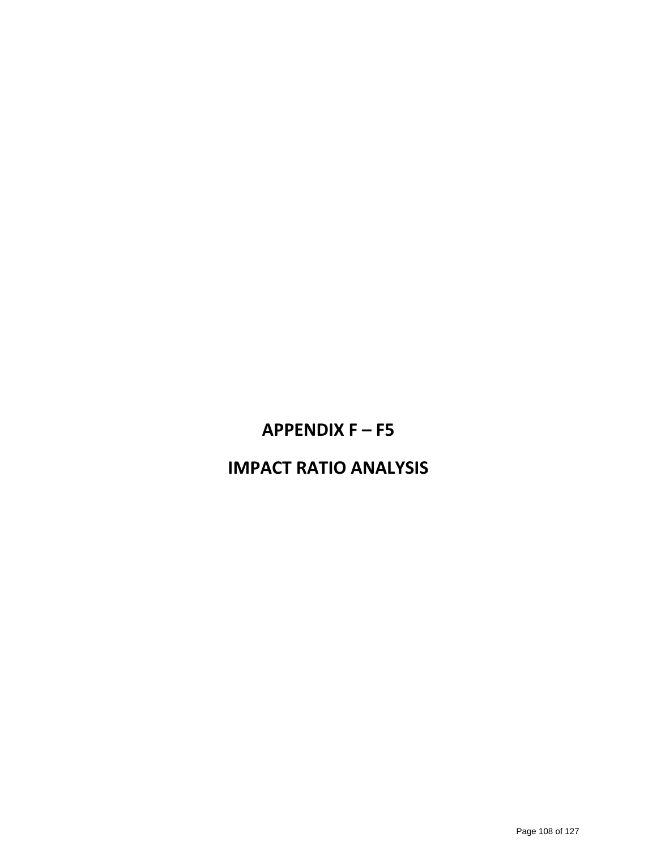# **APPENDIX F – F5**

# **IMPACT RATIO ANALYSIS**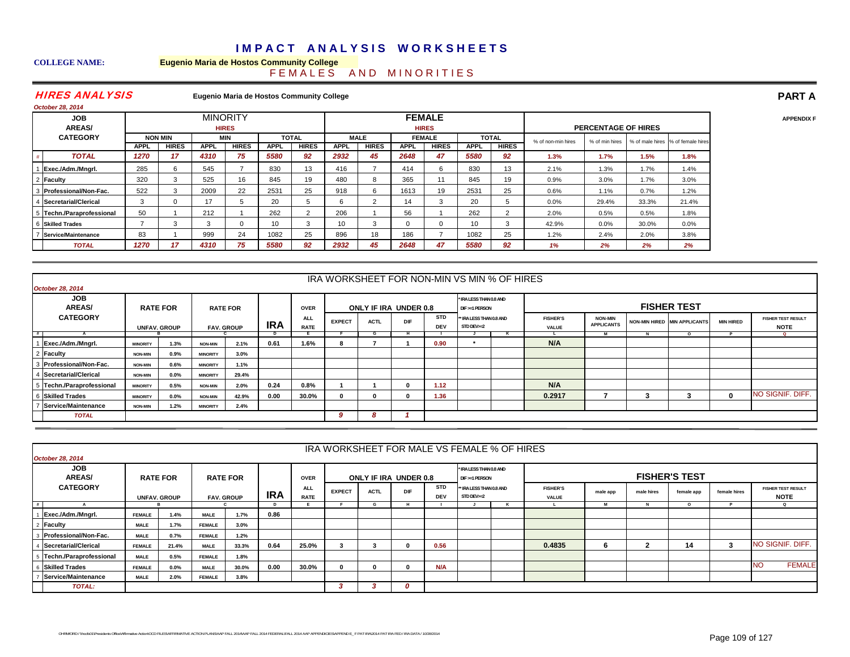## **IMPACT ANALYSIS WORKSHEETS**

#### **COLLEGE NAME: Eugenio Maria de Hostos Community College** F E M A L E S A N D M I N O R I T I E S

### HIRES ANALYSIS

**Eugenio Maria de Hostos Community College**

| October 28, 2014            |             |                |                 |              |                 |                |             |              |             |                               |                 |              |                    |                            |       |                                   |
|-----------------------------|-------------|----------------|-----------------|--------------|-----------------|----------------|-------------|--------------|-------------|-------------------------------|-----------------|--------------|--------------------|----------------------------|-------|-----------------------------------|
| <b>JOB</b><br><b>AREAS/</b> |             |                | <b>MINORITY</b> | <b>HIRES</b> |                 |                |             |              |             | <b>FEMALE</b><br><b>HIRES</b> |                 |              |                    | <b>PERCENTAGE OF HIRES</b> |       |                                   |
| <b>CATEGORY</b>             |             | <b>NON MIN</b> |                 | MIN          |                 | <b>TOTAL</b>   |             | <b>MALE</b>  |             | <b>FEMALE</b>                 |                 | <b>TOTAL</b> | % of non-min hires | % of min hires             |       | % of male hires % of female hires |
|                             | <b>APPL</b> | <b>HIRES</b>   | <b>APPL</b>     | <b>HIRES</b> | <b>APPL</b>     | <b>HIRES</b>   | <b>APPL</b> | <b>HIRES</b> | <b>APPL</b> | <b>HIRES</b>                  | <b>APPL</b>     | <b>HIRES</b> |                    |                            |       |                                   |
| <b>TOTAL</b>                | 1270        | 17             | 4310            | 75           | 5580            | 92             | 2932        | 45           | 2648        | 47                            | 5580            | 92           | 1.3%               | 1.7%                       | 1.5%  | 1.8%                              |
| Exec./Adm./Mngrl.           | 285         |                | 545             |              | 830             | 13             | 416         |              | 414         |                               | 830             | 13           | 2.1%               | 1.3%                       | 1.7%  | 1.4%                              |
| Faculty                     | 320         |                | 525             | 16           | 845             | 19             | 480         | 8            | 365         | 11                            | 845             | 19           | 0.9%               | 3.0%                       | 1.7%  | 3.0%                              |
| Professional/Non-Fac.       | 522         | 3              | 2009            | 22           | 2531            | 25             | 918         | 6            | 1613        | 19                            | 2531            | 25           | 0.6%               | 1.1%                       | 0.7%  | 1.2%                              |
| Secretarial/Clerical        | 3           |                | 17              |              | 20              | 5              | 6           |              | 14          | 3                             | 20              | 5            | $0.0\%$            | 29.4%                      | 33.3% | 21.4%                             |
| 5 Techn./Paraprofessional   | 50          |                | 212             |              | 262             | $\overline{2}$ | 206         |              | 56          |                               | 262             | 2            | 2.0%               | 0.5%                       | 0.5%  | 1.8%                              |
| 6 Skilled Trades            |             |                | $\sim$          |              | 10 <sup>1</sup> | 3              | 10          | 3            |             |                               | 10 <sup>1</sup> | 3            | 42.9%              | 0.0%                       | 30.0% | 0.0%                              |
| Service/Maintenance         | 83          |                | 999             | 24           | 1082            | 25             | 896         | 18           | 186         |                               | 1082            | 25           | 1.2%               | 2.4%                       | 2.0%  | 3.8%                              |
| <b>TOTAL</b>                | 1270        | 17             | 4310            | 75           | 5580            | 92             | 2932        | 45           | 2648        | 47                            | 5580            | 92           | 1%                 | 2%                         | 2%    | 2%                                |

|    |                             |                 |                     |                 |                   |            |                           | IRA WORKSHEET FOR NON-MIN VS MIN % OF HIRES |                       |     |                   |                                           |    |                                 |                                     |                              |                  |                                          |
|----|-----------------------------|-----------------|---------------------|-----------------|-------------------|------------|---------------------------|---------------------------------------------|-----------------------|-----|-------------------|-------------------------------------------|----|---------------------------------|-------------------------------------|------------------------------|------------------|------------------------------------------|
|    | <b>October 28, 2014</b>     |                 |                     |                 |                   |            |                           |                                             |                       |     |                   |                                           |    |                                 |                                     |                              |                  |                                          |
|    | <b>JOB</b><br><b>AREAS/</b> |                 | <b>RATE FOR</b>     |                 | <b>RATE FOR</b>   |            | <b>OVER</b>               |                                             | ONLY IF IRA UNDER 0.8 |     |                   | * IRA LESS THAN 0.8 AND<br>DIF >=1 PERSON |    |                                 |                                     | <b>FISHER TEST</b>           |                  |                                          |
|    | <b>CATEGORY</b>             |                 | <b>UNFAV. GROUP</b> |                 | <b>FAV. GROUP</b> | <b>IRA</b> | <b>ALL</b><br><b>RATE</b> | <b>EXPECT</b>                               | <b>ACTL</b>           | DIF | STD<br><b>DEV</b> | ** IRA LESS THAN 0.8 AND<br>STD DEV>=2    |    | <b>FISHER'S</b><br><b>VALUE</b> | <b>NON-MIN</b><br><b>APPLICANTS</b> | NON-MIN HIRED MIN APPLICANTS | <b>MIN HIRED</b> | <b>FISHER TEST RESULT</b><br><b>NOTE</b> |
| .# |                             |                 |                     |                 |                   |            |                           |                                             |                       |     |                   |                                           | n. |                                 |                                     | $\Omega$                     |                  | $\sim$                                   |
|    | 1 Exec./Adm./Mngrl.         | <b>MINORITY</b> | 1.3%                | <b>NON-MIN</b>  | 2.1%              | 0.61       | 1.6%                      | 8                                           |                       |     | 0.90              | $\bullet$                                 |    | N/A                             |                                     |                              |                  |                                          |
|    | 2 Faculty                   | <b>NON-MIN</b>  | 0.9%                | <b>MINORITY</b> | 3.0%              |            |                           |                                             |                       |     |                   |                                           |    |                                 |                                     |                              |                  |                                          |
|    | 3 Professional/Non-Fac.     | <b>NON-MIN</b>  | 0.6%                | <b>MINORITY</b> | 1.1%              |            |                           |                                             |                       |     |                   |                                           |    |                                 |                                     |                              |                  |                                          |
|    | 4 Secretarial/Clerical      | <b>NON-MIN</b>  | $0.0\%$             | <b>MINORITY</b> | 29.4%             |            |                           |                                             |                       |     |                   |                                           |    |                                 |                                     |                              |                  |                                          |
|    | 5 Techn./Paraprofessional   | <b>MINORITY</b> | 0.5%                | <b>NON-MIN</b>  | 2.0%              | 0.24       | 0.8%                      |                                             |                       |     | 1.12              |                                           |    | N/A                             |                                     |                              |                  |                                          |
|    | 6 Skilled Trades            | <b>MINORITY</b> | $0.0\%$             | <b>NON-MIN</b>  | 42.9%             | 0.00       | 30.0%                     | <sup>0</sup>                                |                       |     | 1.36              |                                           |    | 0.2917                          |                                     |                              |                  | NO SIGNIF, DIFF.                         |
|    | 7 Service/Maintenance       | <b>NON-MIN</b>  | 1.2%                | <b>MINORITY</b> | 2.4%              |            |                           |                                             |                       |     |                   |                                           |    |                                 |                                     |                              |                  |                                          |
|    | <b>TOTAL</b>                |                 |                     |                 |                   |            |                           | 9                                           | ø                     |     |                   |                                           |    |                                 |                                     |                              |                  |                                          |

|                             |               |                     |               |                   |            |                           |               |             |                       |                          | IRA WORKSHEET FOR MALE VS FEMALE % OF HIRES |   |                                 |          |            |                      |              |                                          |
|-----------------------------|---------------|---------------------|---------------|-------------------|------------|---------------------------|---------------|-------------|-----------------------|--------------------------|---------------------------------------------|---|---------------------------------|----------|------------|----------------------|--------------|------------------------------------------|
| October 28, 2014            |               |                     |               |                   |            |                           |               |             |                       |                          |                                             |   |                                 |          |            |                      |              |                                          |
| <b>JOB</b><br><b>AREAS/</b> |               | <b>RATE FOR</b>     |               | <b>RATE FOR</b>   |            | <b>OVER</b>               |               |             | ONLY IF IRA UNDER 0.8 |                          | * IRA LESS THAN 0.8 AND<br>DIF >=1 PERSON   |   |                                 |          |            | <b>FISHER'S TEST</b> |              |                                          |
| <b>CATEGORY</b>             |               | <b>UNFAV, GROUP</b> |               | <b>FAV. GROUP</b> | <b>IRA</b> | <b>ALL</b><br><b>RATE</b> | <b>EXPECT</b> | <b>ACTL</b> | DIF                   | <b>STD</b><br><b>DEV</b> | ** IRA LESS THAN 0.8 AND<br>STD DEV>=2      |   | <b>FISHER'S</b><br><b>VALUE</b> | male app | male hires | female app           | female hires | <b>FISHER TEST RESULT</b><br><b>NOTE</b> |
|                             |               |                     |               |                   |            |                           |               | G           |                       |                          |                                             | K |                                 | м        |            |                      |              | $\circ$                                  |
| Exec./Adm./Mngrl.           | <b>FEMALE</b> | 1.4%                | <b>MALE</b>   | 1.7%              | 0.86       |                           |               |             |                       |                          |                                             |   |                                 |          |            |                      |              |                                          |
| Faculty                     | <b>MALE</b>   | 1.7%                | <b>FEMALE</b> | 3.0%              |            |                           |               |             |                       |                          |                                             |   |                                 |          |            |                      |              |                                          |
| Professional/Non-Fac.       | <b>MALE</b>   | 0.7%                | <b>FEMALE</b> | 1.2%              |            |                           |               |             |                       |                          |                                             |   |                                 |          |            |                      |              |                                          |
| Secretarial/Clerical        | <b>FEMALE</b> | 21.4%               | <b>MALE</b>   | 33.3%             | 0.64       | 25.0%                     |               |             |                       | 0.56                     |                                             |   | 0.4835                          | 6        | 2          | 14                   | $\mathbf{3}$ | NO SIGNIF, DIFF.                         |
| Techn./Paraprofessional     | <b>MALE</b>   | 0.5%                | <b>FEMALE</b> | 1.8%              |            |                           |               |             |                       |                          |                                             |   |                                 |          |            |                      |              |                                          |
| <b>Skilled Trades</b>       | <b>FEMALE</b> | $0.0\%$             | <b>MALE</b>   | 30.0%             | 0.00       | 30.0%                     |               |             |                       | N/A                      |                                             |   |                                 |          |            |                      |              | <b>FEMALE</b><br>NO                      |
| Service/Maintenance         | <b>MALE</b>   | 2.0%                | <b>FEMALE</b> | 3.8%              |            |                           |               |             |                       |                          |                                             |   |                                 |          |            |                      |              |                                          |
| <b>TOTAL:</b>               |               |                     |               |                   |            |                           |               |             | 0                     |                          |                                             |   |                                 |          |            |                      |              |                                          |

**PART AAPPENDIX F**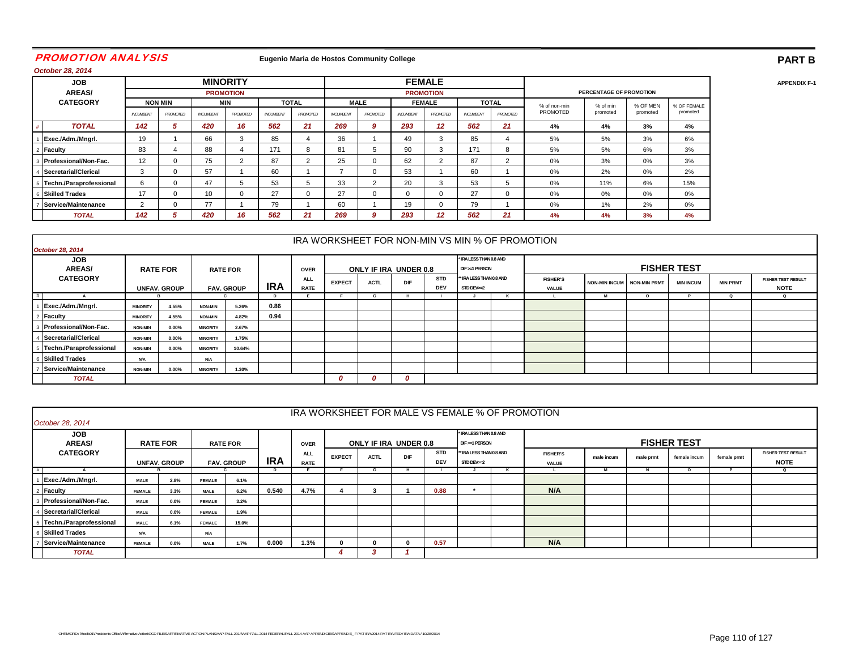### PROMOTION ANALYSI S

### **Eugenio Maria de Hostos Community College**

# **PART BAPPENDIX F-1**

*October 28, 2014*

| <b>JOB</b>              |                  |                |                  | <b>MINORITY</b>  |           |                |                  |             |                  | <b>FEMALE</b>    |                  |              |              |                         |          |             |
|-------------------------|------------------|----------------|------------------|------------------|-----------|----------------|------------------|-------------|------------------|------------------|------------------|--------------|--------------|-------------------------|----------|-------------|
| <b>AREAS/</b>           |                  |                |                  | <b>PROMOTION</b> |           |                |                  |             |                  | <b>PROMOTION</b> |                  |              |              | PERCENTAGE OF PROMOTION |          |             |
| <b>CATEGORY</b>         |                  | <b>NON MIN</b> |                  | MIN              |           | <b>TOTAL</b>   |                  | <b>MALE</b> |                  | <b>FEMALE</b>    |                  | <b>TOTAL</b> | % of non-min | % of min                | % OF MEN | % OF FEMALE |
|                         | <b>INCUMBENT</b> | PROMOTED       | <b>INCUMBENT</b> | PROMOTED         | INCUMBENT | PROMOTED       | <b>INCUMBENT</b> | PROMOTED    | <b>INCUMBENT</b> | <b>PROMOTED</b>  | <b>INCUMBENT</b> | PROMOTED     | PROMOTED     | promoted                | promoted | promoted    |
| <b>TOTAL</b>            | 142              |                | 420              | 16               | 562       | 21             | 269              | 9           | 293              | 12               | 562              | 21           | 4%           | 4%                      | 3%       | 4%          |
| Exec./Adm./Mngrl.       | 19               |                | 66               |                  | 85        | 4              | 36               |             | 49               | 3                | 85               |              | 5%           | 5%                      | 3%       | 6%          |
| <b>Faculty</b>          | 83               |                | 88               |                  | 171       | 8              | 81               | 5           | 90               | 3                | 171              | ŏ            | 5%           | 5%                      | 6%       | 3%          |
| Professional/Non-Fac.   | 12               |                | 75               |                  | 87        | $\overline{2}$ | 25               | 0           | 62               |                  | 87               | n            | 0%           | 3%                      | 0%       | 3%          |
| Secretarial/Clerical    | 3                |                | 57               |                  | 60        |                |                  | 0           | 53               |                  | 60               |              | 0%           | 2%                      | 0%       | 2%          |
| Techn./Paraprofessional | 6                |                | 47               |                  | 53        | 5              | 33               | $\sim$      | 20               | 3                | 53               | b.           | 0%           | 11%                     | 6%       | 15%         |
| 6 Skilled Trades        | 17               |                | 10               |                  | 27        | $\mathbf 0$    | 27               | 0           |                  |                  | 27               |              | 0%           | 0%                      | 0%       | 0%          |
| Service/Maintenance     | 2                |                | 77               |                  | 79        |                | 60               |             | 19               |                  | 79               |              | 0%           | 1%                      | 2%       | 0%          |
| <b>TOTAL</b>            | 142              |                | 420              | 16               | 562       | 21             | 269              | 9           | 293              | 12               | 562              | 21           | 4%           | 4%                      | 3%       | 4%          |

|                                  |                 |                     |                 |                   |            |                           |               |                       |            |                          |                                           | IRA WORKSHEET FOR NON-MIN VS MIN % OF PROMOTION |                            |        |                    |                 |                                          |
|----------------------------------|-----------------|---------------------|-----------------|-------------------|------------|---------------------------|---------------|-----------------------|------------|--------------------------|-------------------------------------------|-------------------------------------------------|----------------------------|--------|--------------------|-----------------|------------------------------------------|
| October 28, 2014                 |                 |                     |                 |                   |            |                           |               |                       |            |                          |                                           |                                                 |                            |        |                    |                 |                                          |
| JOB<br><b>AREAS/</b>             | <b>RATE FOR</b> |                     |                 | <b>RATE FOR</b>   |            | <b>OVER</b>               |               | ONLY IF IRA UNDER 0.8 |            |                          | * IRA LESS THAN 0.8 AND<br>DIF >=1 PERSON |                                                 |                            |        | <b>FISHER TEST</b> |                 |                                          |
| <b>CATEGORY</b>                  |                 | <b>UNFAV. GROUP</b> |                 | <b>FAV. GROUP</b> | <b>IRA</b> | <b>ALL</b><br><b>RATE</b> | <b>EXPECT</b> | <b>ACTL</b>           | <b>DIF</b> | <b>STD</b><br><b>DEV</b> | ** IRA LESS THAN 0.8 AND<br>STD DEV>=2    | <b>FISHER'S</b><br>VALUE                        | NON-MIN INCUM NON-MIN PRMT |        | <b>MIN INCUM</b>   | <b>MIN PRMT</b> | <b>FISHER TEST RESULT</b><br><b>NOTE</b> |
| #                                |                 |                     |                 |                   |            |                           |               |                       |            |                          |                                           |                                                 |                            | $\sim$ |                    |                 | $\Omega$                                 |
| Exec./Adm./Mngrl.                | <b>MINORITY</b> | 4.55%               | <b>NON-MIN</b>  | 5.26%             | 0.86       |                           |               |                       |            |                          |                                           |                                                 |                            |        |                    |                 |                                          |
| Faculty                          | <b>MINORITY</b> | 4.55%               | <b>NON-MIN</b>  | 4.82%             | 0.94       |                           |               |                       |            |                          |                                           |                                                 |                            |        |                    |                 |                                          |
| Professional/Non-Fac.            | <b>NON-MIN</b>  | $0.00\%$            | <b>MINORITY</b> | 2.67%             |            |                           |               |                       |            |                          |                                           |                                                 |                            |        |                    |                 |                                          |
| Secretarial/Clerical             | <b>NON-MIN</b>  | $0.00\%$            | <b>MINORITY</b> | 1.75%             |            |                           |               |                       |            |                          |                                           |                                                 |                            |        |                    |                 |                                          |
| 5 Techn./Paraprofessional        | <b>NON-MIN</b>  | $0.00\%$            | <b>MINORITY</b> | 10.64%            |            |                           |               |                       |            |                          |                                           |                                                 |                            |        |                    |                 |                                          |
| <b>Skilled Trades</b>            | <b>N/A</b>      |                     | <b>N/A</b>      |                   |            |                           |               |                       |            |                          |                                           |                                                 |                            |        |                    |                 |                                          |
| <sup>7</sup> Service/Maintenance | <b>NON-MIN</b>  | $0.00\%$            | <b>MINORITY</b> | 1.30%             |            |                           |               |                       |            |                          |                                           |                                                 |                            |        |                    |                 |                                          |
| <b>TOTAL</b>                     |                 |                     |                 |                   |            |                           | υ             | 0                     | 0          |                          |                                           |                                                 |                            |        |                    |                 |                                          |

|                             |                                                                                     |                 |                 |       |            |                           |               |                       |     |                          |                                           |  | IRA WORKSHEET FOR MALE VS FEMALE % OF PROMOTION |            |           |                    |             |                                          |
|-----------------------------|-------------------------------------------------------------------------------------|-----------------|-----------------|-------|------------|---------------------------|---------------|-----------------------|-----|--------------------------|-------------------------------------------|--|-------------------------------------------------|------------|-----------|--------------------|-------------|------------------------------------------|
| October 28, 2014            |                                                                                     |                 |                 |       |            |                           |               |                       |     |                          |                                           |  |                                                 |            |           |                    |             |                                          |
| <b>JOB</b><br><b>AREAS/</b> |                                                                                     | <b>RATE FOR</b> | <b>RATE FOR</b> |       |            | <b>OVER</b>               |               | ONLY IF IRA UNDER 0.8 |     |                          | * IRA LESS THAN 0.8 AND<br>DIF >=1 PERSON |  |                                                 |            |           | <b>FISHER TEST</b> |             |                                          |
| <b>CATEGORY</b>             |                                                                                     |                 |                 |       | <b>IRA</b> | <b>ALL</b><br><b>RATE</b> | <b>EXPECT</b> | <b>ACTL</b>           | DIF | <b>STD</b><br><b>DEV</b> | ** IRA LESS THAN 0.8 AND<br>STD DEV>=2    |  | <b>FISHER'S</b><br>VALUE                        | male incum | male prmt | female incum       | female prmt | <b>FISHER TEST RESULT</b><br><b>NOTE</b> |
| #                           | <b>UNFAV, GROUP</b><br><b>FAV. GROUP</b><br>$\mathbf Q$<br>G<br>м<br>$\Omega$<br>.N |                 |                 |       |            |                           |               |                       |     |                          |                                           |  |                                                 |            |           |                    |             |                                          |
| Exec./Adm./Mngrl.           | <b>MALE</b>                                                                         | 2.8%            | <b>FEMALE</b>   | 6.1%  |            |                           |               |                       |     |                          |                                           |  |                                                 |            |           |                    |             |                                          |
| Faculty                     | <b>FEMALE</b>                                                                       | 3.3%            | <b>MALE</b>     | 6.2%  | 0.540      | 4.7%                      |               |                       |     | 0.88                     |                                           |  | N/A                                             |            |           |                    |             |                                          |
| Professional/Non-Fac.       | <b>MALE</b>                                                                         | $0.0\%$         | <b>FEMALE</b>   | 3.2%  |            |                           |               |                       |     |                          |                                           |  |                                                 |            |           |                    |             |                                          |
| Secretarial/Clerical        | <b>MALE</b>                                                                         | $0.0\%$         | <b>FEMALE</b>   | 1.9%  |            |                           |               |                       |     |                          |                                           |  |                                                 |            |           |                    |             |                                          |
| 5 Techn./Paraprofessional   | <b>MALE</b>                                                                         | 6.1%            | <b>FEMALE</b>   | 15.0% |            |                           |               |                       |     |                          |                                           |  |                                                 |            |           |                    |             |                                          |
| <b>Skilled Trades</b>       | N/A                                                                                 |                 | <b>N/A</b>      |       |            |                           |               |                       |     |                          |                                           |  |                                                 |            |           |                    |             |                                          |
| Service/Maintenance         | <b>FEMALE</b>                                                                       | $0.0\%$         | <b>MALE</b>     | 1.7%  | 0.000      | 1.3%                      |               |                       |     | 0.57                     |                                           |  | N/A                                             |            |           |                    |             |                                          |
| <b>TOTAL</b>                |                                                                                     |                 |                 |       |            |                           |               |                       |     |                          |                                           |  |                                                 |            |           |                    |             |                                          |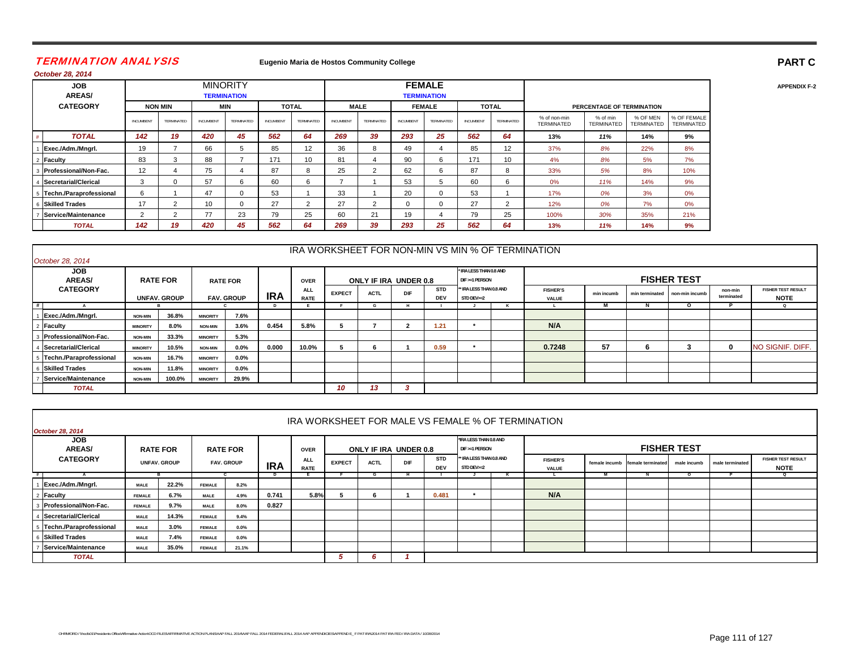### TERMINATION ANALYSI S

#### **Eugenio Maria de Hostos Community College**

| October 28, 2014            |                  |                |           |                                       |           |                |           |                |           |                                     |                 |                |                                   |                               |                               |                           |
|-----------------------------|------------------|----------------|-----------|---------------------------------------|-----------|----------------|-----------|----------------|-----------|-------------------------------------|-----------------|----------------|-----------------------------------|-------------------------------|-------------------------------|---------------------------|
| <b>JOB</b><br><b>AREAS/</b> |                  |                |           | <b>MINORITY</b><br><b>TERMINATION</b> |           |                |           |                |           | <b>FEMALE</b><br><b>TERMINATION</b> |                 |                |                                   |                               |                               |                           |
| <b>CATEGORY</b>             |                  | <b>NON MIN</b> |           | <b>MIN</b>                            |           | <b>TOTAL</b>   |           | <b>MALE</b>    |           | <b>FEMALE</b>                       |                 | <b>TOTAL</b>   |                                   | PERCENTAGE OF TERMINATION     |                               |                           |
|                             | <b>INCUMBENT</b> | TERMINATED     | INCUMBENT | TERMINATED                            | INCUMBENT | TERMINATED     | INCUMBENT | TERMINATED     | INCUMBENT | TERMINATED                          | <b>INCUMBEN</b> | TERMINATED     | % of non-min<br><b>TERMINATED</b> | % of min<br><b>TERMINATED</b> | % OF MEN<br><b>TERMINATED</b> | % OF FEMALE<br>TERMINATED |
| <b>TOTAL</b>                | 142              | 19             | 420       | 45                                    | 562       | 64             | 269       | 39             | 293       | 25                                  | 562             | 64             | 13%                               | 11%                           | 14%                           | 9%                        |
| Exec./Adm./Mngrl.           | 19               | $\overline{ }$ | 66        | 5                                     | 85        | 12             | 36        | 8              | 49        |                                     | 85              | 12             | 37%                               | 8%                            | 22%                           | 8%                        |
| Faculty                     | 83               | 3              | 88        |                                       | 171       | 10             | 81        | 4              | 90        | 6                                   | 171             | 10             | 4%                                | 8%                            | 5%                            | 7%                        |
| Professional/Non-Fac.       | 12               |                | 75        | 4                                     | 87        | 8              | 25        | $\overline{2}$ | 62        | 6                                   | 87              | 8              | 33%                               | 5%                            | 8%                            | 10%                       |
| Secretarial/Clerical        | 3                | 0              | 57        | 6                                     | 60        | 6              | -         |                | 53        | 5                                   | 60              | 6              | 0%                                | 11%                           | 14%                           | 9%                        |
| Techn./Paraprofessional     | 6                |                | 47        | $\Omega$                              | 53        |                | 33        |                | 20        | $\Omega$                            | 53              |                | 17%                               | 0%                            | 3%                            | 0%                        |
| <b>Skilled Trades</b>       | 17               | $\overline{2}$ | 10        | $\Omega$                              | 27        | $\overline{2}$ | 27        | $\overline{2}$ | $\Omega$  | $\Omega$                            | 27              | $\overline{2}$ | 12%                               | 0%                            | 7%                            | 0%                        |
| Service/Maintenance         | $\overline{2}$   | $\overline{2}$ | 77        | 23                                    | 79        | 25             | 60        | 21             | 19        |                                     | 79              | 25             | 100%                              | 30%                           | 35%                           | 21%                       |
| <b>TOTAL</b>                | 142              | 19             | 420       | 45                                    | 562       | 64             | 269       | 39             | 293       | 25                                  | 562             | 64             | 13%                               | 11%                           | 14%                           | 9%                        |

| October 28, 2014            |                                          |        |                 |                 |            |                           |               |             |                       |                          |                                           |                                 |            |   |                               |                       |                                          |
|-----------------------------|------------------------------------------|--------|-----------------|-----------------|------------|---------------------------|---------------|-------------|-----------------------|--------------------------|-------------------------------------------|---------------------------------|------------|---|-------------------------------|-----------------------|------------------------------------------|
| <b>JOB</b><br><b>AREAS/</b> | <b>RATE FOR</b>                          |        |                 | <b>RATE FOR</b> |            | <b>OVER</b>               |               |             | ONLY IF IRA UNDER 0.8 |                          | * IRA LESS THAN 0.8 AND<br>DIF >=1 PERSON |                                 |            |   | <b>FISHER TEST</b>            |                       |                                          |
| <b>CATEGORY</b>             | <b>UNFAV, GROUP</b><br><b>FAV. GROUP</b> |        |                 |                 | <b>IRA</b> | <b>ALL</b><br><b>RATE</b> | <b>EXPECT</b> | <b>ACTL</b> | DIF                   | <b>STD</b><br><b>DEV</b> | ** IRA LESS THAN 0.8 AND<br>STD DEV>=2    | <b>FISHER'S</b><br><b>VALUE</b> | min incumb |   | min terminated non-min incumb | non-min<br>terminated | <b>FISHER TEST RESULT</b><br><b>NOTE</b> |
| #                           |                                          |        |                 |                 | D          |                           |               |             |                       |                          |                                           |                                 | м          | N | O                             |                       | $\mathbf Q$                              |
| Exec./Adm./Mngrl.           | <b>NON-MIN</b>                           | 36.8%  | <b>MINORITY</b> | 7.6%            |            |                           |               |             |                       |                          |                                           |                                 |            |   |                               |                       |                                          |
| Faculty                     | <b>MINORITY</b>                          | 8.0%   | <b>NON-MIN</b>  | 3.6%            | 0.454      | 5.8%                      |               |             |                       | 1.21                     |                                           | N/A                             |            |   |                               |                       |                                          |
| Professional/Non-Fac.       | <b>NON-MIN</b>                           | 33.3%  | <b>MINORITY</b> | 5.3%            |            |                           |               |             |                       |                          |                                           |                                 |            |   |                               |                       |                                          |
| Secretarial/Clerical        | <b>MINORITY</b>                          | 10.5%  | <b>NON-MIN</b>  | $0.0\%$         | 0.000      | 10.0%                     |               |             |                       | 0.59                     | $\bullet$                                 | 0.7248                          | 57         | 6 |                               | $\mathbf{0}$          | NO SIGNIF. DIFF.                         |
| Techn./Paraprofessional     | <b>NON-MIN</b>                           | 16.7%  | <b>MINORITY</b> | $0.0\%$         |            |                           |               |             |                       |                          |                                           |                                 |            |   |                               |                       |                                          |
| <b>Skilled Trades</b>       | <b>NON-MIN</b>                           | 11.8%  | <b>MINORITY</b> | $0.0\%$         |            |                           |               |             |                       |                          |                                           |                                 |            |   |                               |                       |                                          |
| Service/Maintenance         | <b>NON-MIN</b>                           | 100.0% | <b>MINORITY</b> | 29.9%           |            |                           |               |             |                       |                          |                                           |                                 |            |   |                               |                       |                                          |
| <b>TOTAL</b>                |                                          |        |                 |                 |            |                           | 10            | 13          |                       |                          |                                           |                                 |            |   |                               |                       |                                          |

|                                           |               |                     |                 |                   |            |                           |               |                       |            |                          |                                          |  | IRA WORKSHEET FOR MALE VS FEMALE % OF TERMINATION |  |                                 |                    |                 |                                          |
|-------------------------------------------|---------------|---------------------|-----------------|-------------------|------------|---------------------------|---------------|-----------------------|------------|--------------------------|------------------------------------------|--|---------------------------------------------------|--|---------------------------------|--------------------|-----------------|------------------------------------------|
| <b>October 28, 2014</b>                   |               |                     |                 |                   |            |                           |               |                       |            |                          |                                          |  |                                                   |  |                                 |                    |                 |                                          |
| <b>JOB</b><br><b>AREAS/</b>               |               | <b>RATE FOR</b>     | <b>RATE FOR</b> |                   |            | <b>OVER</b>               |               | ONLY IF IRA UNDER 0.8 |            |                          | *IRA LESS THAN 0.8 AND<br>DIF >=1 PERSON |  |                                                   |  |                                 | <b>FISHER TEST</b> |                 |                                          |
| <b>CATEGORY</b>                           |               | <b>UNFAV. GROUP</b> |                 | <b>FAV. GROUP</b> | <b>IRA</b> | <b>ALL</b><br><b>RATE</b> | <b>EXPECT</b> | <b>ACTL</b>           | <b>DIF</b> | <b>STD</b><br><b>DEV</b> | ** IRA LESS THAN 0.8 AND<br>STD DEV>=2   |  | <b>FISHER'S</b><br>VALUE                          |  | female incumb female terminated | male incumb        | male terminated | <b>FISHER TEST RESULT</b><br><b>NOTE</b> |
| N<br>$\Omega$<br>$\circ$<br>K<br>- M<br>n |               |                     |                 |                   |            |                           |               |                       |            |                          |                                          |  |                                                   |  |                                 |                    |                 |                                          |
| 1 Exec./Adm./Mngrl.                       | <b>MALE</b>   | 22.2%               | <b>FEMALE</b>   | 8.2%              |            |                           |               |                       |            |                          |                                          |  |                                                   |  |                                 |                    |                 |                                          |
| 2 Faculty                                 | <b>FEMALE</b> | 6.7%                | <b>MALE</b>     | 4.9%              | 0.741      | 5.8%                      |               | 'n                    |            | 0.481                    |                                          |  | N/A                                               |  |                                 |                    |                 |                                          |
| 3 Professional/Non-Fac.                   | <b>FEMALE</b> | 9.7%                | MALE            | 8.0%              | 0.827      |                           |               |                       |            |                          |                                          |  |                                                   |  |                                 |                    |                 |                                          |
| 4 Secretarial/Clerical                    | <b>MALE</b>   | 14.3%               | <b>FEMALE</b>   | 9.4%              |            |                           |               |                       |            |                          |                                          |  |                                                   |  |                                 |                    |                 |                                          |
| 5 Techn./Paraprofessional                 | <b>MALE</b>   | 3.0%                | <b>FEMALE</b>   | $0.0\%$           |            |                           |               |                       |            |                          |                                          |  |                                                   |  |                                 |                    |                 |                                          |
| 6 Skilled Trades                          | <b>MALE</b>   | 7.4%                | <b>FEMALE</b>   | $0.0\%$           |            |                           |               |                       |            |                          |                                          |  |                                                   |  |                                 |                    |                 |                                          |
| 7 Service/Maintenance                     | <b>MALE</b>   | 35.0%               | <b>FEMALE</b>   | 21.1%             |            |                           |               |                       |            |                          |                                          |  |                                                   |  |                                 |                    |                 |                                          |
| <b>TOTAL</b>                              |               |                     |                 |                   |            |                           |               | Ð                     |            |                          |                                          |  |                                                   |  |                                 |                    |                 |                                          |

#### **APPENDIX F-2**

**PART C**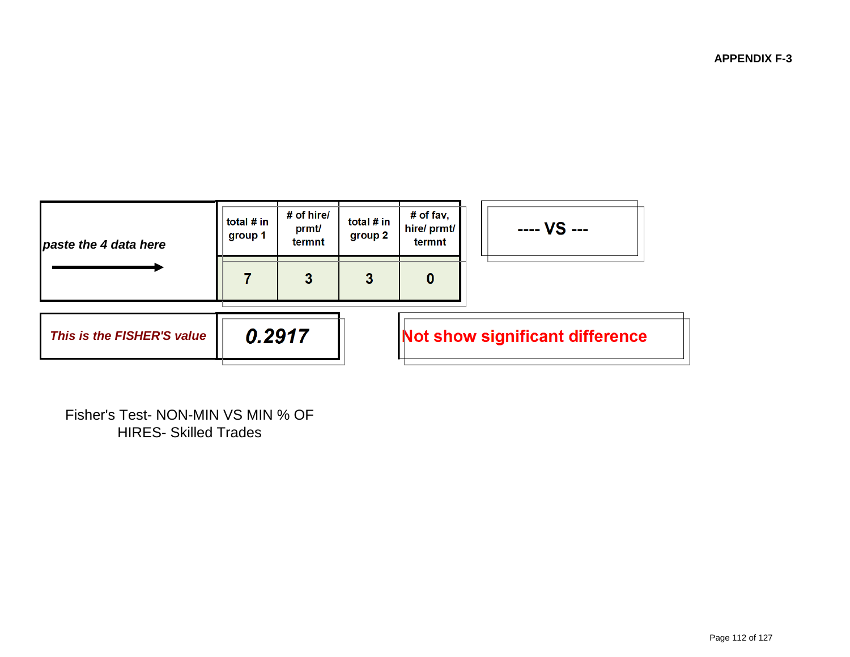**APPENDIX F-3**



Fisher's Test- NON-MIN VS MIN % OF HIRES- Skilled Trades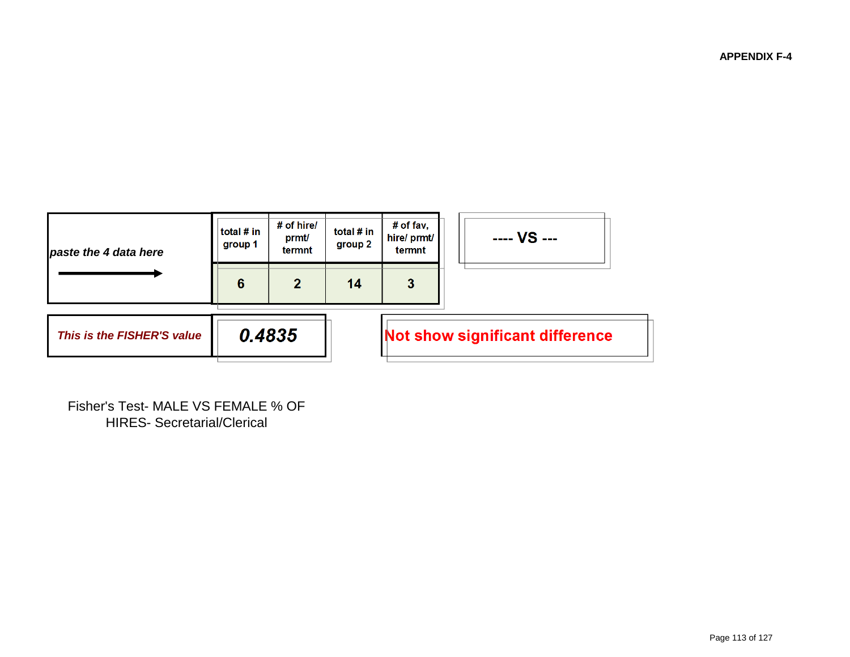**APPENDIX F-4**



Fisher's Test- MALE VS FEMALE % OF HIRES- Secretarial/Clerical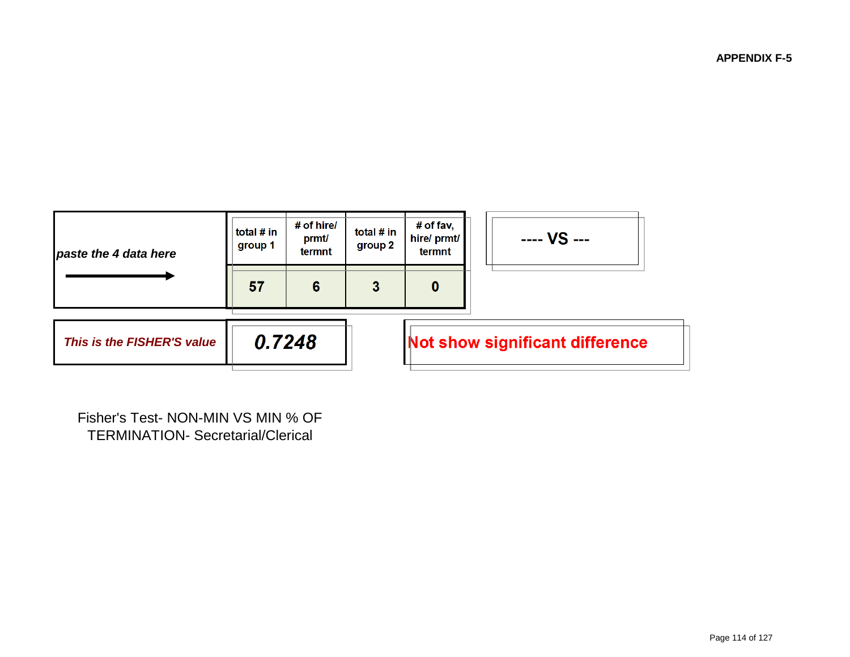**APPENDIX F-5**



Fisher's Test- NON-MIN VS MIN % OF TERMINATION- Secretarial/Clerical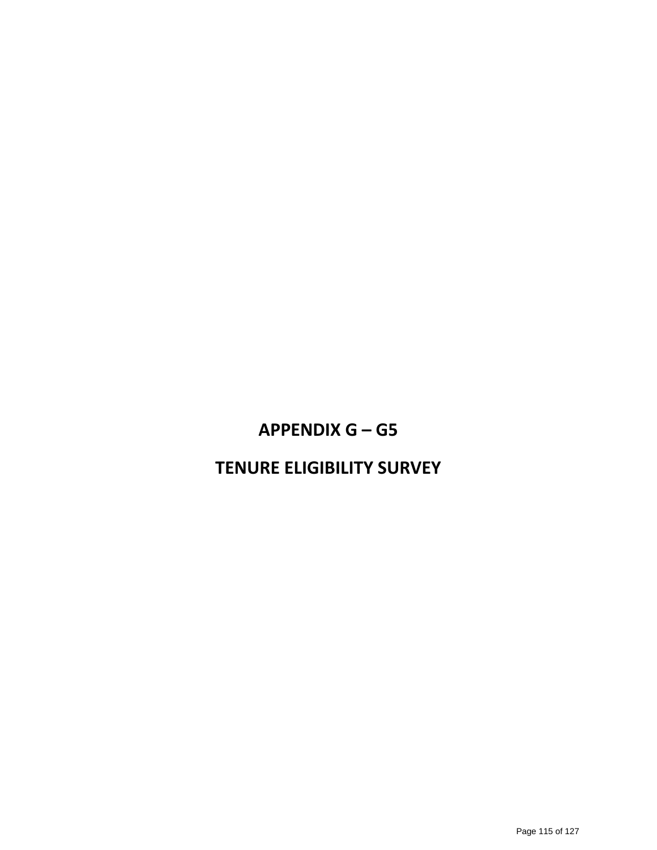# **APPENDIX G – G5**

# **TENURE ELIGIBILITY SURVEY**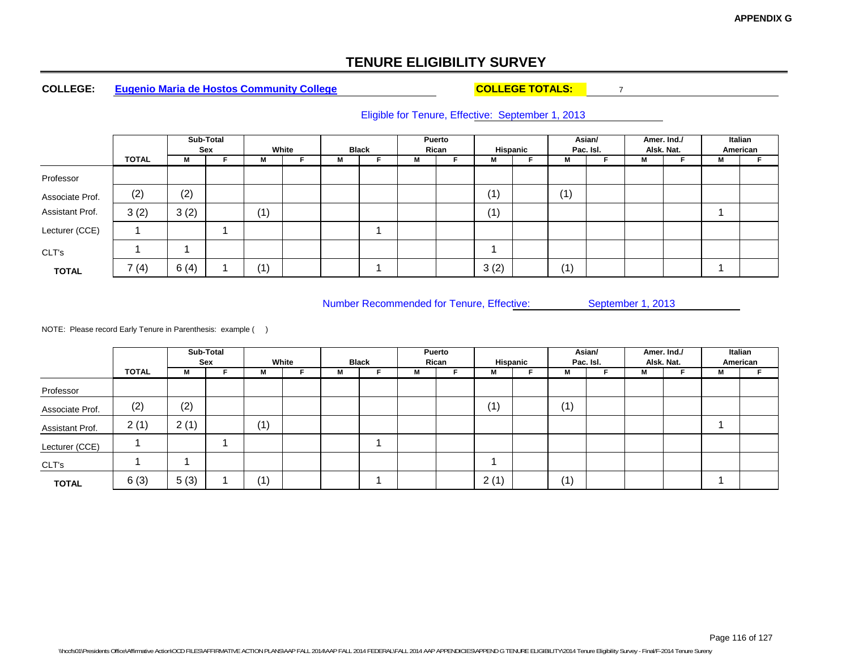#### **COLLEGE:Eugenio Maria de Hostos Community College COLLEGE TOTALS:** 7

### Eligible for Tenure, Effective: September 1, 2013

|                 |              |      | Sub-Total<br>Sex |     | White |   | <b>Black</b> | Rican | Puerto | Hispanic |     | Asian/<br>Pac. Isl. |   | Amer. Ind./<br>Alsk. Nat. |          | Italian<br>American |
|-----------------|--------------|------|------------------|-----|-------|---|--------------|-------|--------|----------|-----|---------------------|---|---------------------------|----------|---------------------|
|                 | <b>TOTAL</b> | М    |                  | м   |       | M |              | M     |        | M        | M   |                     | M |                           | <br>IVI. |                     |
| Professor       |              |      |                  |     |       |   |              |       |        |          |     |                     |   |                           |          |                     |
| Associate Prof. | (2)          | (2)  |                  |     |       |   |              |       |        | (1)      | (1) |                     |   |                           |          |                     |
| Assistant Prof. | 3(2)         | 3(2) |                  | (1) |       |   |              |       |        | (1)      |     |                     |   |                           |          |                     |
| Lecturer (CCE)  |              |      |                  |     |       |   |              |       |        |          |     |                     |   |                           |          |                     |
| CLT's           |              |      |                  |     |       |   |              |       |        |          |     |                     |   |                           |          |                     |
| <b>TOTAL</b>    | 7(4)         | 6(4) |                  | (1) |       |   |              |       |        | 3(2)     | (1) |                     |   |                           |          |                     |

Number Recommended for Tenure, Effective: September 1, 2013

|                 |              |      | Sub-Total<br>Sex |     | White |   | <b>Black</b> |   | Puerto<br>Rican | Hispanic |     | Asian/<br>Pac. Isl. |   | Amer. Ind./<br>Alsk. Nat. |     | Italian<br>American |
|-----------------|--------------|------|------------------|-----|-------|---|--------------|---|-----------------|----------|-----|---------------------|---|---------------------------|-----|---------------------|
|                 | <b>TOTAL</b> | М    |                  | м   |       | м |              | М |                 | <br>IVI. | М   |                     | М |                           | IVI |                     |
| Professor       |              |      |                  |     |       |   |              |   |                 |          |     |                     |   |                           |     |                     |
| Associate Prof. | (2)          | (2)  |                  |     |       |   |              |   |                 | (1)      | (1) |                     |   |                           |     |                     |
| Assistant Prof. | 2(1)         | 2(1) |                  | (1) |       |   |              |   |                 |          |     |                     |   |                           |     |                     |
| Lecturer (CCE)  |              |      |                  |     |       |   |              |   |                 |          |     |                     |   |                           |     |                     |
| CLT's           |              |      |                  |     |       |   |              |   |                 |          |     |                     |   |                           |     |                     |
| <b>TOTAL</b>    | 6(3)         | 5(3) |                  | (1) |       |   |              |   |                 | 2(1)     | (1) |                     |   |                           |     |                     |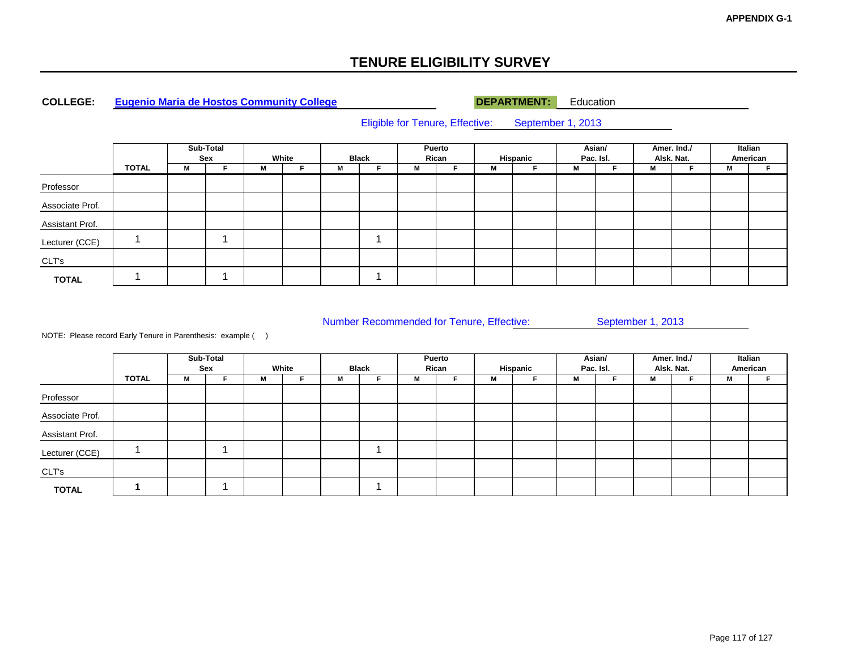#### **COLLEGE:Eugenio Maria de Hostos Community College DEPARTMENT:** Education

Eligible for Tenure, Effective: September 1, 2013

|                 |              |   | Sub-Total<br>Sex |   | White |   | <b>Black</b> | Rican | Puerto |   | Hispanic | Asian/ | Pac. Isl. |   | Amer. Ind./<br>Alsk. Nat. |   | Italian<br>American |
|-----------------|--------------|---|------------------|---|-------|---|--------------|-------|--------|---|----------|--------|-----------|---|---------------------------|---|---------------------|
|                 | <b>TOTAL</b> | M |                  | М |       | М |              | M     |        | M |          | M      |           | М |                           | М |                     |
| Professor       |              |   |                  |   |       |   |              |       |        |   |          |        |           |   |                           |   |                     |
| Associate Prof. |              |   |                  |   |       |   |              |       |        |   |          |        |           |   |                           |   |                     |
| Assistant Prof. |              |   |                  |   |       |   |              |       |        |   |          |        |           |   |                           |   |                     |
| Lecturer (CCE)  |              |   |                  |   |       |   |              |       |        |   |          |        |           |   |                           |   |                     |
| CLT's           |              |   |                  |   |       |   |              |       |        |   |          |        |           |   |                           |   |                     |
| <b>TOTAL</b>    |              |   |                  |   |       |   |              |       |        |   |          |        |           |   |                           |   |                     |

Number Recommended for Tenure, Effective: September 1, 2013

|                 |              |   | Sub-Total<br>Sex |   | White |   | <b>Black</b> |   | Puerto<br>Rican |   | Hispanic | Asian/ | Pac. Isl. |   | Amer. Ind./<br>Alsk. Nat. |   | Italian<br>American |
|-----------------|--------------|---|------------------|---|-------|---|--------------|---|-----------------|---|----------|--------|-----------|---|---------------------------|---|---------------------|
|                 | <b>TOTAL</b> | м |                  | M |       | M |              | м |                 | M |          | M      |           | м |                           | М |                     |
| Professor       |              |   |                  |   |       |   |              |   |                 |   |          |        |           |   |                           |   |                     |
| Associate Prof. |              |   |                  |   |       |   |              |   |                 |   |          |        |           |   |                           |   |                     |
| Assistant Prof. |              |   |                  |   |       |   |              |   |                 |   |          |        |           |   |                           |   |                     |
| Lecturer (CCE)  |              |   |                  |   |       |   |              |   |                 |   |          |        |           |   |                           |   |                     |
| CLT's           |              |   |                  |   |       |   |              |   |                 |   |          |        |           |   |                           |   |                     |
| <b>TOTAL</b>    |              |   |                  |   |       |   |              |   |                 |   |          |        |           |   |                           |   |                     |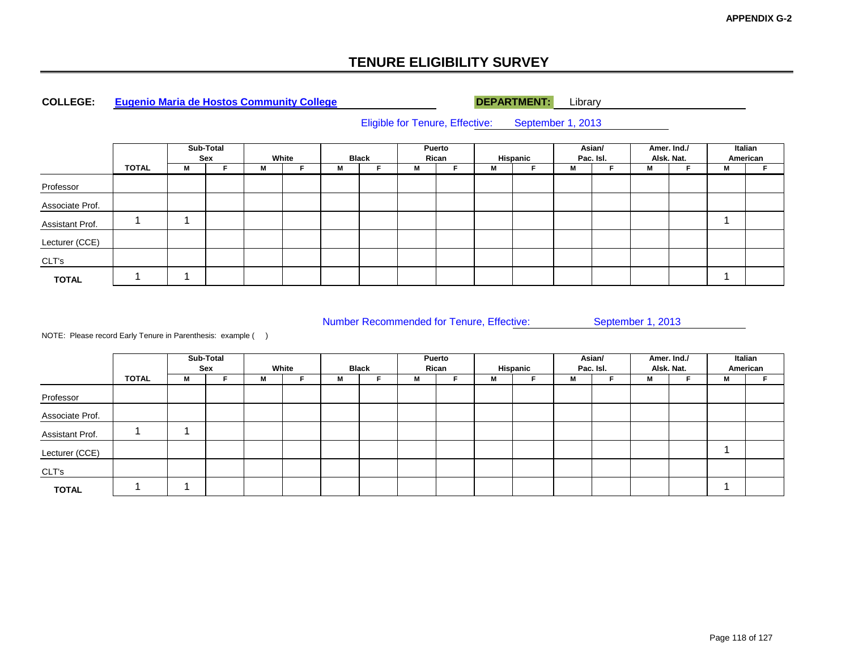#### **COLLEGE:Eugenio Maria de Hostos Community College DEPARTMENT:** Library

Eligible for Tenure, Effective: September 1, 2013

|                 |       |   | Sub-Total<br>Sex |   | White |   | <b>Black</b> |   | Puerto<br>Rican |   | Hispanic |   | Asian/<br>Pac. Isl. |   | Amer. Ind./<br>Alsk. Nat. |   | Italian<br>American |
|-----------------|-------|---|------------------|---|-------|---|--------------|---|-----------------|---|----------|---|---------------------|---|---------------------------|---|---------------------|
|                 | TOTAL | M |                  | M |       | М |              | М |                 | M |          | M |                     | м |                           | М |                     |
| Professor       |       |   |                  |   |       |   |              |   |                 |   |          |   |                     |   |                           |   |                     |
| Associate Prof. |       |   |                  |   |       |   |              |   |                 |   |          |   |                     |   |                           |   |                     |
| Assistant Prof. |       |   |                  |   |       |   |              |   |                 |   |          |   |                     |   |                           |   |                     |
| Lecturer (CCE)  |       |   |                  |   |       |   |              |   |                 |   |          |   |                     |   |                           |   |                     |
| CLT's           |       |   |                  |   |       |   |              |   |                 |   |          |   |                     |   |                           |   |                     |
| <b>TOTAL</b>    |       |   |                  |   |       |   |              |   |                 |   |          |   |                     |   |                           |   |                     |

Number Recommended for Tenure, Effective: September 1, 2013

|                 |              |   | Sub-Total<br>Sex |   | White |   | <b>Black</b> |   | Puerto<br>Rican |   | Hispanic |   | Asian/<br>Pac. Isl. |   | Amer. Ind./<br>Alsk. Nat. |   | Italian<br>American |
|-----------------|--------------|---|------------------|---|-------|---|--------------|---|-----------------|---|----------|---|---------------------|---|---------------------------|---|---------------------|
|                 | <b>TOTAL</b> | М |                  | м |       | М |              | M |                 | M |          | М |                     | M |                           | м |                     |
| Professor       |              |   |                  |   |       |   |              |   |                 |   |          |   |                     |   |                           |   |                     |
| Associate Prof. |              |   |                  |   |       |   |              |   |                 |   |          |   |                     |   |                           |   |                     |
| Assistant Prof. |              |   |                  |   |       |   |              |   |                 |   |          |   |                     |   |                           |   |                     |
| Lecturer (CCE)  |              |   |                  |   |       |   |              |   |                 |   |          |   |                     |   |                           |   |                     |
| CLT's           |              |   |                  |   |       |   |              |   |                 |   |          |   |                     |   |                           |   |                     |
| <b>TOTAL</b>    |              |   |                  |   |       |   |              |   |                 |   |          |   |                     |   |                           |   |                     |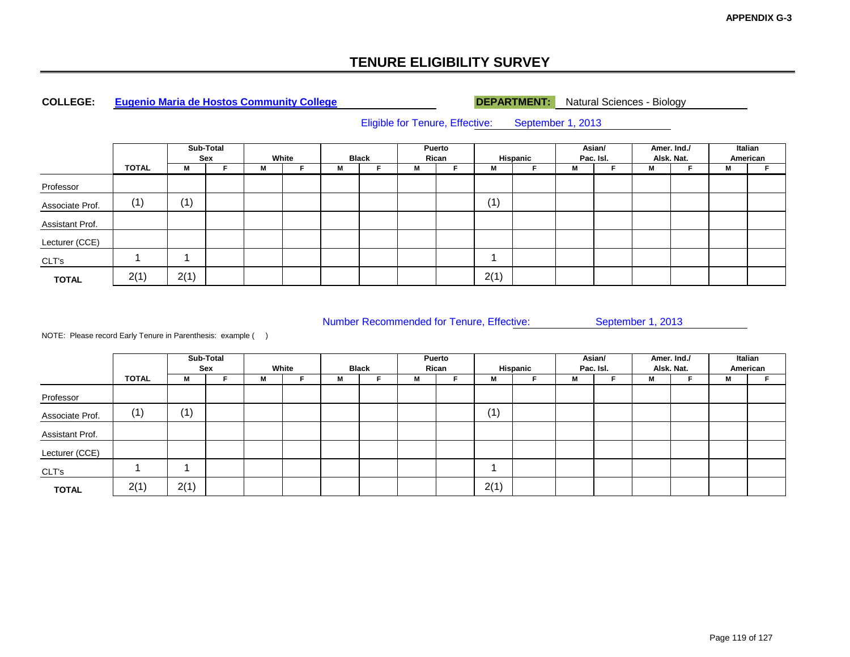#### **COLLEGE:Eugenio Maria de Hostos Community College DEPARTMENT:** Natural Sciences - Biology

Eligible for Tenure, Effective: September 1, 2013

|                 |       |      | Sub-Total<br>Sex |   | White |   | <b>Black</b> |   | Puerto<br>Rican |      | Hispanic | Pac. Isl. | Asian/ |   | Amer. Ind./<br>Alsk. Nat. |   | Italian<br>American |
|-----------------|-------|------|------------------|---|-------|---|--------------|---|-----------------|------|----------|-----------|--------|---|---------------------------|---|---------------------|
|                 | TOTAL | M    | F                | М |       | M | c            | M |                 | М    |          | М         |        | M |                           | М |                     |
| Professor       |       |      |                  |   |       |   |              |   |                 |      |          |           |        |   |                           |   |                     |
| Associate Prof. | (1)   | (1)  |                  |   |       |   |              |   |                 | (1)  |          |           |        |   |                           |   |                     |
| Assistant Prof. |       |      |                  |   |       |   |              |   |                 |      |          |           |        |   |                           |   |                     |
| Lecturer (CCE)  |       |      |                  |   |       |   |              |   |                 |      |          |           |        |   |                           |   |                     |
| CLT's           |       |      |                  |   |       |   |              |   |                 |      |          |           |        |   |                           |   |                     |
| <b>TOTAL</b>    | 2(1)  | 2(1) |                  |   |       |   |              |   |                 | 2(1) |          |           |        |   |                           |   |                     |

Number Recommended for Tenure, Effective: September 1, 2013

|                 |              |      | Sub-Total<br>Sex |   | White |   | <b>Black</b> |   | Puerto<br>Rican |      | Hispanic |   | Asian/<br>Pac. Isl. |   | Amer. Ind./<br>Alsk. Nat. |   | Italian<br>American |
|-----------------|--------------|------|------------------|---|-------|---|--------------|---|-----------------|------|----------|---|---------------------|---|---------------------------|---|---------------------|
|                 | <b>TOTAL</b> | м    |                  | M |       | M |              | м |                 | M    |          | M |                     | М |                           | М |                     |
| Professor       |              |      |                  |   |       |   |              |   |                 |      |          |   |                     |   |                           |   |                     |
| Associate Prof. | (1,          | (1)  |                  |   |       |   |              |   |                 | (1)  |          |   |                     |   |                           |   |                     |
| Assistant Prof. |              |      |                  |   |       |   |              |   |                 |      |          |   |                     |   |                           |   |                     |
| Lecturer (CCE)  |              |      |                  |   |       |   |              |   |                 |      |          |   |                     |   |                           |   |                     |
| CLT's           |              |      |                  |   |       |   |              |   |                 |      |          |   |                     |   |                           |   |                     |
| <b>TOTAL</b>    | 2(1)         | 2(1) |                  |   |       |   |              |   |                 | 2(1) |          |   |                     |   |                           |   |                     |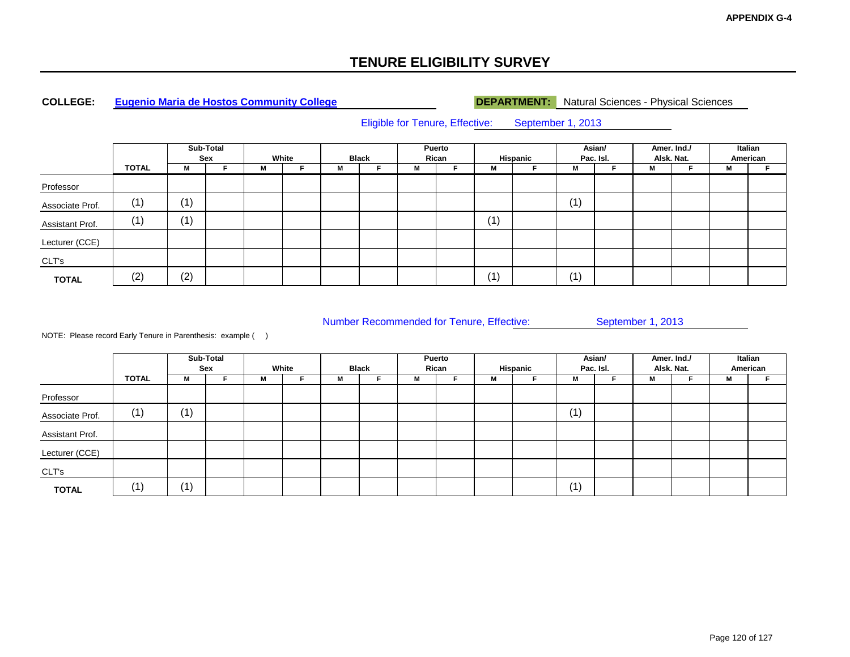### **COLLEGE:**

**Eugenio Maria de Hostos Community College DEPARTMENT:** Natural Sciences - Physical Sciences

Eligible for Tenure, Effective: September 1, 2013

|                 |       |     | Sub-Total<br>Sex |   | White |                 | <b>Black</b> |   | Puerto<br>Rican |     | Hispanic |     | Asian/<br>Pac. Isl. |   | Amer. Ind./<br>Alsk. Nat. |   | Italian<br>American |
|-----------------|-------|-----|------------------|---|-------|-----------------|--------------|---|-----------------|-----|----------|-----|---------------------|---|---------------------------|---|---------------------|
|                 | TOTAL | M   |                  | М |       | <b>M</b><br>IVI |              | M |                 | M   |          | M   |                     | М |                           | М |                     |
| Professor       |       |     |                  |   |       |                 |              |   |                 |     |          |     |                     |   |                           |   |                     |
| Associate Prof. | (1)   | (1) |                  |   |       |                 |              |   |                 |     |          | (1) |                     |   |                           |   |                     |
| Assistant Prof. | (1)   | (1) |                  |   |       |                 |              |   |                 | (1) |          |     |                     |   |                           |   |                     |
| Lecturer (CCE)  |       |     |                  |   |       |                 |              |   |                 |     |          |     |                     |   |                           |   |                     |
| CLT's           |       |     |                  |   |       |                 |              |   |                 |     |          |     |                     |   |                           |   |                     |
| <b>TOTAL</b>    | (2)   | (2) |                  |   |       |                 |              |   |                 | (1) |          | (1) |                     |   |                           |   |                     |

Number Recommended for Tenure, Effective: September 1, 2013

|                 |              |     | Sub-Total<br>Sex |   | White |   | <b>Black</b> |   | Puerto<br>Rican |   | Hispanic |     | Asian/<br>Pac. Isl. | Amer. Ind./ | Alsk. Nat. |   | Italian<br>American |
|-----------------|--------------|-----|------------------|---|-------|---|--------------|---|-----------------|---|----------|-----|---------------------|-------------|------------|---|---------------------|
|                 | <b>TOTAL</b> | M   |                  | M |       | м |              | м |                 | M |          | M   |                     | М           |            | м |                     |
| Professor       |              |     |                  |   |       |   |              |   |                 |   |          |     |                     |             |            |   |                     |
| Associate Prof. | (1)          | (1) |                  |   |       |   |              |   |                 |   |          | (1) |                     |             |            |   |                     |
| Assistant Prof. |              |     |                  |   |       |   |              |   |                 |   |          |     |                     |             |            |   |                     |
| Lecturer (CCE)  |              |     |                  |   |       |   |              |   |                 |   |          |     |                     |             |            |   |                     |
| CLT's           |              |     |                  |   |       |   |              |   |                 |   |          |     |                     |             |            |   |                     |
| <b>TOTAL</b>    | (1`          | (1) |                  |   |       |   |              |   |                 |   |          | (1) |                     |             |            |   |                     |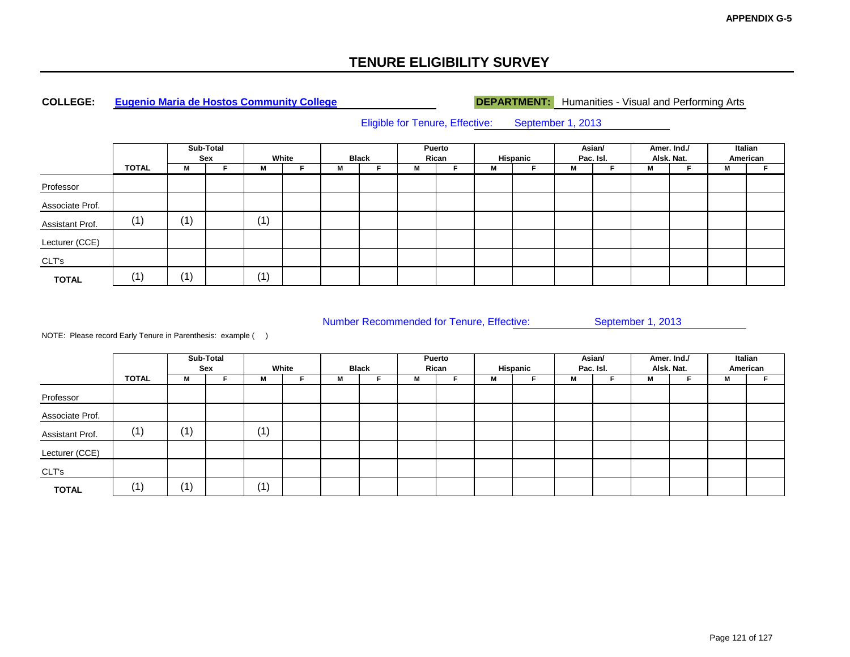### **COLLEGE:**

**Eugenio Maria de Hostos Community College DEPARTMENT:** Humanities - Visual and Performing Arts

Eligible for Tenure, Effective: September 1, 2013

|                 |              |     | Sub-Total<br>Sex |     | White |   | <b>Black</b> |   | Puerto<br>Rican |   | Hispanic | Asian/<br>Pac. Isl. |   | Amer. Ind./<br>Alsk. Nat. |   | Italian<br>American |
|-----------------|--------------|-----|------------------|-----|-------|---|--------------|---|-----------------|---|----------|---------------------|---|---------------------------|---|---------------------|
|                 | <b>TOTAL</b> | M   |                  | M   |       | М |              | м |                 | М |          | M                   | М |                           | M |                     |
| Professor       |              |     |                  |     |       |   |              |   |                 |   |          |                     |   |                           |   |                     |
| Associate Prof. |              |     |                  |     |       |   |              |   |                 |   |          |                     |   |                           |   |                     |
| Assistant Prof. | (1)          | (1) |                  | (1) |       |   |              |   |                 |   |          |                     |   |                           |   |                     |
| Lecturer (CCE)  |              |     |                  |     |       |   |              |   |                 |   |          |                     |   |                           |   |                     |
| CLT's           |              |     |                  |     |       |   |              |   |                 |   |          |                     |   |                           |   |                     |
| <b>TOTAL</b>    | (1)          | (1) |                  | (1) |       |   |              |   |                 |   |          |                     |   |                           |   |                     |

Number Recommended for Tenure, Effective: September 1, 2013

|                 |              |                | Sub-Total<br>Sex |     | White |   | <b>Black</b> |   | Puerto<br>Rican |   | Hispanic |   | Asian/<br>Pac. Isl. |   | Amer. Ind./<br>Alsk. Nat. |   | Italian<br>American |
|-----------------|--------------|----------------|------------------|-----|-------|---|--------------|---|-----------------|---|----------|---|---------------------|---|---------------------------|---|---------------------|
|                 | <b>TOTAL</b> | M              |                  | Μ   |       | м |              | M |                 | м |          | M |                     | М |                           | M |                     |
| Professor       |              |                |                  |     |       |   |              |   |                 |   |          |   |                     |   |                           |   |                     |
| Associate Prof. |              |                |                  |     |       |   |              |   |                 |   |          |   |                     |   |                           |   |                     |
| Assistant Prof. | (1)          | $^{\prime}$ 1) |                  | (1) |       |   |              |   |                 |   |          |   |                     |   |                           |   |                     |
| Lecturer (CCE)  |              |                |                  |     |       |   |              |   |                 |   |          |   |                     |   |                           |   |                     |
| CLT's           |              |                |                  |     |       |   |              |   |                 |   |          |   |                     |   |                           |   |                     |
| <b>TOTAL</b>    | (1)          | (1)            |                  | (1) |       |   |              |   |                 |   |          |   |                     |   |                           |   |                     |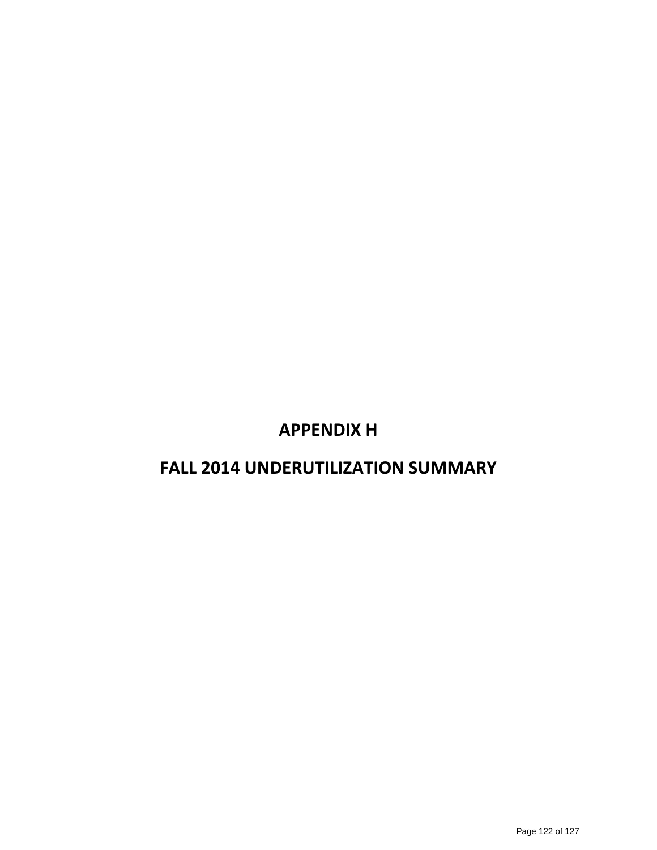# **APPENDIX H**

# **FALL 2014 UNDERUTILIZATION SUMMARY**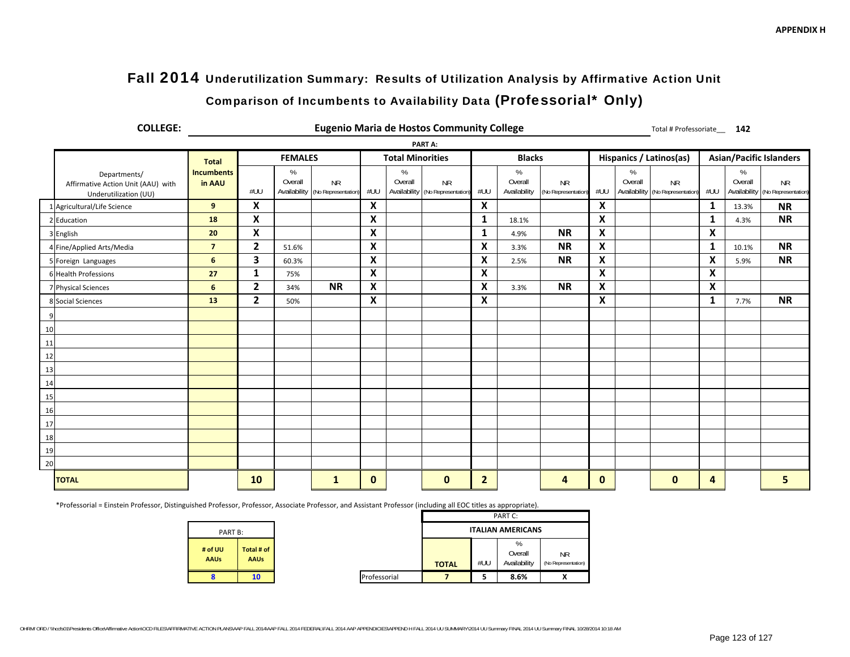# Fall 2014 Underutilization Summary: Results of Utilization Analysis by Affirmative Action Unit

# Comparison of Incumbents to Availability Data (Professorial\* Only)

| <b>COLLEGE:</b>                                                             |                             |              |                 |                                               |     |                         | <b>Eugenio Maria de Hostos Community College</b> |                           |                                 |                                  |                           |                              | Total # Professoriate__ 142      |     |                 |                                               |
|-----------------------------------------------------------------------------|-----------------------------|--------------|-----------------|-----------------------------------------------|-----|-------------------------|--------------------------------------------------|---------------------------|---------------------------------|----------------------------------|---------------------------|------------------------------|----------------------------------|-----|-----------------|-----------------------------------------------|
|                                                                             |                             |              |                 |                                               |     |                         | PART A:                                          |                           |                                 |                                  |                           |                              |                                  |     |                 |                                               |
|                                                                             | <b>Total</b>                |              | <b>FEMALES</b>  |                                               |     | <b>Total Minorities</b> |                                                  |                           | <b>Blacks</b>                   |                                  |                           |                              | Hispanics / Latinos(as)          |     |                 | <b>Asian/Pacific Islanders</b>                |
| Departments/<br>Affirmative Action Unit (AAU) with<br>Underutilization (UU) | <b>Incumbents</b><br>in AAU | #UU          | $\%$<br>Overall | <b>NR</b><br>Availability (No Representation) | #UU | $\%$<br>Overall         | <b>NR</b><br>Availability (No Representation)    | #UU                       | $\%$<br>Overall<br>Availability | <b>NR</b><br>(No Representation) | #UU                       | %<br>Overall<br>Availability | <b>NR</b><br>(No Representation) | #UU | $\%$<br>Overall | <b>NR</b><br>Availability (No Representation) |
| Agricultural/Life Science                                                   | 9                           | X            |                 |                                               | X   |                         |                                                  | $\boldsymbol{\mathsf{X}}$ |                                 |                                  | $\boldsymbol{\mathsf{X}}$ |                              |                                  | 1   | 13.3%           | <b>NR</b>                                     |
| 2 Education                                                                 | 18                          | X            |                 |                                               | X   |                         |                                                  | $\mathbf{1}$              | 18.1%                           |                                  | $\boldsymbol{\mathsf{x}}$ |                              |                                  | 1   | 4.3%            | <b>NR</b>                                     |
| 3 English                                                                   | 20                          | X            |                 |                                               | X   |                         |                                                  | 1                         | 4.9%                            | <b>NR</b>                        | $\pmb{\times}$            |                              |                                  | X   |                 |                                               |
| 4 Fine/Applied Arts/Media                                                   | $\overline{7}$              | $\mathbf{2}$ | 51.6%           |                                               | X   |                         |                                                  | $\boldsymbol{\mathsf{x}}$ | 3.3%                            | <b>NR</b>                        | $\boldsymbol{\mathsf{x}}$ |                              |                                  | 1   | 10.1%           | <b>NR</b>                                     |
| 5 Foreign Languages                                                         | 6                           | 3            | 60.3%           |                                               | X   |                         |                                                  | X                         | 2.5%                            | <b>NR</b>                        | X                         |                              |                                  | X   | 5.9%            | <b>NR</b>                                     |
| 6 Health Professions                                                        | 27                          | $\mathbf{1}$ | 75%             |                                               | X   |                         |                                                  | X                         |                                 |                                  | $\boldsymbol{\mathsf{x}}$ |                              |                                  | X   |                 |                                               |
| 7 Physical Sciences                                                         | 6                           | $\mathbf{2}$ | 34%             | <b>NR</b>                                     | X   |                         |                                                  | X                         | 3.3%                            | <b>NR</b>                        | X                         |                              |                                  | X   |                 |                                               |
| 8 Social Sciences                                                           | 13                          | $\mathbf{2}$ | 50%             |                                               | X   |                         |                                                  | X                         |                                 |                                  | $\boldsymbol{\mathsf{x}}$ |                              |                                  | 1   | 7.7%            | <b>NR</b>                                     |
| 9                                                                           |                             |              |                 |                                               |     |                         |                                                  |                           |                                 |                                  |                           |                              |                                  |     |                 |                                               |
| 10                                                                          |                             |              |                 |                                               |     |                         |                                                  |                           |                                 |                                  |                           |                              |                                  |     |                 |                                               |
| 11                                                                          |                             |              |                 |                                               |     |                         |                                                  |                           |                                 |                                  |                           |                              |                                  |     |                 |                                               |
| 12                                                                          |                             |              |                 |                                               |     |                         |                                                  |                           |                                 |                                  |                           |                              |                                  |     |                 |                                               |
| 13                                                                          |                             |              |                 |                                               |     |                         |                                                  |                           |                                 |                                  |                           |                              |                                  |     |                 |                                               |
| 14                                                                          |                             |              |                 |                                               |     |                         |                                                  |                           |                                 |                                  |                           |                              |                                  |     |                 |                                               |
| 15                                                                          |                             |              |                 |                                               |     |                         |                                                  |                           |                                 |                                  |                           |                              |                                  |     |                 |                                               |
| 16                                                                          |                             |              |                 |                                               |     |                         |                                                  |                           |                                 |                                  |                           |                              |                                  |     |                 |                                               |
| 17                                                                          |                             |              |                 |                                               |     |                         |                                                  |                           |                                 |                                  |                           |                              |                                  |     |                 |                                               |
| 18                                                                          |                             |              |                 |                                               |     |                         |                                                  |                           |                                 |                                  |                           |                              |                                  |     |                 |                                               |
| 19                                                                          |                             |              |                 |                                               |     |                         |                                                  |                           |                                 |                                  |                           |                              |                                  |     |                 |                                               |
| 20                                                                          |                             |              |                 |                                               |     |                         |                                                  |                           |                                 |                                  |                           |                              |                                  |     |                 |                                               |
| <b>TOTAL</b>                                                                |                             | 10           |                 | 1                                             | 0   |                         | $\mathbf{0}$                                     | $\overline{2}$            |                                 | 4                                | $\mathbf 0$               |                              | $\mathbf{0}$                     | 4   |                 | 5                                             |

\*Professorial <sup>=</sup> Einstein Professor, Distinguished Professor, Professor, Associate Professor, and Assistant Professor (including all EOC titles as appropriate).

**# of UUAAUs**

**8 10**

|         |                           |              |              |     | PART C:                      |                                  |
|---------|---------------------------|--------------|--------------|-----|------------------------------|----------------------------------|
| PART B: |                           |              |              |     | <b>ITALIAN AMERICANS</b>     |                                  |
| u.      | Total # of<br><b>AAUs</b> |              | <b>TOTAL</b> | #UU | %<br>Overall<br>Availability | <b>NR</b><br>(No Representation) |
|         | 10                        | Professorial |              | э   | 8.6%                         |                                  |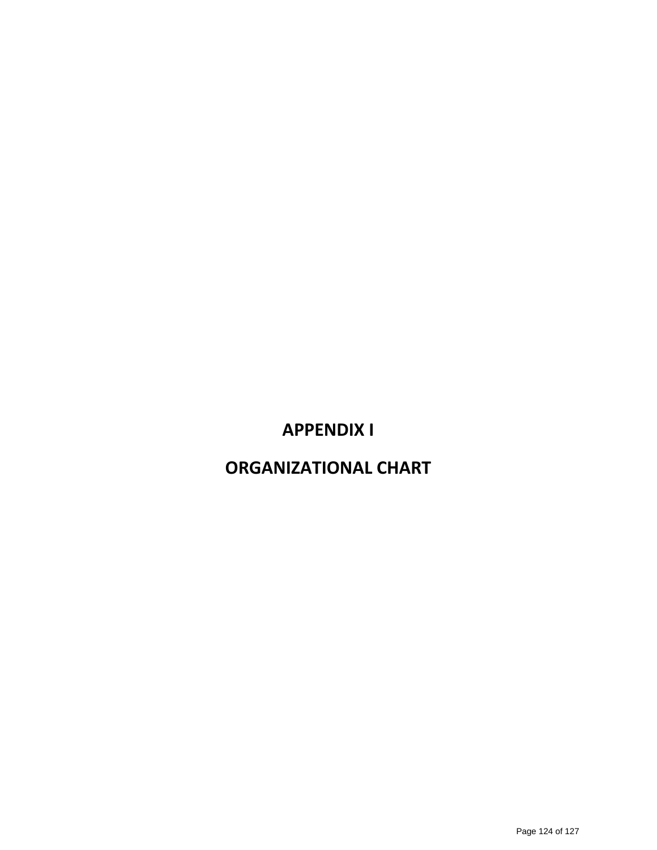# **APPENDIX I**

# **ORGANIZATIONAL CHART**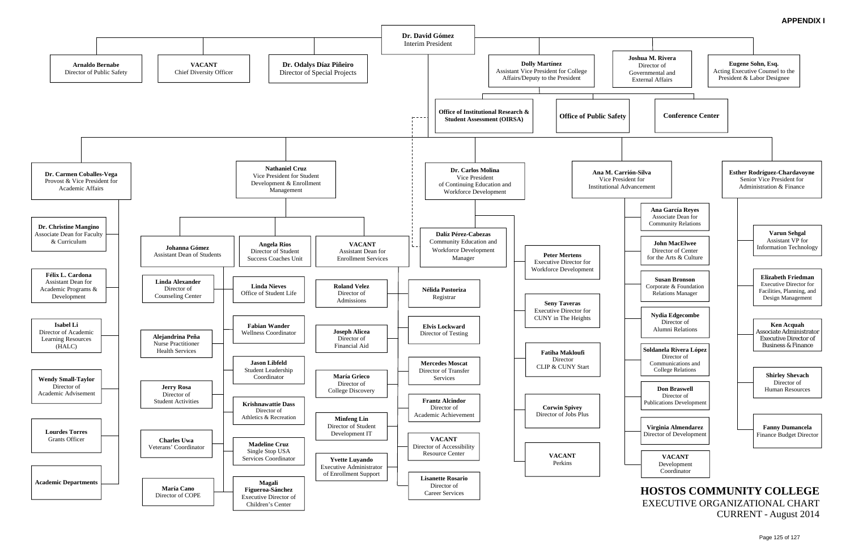# CURRENT - August 2014

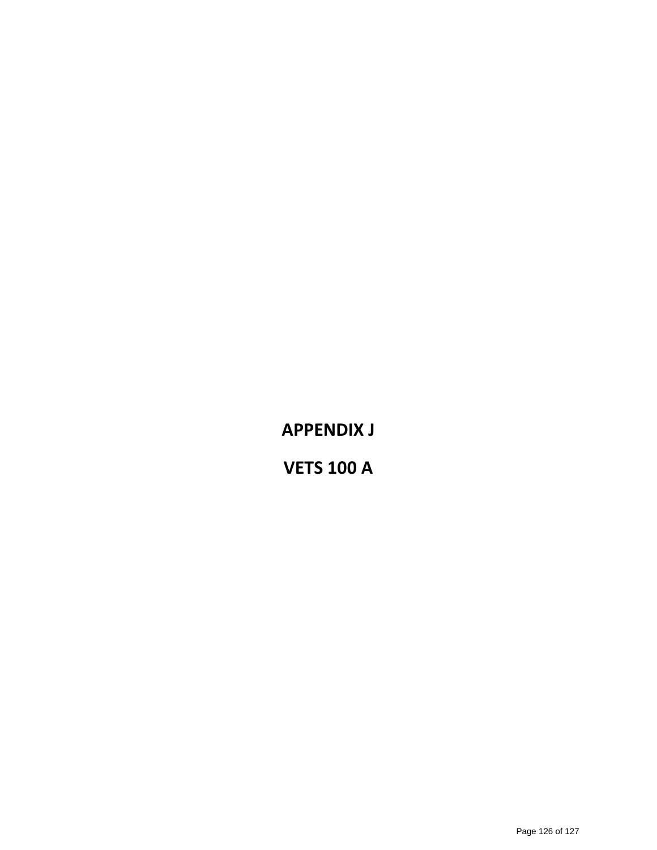**APPENDIX J**

**VETS 100 A**